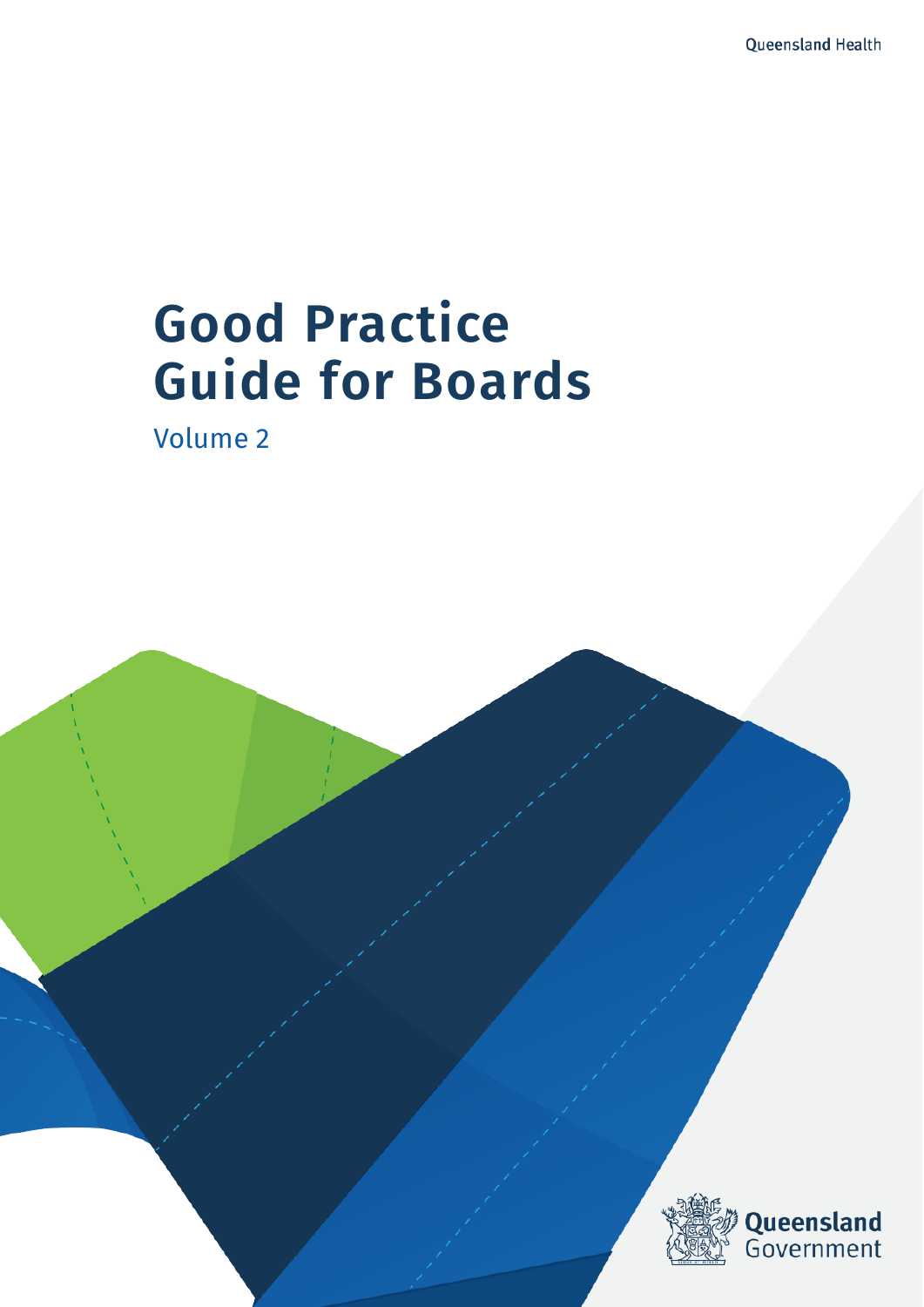# **Good Practice Guide for Boards**

Volume 2

Good Practice Guide for Boards - Volume 2

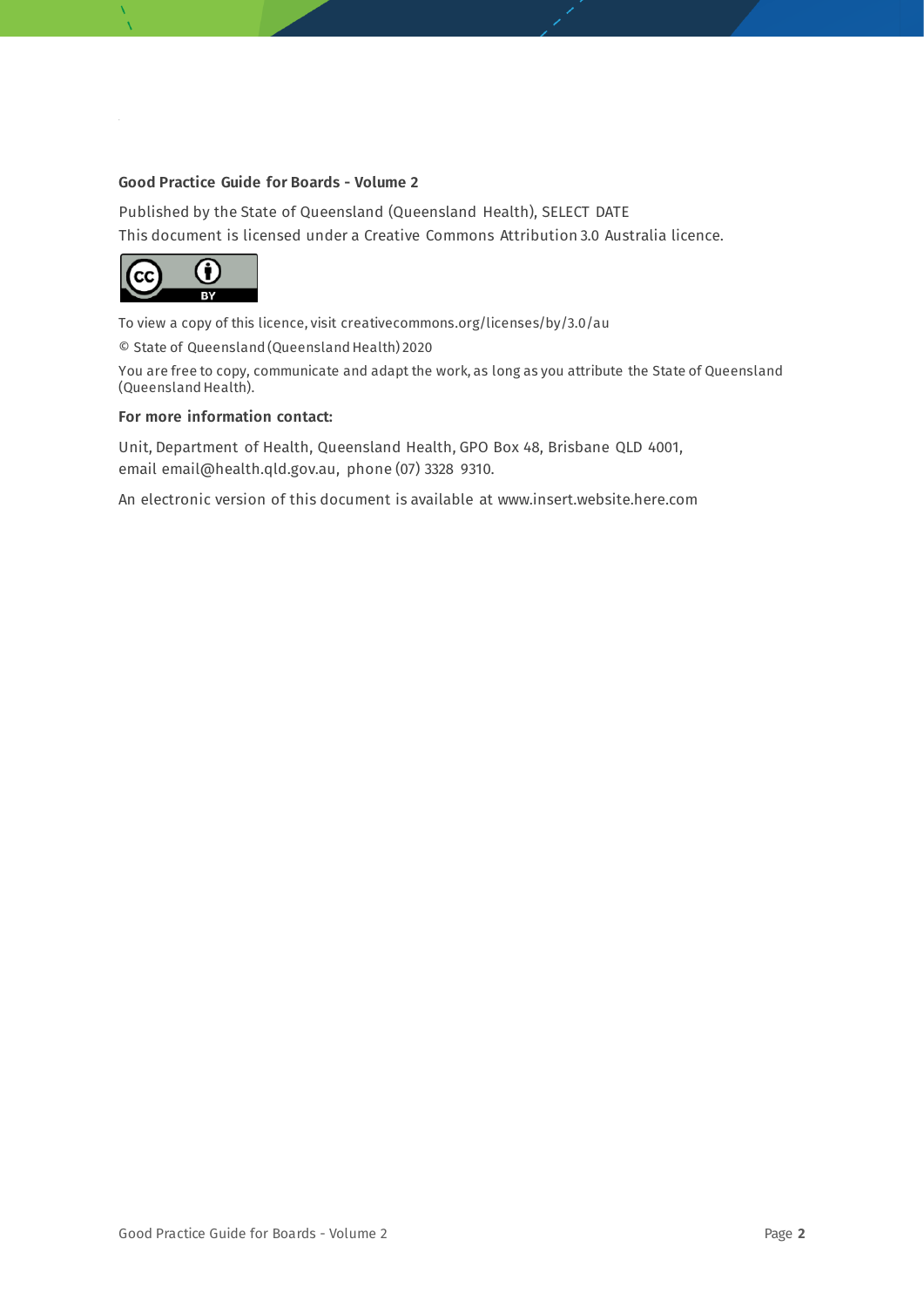#### **Good Practice Guide for Boards - Volume 2**

Published by the State of Queensland (Queensland Health), SELECT DATE This document is licensed under a Creative Commons Attribution 3.0 Australia licence.



To view a copy of this licence, visit creativecommons.org/licenses/by/3.0/au

© State of Queensland (Queensland Health) 2020

You are free to copy, communicate and adapt the work, as long as you attribute the State of Queensland (Queensland Health).

#### **For more information contact:**

Unit, Department of Health, Queensland Health, GPO Box 48, Brisbane QLD 4001, email email@health.qld.gov.au, phone (07) 3328 9310.

An electronic version of this document is available at www.insert.website.here.com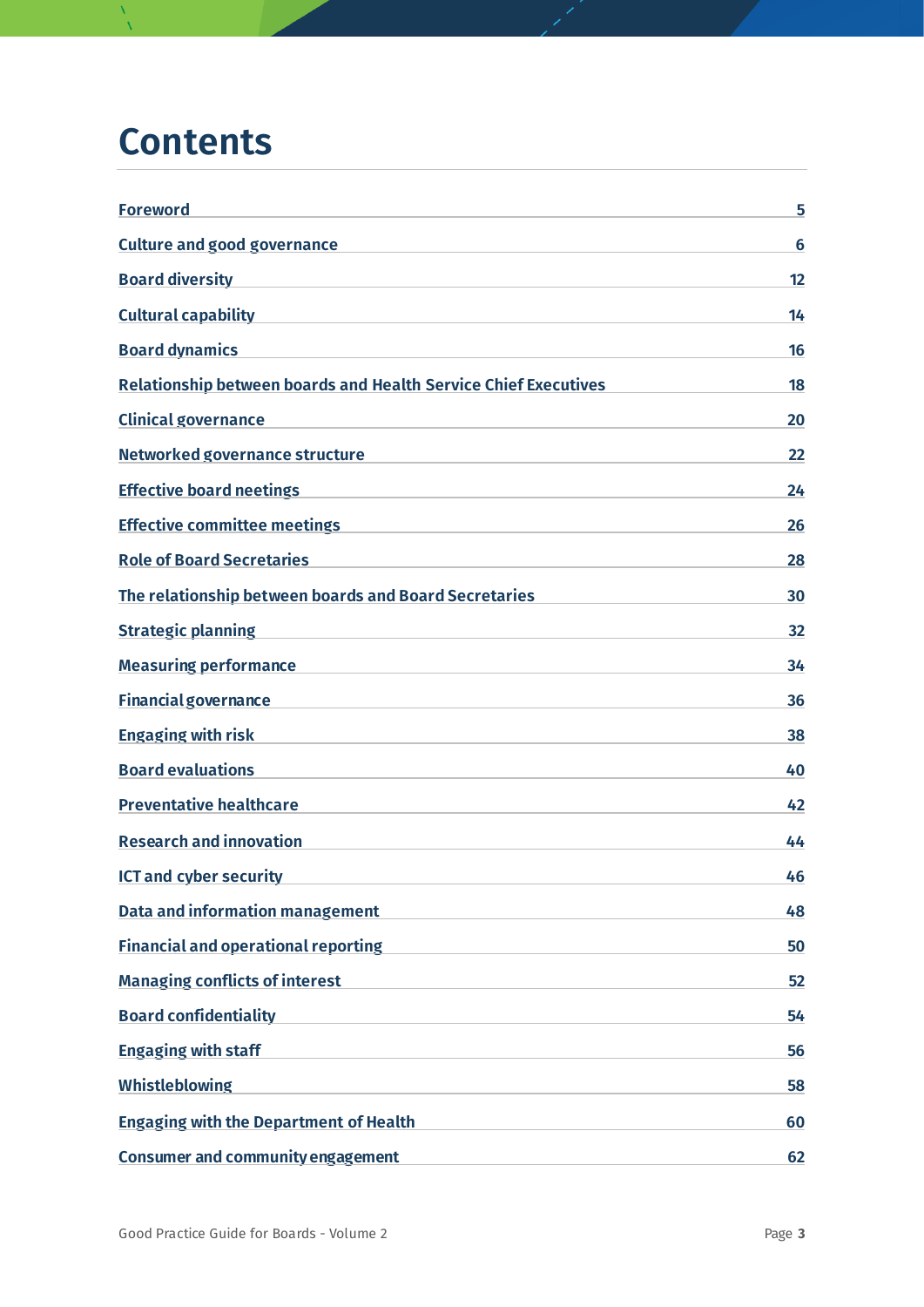### **Contents**

| <b>Foreword</b>                                                                                                                                          | 5  |
|----------------------------------------------------------------------------------------------------------------------------------------------------------|----|
| <b>Culture and good governance</b>                                                                                                                       | 6  |
| <b>Board diversity</b>                                                                                                                                   | 12 |
| <b>Cultural capability</b><br>the control of the control of the control of the control of the control of the control of                                  | 14 |
| <b>Board dynamics</b>                                                                                                                                    | 16 |
| <b>Relationship between boards and Health Service Chief Executives</b>                                                                                   | 18 |
| <b>Clinical governance</b><br><u> 1989 - Johann Harry Harry Harry Harry Harry Harry Harry Harry Harry Harry Harry Harry Harry Harry Harry Harry</u>      | 20 |
| Networked governance structure                                                                                                                           | 22 |
| <b>Effective board neetings</b><br><u> 1989 - Johann Harry Harry Harry Harry Harry Harry Harry Harry Harry Harry Harry Harry Harry Harry Harry Harry</u> | 24 |
| <b>Effective committee meetings</b><br>the control of the control of the control of the control of the control of the control of                         | 26 |
| <b>Role of Board Secretaries</b>                                                                                                                         | 28 |
| The relationship between boards and Board Secretaries                                                                                                    | 30 |
| <b>Strategic planning</b><br><u> 1980 - Jan Barbara Barbara, manazarta da kasas da kasas da kasas da kasas da kasas da kasas da kasas da kasa</u>        | 32 |
| <b>Measuring performance</b><br>the control of the control of the control of the control of the control of                                               | 34 |
| <b>Financial governance</b>                                                                                                                              | 36 |
| <b>Engaging with risk</b>                                                                                                                                | 38 |
| <b>Board evaluations</b>                                                                                                                                 | 40 |
| <b>Preventative healthcare</b>                                                                                                                           | 42 |
| <b>Research and innovation</b>                                                                                                                           | 44 |
| <b>ICT and cyber security</b>                                                                                                                            | 46 |
| <b>Data and information management</b>                                                                                                                   | 48 |
| <b>Financial and operational reporting</b>                                                                                                               | 50 |
| <b>Managing conflicts of interest</b>                                                                                                                    | 52 |
| <b>Board confidentiality</b>                                                                                                                             | 54 |
| <b>Engaging with staff</b>                                                                                                                               | 56 |
| <b>Whistleblowing</b>                                                                                                                                    | 58 |
| <b>Engaging with the Department of Health</b>                                                                                                            | 60 |
| <b>Consumer and community engagement</b>                                                                                                                 | 62 |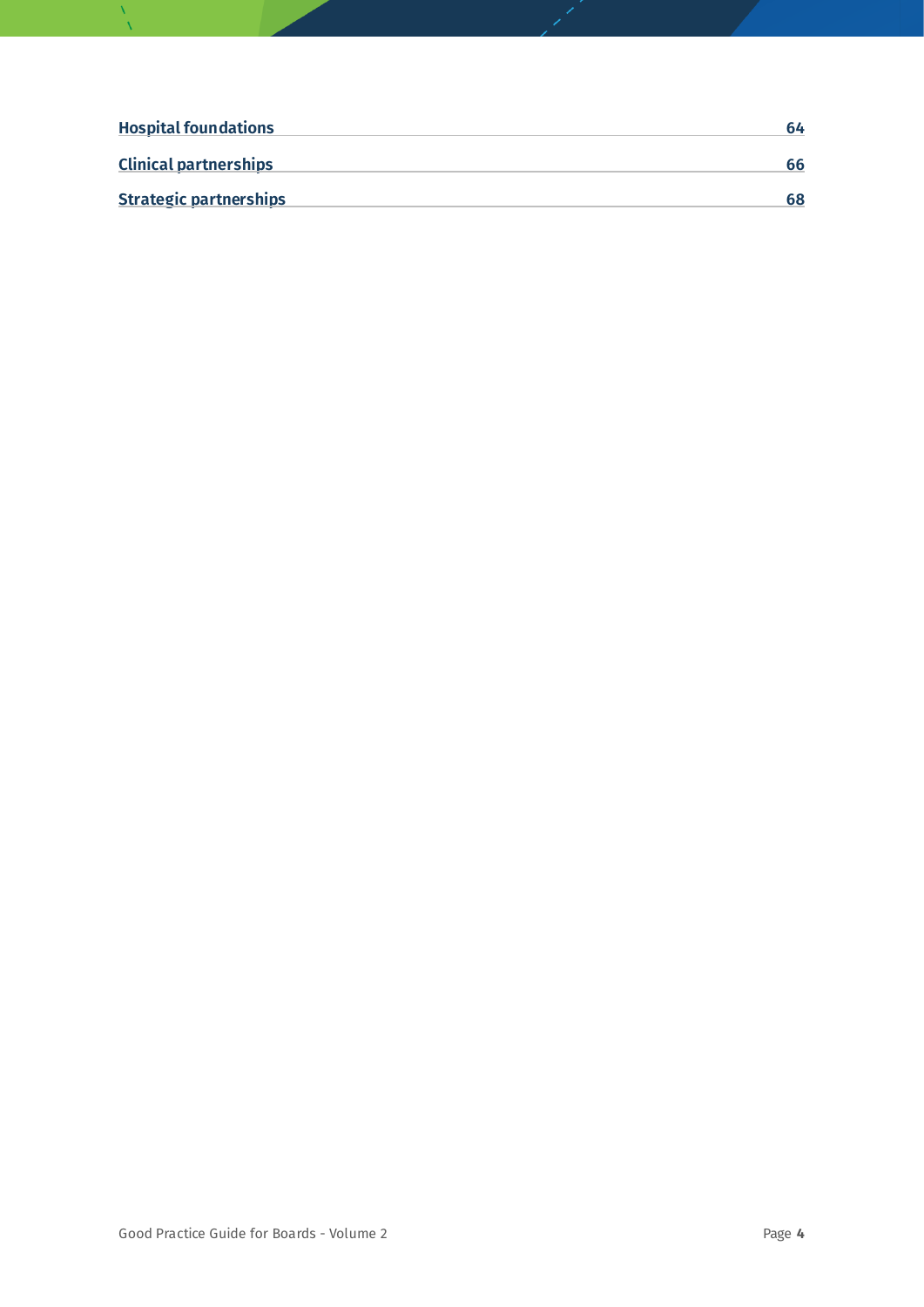| <b>Hospital foundations</b>   | 64 |
|-------------------------------|----|
| <b>Clinical partnerships</b>  | 66 |
| <b>Strategic partnerships</b> | 68 |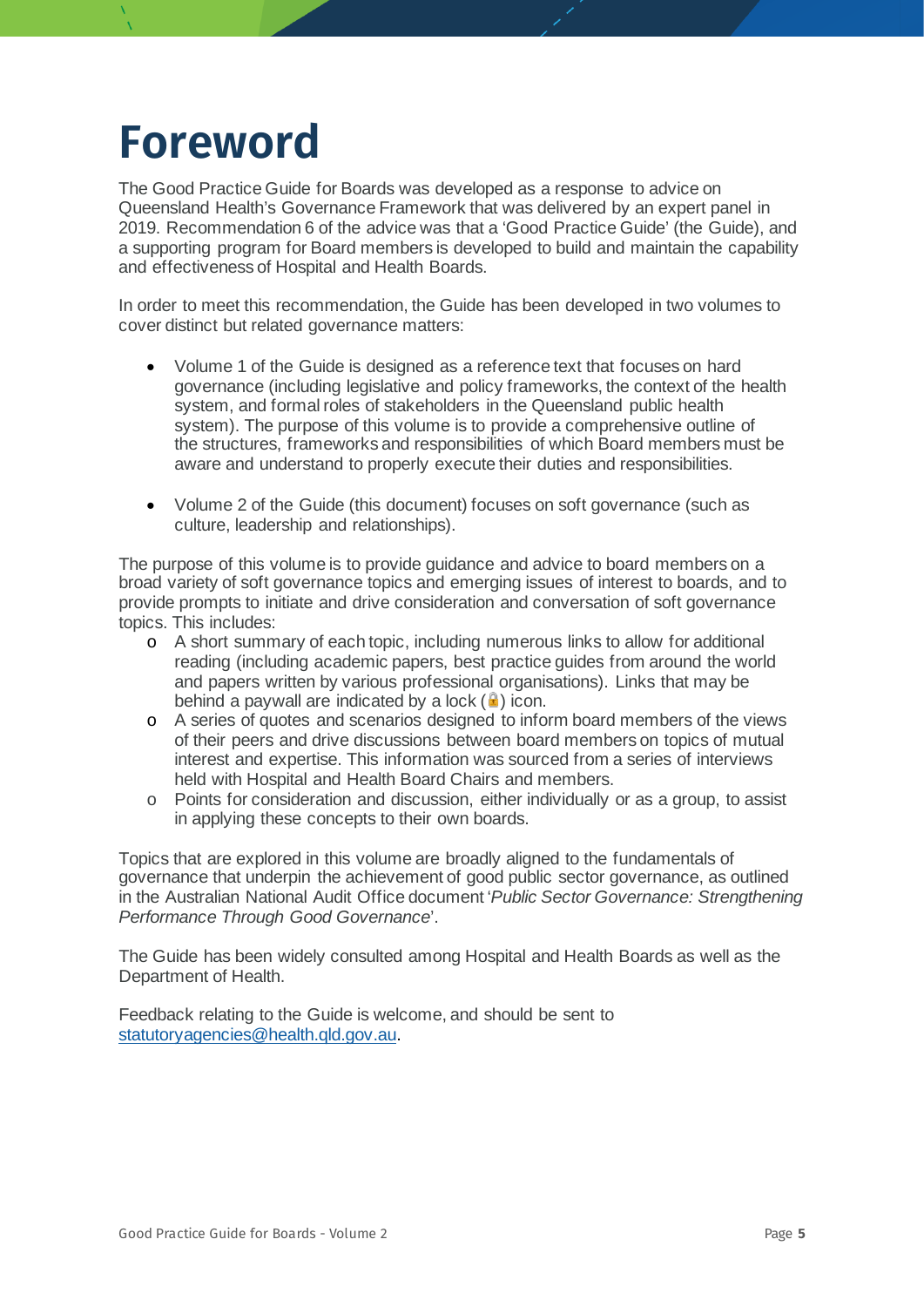### <span id="page-4-0"></span>**Foreword**

The Good Practice Guide for Boards was developed as a response to advice on Queensland Health's Governance Framework that was delivered by an expert panel in 2019. Recommendation 6 of the advice was that a 'Good Practice Guide' (the Guide), and a supporting program for Board members is developed to build and maintain the capability and effectiveness of Hospital and Health Boards.

In order to meet this recommendation, the Guide has been developed in two volumes to cover distinct but related governance matters:

- Volume 1 of the Guide is designed as a reference text that focuses on hard governance (including legislative and policy frameworks, the context of the health system, and formal roles of stakeholders in the Queensland public health system). The purpose of this volume is to provide a comprehensive outline of the structures, frameworks and responsibilities of which Board members must be aware and understand to properly execute their duties and responsibilities.
- Volume 2 of the Guide (this document) focuses on soft governance (such as culture, leadership and relationships).

The purpose of this volume is to provide guidance and advice to board members on a broad variety of soft governance topics and emerging issues of interest to boards, and to provide prompts to initiate and drive consideration and conversation of soft governance topics. This includes:

- o A short summary of each topic, including numerous links to allow for additional reading (including academic papers, best practice guides from around the world and papers written by various professional organisations). Links that may be behind a paywall are indicated by a lock  $(\blacksquare)$  icon.
- o A series of quotes and scenarios designed to inform board members of the views of their peers and drive discussions between board members on topics of mutual interest and expertise. This information was sourced from a series of interviews held with Hospital and Health Board Chairs and members.
- o Points for consideration and discussion, either individually or as a group, to assist in applying these concepts to their own boards.

Topics that are explored in this volume are broadly aligned to the fundamentals of governance that underpin the achievement of good public sector governance, as outlined in the Australian National Audit Office document '*Public Sector Governance: Strengthening Performance Through Good Governance*'.

The Guide has been widely consulted among Hospital and Health Boards as well as the Department of Health.

Feedback relating to the Guide is welcome, and should be sent to [statutoryagencies@health.qld.gov.au.](mailto:statutoryagencies@health.qld.gov.au)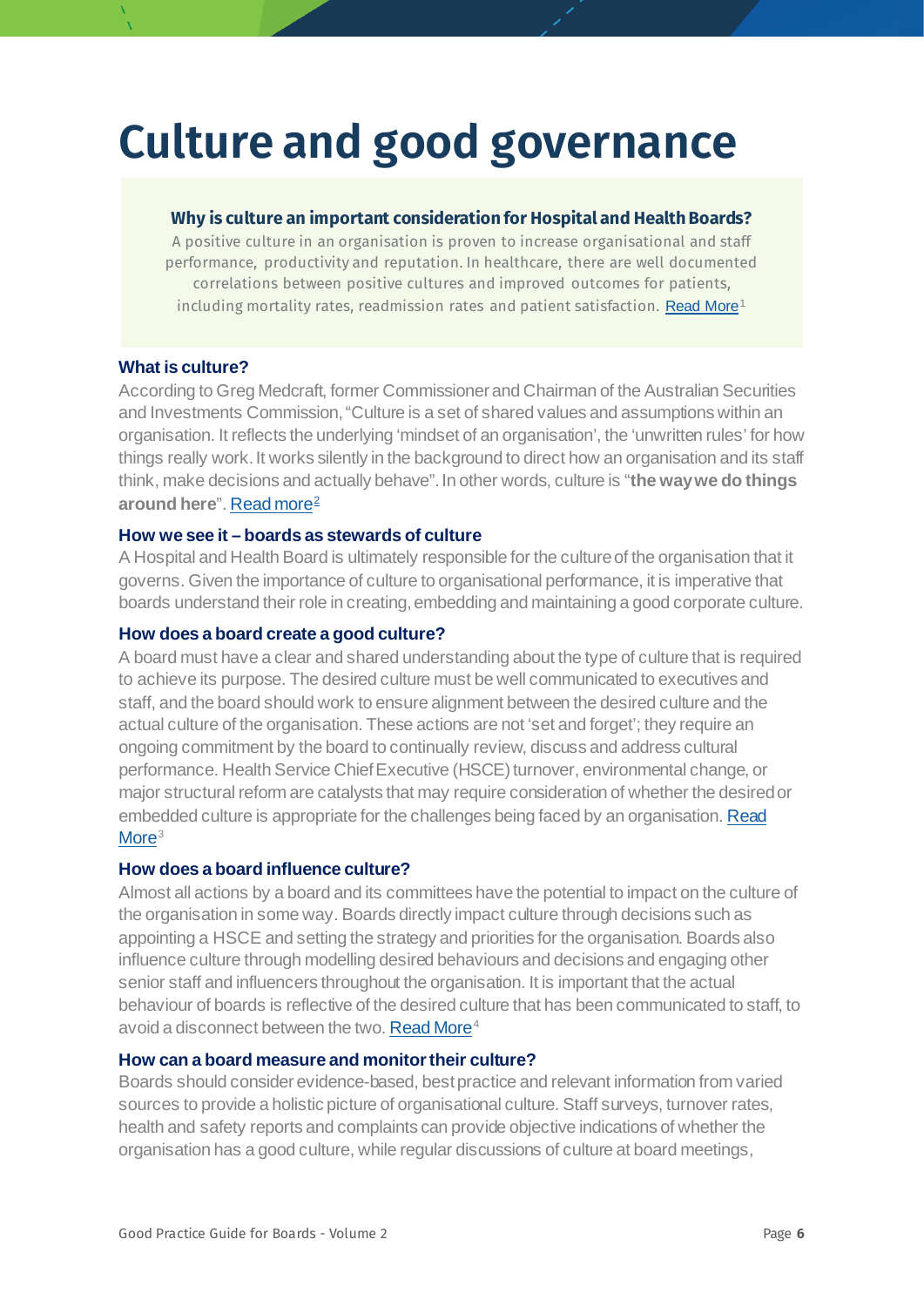## <span id="page-5-0"></span>**Culture and good governance**

#### **Why is culture an important consideration for Hospital and Health Boards?**

A positive culture in an organisation is proven to increase organisational and staff performance, productivity and reputation. In healthcare, there are well documented correlations between positive cultures and improved outcomes for patients, including mortality rates, readmission rates and patient satisfaction. [Read More](https://www.ncbi.nlm.nih.gov/pmc/articles/PMC5695304/)<sup>[1](#page-70-0)</sup>

#### **What is culture?**

According to Greg Medcraft, former Commissioner and Chairman of the Australian Securities and Investments Commission, "Culture is a set of shared values and assumptions within an organisation. It reflects the underlying 'mindset of an organisation', the 'unwritten rules' for how things really work. It works silently in the background to direct how an organisation and its staff think, make decisions and actually behave". In other words, culture is "**the way we do things around here**"[. Read more](https://download.asic.gov.au/media/3964314/greg-medcraft-speech-challenger-offsite-28-july-2016.pdf)[2](#page-70-1)

#### **How we see it – boards as stewards of culture**

A Hospital and Health Board is ultimately responsible for the culture of the organisation that it governs. Given the importance of culture to organisational performance, it is imperative that boards understand their role in creating, embedding and maintaining a good corporate culture.

#### **How does a board create a good culture?**

A board must have a clear and shared understanding about the type of culture that is required to achieve its purpose. The desired culture must be well communicated to executives and staff, and the board should work to ensure alignment between the desired culture and the actual culture of the organisation. These actions are not 'set and forget'; they require an ongoing commitment by the board to continually review, discuss and address cultural performance. Health Service Chief Executive (HSCE) turnover, environmental change, or major structural reform are catalysts that may require consideration of whether the desired or embedded culture is appropriate for the challenges being faced by an organisation. Read [More](https://www.ey.com/en_gl/board-matters/five-ways-to-enhance-board-oversight-of-culture)<sup>[3](#page-70-2)</sup>

#### **How does a board influence culture?**

Almost all actions by a board and its committees have the potential to impact on the culture of the organisation in some way. Boards directly impact culture through decisions such as appointing a HSCE and setting the strategy and priorities for the organisation. Boards also influence culture through modelling desired behaviours and decisions and engaging other senior staff and influencers throughout the organisation. It is important that the actual behaviour of boards is reflective of the desired culture that has been communicated to staff, to avoid a disconnect between the two[. Read More](https://insights.diligent.com/corporate-governance/the-importance-of-corporate-culture-for-good-governance)<sup>[4](#page-70-3)</sup>

#### **How can a board measure and monitor their culture?**

Boards should consider evidence-based, best practice and relevant information from varied sources to provide a holistic picture of organisational culture. Staff surveys, turnover rates, health and safety reports and complaints can provide objective indications of whether the organisation has a good culture, while regular discussions of culture at board meetings,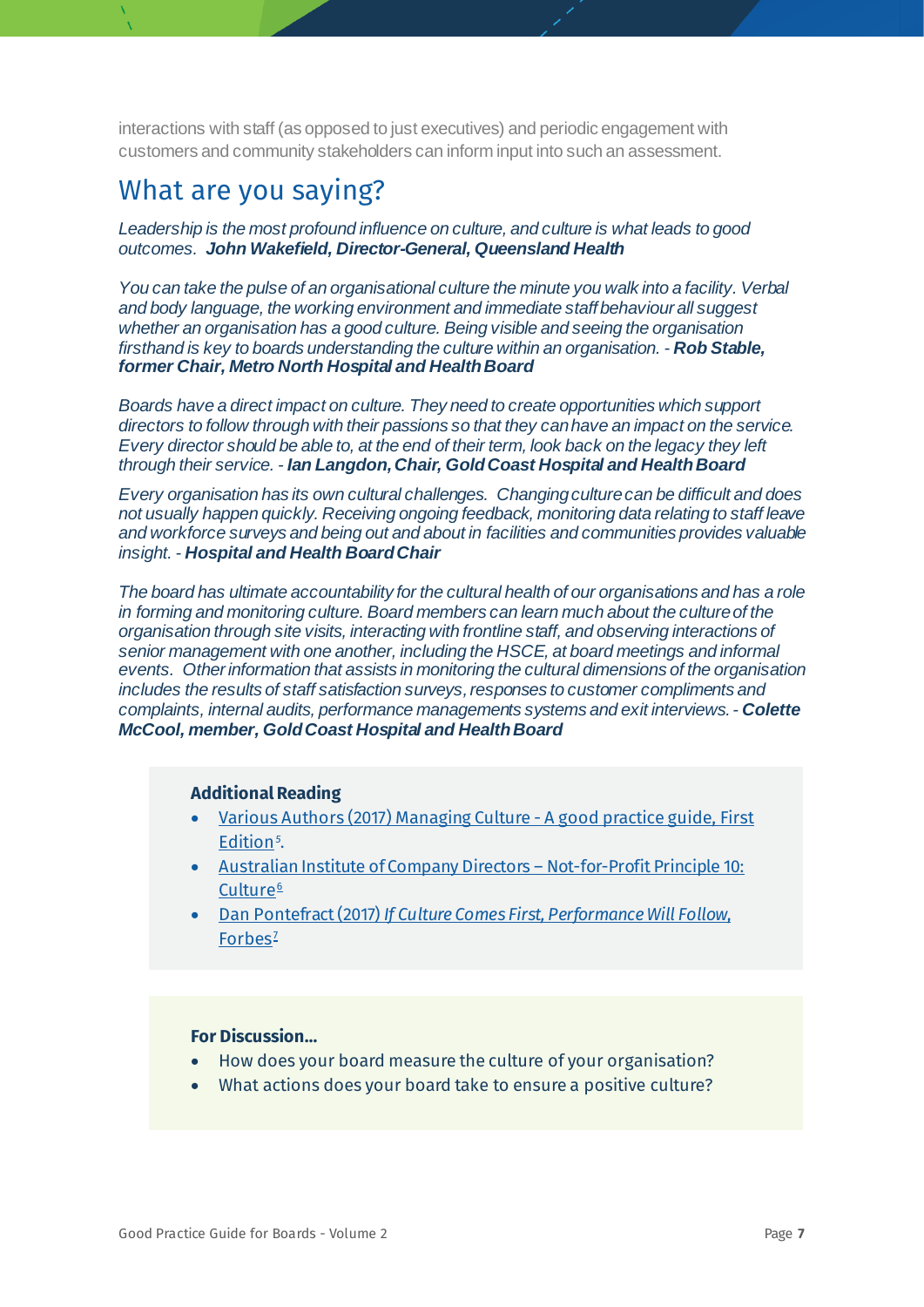interactions with staff (as opposed to just executives) and periodic engagement with customers and community stakeholders can inform input into such an assessment.

### What are you saying?

*Leadership is the most profound influence on culture, and culture is what leads to good outcomes. John Wakefield, Director-General, Queensland Health*

*You can take the pulse of an organisational culture the minute you walk into a facility. Verbal and body language, the working environment and immediate staff behaviour all suggest whether an organisation has a good culture. Being visible and seeing the organisation firsthand is key to boards understanding the culture within an organisation. - Rob Stable, former Chair, Metro North Hospital and Health Board*

*Boards have a direct impact on culture. They need to create opportunities which support directors to follow through with their passions so that they can have an impact on the service. Every director should be able to, at the end of their term, look back on the legacy they left through their service. - Ian Langdon, Chair, Gold Coast Hospital and Health Board*

*Every organisation has its own cultural challenges. Changing culture can be difficult and does not usually happen quickly. Receiving ongoing feedback, monitoring data relating to staff leave and workforce surveys and being out and about in facilities and communities provides valuable insight. - Hospital and Health Board Chair*

*The board has ultimate accountability for the cultural health of our organisations and has a role in forming and monitoring culture. Board members can learn much about the culture of the organisation through site visits, interacting with frontline staff, and observing interactions of senior management with one another, including the HSCE, at board meetings and informal events. Other information that assists in monitoring the cultural dimensions of the organisation includes the results of staff satisfaction surveys, responses to customer compliments and complaints, internal audits, performance managements systems and exit interviews. - Colette McCool, member, GoldCoast Hospital and Health Board*

#### **Additional Reading**

- [Various Authors \(2017\) Managing](http://iia.org.au/sf_docs/default-source/default-document-library/424_managing-culture-a-good-practice-guide_v8.pdf?sfvrsn=2) Culture A good practice guide, First [Edition](http://iia.org.au/sf_docs/default-source/default-document-library/424_managing-culture-a-good-practice-guide_v8.pdf?sfvrsn=2)*[5](#page-71-0)* .
- [Australian Institute of Company Directors –](https://aicd.companydirectors.com.au/-/media/cd2/resources/director-resources/not-for-profit-resources/nfp-principles/pdf/06911-4-adv-nfp-governance-principles-report-a4-v11.ashx) Not-for-Profit Principle 10: [Culture](https://aicd.companydirectors.com.au/-/media/cd2/resources/director-resources/not-for-profit-resources/nfp-principles/pdf/06911-4-adv-nfp-governance-principles-report-a4-v11.ashx)<sup>[6](#page-71-1)</sup>
- Dan Pontefract (2017) *[If Culture Comes First, Performance Will Follow](https://www.forbes.com/sites/danpontefract/2017/05/25/if-culture-comes-first-performance-will-follow/#33f38cb66e62)*, [Forbes](https://www.forbes.com/sites/danpontefract/2017/05/25/if-culture-comes-first-performance-will-follow/#33f38cb66e62)<sup>2</sup>

- How does your board measure the culture of your organisation?
- What actions does your board take to ensure a positive culture?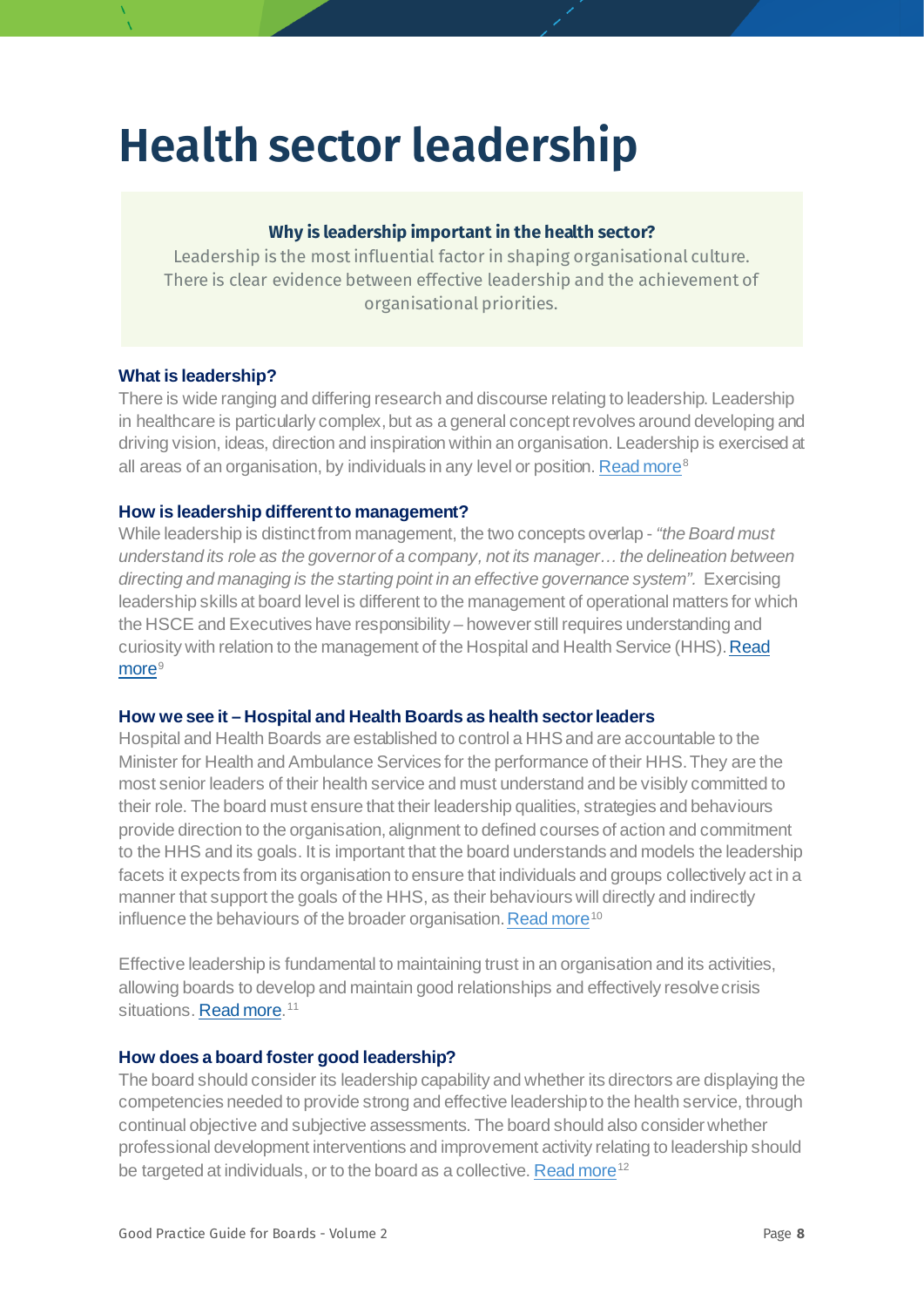## **Health sector leadership**

#### **Why is leadership important in the health sector?**

Leadership is the most influential factor in shaping organisational culture. There is clear evidence between effective leadership and the achievement of organisational priorities.

#### **What is leadership?**

There is wide ranging and differing research and discourse relating to leadership. Leadership in healthcare is particularly complex, but as a general concept revolves around developing and driving vision, ideas, direction and inspiration within an organisation. Leadership is exercised at all areas of an organisation, by individuals in any level or position[. Read more](https://qualitysafety.bmj.com/content/qhc/10/suppl_2/ii3.full.pdf)<sup>[8](#page-72-0)</sup>

#### **How is leadership different to management?**

While leadership is distinct from management, the two concepts overlap - *"the Board must understand its role as the governor of a company, not its manager… the delineation between directing and managing is the starting point in an effective governance system".* Exercising leadership skills at board level is different to the management of operational matters for which the HSCE and Executives have responsibility – however still requires understanding and curiosity with relation to the management of the Hospital and Health Service (HHS). Read [more](https://aicd.companydirectors.com.au/resources/bookstore/directors-at-work)<sup>[9](#page-72-1)</sup>

#### **How we see it – Hospital and Health Boards as health sector leaders**

Hospital and Health Boards are established to control a HHSand are accountable to the Minister for Health and Ambulance Services for the performance of their HHS. They are the most senior leaders of their health service and must understand and be visibly committed to their role. The board must ensure that their leadership qualities, strategies and behaviours provide direction to the organisation, alignment to defined courses of action and commitment to the HHS and its goals. It is important that the board understands and models the leadership facets it expects from its organisation to ensure that individuals and groups collectively act in a manner that support the goals of the HHS, as their behaviours will directly and indirectly influence the behaviours of the broader organisation[. Read more](https://www.kingsfund.org.uk/sites/default/files/media/delivering-collective-leadership-ccl-may.pdf)<sup>[10](#page-72-2)</sup>

Effective leadership is fundamental to maintaining trust in an organisation and its activities, allowing boards to develop and maintain good relationships and effectively resolve crisis situations[. Read more.](https://aicd.companydirectors.com.au/advocacy/governance-leadership-centre/practice-of-governance/how-boards-can-help-australia-recover-from-its-trust-crisis)<sup>[11](#page-72-3)</sup>

#### **How does a board foster good leadership?**

The board should consider its leadership capability and whether its directors are displaying the competencies needed to provide strong and effective leadership to the health service, through continual objective and subjective assessments. The board should also consider whether professional development interventions and improvement activity relating to leadership should be targeted at individuals, or to the board as a collective[. Read more](https://www.intechopen.com/books/leadership/the-concept-of-leadership-in-the-health-care-sector)<sup>[12](#page-72-4)</sup>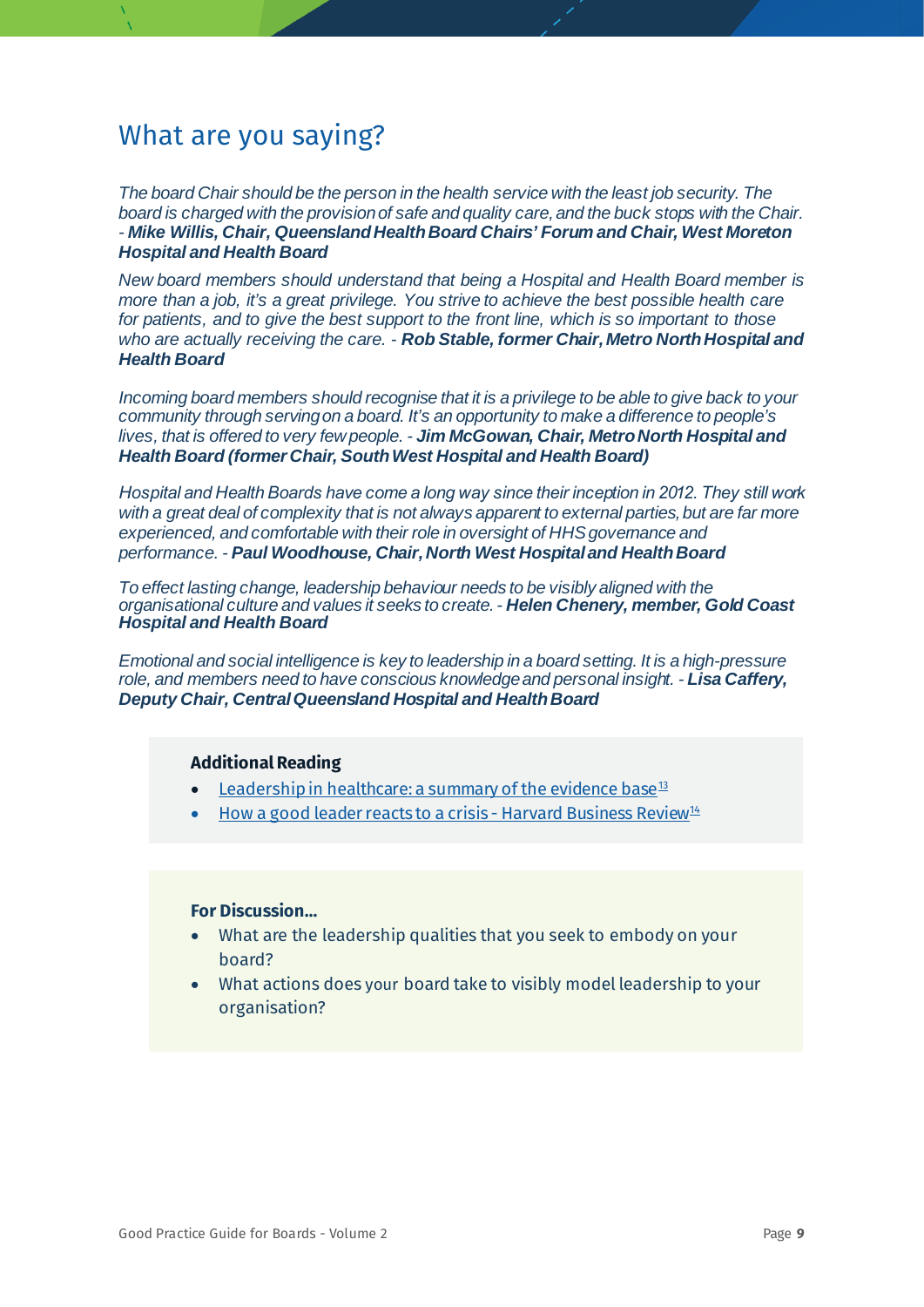*The board Chair should be the person in the health service with the least job security. The board is charged with the provision of safe and quality care, and the buck stops with the Chair. - Mike Willis, Chair, QueenslandHealth Board Chairs' Forum and Chair, West Moreton Hospital and Health Board*

*New board members should understand that being a Hospital and Health Board member is more than a job, it's a great privilege. You strive to achieve the best possible health care for patients, and to give the best support to the front line, which is so important to those who are actually receiving the care. - Rob Stable, former Chair, Metro North Hospital and Health Board*

*Incoming board members should recognise that it is a privilege to be able to give back to your community through serving on a board. It's an opportunity to make a difference to people's lives, that is offered to very few people. - Jim McGowan, Chair, Metro North Hospital and Health Board (former Chair, South West Hospital and Health Board)*

*Hospital and Health Boards have come a long way since their inception in 2012. They still work with a great deal of complexity that is not always apparent to external parties, but are far more experienced, and comfortable with their role in oversight of HHS governance and performance. - Paul Woodhouse, Chair, North West Hospital and Health Board*

*To effect lasting change, leadership behaviour needs to be visibly aligned with the organisational culture and values it seeks to create.- Helen Chenery, member, Gold Coast Hospital and Health Board*

*Emotional and social intelligence is key to leadership in a board setting. It is a high-pressure role, and members need to have conscious knowledge and personal insight. - Lisa Caffery, Deputy Chair, Central Queensland Hospital and Health Board*

#### **Additional Reading**

- [Leadership in healthcare: a summary of the evidence base](https://www.kingsfund.org.uk/sites/default/files/field/field_publication_summary/leadership-in-health-care-apr15.pdf) $13$
- [How a good leader reacts to a crisis -](https://hbr.org/2011/01/how-a-good-leader-reacts-to-a) Harvard Business Review[14](#page-73-1)

- What are the leadership qualities that you seek to embody on your board?
- What actions does your board take to visibly model leadership to your organisation?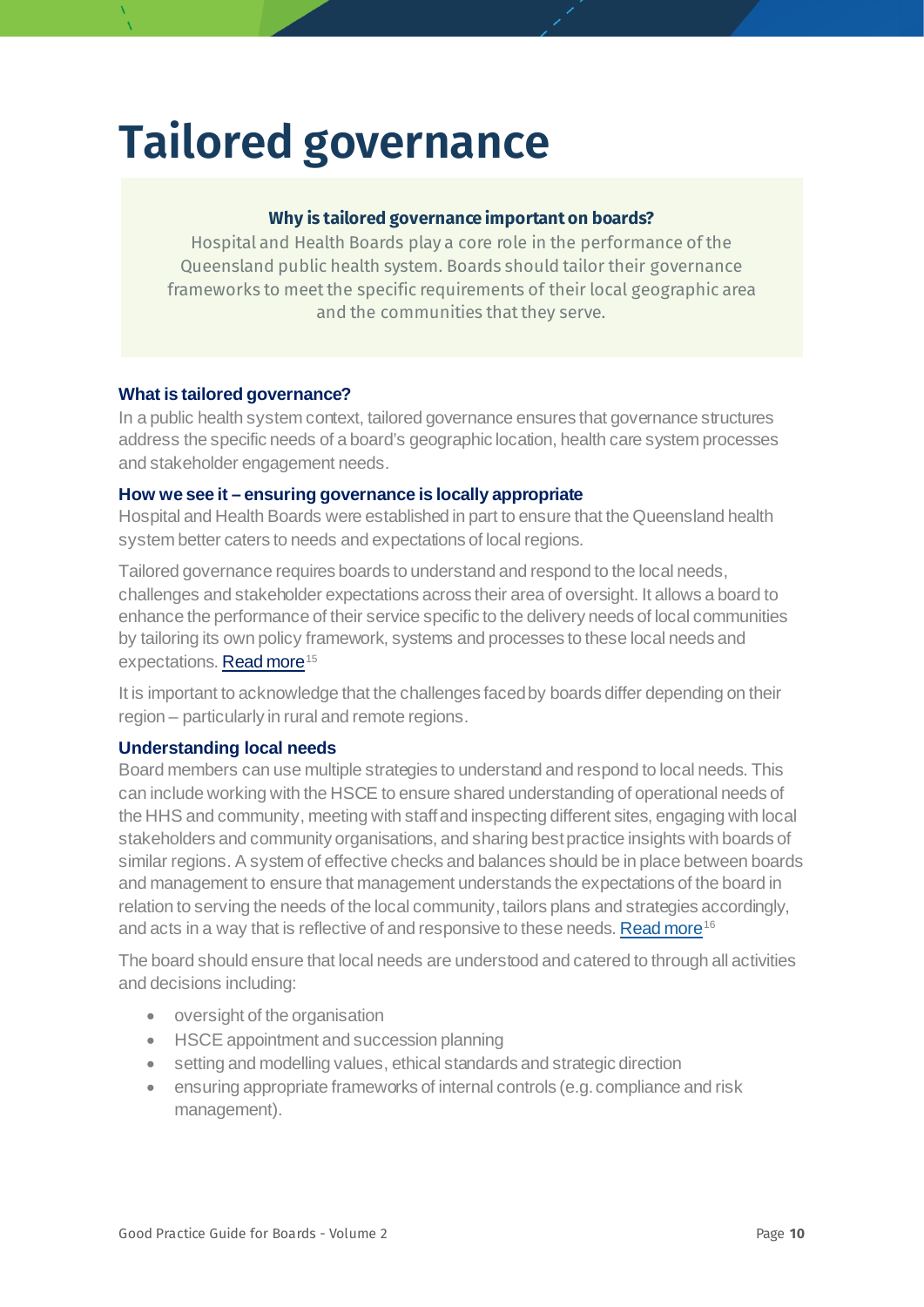## **Tailored governance**

#### **Why is tailored governance important on boards?**

Hospital and Health Boards play a core role in the performance of the Queensland public health system. Boards should tailor their governance frameworks to meet the specific requirements of their local geographic area and the communities that they serve.

#### **What is tailored governance?**

In a public health system context, tailored governance ensures that governance structures address the specific needs of a board's geographic location, health care system processes and stakeholder engagement needs.

#### **How we see it – ensuring governance is locally appropriate**

Hospital and Health Boards were established in part to ensure that the Queensland health system better caters to needs and expectations of local regions.

Tailored governance requires boards to understand and respond to the local needs, challenges and stakeholder expectations across their area of oversight. It allows a board to enhance the performance of their service specific to the delivery needs of local communities by tailoring its own policy framework, systems and processes to these local needs and expectations[. Read more](https://www.health.qld.gov.au/__data/assets/pdf_file/0039/929955/Final_Advice-on-Queensland-Healths-Governance-Framework.pdf)<sup>[15](#page-74-0)</sup>

<span id="page-9-0"></span>It is important to acknowledge that the challenges faced by boards differ depending on their region – particularly in rural and remote regions.

#### **Understanding local needs**

Board members can use multiple strategies to understand and respond to local needs. This can include working with the HSCE to ensure shared understanding of operational needs of the HHS and community, meeting with staff and inspecting different sites, engaging with local stakeholders and community organisations, and sharing best practice insights with boards of similar regions. A system of effective checks and balances should be in place between boards and management to ensure that management understands the expectations of the board in relation to serving the needs of the local community, tailors plans and strategies accordingly, and acts in a way that is reflective of and responsive to these needs. Read more<sup>16</sup>

The board should ensure that local needs are understood and catered to through all activities and decisions including:

- oversight of the organisation
- HSCE appointment and succession planning
- setting and modelling values, ethical standards and strategic direction
- ensuring appropriate frameworks of internal controls (e.g.compliance and risk management).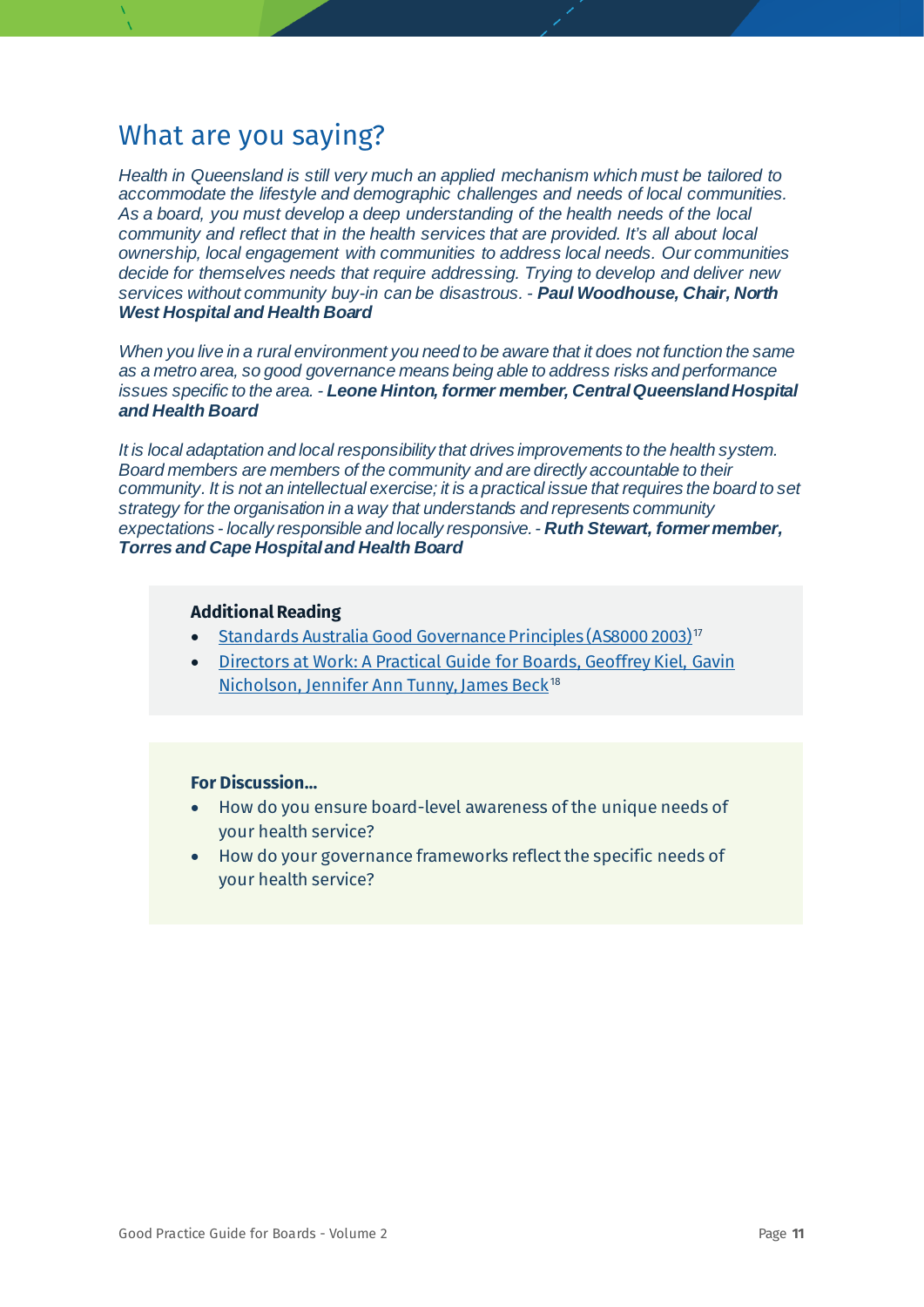*Health in Queensland is still very much an applied mechanism which must be tailored to accommodate the lifestyle and demographic challenges and needs of local communities. As a board, you must develop a deep understanding of the health needs of the local community and reflect that in the health services that are provided. It's all about local ownership, local engagement with communities to address local needs. Our communities decide for themselves needs that require addressing. Trying to develop and deliver new services without community buy-in can be disastrous. - Paul Woodhouse, Chair, North West Hospital and Health Board*

*When you live in a rural environment you need to be aware that it does not function the same as a metro area, so good governance means being able to address risks and performance issues specific to the area. - Leone Hinton, former member, Central Queensland Hospital and Health Board*

*It is local adaptation and local responsibility that drives improvements to the health system. Board members are members of the community and are directly accountable to their community. It is not an intellectual exercise; it is a practical issue that requires the board to set strategy for the organisation in a way that understands and represents community expectations - locally responsible and locally responsive. - Ruth Stewart, former member, Torres and Cape Hospital and Health Board*

#### **Additional Reading**

- [Standards Australia Good Governance Principles \(AS8000 2003\)](https://www.saiglobal.com/PDFTemp/Previews/OSH/as/as8000/8000/8000-2003(+A1).pdf) [17](#page-75-0)
- [Directors at Work: A Practical Guide for Boards, Geoffrey Kiel, Gavin](https://aicd.companydirectors.com.au/resources/bookstore/directors-at-work)  [Nicholson, Jennifer Ann Tunny, James Beck](https://aicd.companydirectors.com.au/resources/bookstore/directors-at-work)<sup>[18](#page-75-1)</sup>

- How do you ensure board-level awareness of the unique needs of your health service?
- How do your governance frameworks reflect the specific needs of your health service?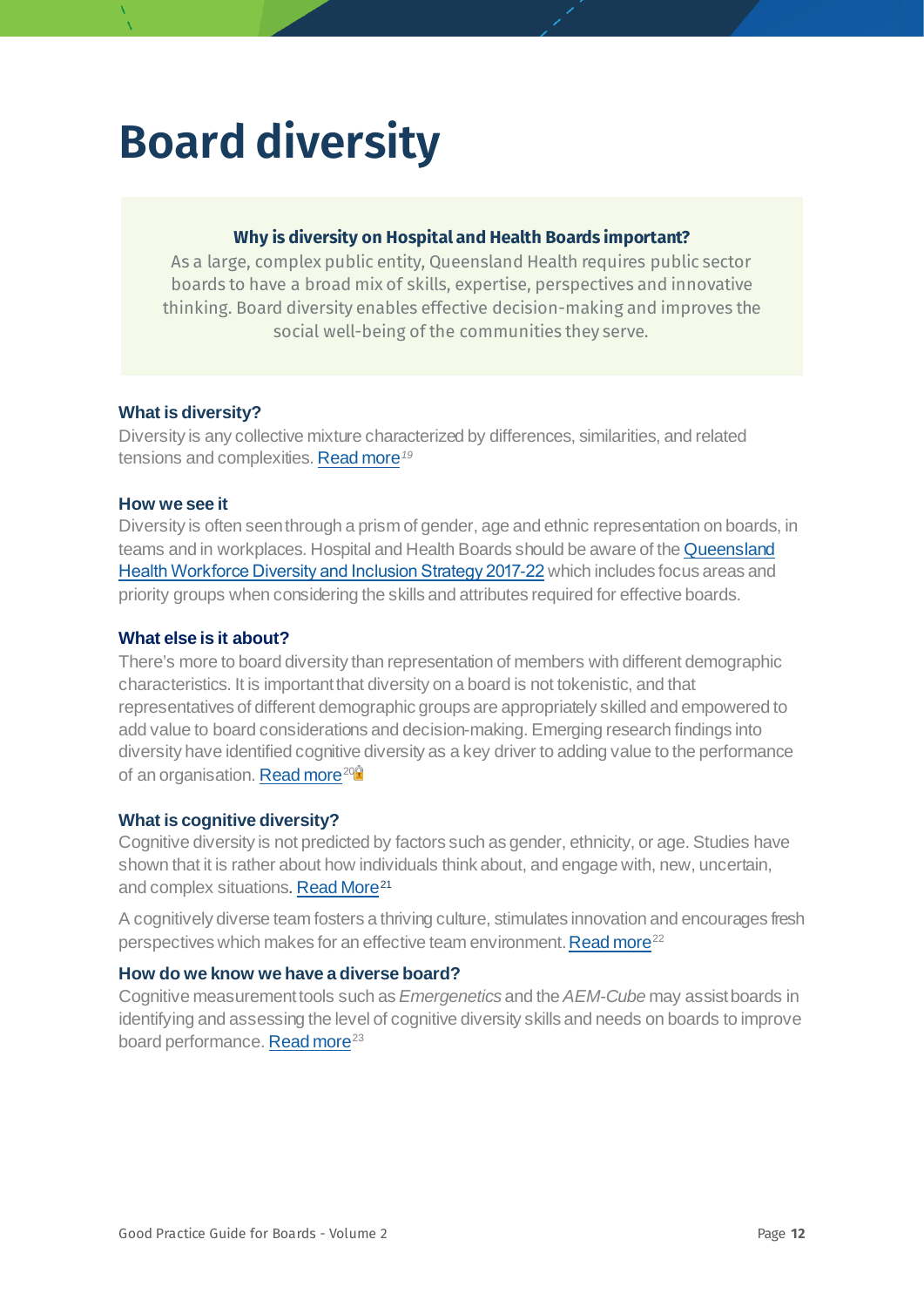## <span id="page-11-0"></span>**Board diversity**

#### **Why is diversity on Hospital and Health Boards important?**

As a large, complex public entity, Queensland Health requires public sector boards to have a broad mix of skills, expertise, perspectives and innovative thinking. Board diversity enables effective decision-making and improves the social well-being of the communities they serve.

#### **What is diversity?**

Diversity is any collective mixture characterized by differences, similarities, and related tensions and complexities[. Read more](https://www.td.org/magazines/td-magazine/r-roosevelt-thomas-jr)*[19](#page-76-0)*

#### **How we see it**

Diversity is often seen through a prism of gender, age and ethnic representation on boards, in teams and in workplaces. Hospital and Health Boards should be aware of th[e Queensland](https://www.health.qld.gov.au/system-governance/strategic-direction/plans/workforce-diversity-inclusion-strategy)  [Health Workforce Diversity and Inclusion Strategy 2017](https://www.health.qld.gov.au/system-governance/strategic-direction/plans/workforce-diversity-inclusion-strategy)-22 which includes focus areas and priority groups when considering the skills and attributes required for effective boards.

#### **What else is it about?**

There's more to board diversity than representation of members with different demographic characteristics. It is important that diversity on a board is not tokenistic, and that representatives of different demographic groups are appropriately skilled and empowered to add value to board considerations and decision-making. Emerging research findings into diversity have identified cognitive diversity as a key driver to adding value to the performance of an organisation. Read more<sup>20<sup>0</sup></sup>

#### **What is cognitive diversity?**

Cognitive diversity is not predicted by factors such as gender, ethnicity, or age. Studies have shown that it is rather about how individuals think about, and engage with, new, uncertain, and complex situations. [Read More](https://www.watermarksearch.com.au/blog/2018/03/cognitive-diversity-really-improves-quality-of-decision-making)<sup>[21](#page-76-2)</sup>

A cognitively diverse team fosters a thriving culture, stimulates innovation and encourages fresh perspectives which makes for an effective team environment. Read more<sup>[22](#page-76-3)</sup>

#### **How do we know we have a diverse board?**

Cognitive measurement tools such as *Emergenetics* and the *AEM-Cube* may assist boards in identifying and assessing the level of cognitive diversity skills and needs on boards to improve board performance[. Read more](https://www.emergenetics.com/products-services/assessments/emergenetics-profile/)<sup>[23](#page-76-4)</sup>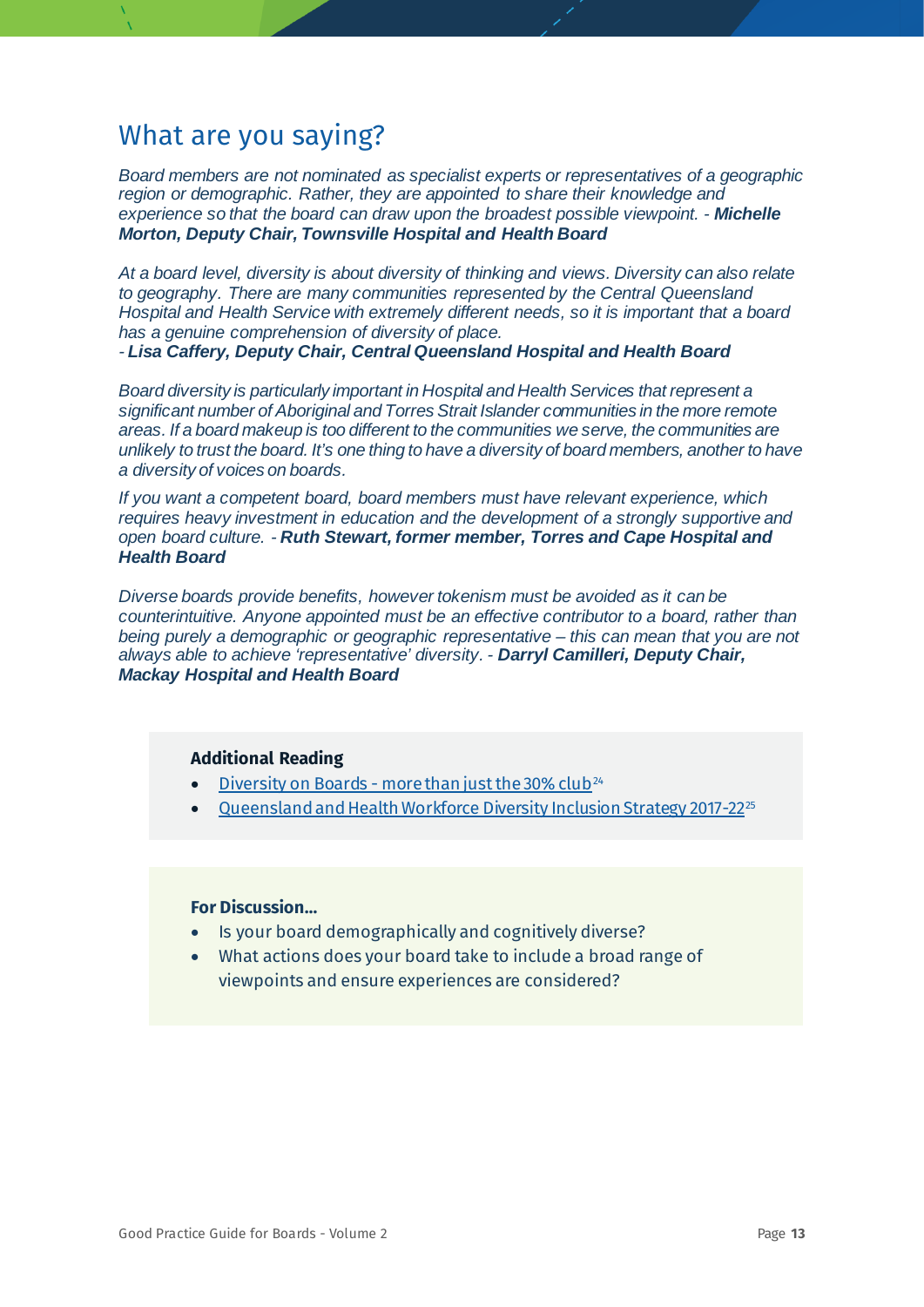*Board members are not nominated as specialist experts or representatives of a geographic region or demographic. Rather, they are appointed to share their knowledge and experience so that the board can draw upon the broadest possible viewpoint. - Michelle Morton, Deputy Chair, Townsville Hospital and Health Board*

*At a board level, diversity is about diversity of thinking and views. Diversity can also relate to geography. There are many communities represented by the Central Queensland Hospital and Health Service with extremely different needs, so it is important that a board has a genuine comprehension of diversity of place.* 

*- Lisa Caffery, Deputy Chair, Central Queensland Hospital and Health Board*

*Board diversity is particularly important in Hospital and Health Services that represent a significant number of Aboriginal and Torres Strait Islander communities in the more remote areas. If a board makeup is too different to the communities we serve, the communities are unlikely to trust the board. It's one thing to have a diversity of board members, another to have a diversity of voices on boards.*

*If you want a competent board, board members must have relevant experience, which requires heavy investment in education and the development of a strongly supportive and open board culture. - Ruth Stewart, former member, Torres and Cape Hospital and Health Board*

*Diverse boards provide benefits, however tokenism must be avoided as it can be counterintuitive. Anyone appointed must be an effective contributor to a board, rather than being purely a demographic or geographic representative – this can mean that you are not always able to achieve 'representative' diversity. - Darryl Camilleri, Deputy Chair, Mackay Hospital and Health Board*

#### **Additional Reading**

- Diversity on Boards [more than just the 30% club](https://www.watermarksearch.com.au/blog/2019/09/diversity-on-boards-more-than-just-the-30-percent-club)<sup>[24](#page-77-0)</sup>
- [Queensland and Health Workforce Diversity Inclusion Strategy 2017-22](https://www.health.qld.gov.au/system-governance/strategic-direction/plans/workforce-diversity-inclusion-strategy)[25](#page-77-1)

- Is your board demographically and cognitively diverse?
- What actions does your board take to include a broad range of viewpoints and ensure experiences are considered?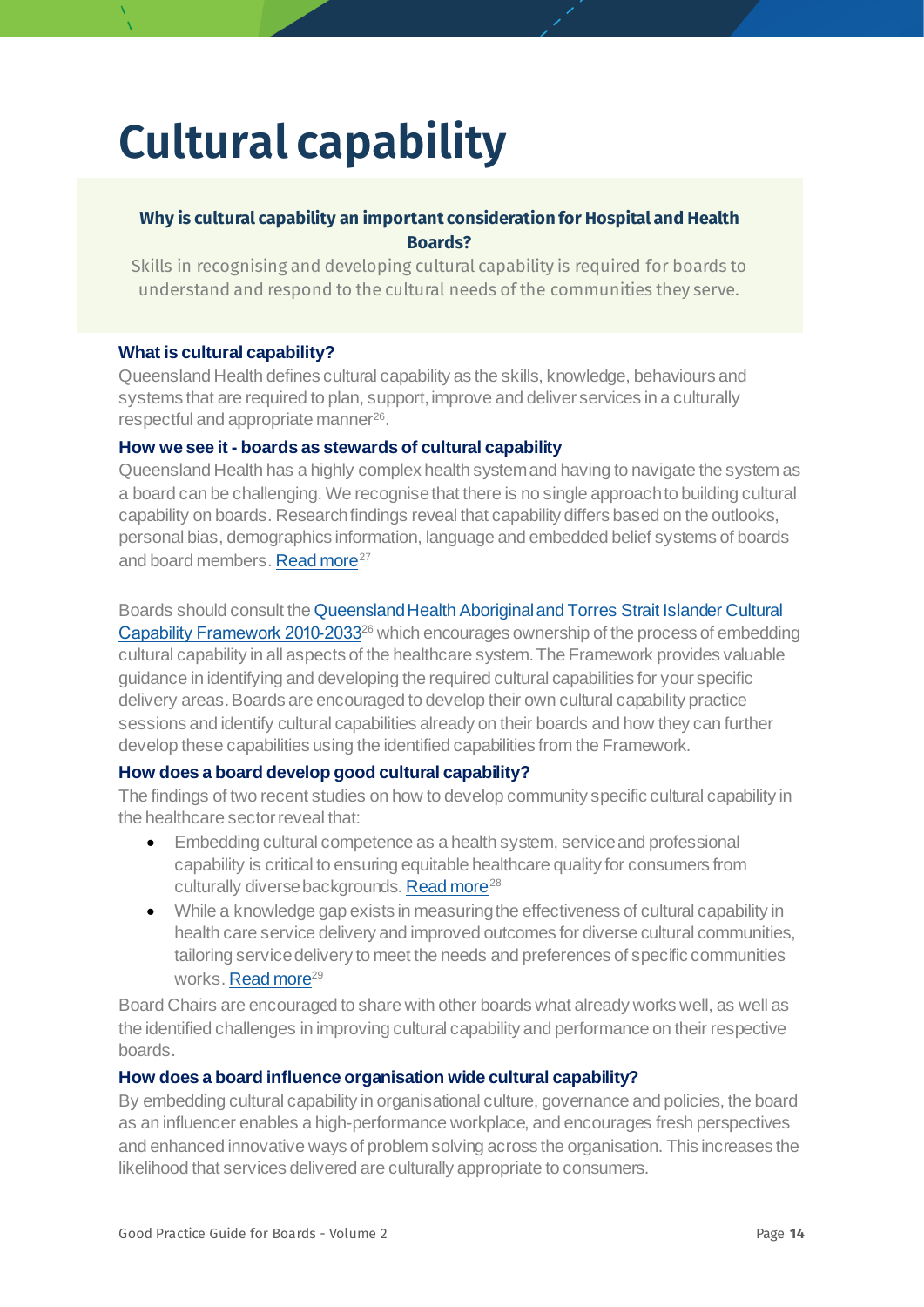## <span id="page-13-0"></span>**Cultural capability**

#### **Why is cultural capability an important consideration for Hospital and Health Boards?**

Skills in recognising and developing cultural capability is required for boards to understand and respond to the cultural needs of the communities they serve.

#### **What is cultural capability?**

Queensland Health defines cultural capability as the skills, knowledge, behaviours and systems that are required to plan, support, improve and deliver services in a culturally respectful and appropriate manner<sup>[26](#page-78-0)</sup>.

#### <span id="page-13-1"></span>**How we see it - boards as stewards of cultural capability**

Queensland Health has a highly complex health system and having to navigate the system as a board can be challenging. We recognise that there is no single approach to building cultural capability on boards. Research findings reveal that capability differs based on the outlooks, personal bias, demographics information, language and embedded belief systems of boards and board members[. Read more](https://equityhealthj.biomedcentral.com/articles/10.1186/s12939-019-1104-1)<sup>[27](#page-78-1)</sup>

#### Boards should consult th[e Queensland Health Aboriginal and Torres Strait Islander Cultural](https://www.health.qld.gov.au/__data/assets/pdf_file/0014/156200/cultural_capability.pdf)  [Capability Framework 2010](https://www.health.qld.gov.au/__data/assets/pdf_file/0014/156200/cultural_capability.pdf)-2033<sup>26</sup> which encourages ownership of the process of embedding cultural capability in all aspects of the healthcare system. The Framework provides valuable guidance in identifying and developing the required cultural capabilities for your specific delivery areas. Boards are encouraged to develop their own cultural capability practice sessions and identify cultural capabilities already on their boards and how they can further develop these capabilities using the identified capabilities from the Framework.

#### **How does a board develop good cultural capability?**

The findings of two recent studies on how to develop community specific cultural capability in the healthcare sector reveal that:

- Embedding cultural competence as a health system, service and professional capability is critical to ensuring equitable healthcare quality for consumers from culturally diverse backgrounds[. Read more](https://equityhealthj.biomedcentral.com/articles/10.1186/s12939-019-1104-1)<sup>[28](#page-78-2)</sup>
- While a knowledge gap exists in measuring the effectiveness of cultural capability in health care service delivery and improved outcomes for diverse cultural communities, tailoring service delivery to meet the needs and preferences of specific communities works[. Read more](https://www.aihw.gov.au/getmedia/4f8276f5-e467-442e-a9ef-80b8c010c690/ctgc-ip13.pdf.aspx?inline=true)<sup>[29](#page-78-3)</sup>

Board Chairs are encouraged to share with other boards what already works well, as well as the identified challenges in improving cultural capability and performance on their respective boards.

#### **How does a board influence organisation wide cultural capability?**

By embedding cultural capability in organisational culture, governance and policies, the board as an influencer enables a high-performance workplace, and encourages fresh perspectives and enhanced innovative ways of problem solving across the organisation. This increases the likelihood that services delivered are culturally appropriate to consumers.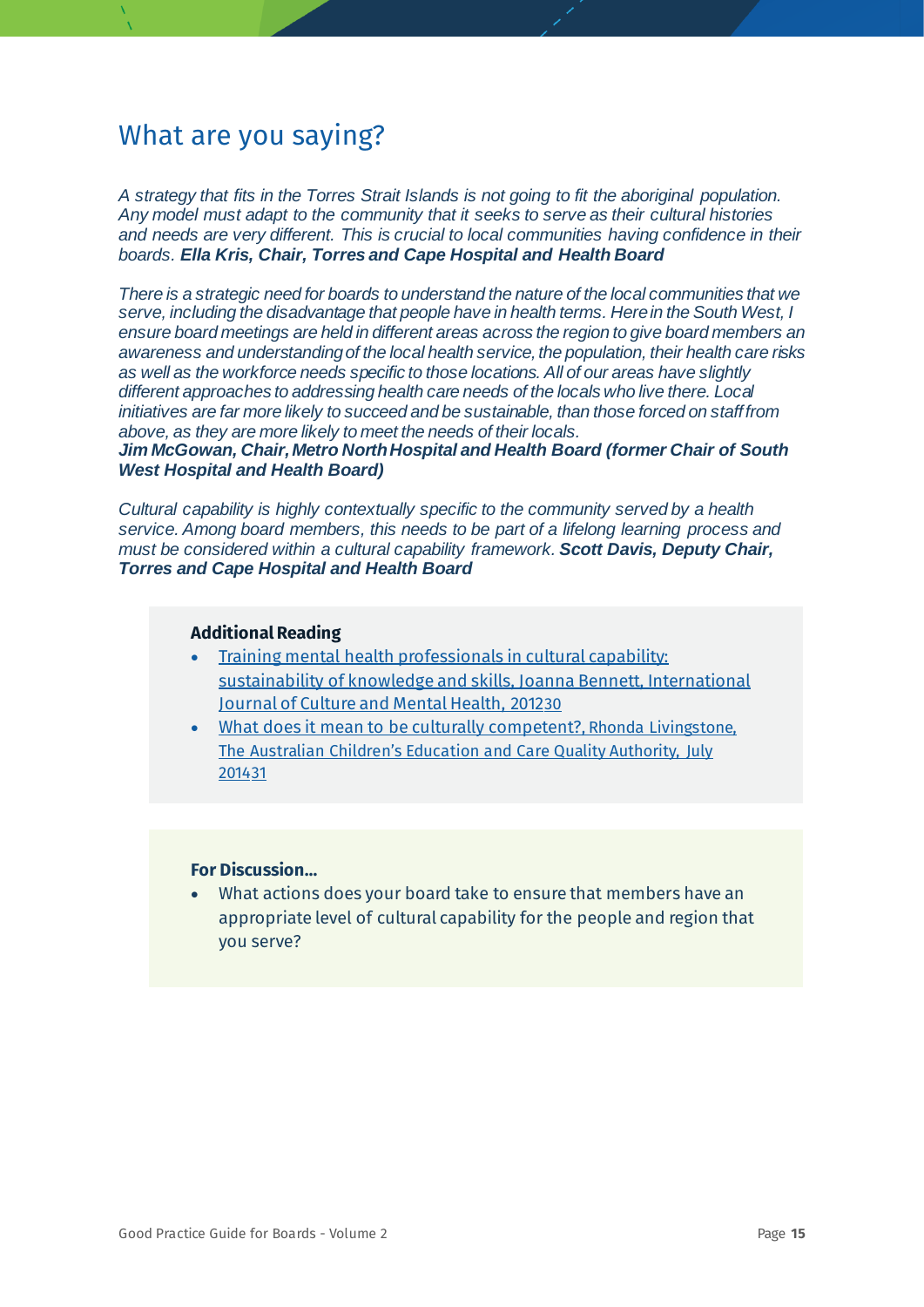*A strategy that fits in the Torres Strait Islands is not going to fit the aboriginal population. Any model must adapt to the community that it seeks to serve as their cultural histories and needs are very different. This is crucial to local communities having confidence in their boards. Ella Kris, Chair, Torres and Cape Hospital and Health Board*

*There is a strategic need for boards to understand the nature of the local communities that we serve, including the disadvantage that people have in health terms. Here in the South West, I ensure board meetings are held in different areas across the region to give board members an awareness and understanding of the local health service, the population, their health care risks as well as the workforce needs specific to those locations. All of our areas have slightly different approaches to addressing health care needs of the locals who live there. Local initiatives are far more likely to succeed and be sustainable, than those forced on staff from above, as they are more likely to meet the needs of their locals.*

*Jim McGowan, Chair, Metro North Hospital and Health Board (former Chair of South West Hospital and Health Board)*

*Cultural capability is highly contextually specific to the community served by a health service. Among board members, this needs to be part of a lifelong learning process and must be considered within a cultural capability framework. Scott Davis, Deputy Chair, Torres and Cape Hospital and Health Board*

#### **Additional Reading**

- [Training mental health professionals in cultural capability:](https://www.tandfonline.com/doi/full/10.1080/17542863.2011.636946)  [sustainability of knowledge and skills, Joanna Bennett, International](https://www.tandfonline.com/doi/full/10.1080/17542863.2011.636946)  [Journal of Culture and Mental Health, 2012](https://www.tandfonline.com/doi/full/10.1080/17542863.2011.636946)[30](#page-78-4)
- [What does it mean to be culturally competent?,](https://wehearyou.acecqa.gov.au/2014/07/10/what-does-it-mean-to-be-culturally-competent/) Rhonda Livingstone, The Australian Children's Education and Care Quality Authority, July 2014[31](#page-78-5)

#### **For Discussion…**

• What actions does your board take to ensure that members have an appropriate level of cultural capability for the people and region that you serve?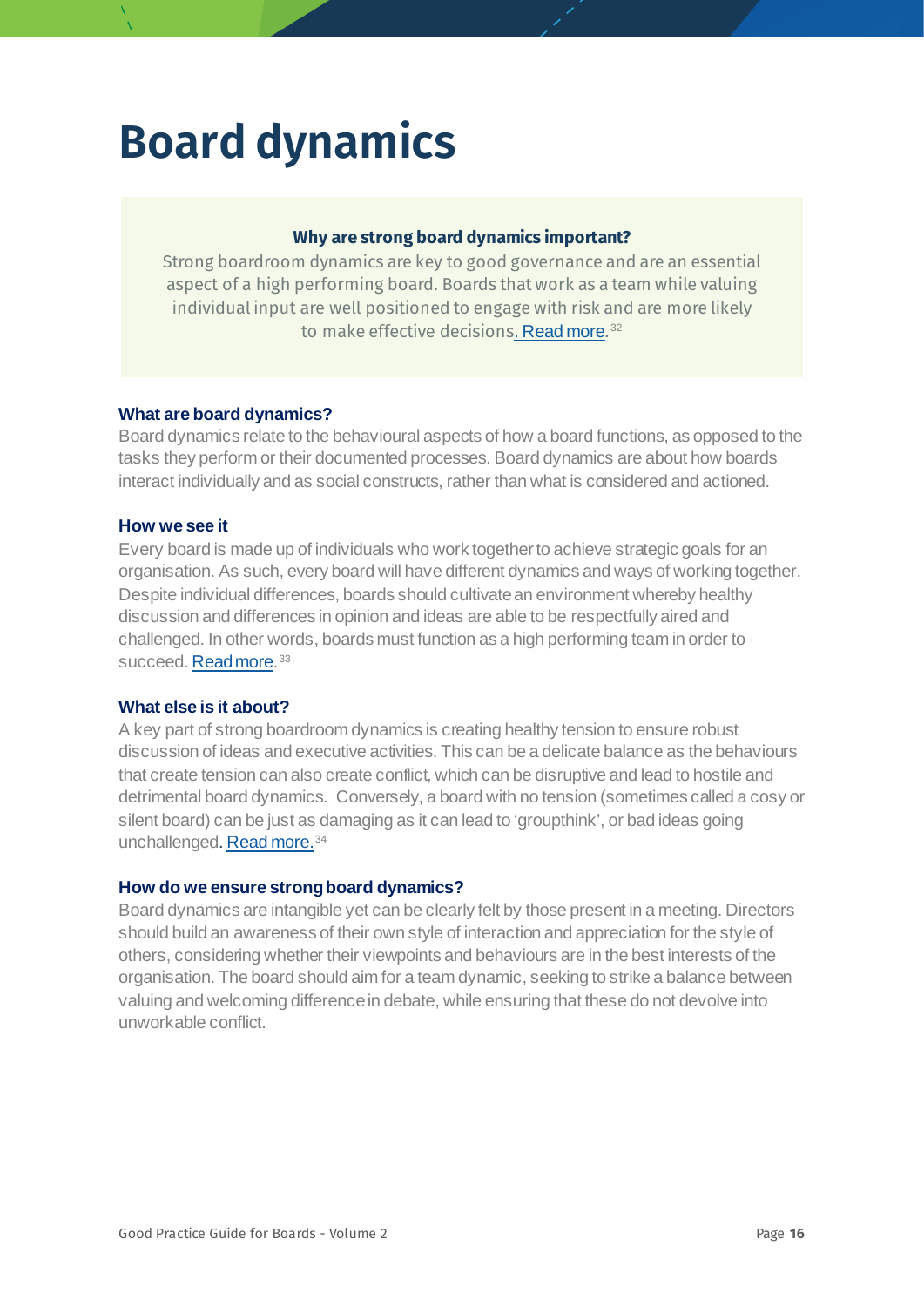## <span id="page-15-0"></span>**Board dynamics**

#### **Why are strong board dynamics important?**

Strong boardroom dynamics are key to good governance and are an essential aspect of a high performing board. Boards that work as a team while valuing individual input are well positioned to engage with risk and are more likely to make effective decisions[. Read more](https://aicd.companydirectors.com.au/membership/company-director-magazine/2019-back-editions/september/board-dynamics).<sup>[32](#page-78-6)</sup>

#### **What are board dynamics?**

Board dynamics relate to the behavioural aspects of how a board functions, as opposed to the tasks they perform or their documented processes. Board dynamics are about how boards interact individually and as social constructs, rather than what is considered and actioned.

#### **How we see it**

Every board is made up of individuals who work together to achieve strategic goals for an organisation. As such, every board will have different dynamics and ways of working together. Despite individual differences, boards should cultivate an environment whereby healthy discussion and differences in opinion and ideas are able to be respectfully aired and challenged. In other words, boards must function as a high performing team in order to succeed. [Read more.](https://www.mondaq.com/uk/CorporateCommercial-Law/865330/Boardroom-Dynamics) [33](#page-78-7)

#### **What else is it about?**

A key part of strong boardroom dynamics is creating healthy tension to ensure robust discussion of ideas and executive activities. This can be a delicate balance as the behaviours that create tension can also create conflict, which can be disruptive and lead to hostile and detrimental board dynamics. Conversely, a board with no tension (sometimes called a cosy or silent board) can be just as damaging as it can lead to 'groupthink', or bad ideas going unchallenged[. Read more.](https://www.pwc.ie/eloqua/2018/icsa-conflict-tension-in-the-boardroom-report.pdf)<sup>[34](#page-78-8)</sup>

#### **How do we ensure strong board dynamics?**

Board dynamics are intangible yet can be clearly felt by those present in a meeting. Directors should build an awareness of their own style of interaction and appreciation for the style of others, considering whether their viewpoints and behaviours are in the best interests of the organisation. The board should aim for a team dynamic, seeking to strike a balance between valuing and welcoming difference in debate, while ensuring that these do not devolve into unworkable conflict.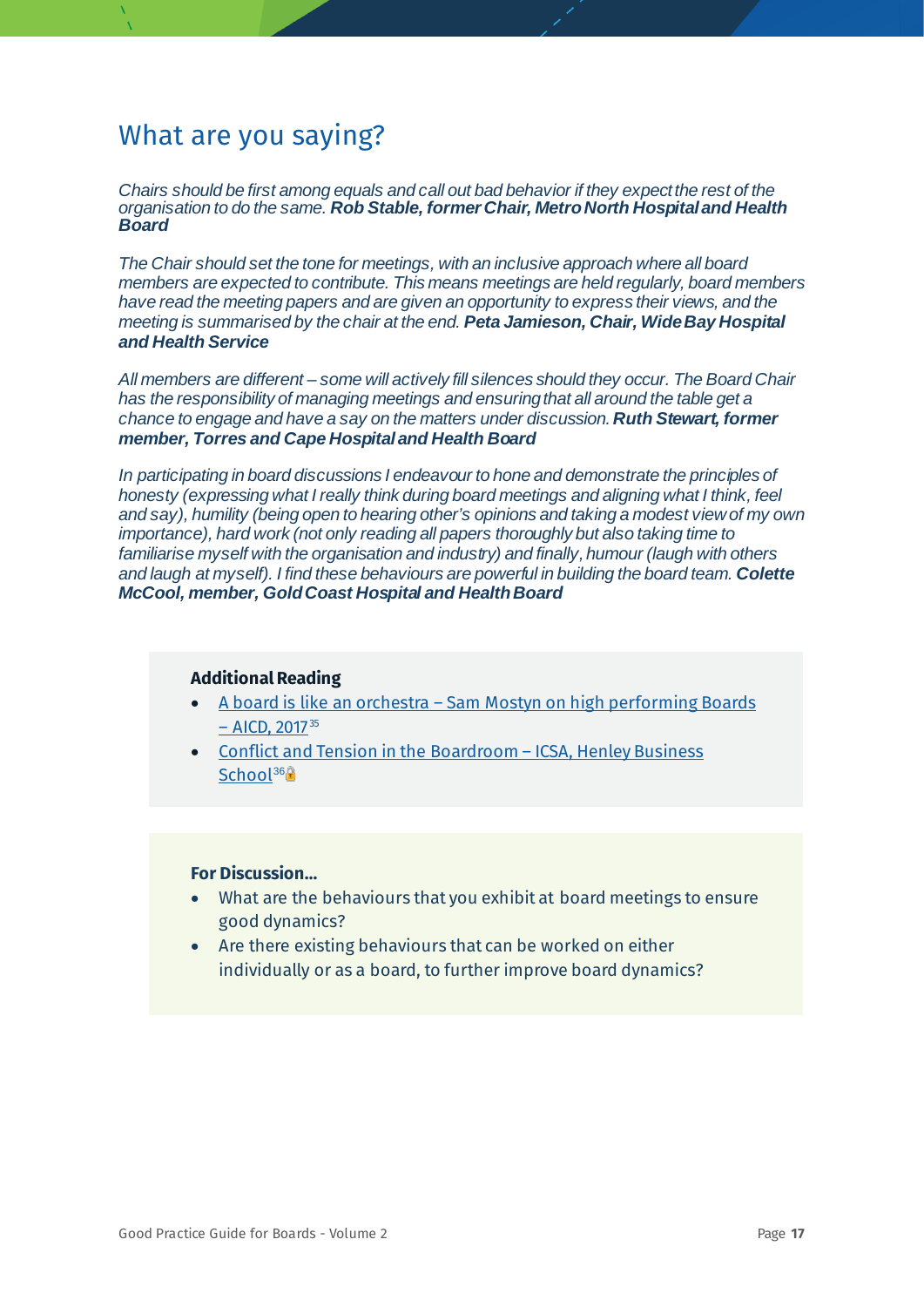*Chairs should be first among equals and call out bad behavior if they expect the rest of the organisation to do the same. Rob Stable, former Chair, Metro North Hospital and Health Board*

*The Chair should set the tone for meetings, with an inclusive approach where all board members are expected to contribute. This means meetings are held regularly, board members have read the meeting papers and are given an opportunity to express their views, and the meeting is summarised by the chair at the end. Peta Jamieson, Chair, Wide Bay Hospital and Health Service*

*All members are different – some will actively fill silences should they occur. The Board Chair has the responsibility of managing meetings and ensuring that all around the table get a chance to engage and have a say on the matters under discussion.Ruth Stewart, former member, Torres and Cape Hospital and Health Board*

*In participating in board discussions I endeavour to hone and demonstrate the principles of honesty (expressing what I really think during board meetings and aligning what I think, feel and say), humility (being open to hearing other's opinions and taking a modest view of my own importance), hard work (not only reading all papers thoroughly but also taking time to familiarise myself with the organisation and industry) and finally, humour (laugh with others and laugh at myself). I find these behaviours are powerful in building the board team. Colette McCool, member, Gold Coast Hospital and Health Board*

#### **Additional Reading**

- A board is like an orchestra [Sam Mostyn on high performing Boards](https://aicd.companydirectors.com.au/membership/membership-update/a-board-is-like-an-orchestra-sam-mostyn-on-high-performing-boards)   $-$  [AICD, 2017](https://aicd.companydirectors.com.au/membership/membership-update/a-board-is-like-an-orchestra-sam-mostyn-on-high-performing-boards) $35$
- [Conflict and Tension in the Boardroom –](https://www.icsa.org.uk/knowledge/research/the-conflict-and-tension-in-the-boardroom-report) ICSA, Henley Business [School](https://www.icsa.org.uk/knowledge/research/the-conflict-and-tension-in-the-boardroom-report)<sup>[36](#page-78-10)</sup><sup>®</sup>

- What are the behaviours that you exhibit at board meetings to ensure good dynamics?
- Are there existing behaviours that can be worked on either individually or as a board, to further improve board dynamics?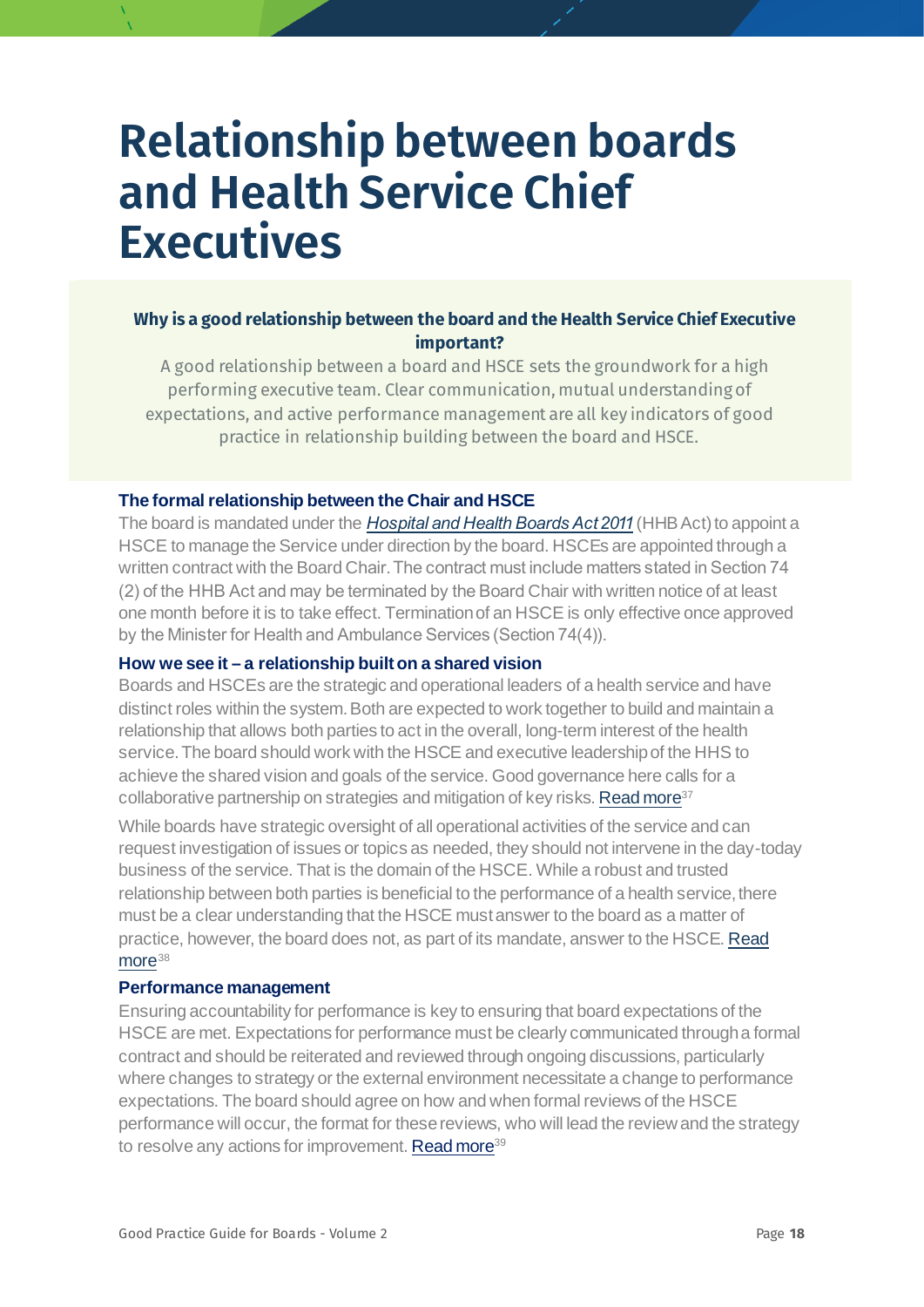## <span id="page-17-0"></span>**Relationship between boards and Health Service Chief Executives**

#### **Why is a good relationship between the board and the Health Service Chief Executive important?**

A good relationship between a board and HSCE sets the groundwork for a high performing executive team. Clear communication, mutual understanding of expectations, and active performance management are all key indicators of good practice in relationship building between the board and HSCE.

#### **The formal relationship between the Chair and HSCE**

The board is mandated under the *[Hospital and Health Boards Act 2011](https://www.legislation.qld.gov.au/view/html/inforce/current/act-2011-032)* (HHB Act) to appoint a HSCE to manage the Service under direction by the board. HSCEs are appointed through a written contract with the Board Chair. The contract must include matters stated in Section 74 (2) of the HHB Act and may be terminated by the Board Chair with written notice of at least one month before it is to take effect. Termination of an HSCE is only effective once approved by the Minister for Health and Ambulance Services (Section 74(4)).

#### **How we see it – a relationship built on a shared vision**

Boards and HSCEs are the strategic and operational leaders of a health service and have distinct roles within the system. Both are expected to work together to build and maintain a relationship that allows both parties to act in the overall, long-term interest of the health service. The board should work with the HSCE and executive leadership of the HHS to achieve the shared vision and goals of the service. Good governance here calls for a collaborative partnership on strategies and mitigation of key risks[. Read more](https://www.mckinsey.com/featured-insights/leadership/the-ceo-guide-to-boards)<sup>[37](#page-78-11)</sup>

While boards have strategic oversight of all operational activities of the service and can request investigation of issues or topics as needed, they should not intervene in the day-today business of the service. That is the domain of the HSCE. While a robust and trusted relationship between both parties is beneficial to the performance of a health service, there must be a clear understanding that the HSCE must answer to the board as a matter of practice, however, the board does not, as part of its mandate, answer to the HSCE[. Read](https://betterboards.net/relationships/the-board-and-the-ceo-relationship/)  [more](https://betterboards.net/relationships/the-board-and-the-ceo-relationship/)<sup>[38](#page-78-12)</sup>

#### **Performance management**

<span id="page-17-1"></span>Ensuring accountability for performance is key to ensuring that board expectations of the HSCE are met. Expectations for performance must be clearly communicated through a formal contract and should be reiterated and reviewed through ongoing discussions, particularly where changes to strategy or the external environment necessitate a change to performance expectations. The board should agree on how and when formal reviews of the HSCE performance will occur, the format for these reviews, who will lead the review and the strategy to resolve any actions for improvement[. Read more](https://aicd.companydirectors.com.au/-/media/cd2/resources/director-resources/director-tools/pdf/05446-3-8-mem-director-gr-review-appraisal-ceo_a4-web.ashx)<sup>[39](#page-78-13)</sup>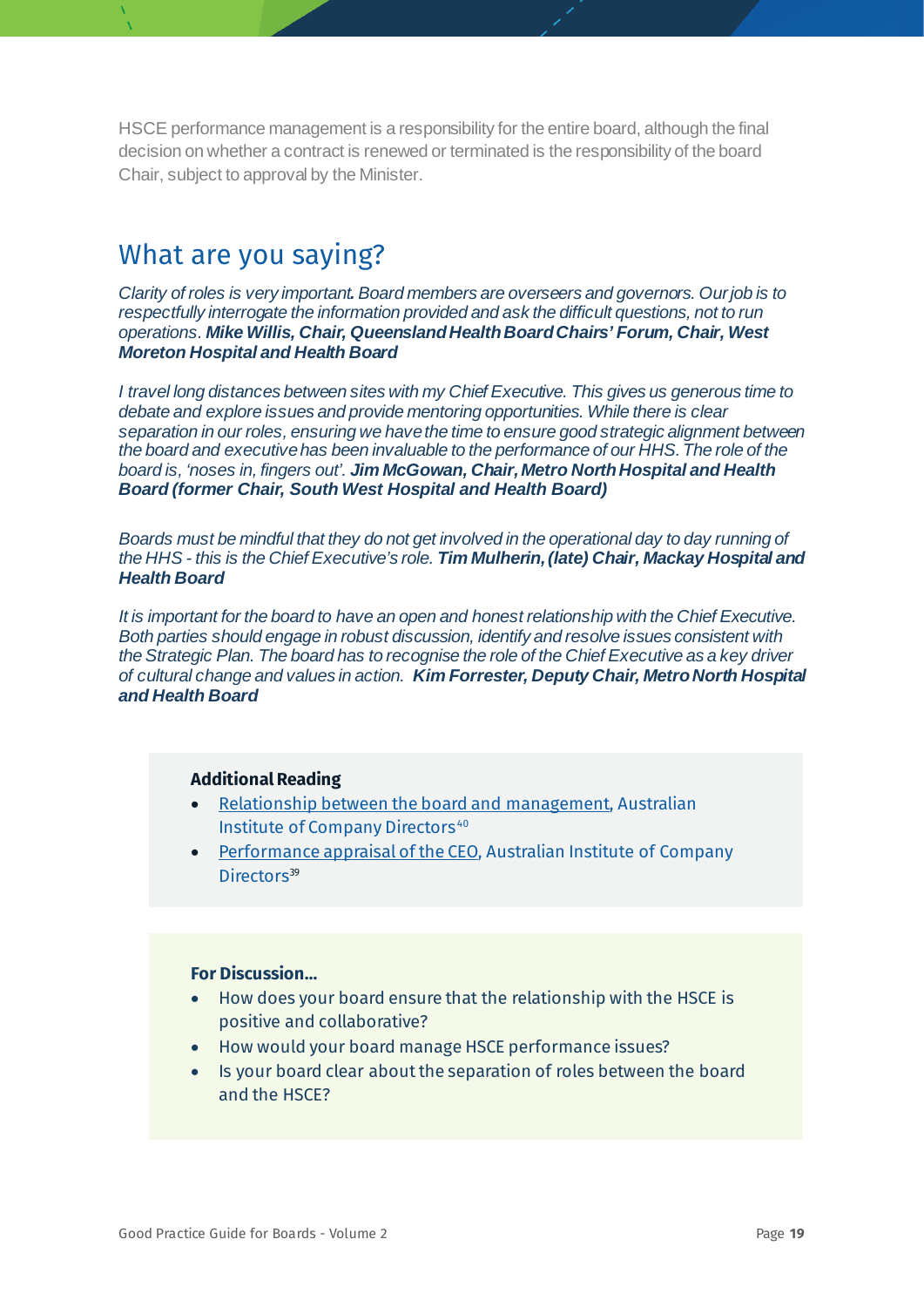HSCE performance management is a responsibility for the entire board, although the final decision on whether a contract is renewed or terminated is the responsibility of the board Chair, subject to approval by the Minister.

### What are you saying?

*Clarity of roles is very important. Board members are overseers and governors. Our job is to respectfully interrogate the information provided and ask the difficult questions, not to run operations. Mike Willis, Chair, Queensland Health Board Chairs' Forum, Chair, West Moreton Hospital and Health Board*

*I travel long distances between sites with my Chief Executive. This gives us generous time to debate and explore issues and provide mentoring opportunities. While there is clear separation in our roles, ensuring we have the time to ensure good strategic alignment between the board and executive has been invaluable to the performance of our HHS.The role of the board is, 'noses in, fingers out'. Jim McGowan, Chair, Metro North Hospital and Health Board (former Chair, South West Hospital and Health Board)*

*Boards must be mindful that they do not get involved in the operational day to day running of the HHS - this is the Chief Executive's role. Tim Mulherin, (late) Chair, Mackay Hospital and Health Board*

*It is important for the board to have an open and honest relationship with the Chief Executive. Both parties should engage in robust discussion, identify and resolve issues consistent with the Strategic Plan. The board has to recognise the role of the Chief Executive as a key driver of cultural change and values in action. Kim Forrester, Deputy Chair, Metro North Hospital and Health Board*

#### **Additional Reading**

- [Relationship between the board and management](https://aicd.companydirectors.com.au/-/media/cd2/resources/director-resources/director-tools/pdf/05446-3-10-mem-director-gr-rel-board-management_a4-web.ashx), Australian Institute of Company Directors<sup>[40](#page-78-0)</sup>
- [Performance appraisal of the CEO,](https://aicd.companydirectors.com.au/-/media/cd2/resources/director-resources/director-tools/pdf/05446-3-8-mem-director-gr-review-appraisal-ceo_a4-web.ashx) Australian Institute of Company Directors<sup>39</sup>

- How does your board ensure that the relationship with the HSCE is positive and collaborative?
- How would your board manage HSCE performance issues?
- Is your board clear about the separation of roles between the board and the HSCE?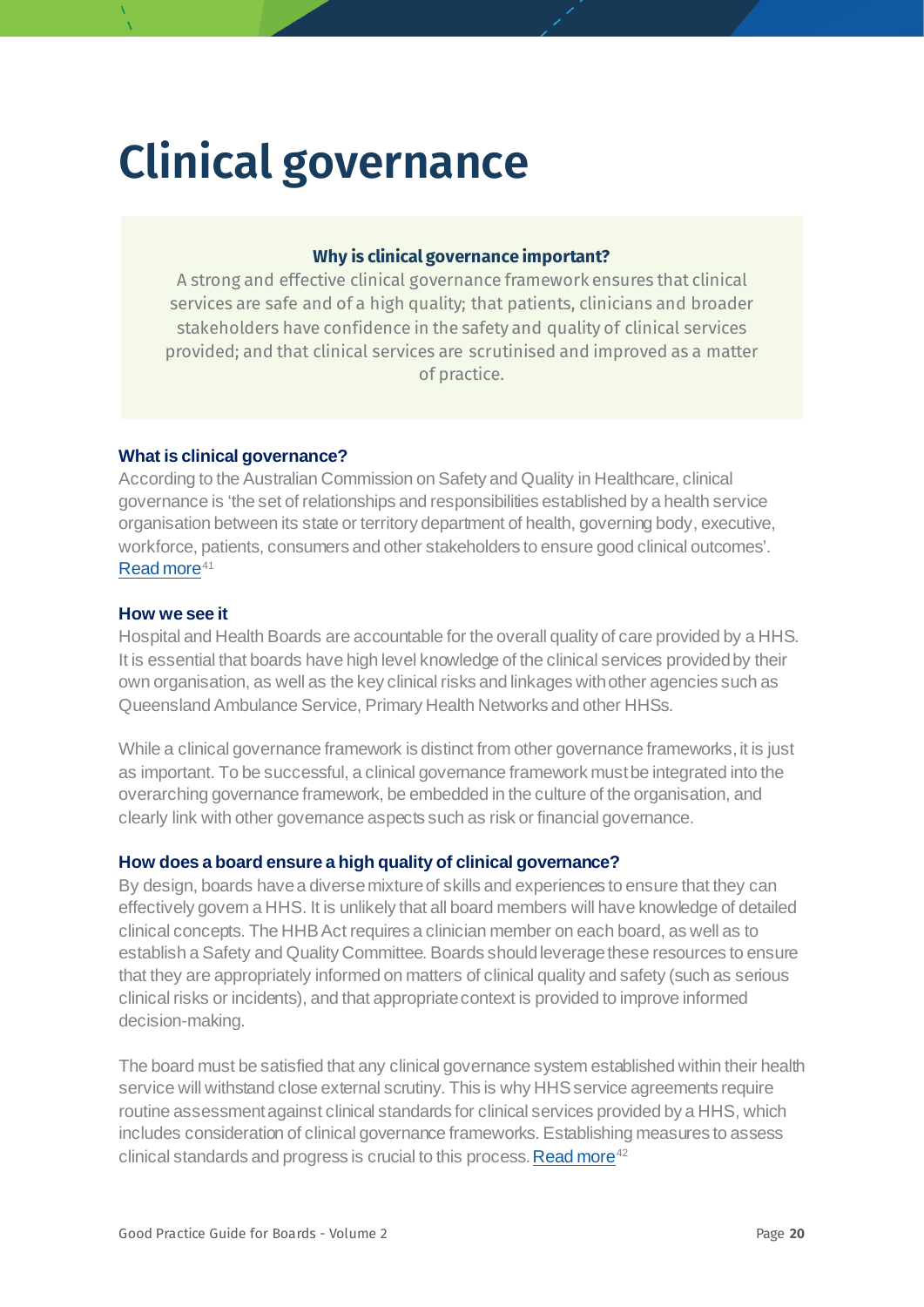## <span id="page-19-0"></span>**Clinical governance**

#### **Why is clinical governance important?**

A strong and effective clinical governance framework ensures that clinical services are safe and of a high quality; that patients, clinicians and broader stakeholders have confidence in the safety and quality of clinical services provided; and that clinical services are scrutinised and improved as a matter of practice.

#### **What is clinical governance?**

According to the Australian Commission on Safety and Quality in Healthcare, clinical governance is 'the set of relationships and responsibilities established by a health service organisation between its state or territory department of health, governing body, executive, workforce, patients, consumers and other stakeholders to ensure good clinical outcomes'. [Read more](https://www.safetyandquality.gov.au/sites/default/files/migrated/National-Model-Clinical-Governance-Framework.pdf)<sup>[41](#page-78-14)</sup>

#### <span id="page-19-1"></span>**How we see it**

Hospital and Health Boards are accountable for the overall quality of care provided by a HHS. It is essential that boards have high level knowledge of the clinical services provided by their own organisation, as well as the key clinical risks and linkages with other agencies such as Queensland Ambulance Service, Primary Health Networks and other HHSs.

While a clinical governance framework is distinct from other governance frameworks, it is just as important. To be successful, a clinical governance framework must be integrated into the overarching governance framework, be embedded in the culture of the organisation, and clearly link with other governance aspects such as risk or financial governance.

#### **How does a board ensure a high quality of clinical governance?**

By design, boards have a diverse mixture of skills and experiences to ensure that they can effectively govern a HHS. It is unlikely that all board members will have knowledge of detailed clinical concepts. The HHB Act requires a clinician member on each board, as well as to establish a Safety and Quality Committee. Boards should leverage these resources to ensure that they are appropriately informed on matters of clinical quality and safety (such as serious clinical risks or incidents), and that appropriate context is provided to improve informed decision-making.

The board must be satisfied that any clinical governance system established within their health service will withstand close external scrutiny. This is why HHS service agreements require routine assessment against clinical standards for clinical services provided by a HHS, which includes consideration of clinical governance frameworks. Establishing measures to assess clinical standards and progress is crucial to this process[. Read more](https://www.safetyandquality.gov.au/our-work/clinical-governance/clinical-governance-standard)<sup>[42](#page-78-15)</sup>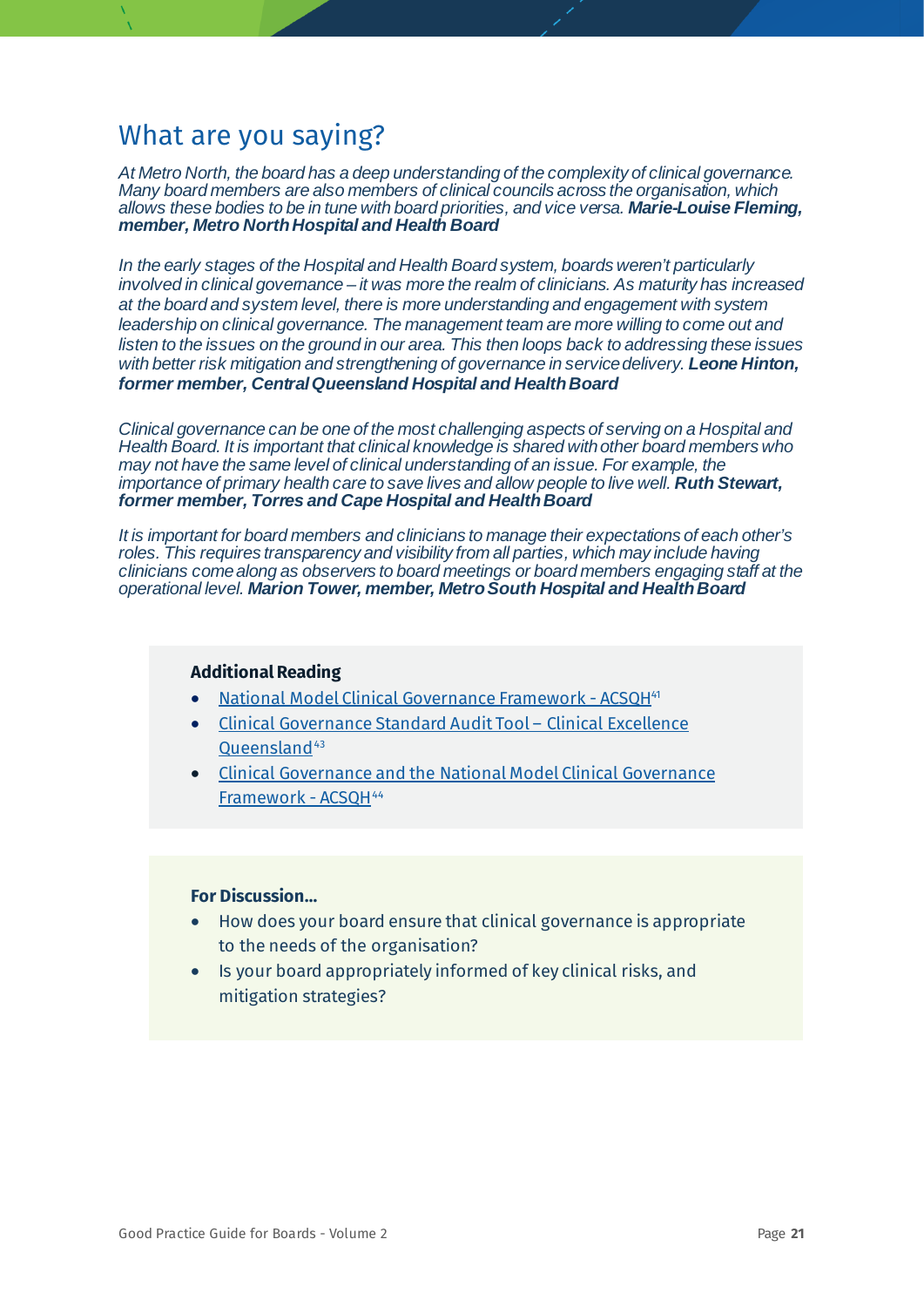*At Metro North, the board has a deep understanding of the complexity of clinical governance. Many board members are also members of clinical councils across the organisation, which allows these bodies to be in tune with board priorities, and vice versa. Marie-Louise Fleming, member, Metro North Hospital and Health Board*

*In the early stages of the Hospital and Health Board system, boards weren't particularly involved in clinical governance – it was more the realm of clinicians. As maturity has increased at the board and system level, there is more understanding and engagement with system leadership on clinical governance. The management team are more willing to come out and listen to the issues on the ground in our area. This then loops back to addressing these issues with better risk mitigation and strengthening of governance in service delivery. Leone Hinton, former member, Central Queensland Hospital and Health Board*

*Clinical governance can be one of the most challenging aspects of serving on a Hospital and Health Board. It is important that clinical knowledge is shared with other board members who may not have the same level of clinical understanding of an issue. For example, the importance of primary health care to save lives and allow people to live well. Ruth Stewart, former member, Torres and Cape Hospital and Health Board*

*It is important for board members and clinicians to manage their expectations of each other's roles. This requires transparency and visibility from all parties, which may include having clinicians come along as observers to board meetings or board members engaging staff at the operational level. Marion Tower, member, Metro South Hospital and Health Board*

#### **Additional Reading**

- [National Model Clinical Governance Framework -](https://www.safetyandquality.gov.au/sites/default/files/migrated/National-Model-Clinical-Governance-Framework.pdf) ACSQH<sup>41</sup>
- [Clinical Governance Standard Audit Tool –](https://clinicalexcellence.qld.gov.au/resources/audit-tools-national-safety-and-quality-health-service-standards) Clinical Excellence [Queensland](https://clinicalexcellence.qld.gov.au/resources/audit-tools-national-safety-and-quality-health-service-standards)<sup>[43](#page-78-16)</sup>
- [Clinical Governance and the National Model Clinical Governance](https://www.safetyandquality.gov.au/sites/default/files/2019-11/nsqhs_standards_user_guide_for_governing_bodies.pdf)  [Framework -](https://www.safetyandquality.gov.au/sites/default/files/2019-11/nsqhs_standards_user_guide_for_governing_bodies.pdf) ACSQH[44](#page-78-17)

- How does your board ensure that clinical governance is appropriate to the needs of the organisation?
- Is your board appropriately informed of key clinical risks, and mitigation strategies?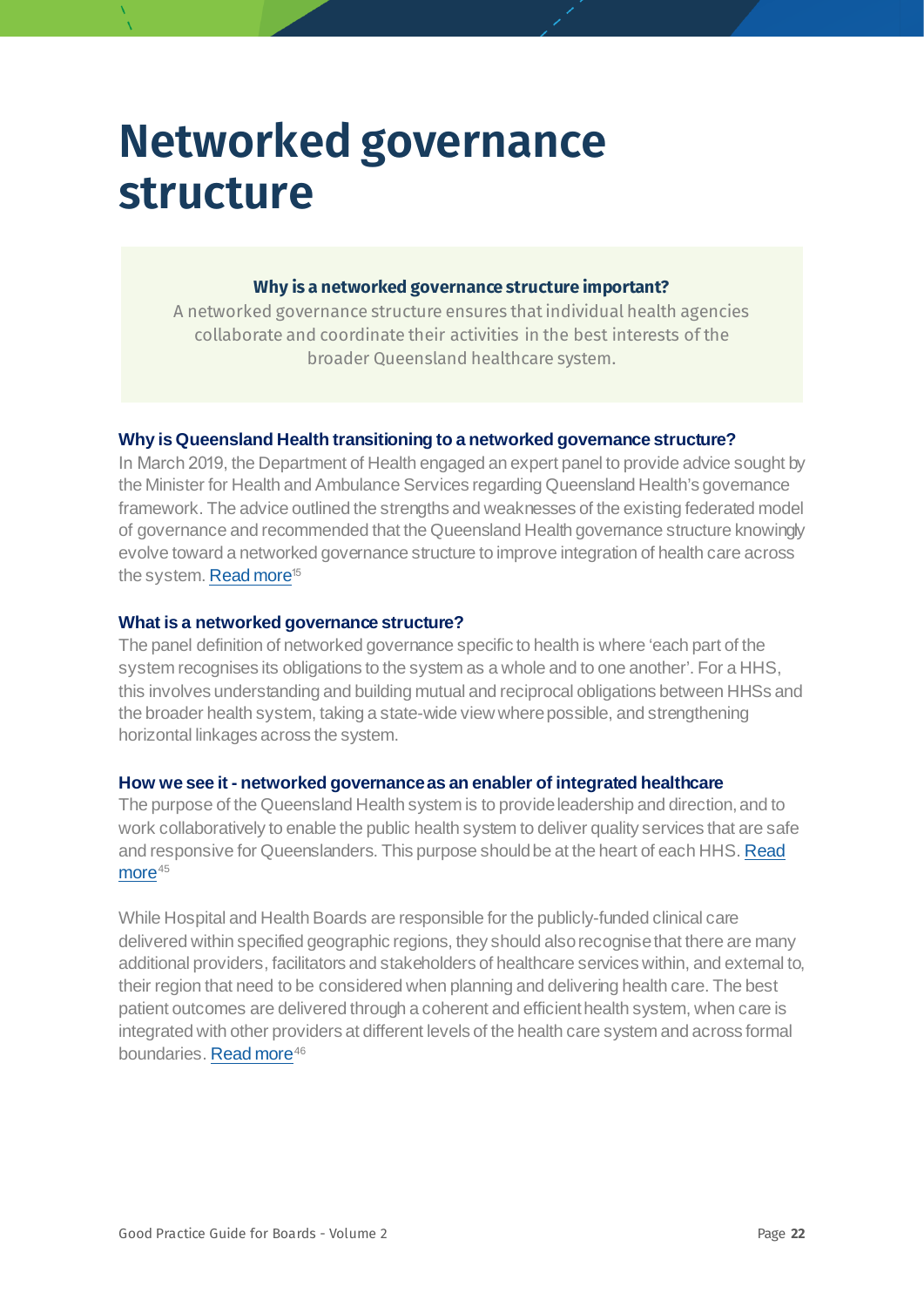## <span id="page-21-0"></span>**Networked governance structure**

#### **Why is a networked governance structure important?**

A networked governance structure ensures that individual health agencies collaborate and coordinate their activities in the best interests of the broader Queensland healthcare system.

#### **Why is Queensland Health transitioning to a networked governance structure?**

In March 2019, the Department of Health engaged an expert panel to provide advice sought by the Minister for Health and Ambulance Services regarding Queensland Health's governance framework. The advice outlined the strengths and weaknesses of the existing federated model of governance and recommended that the Queensland Health governance structure knowingly evolve toward a networked governance structure to improve integration of health care across the system[. Read more](https://www.health.qld.gov.au/__data/assets/pdf_file/0039/929955/Final_Advice-on-Queensland-Healths-Governance-Framework.pdf)<sup>15</sup>

#### **What is a networked governance structure?**

The panel definition of networked governance specific to health is where 'each part of the system recognises its obligations to the system as a whole and to one another'. For a HHS, this involves understanding and building mutual and reciprocal obligations between HHSs and the broader health system, taking a state-wide view where possible, and strengthening horizontal linkages across the system.

#### **How we see it - networked governance as an enabler of integrated healthcare**

The purpose of the Queensland Health system is to provide leadership and direction, and to work collaboratively to enable the public health system to deliver quality services that are safe and responsive for Queenslanders. This purpose should be at the heart of each HHS[. Read](https://www.health.qld.gov.au/__data/assets/pdf_file/0024/854061/Department-of-Health-Strategic-Plan-2019-2023.pdf)   $more<sup>45</sup>$  $more<sup>45</sup>$  $more<sup>45</sup>$  $more<sup>45</sup>$ 

<span id="page-21-2"></span><span id="page-21-1"></span>While Hospital and Health Boards are responsible for the publicly-funded clinical care delivered within specified geographic regions, they should also recognise that there are many additional providers, facilitators and stakeholders of healthcare services within, and external to, their region that need to be considered when planning and delivering health care. The best patient outcomes are delivered through a coherent and efficient health system, when care is integrated with other providers at different levels of the health care system and across formal boundaries[. Read more](https://www.nejm.org/doi/full/10.1056/NEJMp1410737)<sup>[46](#page-78-19)</sup>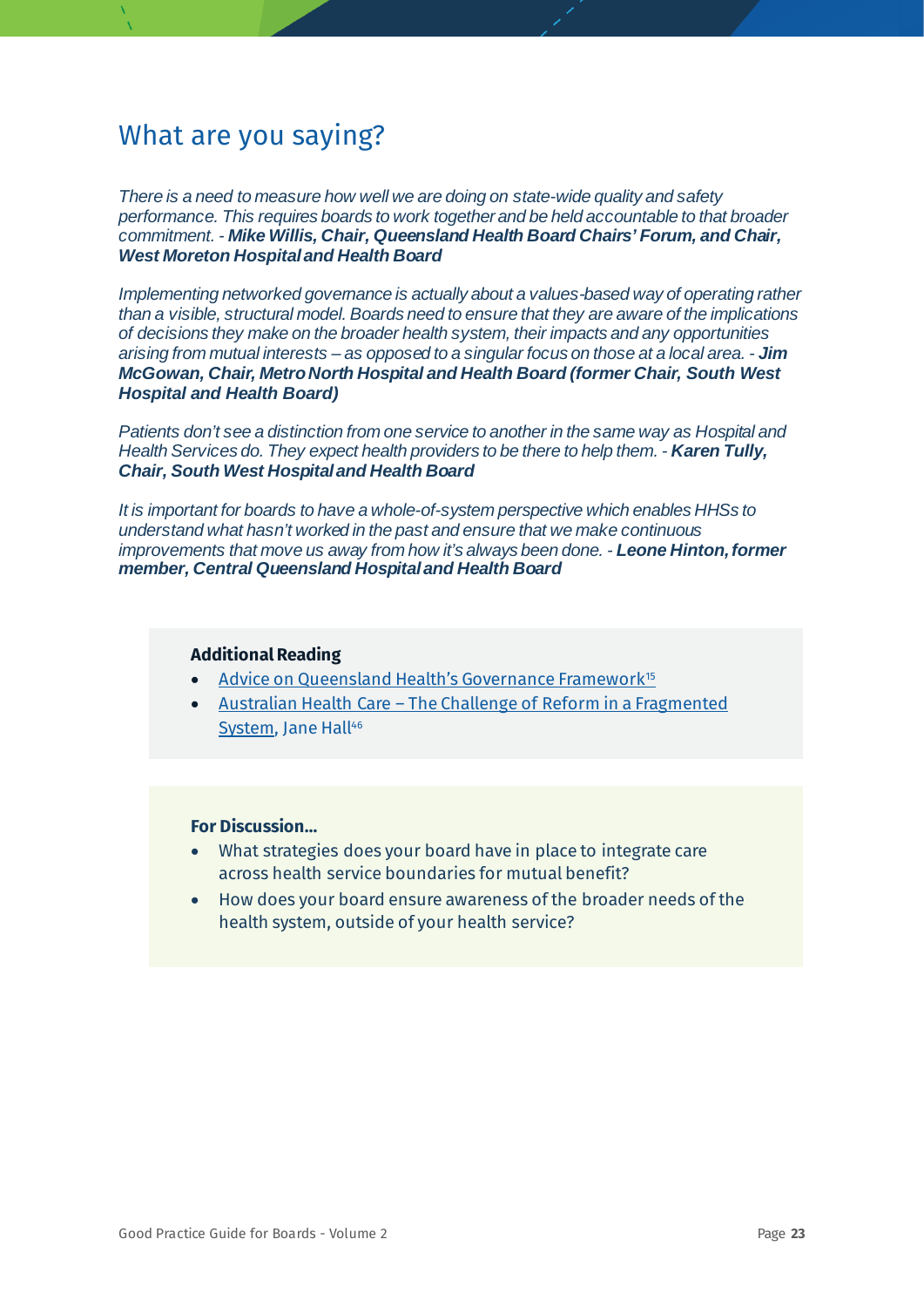*There is a need to measure how well we are doing on state-wide quality and safety performance. This requires boards to work together and be held accountable to that broader commitment. - Mike Willis, Chair, Queensland Health Board Chairs' Forum, and Chair, West Moreton Hospital and Health Board* 

*Implementing networked governance is actually about a values-based way of operating rather than a visible, structural model. Boards need to ensure that they are aware of the implications of decisions they make on the broader health system, their impacts and any opportunities arising from mutual interests – as opposed to a singular focus on those at a local area. - Jim McGowan, Chair, Metro North Hospital and Health Board (former Chair, South West Hospital and Health Board)*

*Patients don't see a distinction from one service to another in the same way as Hospital and Health Services do. They expect health providers to be there to help them. - Karen Tully, Chair, South West Hospital and Health Board*

*It is important for boards to have a whole-of-system perspective which enables HHSs to understand what hasn't worked in the past and ensure that we make continuous improvements that move us away from how it's always been done. - Leone Hinton, former member, Central Queensland Hospital and Health Board*

#### **Additional Reading**

- [Advice on Queensland Health's Governance Framework](https://www.health.qld.gov.au/__data/assets/pdf_file/0039/929955/Final_Advice-on-Queensland-Healths-Governance-Framework.pdf)<sup>[15](#page-9-0)</sup>
- Australian Health Care [The Challenge of Reform in a Fragmented](https://www.nejm.org/doi/full/10.1056/NEJMp1410737)  [System,](https://www.nejm.org/doi/full/10.1056/NEJMp1410737) Jane Hall<sup>46</sup>

- What strategies does your board have in place to integrate care across health service boundaries for mutual benefit?
- How does your board ensure awareness of the broader needs of the health system, outside of your health service?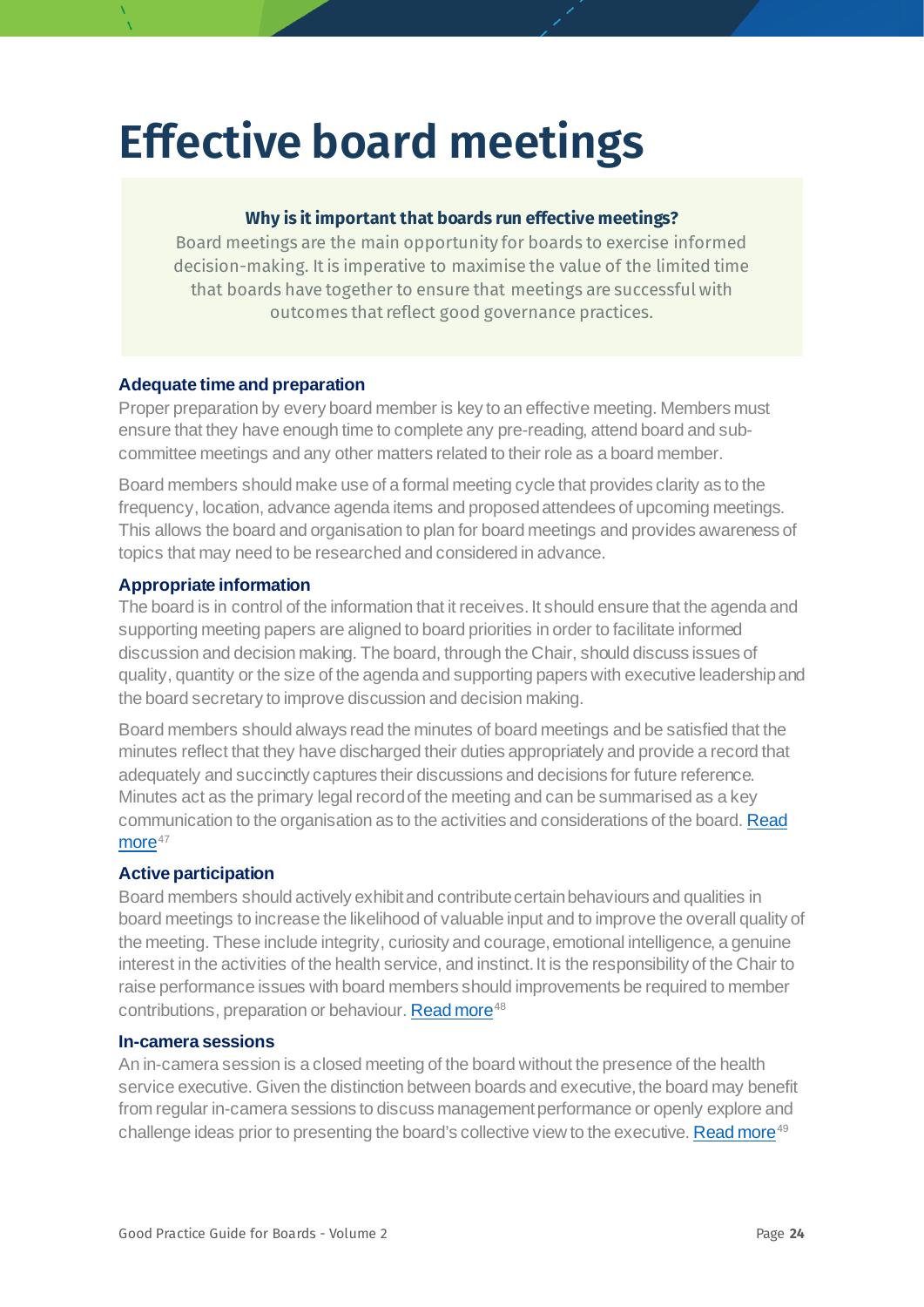## <span id="page-23-0"></span>**Effective board meetings**

#### **Why is it important that boards run effective meetings?**

Board meetings are the main opportunity for boards to exercise informed decision-making. It is imperative to maximise the value of the limited time that boards have together to ensure that meetings are successful with outcomes that reflect good governance practices.

#### **Adequate time and preparation**

Proper preparation by every board member is key to an effective meeting. Members must ensure that they have enough time to complete any pre-reading, attend board and subcommittee meetings and any other matters related to their role as a board member.

Board members should make use of a formal meeting cycle that provides clarity as to the frequency, location, advance agenda items and proposed attendees of upcoming meetings. This allows the board and organisation to plan for board meetings and provides awareness of topics that may need to be researched and considered in advance.

#### **Appropriate information**

The board is in control of the information that it receives. It should ensure that the agenda and supporting meeting papers are aligned to board priorities in order to facilitate informed discussion and decision making. The board, through the Chair, should discuss issues of quality, quantity or the size of the agenda and supporting papers with executive leadershipand the board secretary to improve discussion and decision making.

Board members should always read the minutes of board meetings and be satisfied that the minutes reflect that they have discharged their duties appropriately and provide a record that adequately and succinctly captures their discussions and decisions for future reference. Minutes act as the primary legal record of the meeting and can be summarised as a key communication to the organisation as to the activities and considerations of the board. [Read](https://aicd.companydirectors.com.au/-/media/cd2/resources/advocacy/research/2019/pdf/govinst-aicd-minutes-project-july-2019-final-v2.ashx)   $more<sup>47</sup>$  $more<sup>47</sup>$  $more<sup>47</sup>$  $more<sup>47</sup>$ 

#### <span id="page-23-1"></span>**Active participation**

Board members should actively exhibit and contribute certain behaviours and qualities in board meetings to increase the likelihood of valuable input and to improve the overall quality of the meeting. These include integrity, curiosity and courage, emotional intelligence, a genuine interest in the activities of the health service, and instinct. It is the responsibility of the Chair to raise performance issues with board members should improvements be required to member contributions, preparation or behaviour. [Read more](https://aicd.companydirectors.com.au/-/media/cd2/resources/director-resources/director-tools/pdf/05446-2-mem-director-tools-bc-key-competencies-directors_a4_web.ashx)<sup>[48](#page-78-8)</sup>

#### **In-camera sessions**

An in-camera session is a closed meeting of the board without the presence of the health service executive. Given the distinction between boards and executive, the board may benefit from regular in-camera sessions to discuss management performance or openly explore and challenge ideas prior to presenting the board's collective view to the executive[. Read more](https://aicd.companydirectors.com.au/membership/company-director-magazine/2018-back-editions/december/how-to)<sup>[49](#page-78-20)</sup>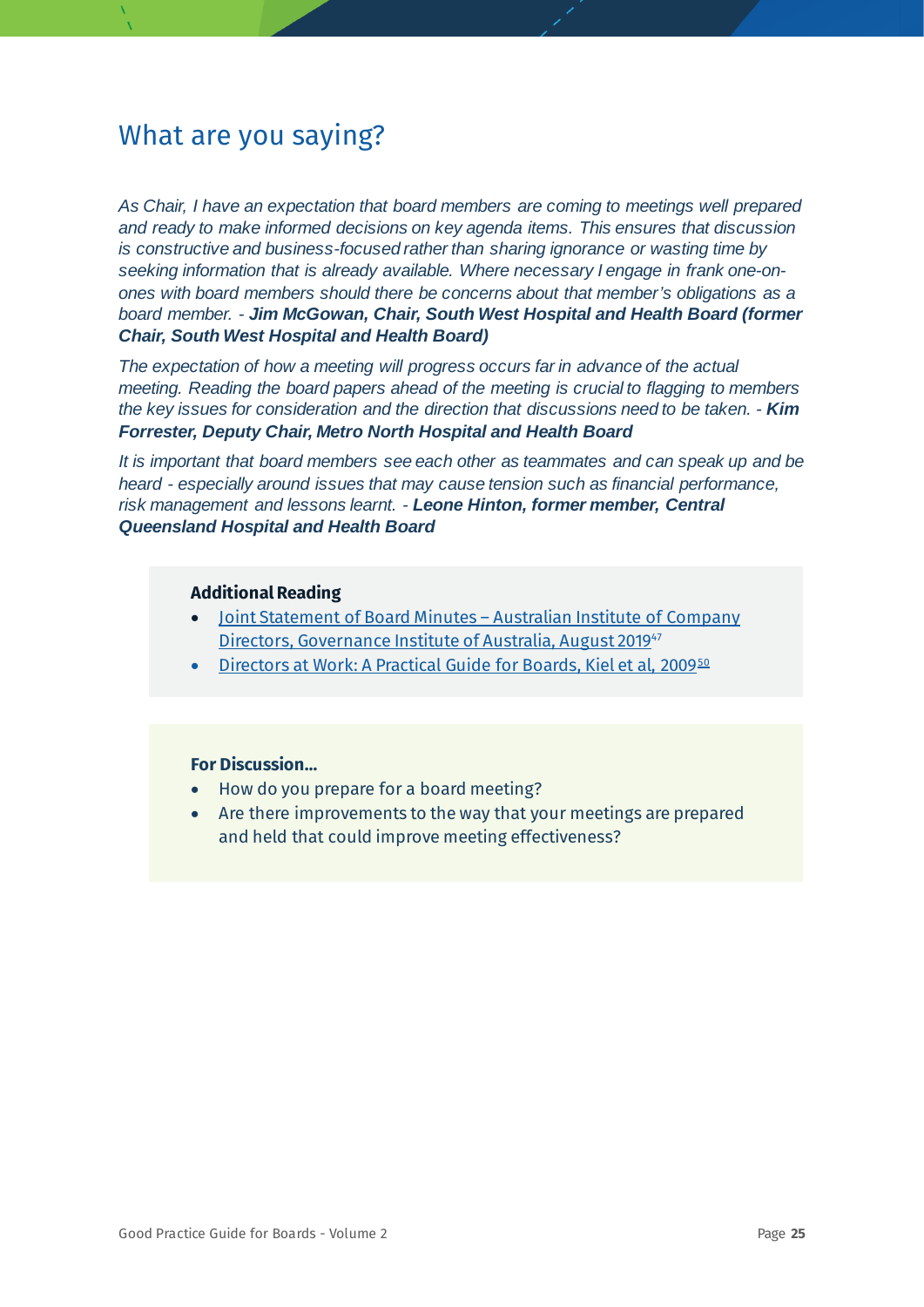*As Chair, I have an expectation that board members are coming to meetings well prepared and ready to make informed decisions on key agenda items. This ensures that discussion is constructive and business-focused rather than sharing ignorance or wasting time by seeking information that is already available. Where necessary I engage in frank one-onones with board members should there be concerns about that member's obligations as a board member. - Jim McGowan, Chair, South West Hospital and Health Board (former Chair, South West Hospital and Health Board)*

*The expectation of how a meeting will progress occurs far in advance of the actual meeting. Reading the board papers ahead of the meeting is crucial to flagging to members the key issues for consideration and the direction that discussions need to be taken. - Kim Forrester, Deputy Chair, Metro North Hospital and Health Board*

*It is important that board members see each other as teammates and can speak up and be heard - especially around issues that may cause tension such as financial performance, risk management and lessons learnt. - Leone Hinton, former member, Central Queensland Hospital and Health Board*

#### **Additional Reading**

- [Joint Statement of Board Minutes –](https://aicd.companydirectors.com.au/-/media/cd2/resources/advocacy/research/2019/pdf/govinst-aicd-minutes-project-july-2019-final-v2.ashx) Australian Institute of Company [Directors, Governance Institute of Australia, August 2019](https://aicd.companydirectors.com.au/-/media/cd2/resources/advocacy/research/2019/pdf/govinst-aicd-minutes-project-july-2019-final-v2.ashx)<sup>[47](#page-23-1)</sup>
- [Directors at Work: A Practical Guide for Boards, Kiel et al, 2009](https://aicd.companydirectors.com.au/resources/bookstore/directors-at-work)<sup>[50](#page-78-21)</sup>

- How do you prepare for a board meeting?
- <span id="page-24-0"></span>• Are there improvements to the way that your meetings are prepared and held that could improve meeting effectiveness?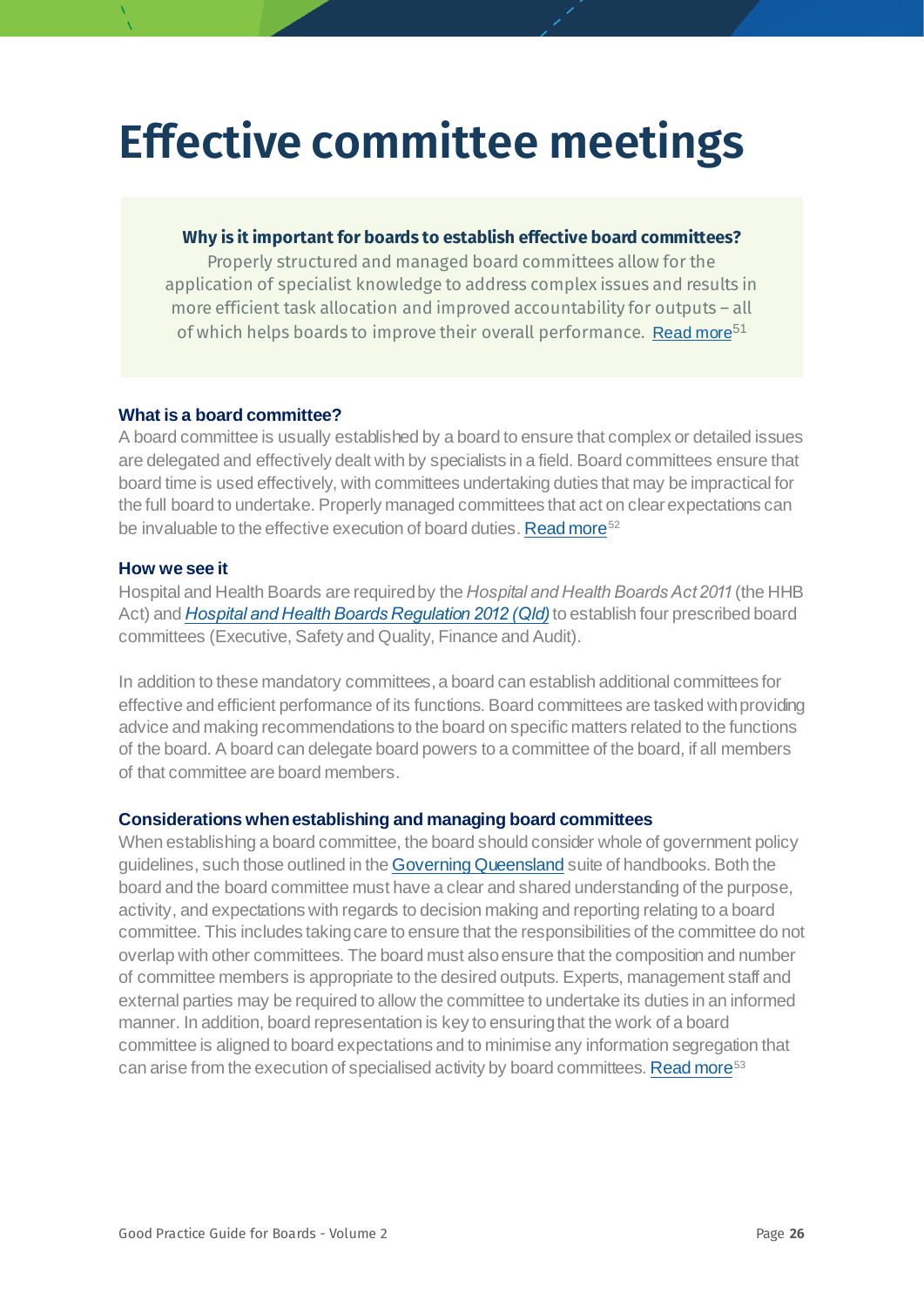## **Effective committee meetings**

#### **Why is it important for boards to establish effective board committees?**

Properly structured and managed board committees allow for the application of specialist knowledge to address complex issues and results in more efficient task allocation and improved accountability for outputs – all of which helps boards to improve their overall performance. [Read more](https://www.hbs.edu/faculty/Publication%20Files/17-032_22ea9e7a-4f26-4645-af3d-042f2b4e058c.pdf)<sup>[51](#page-78-22)</sup>

#### **What is a board committee?**

A board committee is usually established by a board to ensure that complex or detailed issues are delegated and effectively dealt with by specialists in a field. Board committees ensure that board time is used effectively, with committees undertaking duties that may be impractical for the full board to undertake. Properly managed committees that act on clear expectations can be invaluable to the effective execution of board duties[. Read more](https://aicd.companydirectors.com.au/-/media/cd2/resources/director-resources/director-tools/pdf/05446-5-4-mem-director-rob-board-committees_a4-web.ashx)<sup>[52](#page-78-23)</sup>

#### <span id="page-25-0"></span>**How we see it**

Hospital and Health Boards are required by the *Hospital and Health Boards Act 2011* (the HHB Act) and *[Hospital and Health Boards Regulation 2012 \(Qld](https://www.legislation.qld.gov.au/view/pdf/2017-06-30/sl-2012-0024))*to establish four prescribed board committees (Executive, Safety and Quality, Finance and Audit).

In addition to these mandatory committees, a board can establish additional committees for effective and efficient performance of its functions. Board committees are tasked with providing advice and making recommendations to the board on specific matters related to the functions of the board. A board can delegate board powers to a committee of the board, if all members of that committee are board members.

#### **Considerations when establishing and managing board committees**

<span id="page-25-1"></span>When establishing a board committee, the board should consider whole of government policy guidelines, such those outlined in th[e Governing Queensland](https://www.premiers.qld.gov.au/publications/categories/policies-and-codes/handbooks.aspx) suite of handbooks. Both the board and the board committee must have a clear and shared understanding of the purpose, activity, and expectations with regards to decision making and reporting relating to a board committee. This includes taking care to ensure that the responsibilities of the committee do not overlap with other committees. The board must also ensure that the composition and number of committee members is appropriate to the desired outputs. Experts, management staff and external parties may be required to allow the committee to undertake its duties in an informed manner. In addition, board representation is key to ensuring that the work of a board committee is aligned to board expectations and to minimise any information segregation that can arise from the execution of specialised activity by board committees[. Read more](https://insights.diligent.com/board-committee/best-practices-for-board-committees)<sup>[53](#page-78-13)</sup>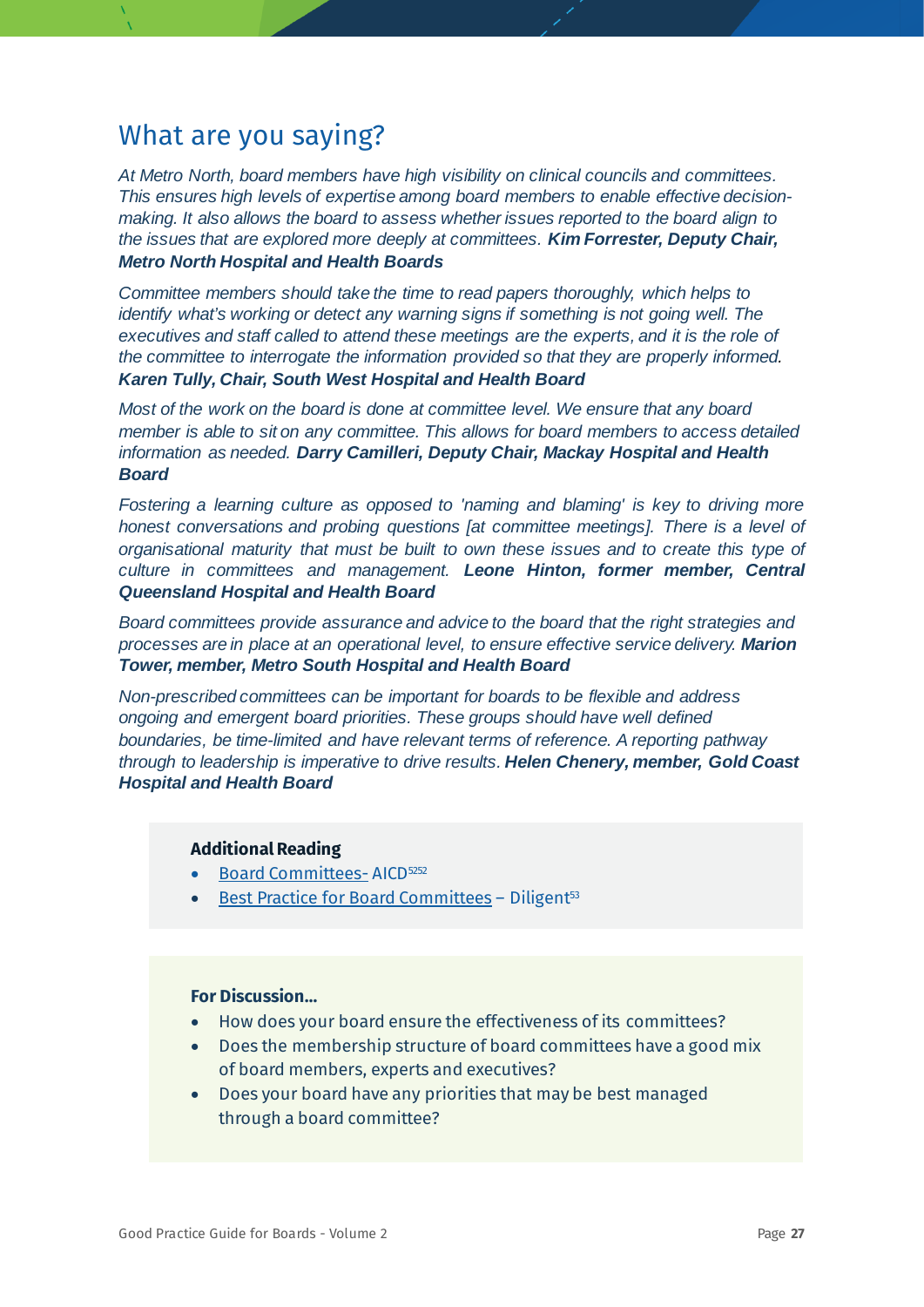*At Metro North, board members have high visibility on clinical councils and committees. This ensures high levels of expertise among board members to enable effective decisionmaking. It also allows the board to assess whether issues reported to the board align to the issues that are explored more deeply at committees. Kim Forrester, Deputy Chair, Metro North Hospital and Health Boards*

*Committee members should take the time to read papers thoroughly, which helps to identify what's working or detect any warning signs if something is not going well. The executives and staff called to attend these meetings are the experts, and it is the role of the committee to interrogate the information provided so that they are properly informed. Karen Tully, Chair, South West Hospital and Health Board*

*Most of the work on the board is done at committee level. We ensure that any board member is able to sit on any committee. This allows for board members to access detailed information as needed. Darry Camilleri, Deputy Chair, Mackay Hospital and Health Board*

*Fostering a learning culture as opposed to 'naming and blaming' is key to driving more honest conversations and probing questions [at committee meetings]. There is a level of organisational maturity that must be built to own these issues and to create this type of culture in committees and management. Leone Hinton, former member, Central Queensland Hospital and Health Board*

*Board committees provide assurance and advice to the board that the right strategies and processes are in place at an operational level, to ensure effective service delivery. Marion Tower, member, Metro South Hospital and Health Board* 

*Non-prescribed committees can be important for boards to be flexible and address ongoing and emergent board priorities. These groups should have well defined boundaries, be time-limited and have relevant terms of reference. A reporting pathway through to leadership is imperative to drive results. Helen Chenery, member, Gold Coast Hospital and Health Board*

#### **Additional Reading**

- [Board Committees-](https://aicd.companydirectors.com.au/-/media/cd2/resources/director-resources/director-tools/pdf/05446-5-4-mem-director-rob-board-committees_a4-web.ashx)AICD<sup>5252</sup>
- [Best Practice for Board Committees](https://insights.diligent.com/board-committee/best-practices-for-board-committees) Diligent<sup>53</sup>

- How does your board ensure the effectiveness of its committees?
- Does the membership structure of board committees have a good mix of board members, experts and executives?
- Does your board have any priorities that may be best managed through a board committee?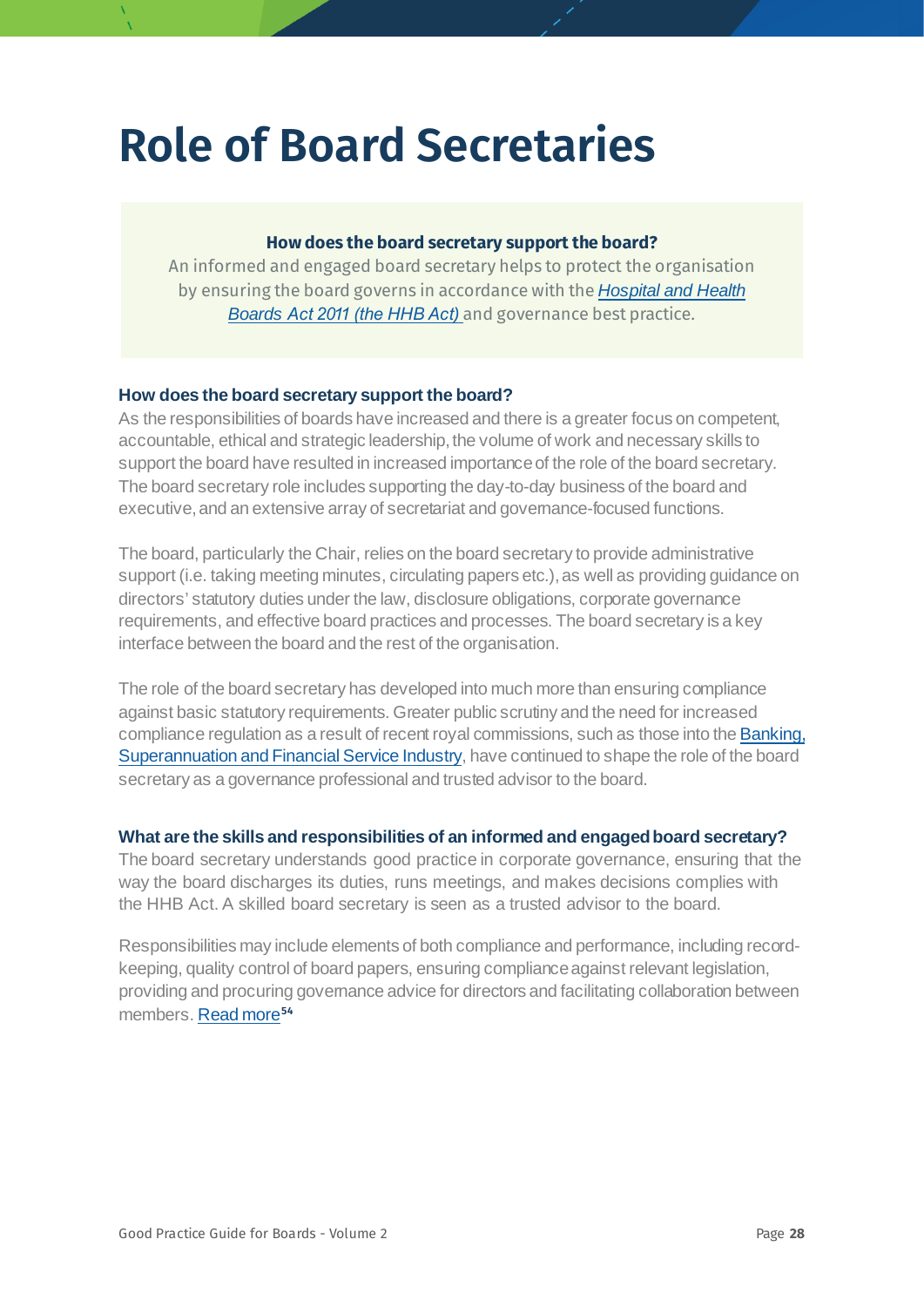## **Role of Board Secretaries**

#### <span id="page-27-0"></span>**How does the board secretary support the board?**

An informed and engaged board secretary helps to protect the organisation by ensuring the board governs in accordance with the *[Hospital and Health](https://www.legislation.qld.gov.au/view/pdf/inforce/current/act-2011-032)  Boards [Act 2011 \(the HHB Act](https://www.legislation.qld.gov.au/view/pdf/inforce/current/act-2011-032))* and governance best practice.

#### **How does the board secretary support the board?**

As the responsibilities of boards have increased and there is a greater focus on competent, accountable, ethical and strategic leadership, the volume of work and necessary skills to support the board have resulted in increased importance of the role of the board secretary. The board secretary role includes supporting the day-to-day business of the board and executive, and an extensive array of secretariat and governance-focused functions.

The board, particularly the Chair, relies on the board secretary to provide administrative support (i.e. taking meeting minutes, circulating papers etc.), as well as providing guidance on directors' statutory duties under the law, disclosure obligations, corporate governance requirements, and effective board practices and processes. The board secretary is a key interface between the board and the rest of the organisation.

The role of the board secretary has developed into much more than ensuring compliance against basic statutory requirements. Greater public scrutiny and the need for increased compliance regulation as a result of recent royal commissions, such as those into the **Banking**, [Superannuation and Financial Service Industry,](https://financialservices.royalcommission.gov.au/Pages/default.aspx) have continued to shape the role of the board secretary as a governance professional and trusted advisor to the board.

#### **What are the skills and responsibilities of an informed and engaged board secretary?**

The board secretary understands good practice in corporate governance, ensuring that the way the board discharges its duties, runs meetings, and makes decisions complies with the HHB Act. A skilled board secretary is seen as a trusted advisor to the board.

Responsibilities may include elements of both compliance and performance, including recordkeeping, quality control of board papers, ensuring compliance against relevant legislation, providing and procuring governance advice for directors and facilitating collaboration between members. [Read more](https://www.grantthornton.co.uk/globalassets/1.-member-firms/united-kingdom/pdf/documents/is-the-role-of-company-secretary-fit-for-the-future.pdf)**[54](#page-78-24)**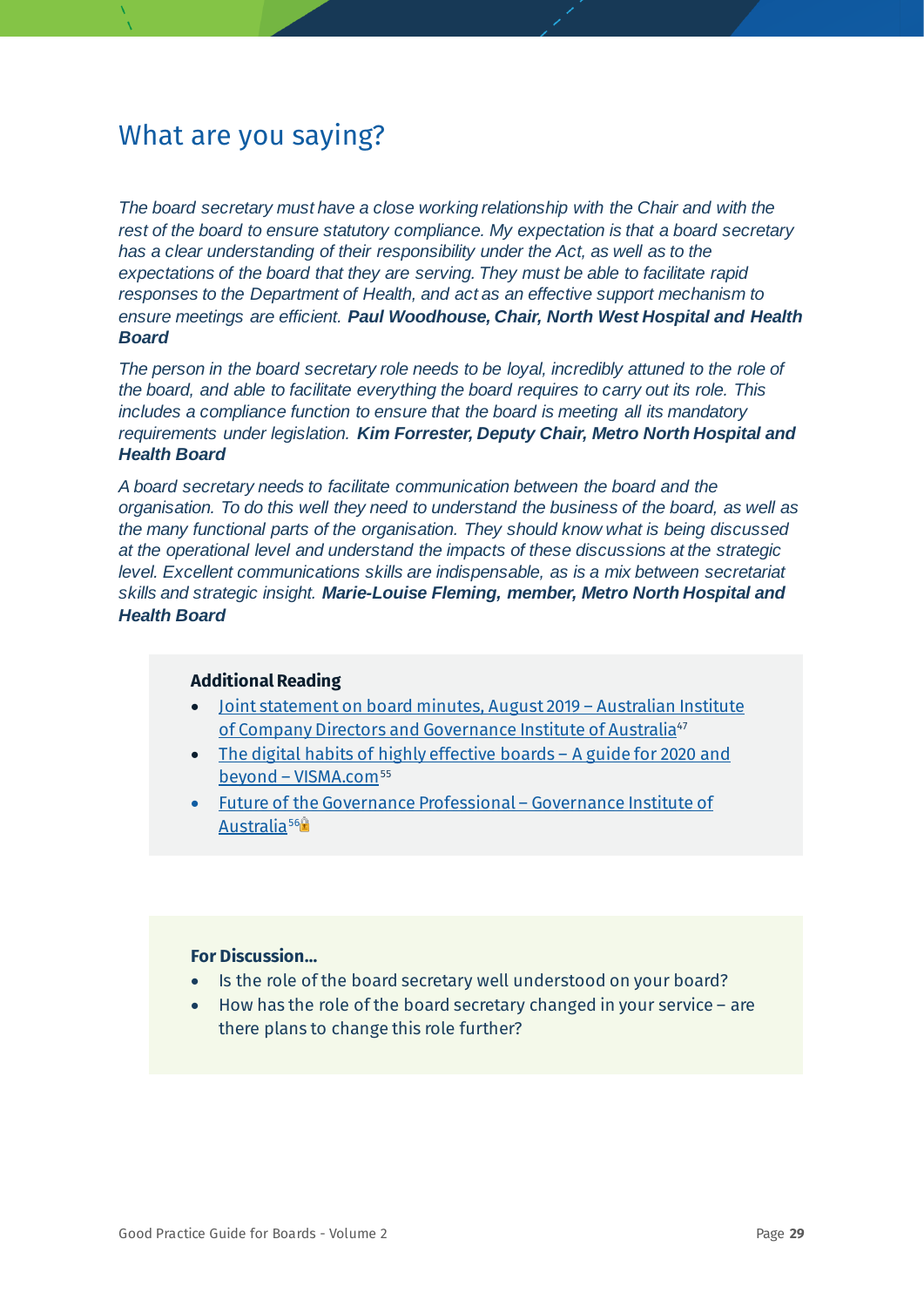*The board secretary must have a close working relationship with the Chair and with the rest of the board to ensure statutory compliance. My expectation is that a board secretary has a clear understanding of their responsibility under the Act, as well as to the expectations of the board that they are serving. They must be able to facilitate rapid responses to the Department of Health, and act as an effective support mechanism to ensure meetings are efficient. Paul Woodhouse, Chair, North West Hospital and Health Board*

*The person in the board secretary role needs to be loyal, incredibly attuned to the role of the board, and able to facilitate everything the board requires to carry out its role. This includes a compliance function to ensure that the board is meeting all its mandatory requirements under legislation. Kim Forrester, Deputy Chair, Metro North Hospital and Health Board*

*A board secretary needs to facilitate communication between the board and the organisation. To do this well they need to understand the business of the board, as well as the many functional parts of the organisation. They should know what is being discussed at the operational level and understand the impacts of these discussions at the strategic level. Excellent communications skills are indispensable, as is a mix between secretariat skills and strategic insight. Marie-Louise Fleming, member, Metro North Hospital and Health Board*

#### **Additional Reading**

- [Joint statement on board minutes, August 2019 –](https://www.governanceinstitute.com.au/advocacy/thought-leadership/joint-statement-on-board-minutes/) Australian Institute [of Company Directors and Governance Institute of Australia](https://www.governanceinstitute.com.au/advocacy/thought-leadership/joint-statement-on-board-minutes/)<sup>[47](#page-23-1)</sup>
- The digital habits of highly effective boards A guide for 2020 and beyond - [VISMA.com](https://admincontrol.com/the-digital-habits-of-highly-effective-boards/)<sup>[55](#page-78-1)</sup>
- [Future of the Governance Professional –](https://www.governanceinstitute.com.au/advocacy/thought-leadership/report-the-future-of-the-governance-professional/) Governance Institute of Australia<sup>56</sup><sup>9</sup>

- Is the role of the board secretary well understood on your board?
- How has the role of the board secretary changed in your service  $-$  are there plans to change this role further?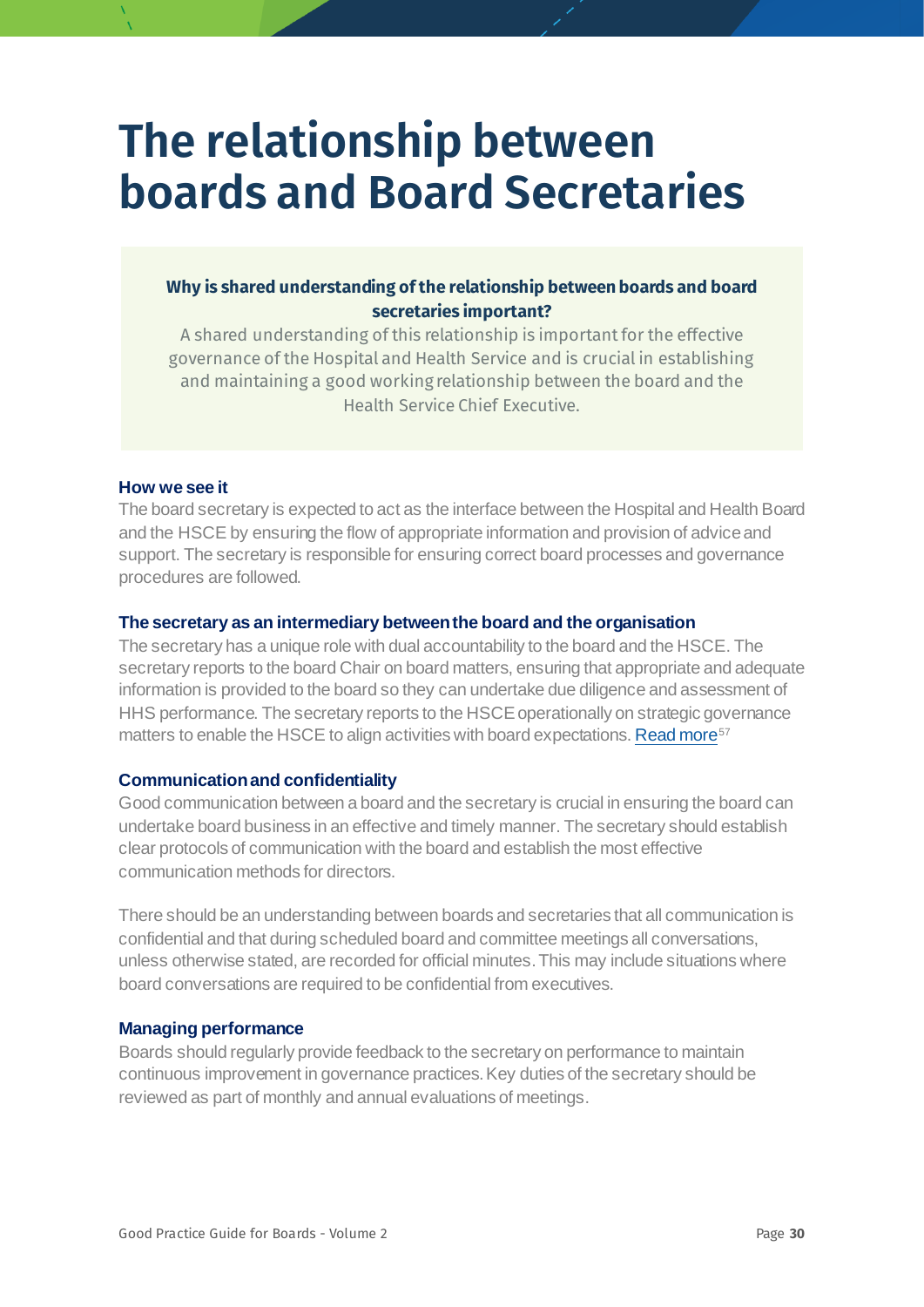## <span id="page-29-0"></span>**The relationship between boards and Board Secretaries**

#### **Why is shared understanding of the relationship between boards and board secretaries important?**

A shared understanding of this relationship is important for the effective governance of the Hospital and Health Service and is crucial in establishing and maintaining a good working relationship between the board and the Health Service Chief Executive.

#### **How we see it**

The board secretary is expected to act as the interface between the Hospital and Health Board and the HSCE by ensuring the flow of appropriate information and provision of advice and support. The secretary is responsible for ensuring correct board processes and governance procedures are followed.

#### **The secretary as an intermediary between the board and the organisation**

The secretary has a unique role with dual accountability to the board and the HSCE. The secretary reports to the board Chair on board matters, ensuring that appropriate and adequate information is provided to the board so they can undertake due diligence and assessment of HHS performance. The secretary reports to the HSCE operationally on strategic governance matters to enable the HSCE to align activities with board expectations[. Read more](https://aicd.companydirectors.com.au/%7E/media/cd2/resources/director-resources/director-tools/pdf/05446-2-2-director-tools-bp-improving-board-effectiveness_a4_web.ashx)<sup>[57](#page-78-25)</sup>

#### **Communication and confidentiality**

Good communication between a board and the secretary is crucial in ensuring the board can undertake board business in an effective and timely manner. The secretary should establish clear protocols of communication with the board and establish the most effective communication methods for directors.

There should be an understanding between boards and secretaries that all communication is confidential and that during scheduled board and committee meetings all conversations, unless otherwise stated, are recorded for official minutes. This may include situations where board conversations are required to be confidential from executives.

#### **Managing performance**

Boards should regularly provide feedback to the secretary on performance to maintain continuous improvement in governance practices. Key duties of the secretary should be reviewed as part of monthly and annual evaluations of meetings.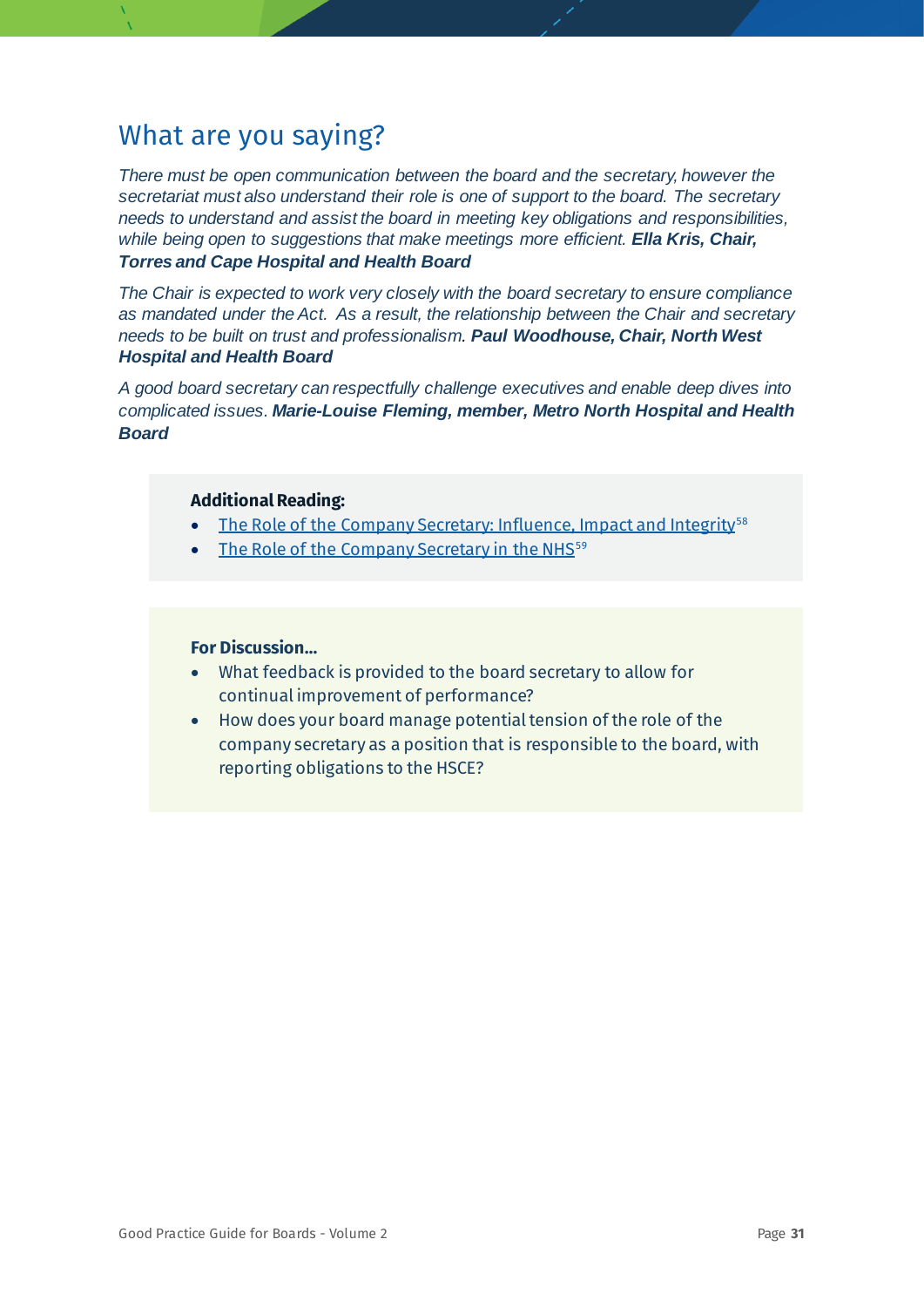*There must be open communication between the board and the secretary, however the secretariat must also understand their role is one of support to the board. The secretary needs to understand and assist the board in meeting key obligations and responsibilities, while being open to suggestions that make meetings more efficient. Ella Kris, Chair, Torres and Cape Hospital and Health Board*

*The Chair is expected to work very closely with the board secretary to ensure compliance as mandated under the Act. As a result, the relationship between the Chair and secretary needs to be built on trust and professionalism. Paul Woodhouse, Chair, North West Hospital and Health Board*

*A good board secretary can respectfully challenge executives and enable deep dives into complicated issues. Marie-Louise Fleming, member, Metro North Hospital and Health Board*

#### **Additional Reading:**

- [The Role of the Company Secretary: Influence, Impact and Integrity](https://aicd.companydirectors.com.au/-/media/cd2/resources/director-resources/book-store/pdf/role-of-company-secretary-preview.ashx)<sup>[58](#page-78-3)</sup>
- [The Role of the Company Secretary in the NHS](https://www.good-governance.org.uk/services/the-role-of-the-company-secretary-in-the-nhs/)<sup>[59](#page-78-4)</sup>

- What feedback is provided to the board secretary to allow for continual improvement of performance?
- How does your board manage potential tension of the role of the company secretary as a position that is responsible to the board, with reporting obligations to the HSCE?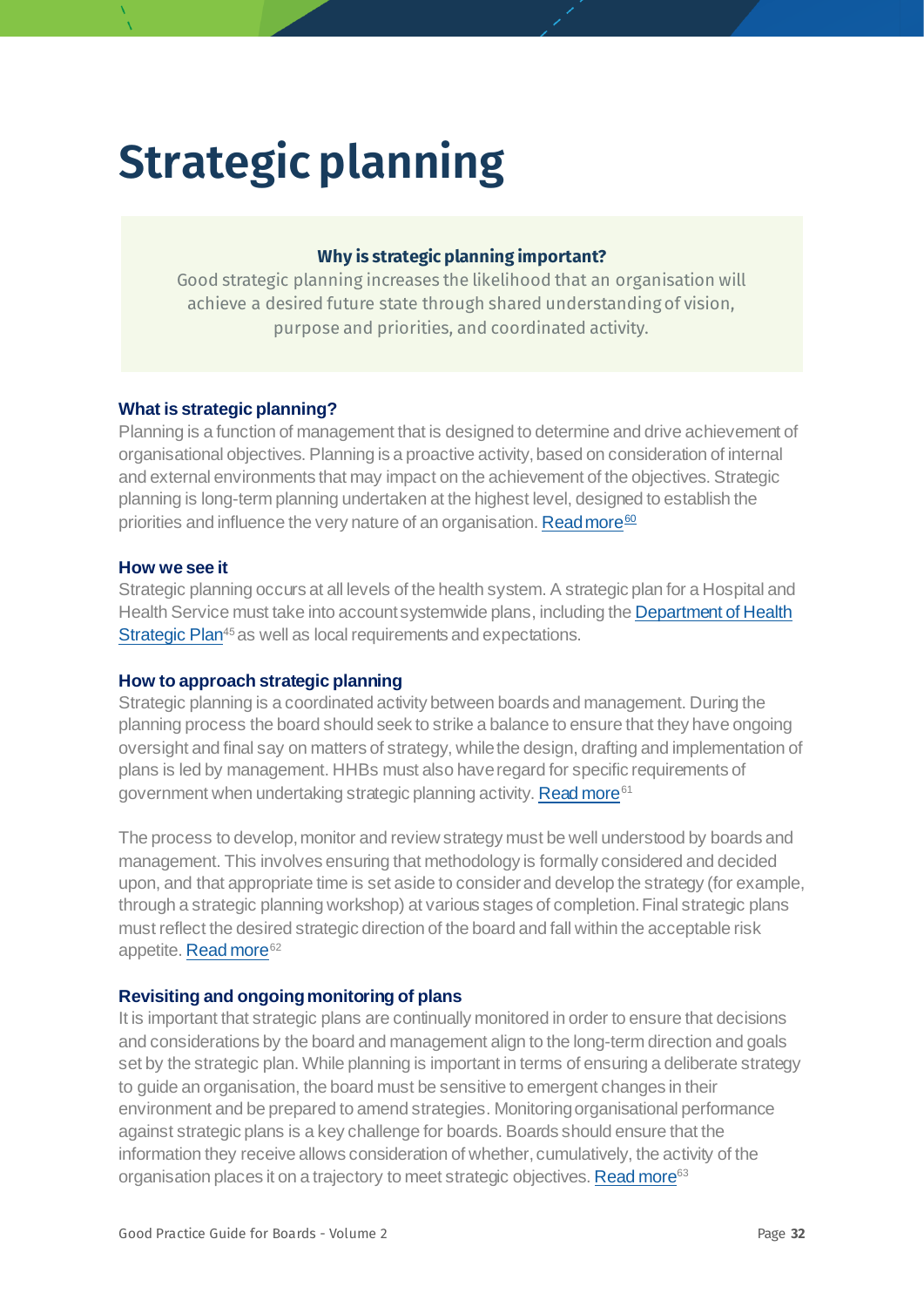# <span id="page-31-0"></span>**Strategic planning**

#### <span id="page-31-1"></span>**Why is strategic planning important?**

Good strategic planning increases the likelihood that an organisation will achieve a desired future state through shared understanding of vision, purpose and priorities, and coordinated activity.

#### **What is strategic planning?**

Planning is a function of management that is designed to determine and drive achievement of organisational objectives. Planning is a proactive activity, based on consideration of internal and external environments that may impact on the achievement of the objectives. Strategic planning is long-term planning undertaken at the highest level, designed to establish the priorities and influence the very nature of an organisation[. Read more](https://books.google.com.au/books?hl=en&lr=&id=cuZcDwAAQBAJ&oi=fnd&pg=PP1&dq=strategic+planning+health&ots=vsg9YubmDT&sig=IhdMFNHd2eyj0X42V5bLefzIR-g#v=onepage&q=strategic%20planning%20health&f=false)<sup>[60](#page-78-5)</sup>

#### **How we see it**

Strategic planning occurs at all levels of the health system. A strategic plan for a Hospital and Health Service must take into account systemwide plans, including the Department of Health [Strategic Plan](https://www.health.qld.gov.au/system-governance/strategic-direction/plans/doh-plan)<sup>[45](#page-21-2)</sup> as well as local requirements and expectations.

#### **How to approach strategic planning**

Strategic planning is a coordinated activity between boards and management. During the planning process the board should seek to strike a balance to ensure that they have ongoing oversight and final say on matters of strategy, while the design, drafting and implementation of plans is led by management. HHBs must also have regard for specific requirements of government when undertaking strategic planning activity. [Read more](mailto:https://www.forgov.qld.gov.au/manage-government-performance%23prepare-agency-plans-strategic-operational-and-specific-purpose-)<sup>[61](#page-78-6)</sup>

The process to develop, monitor and review strategy must be well understood by boards and management. This involves ensuring that methodology is formally considered and decided upon, and that appropriate time is set aside to consider and develop the strategy (for example, through a strategic planning workshop) at various stages of completion. Final strategic plans must reflect the desired strategic direction of the board and fall within the acceptable risk appetite. [Read more](https://aicd.companydirectors.com.au/%7E/media/cd2/resources/director-resources/director-tools/pdf/05446-5-14-mem-director-rob-strategic-plan-development_a4-web.ashx)<sup>[62](#page-78-26)</sup>

#### **Revisiting and ongoing monitoring of plans**

It is important that strategic plans are continually monitored in order to ensure that decisions and considerations by the board and management align to the long-term direction and goals set by the strategic plan. While planning is important in terms of ensuring a deliberate strategy to guide an organisation, the board must be sensitive to emergent changes in their environment and be prepared to amend strategies. Monitoring organisational performance against strategic plans is a key challenge for boards. Boards should ensure that the information they receive allows consideration of whether, cumulatively, the activity of the organisation places it on a trajectory to meet strategic objectives[. Read more](https://hbr.org/2018/12/the-boards-role-in-strategy)<sup>[63](#page-78-27)</sup>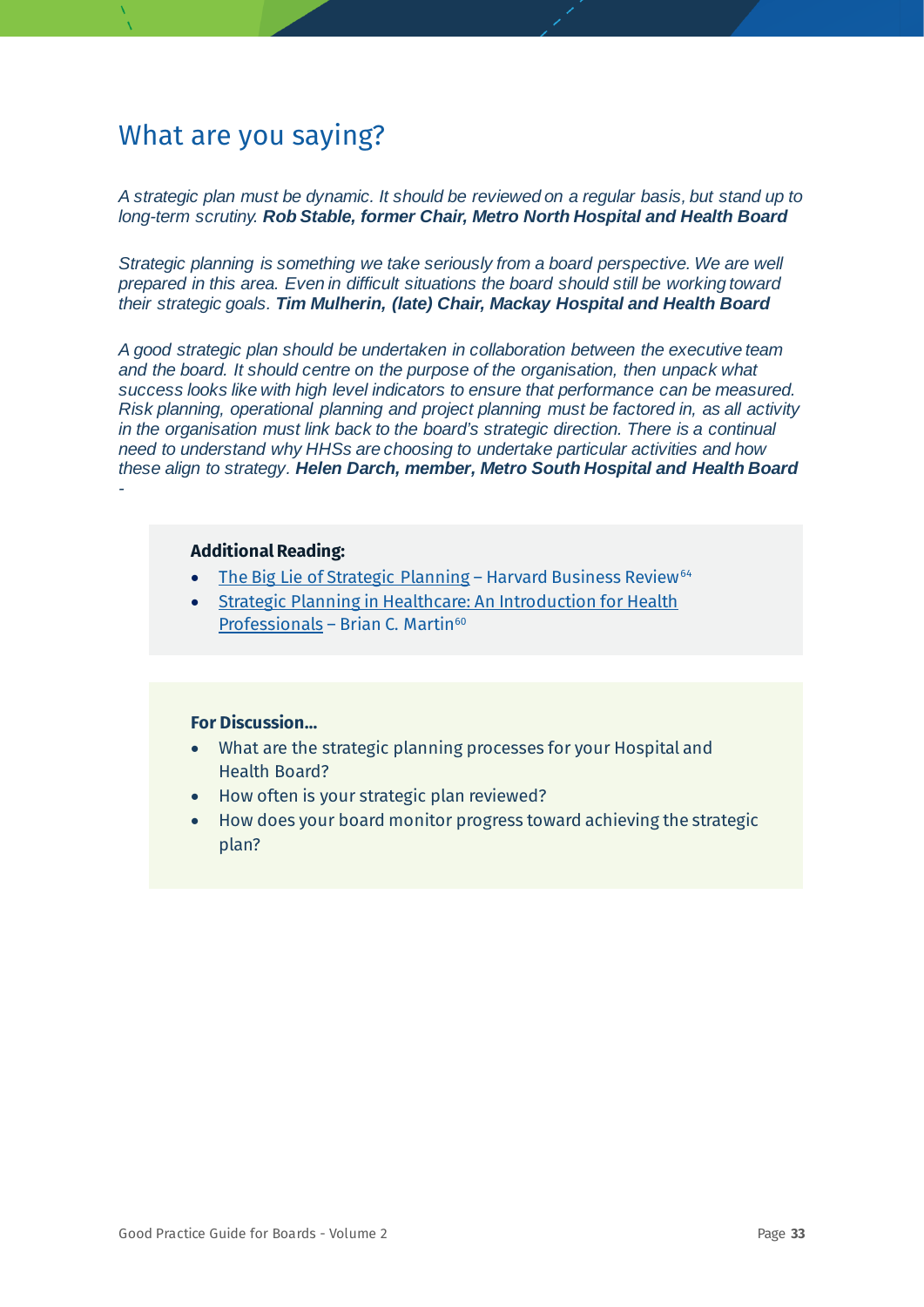*A strategic plan must be dynamic. It should be reviewed on a regular basis, but stand up to long-term scrutiny. Rob Stable, former Chair, Metro North Hospital and Health Board*

*Strategic planning is something we take seriously from a board perspective. We are well prepared in this area. Even in difficult situations the board should still be working toward their strategic goals. Tim Mulherin, (late) Chair, Mackay Hospital and Health Board*

*A good strategic plan should be undertaken in collaboration between the executive team and the board. It should centre on the purpose of the organisation, then unpack what success looks like with high level indicators to ensure that performance can be measured. Risk planning, operational planning and project planning must be factored in, as all activity in the organisation must link back to the board's strategic direction. There is a continual need to understand why HHSs are choosing to undertake particular activities and how these align to strategy. Helen Darch, member, Metro South Hospital and Health Board -*

#### **Additional Reading:**

- [The Big Lie of Strategic Planning](https://hbr.org/2018/12/the-boards-role-in-strategy) Harvard Business Review<sup>[64](#page-78-28)</sup>
- [Strategic Planning in Healthcare: An Introduction for Health](https://books.google.com.au/books?hl=en&lr=&id=cuZcDwAAQBAJ&oi=fnd&pg=PP1&dq=strategic+planning+health&ots=vsg9YubmDT&sig=IhdMFNHd2eyj0X42V5bLefzIR-g#v=onepage&q=strategic%20planning%20health&f=falsehttps://books.google.com.au/books?hl=en&lr=&id=cuZcDwAAQBAJ&oi=fnd&pg=PP1&dq=strategic+planning+health&ots=vsg9YubmDT&sig=IhdMFNHd2eyj0X42V5bLefzIR-g)  [Professionals](https://books.google.com.au/books?hl=en&lr=&id=cuZcDwAAQBAJ&oi=fnd&pg=PP1&dq=strategic+planning+health&ots=vsg9YubmDT&sig=IhdMFNHd2eyj0X42V5bLefzIR-g#v=onepage&q=strategic%20planning%20health&f=falsehttps://books.google.com.au/books?hl=en&lr=&id=cuZcDwAAQBAJ&oi=fnd&pg=PP1&dq=strategic+planning+health&ots=vsg9YubmDT&sig=IhdMFNHd2eyj0X42V5bLefzIR-g) – Brian C. Martin $60$

- What are the strategic planning processes for your Hospital and Health Board?
- How often is your strategic plan reviewed?
- How does your board monitor progress toward achieving the strategic plan?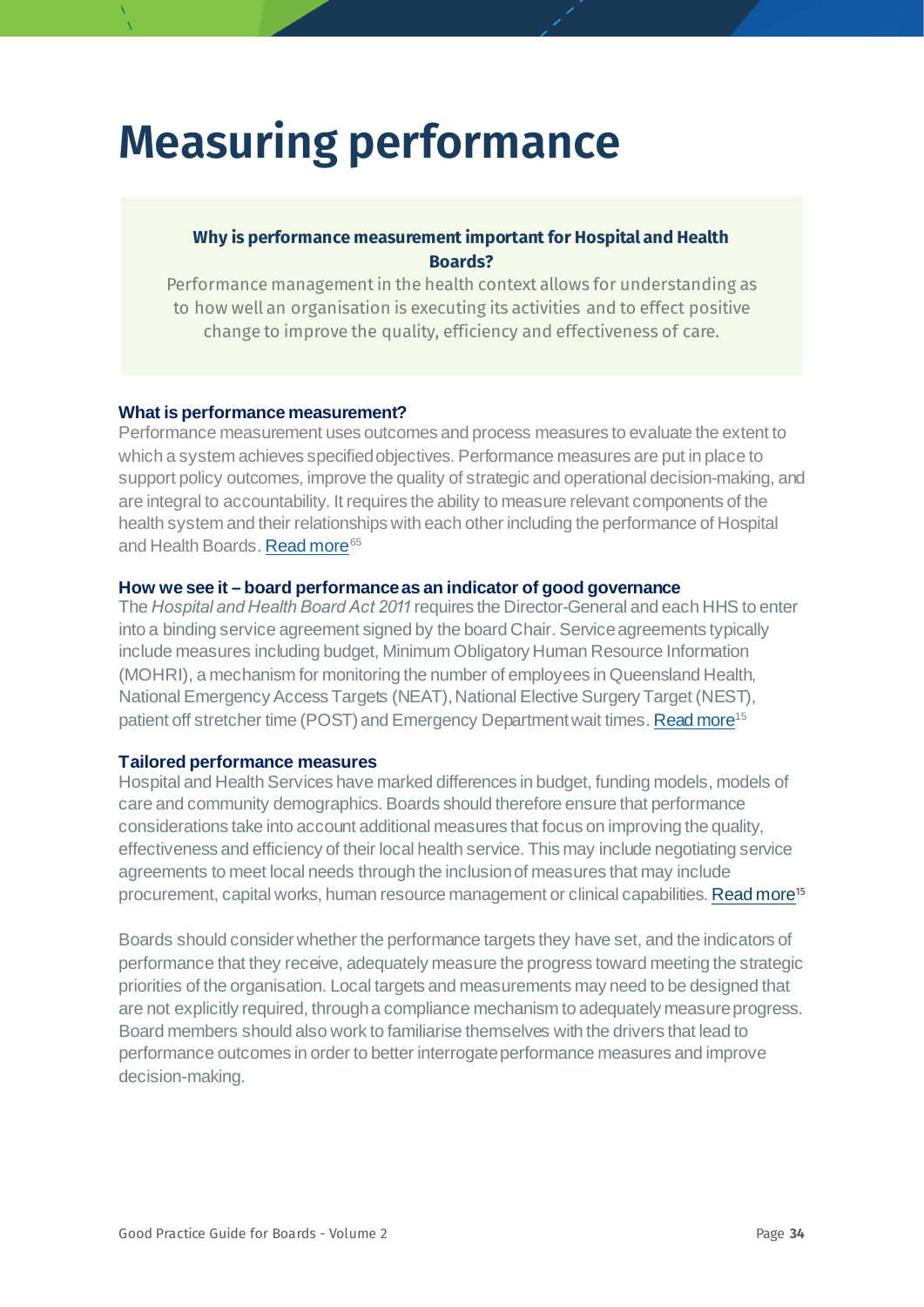## <span id="page-33-0"></span>**Measuring performance**

#### **Why is performance measurement important for Hospital and Health Boards?**

Performance management in the health context allows for understanding as to how well an organisation is executing its activities and to effect positive change to improve the quality, efficiency and effectiveness of care.

#### **What is performance measurement?**

Performance measurement uses outcomes and process measures to evaluate the extent to which a system achieves specified objectives. Performance measures are put in place to support policy outcomes, improve the quality of strategic and operational decision-making, and are integral to accountability. It requires the ability to measure relevant components of the health system and their relationships with each other including the performance of Hospital and Health Boards. [Read more](https://www.health.qld.gov.au/__data/assets/pdf_file/0037/668539/governance-framework-pdf.pdf)<sup>[65](#page-78-29)</sup>

#### **How we see it – board performance as an indicator of good governance**

The *Hospital and Health Board Act 2011* requires the Director-General and each HHS to enter into a binding service agreement signed by the board Chair. Service agreements typically include measures including budget, Minimum Obligatory Human Resource Information (MOHRI), a mechanism for monitoring the number of employees in Queensland Health, National Emergency Access Targets (NEAT), National Elective Surgery Target (NEST), patient off stretcher time (POST) and Emergency Department wait times[. Read more](https://www.health.qld.gov.au/__data/assets/pdf_file/0039/929955/Final_Advice-on-Queensland-Healths-Governance-Framework.pdf)<sup>[15](#page-9-0)</sup>

#### **Tailored performance measures**

Hospital and Health Services have marked differences in budget, funding models, models of care and community demographics. Boards should therefore ensure that performance considerations take into account additional measures that focus on improving the quality, effectiveness and efficiency of their local health service. This may include negotiating service agreements to meet local needs through the inclusion of measures that may include procurement, capital works, human resource management or clinical capabilities[. Read more](https://www.health.qld.gov.au/__data/assets/pdf_file/0039/929955/Final_Advice-on-Queensland-Healths-Governance-Framework.pdf)<sup>[15](#page-9-0)</sup>

Boards should consider whether the performance targets they have set, and the indicators of performance that they receive, adequately measure the progress toward meeting the strategic priorities of the organisation. Local targets and measurements may need to be designed that are not explicitly required, through a compliance mechanism to adequately measure progress. Board members should also work to familiarise themselves with the drivers that lead to performance outcomes in order to better interrogate performance measures and improve decision-making.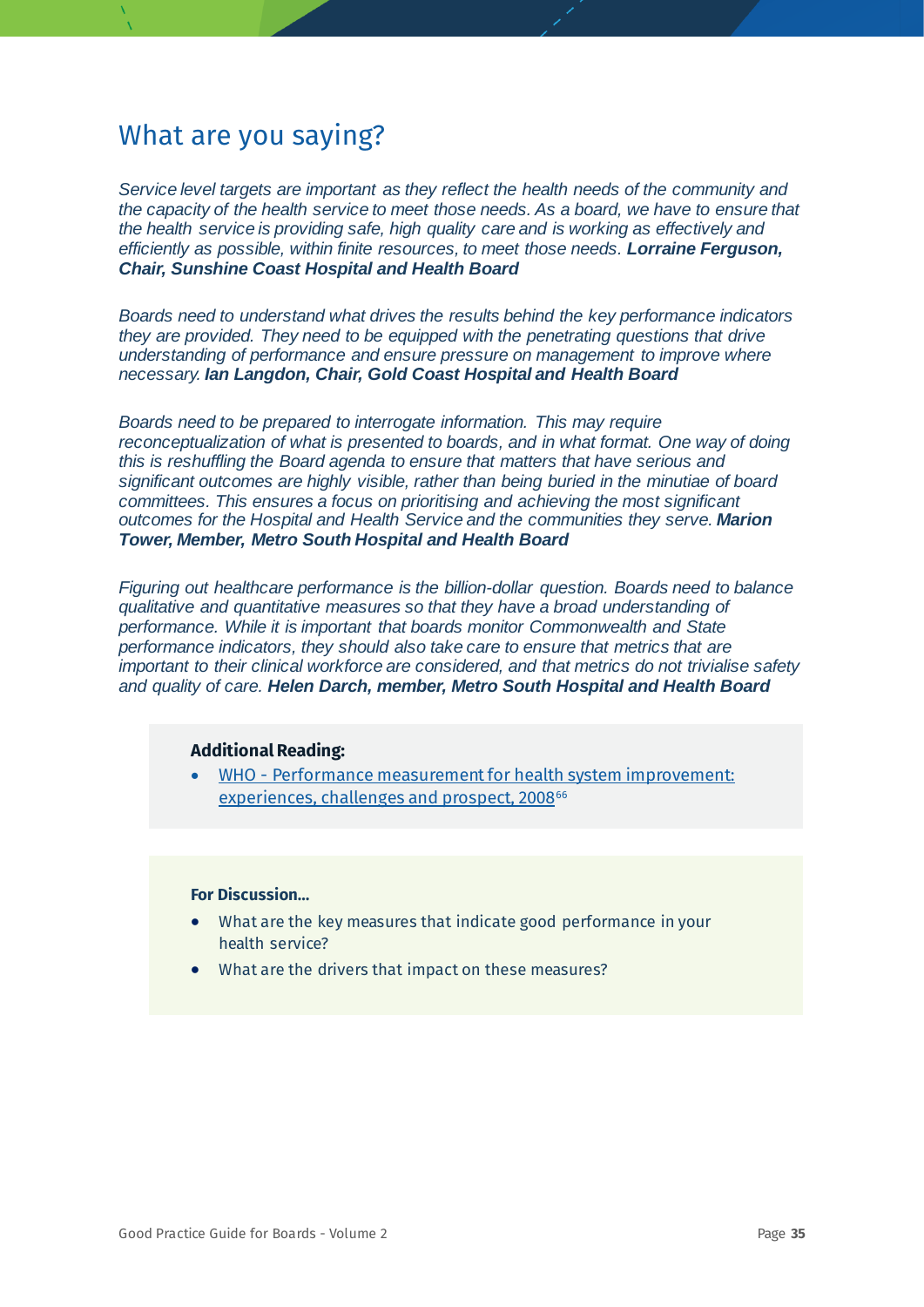*Service level targets are important as they reflect the health needs of the community and the capacity of the health service to meet those needs. As a board, we have to ensure that the health service is providing safe, high quality care and is working as effectively and efficiently as possible, within finite resources, to meet those needs. Lorraine Ferguson, Chair, Sunshine Coast Hospital and Health Board*

*Boards need to understand what drives the results behind the key performance indicators they are provided. They need to be equipped with the penetrating questions that drive understanding of performance and ensure pressure on management to improve where necessary. Ian Langdon, Chair, Gold Coast Hospital and Health Board*

*Boards need to be prepared to interrogate information. This may require reconceptualization of what is presented to boards, and in what format. One way of doing this is reshuffling the Board agenda to ensure that matters that have serious and significant outcomes are highly visible, rather than being buried in the minutiae of board committees. This ensures a focus on prioritising and achieving the most significant outcomes for the Hospital and Health Service and the communities they serve. Marion Tower, Member, Metro South Hospital and Health Board* 

*Figuring out healthcare performance is the billion-dollar question. Boards need to balance qualitative and quantitative measures so that they have a broad understanding of performance. While it is important that boards monitor Commonwealth and State performance indicators, they should also take care to ensure that metrics that are important to their clinical workforce are considered, and that metrics do not trivialise safety and quality of care. Helen Darch, member, Metro South Hospital and Health Board*

#### **Additional Reading:**

• WHO - [Performance measurement for health system improvement:](https://www.who.int/management/district/performance/PerformanceMeasurementHealthSystemImprovement2.pdf)  [experiences, challenges and prospect, 2008](https://www.who.int/management/district/performance/PerformanceMeasurementHealthSystemImprovement2.pdf)<sup>[66](#page-78-30)</sup>

- What are the key measures that indicate good performance in your health service?
- What are the drivers that impact on these measures?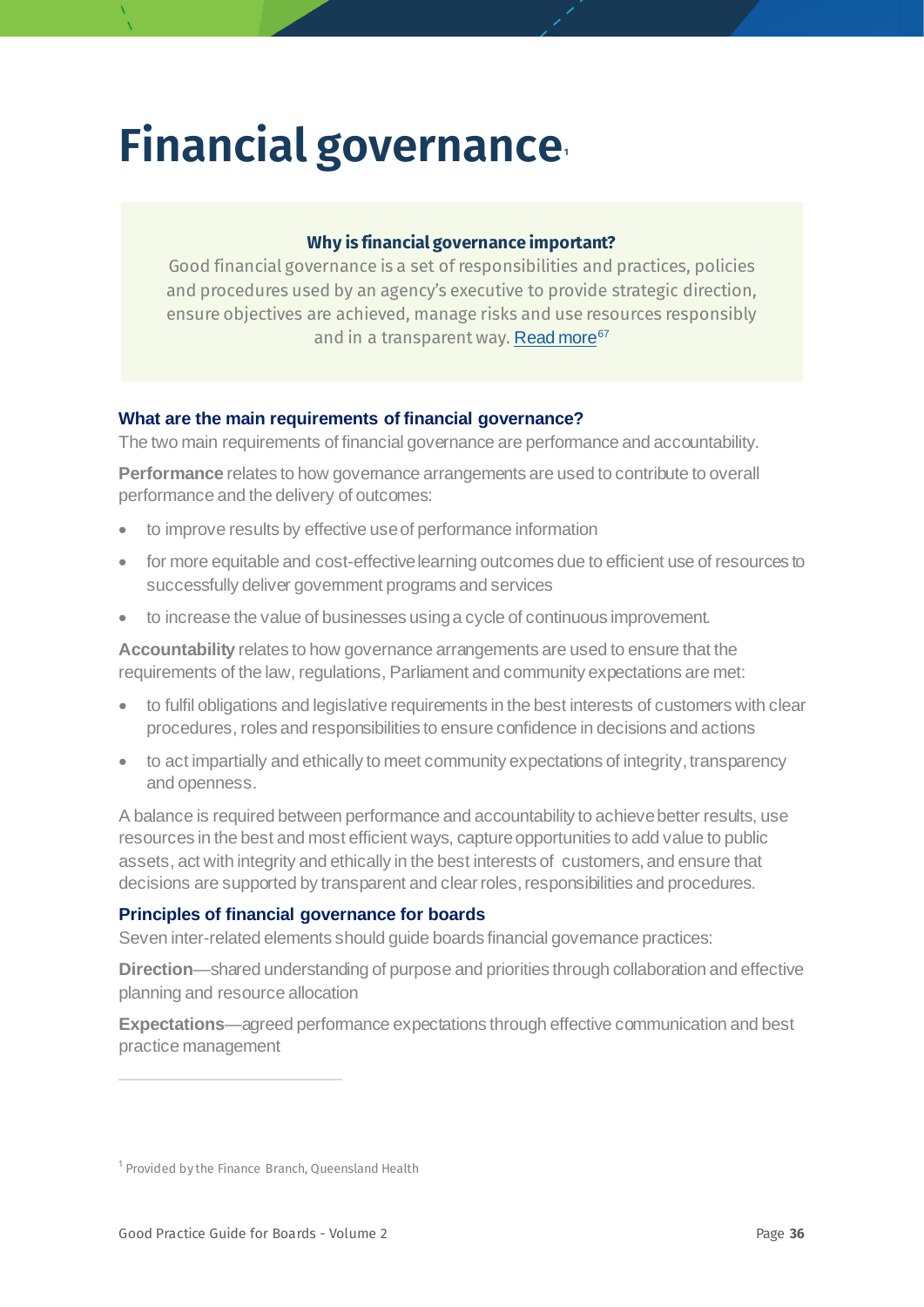## <span id="page-35-0"></span>**Financial governance[1](#page-35-1)**

#### **Why is financial governance important?**

Good financial governance is a set of responsibilities and practices, policies and procedures used by an agency's executive to provide strategic direction, ensure objectives are achieved, manage risks and use resources responsibly and in a transparent way. [Read more](https://www.gsamc.com.au/governance-risk-compliance)<sup>[67](#page-78-31)</sup>

#### **What are the main requirements of financial governance?**

The two main requirements of financial governance are performance and accountability.

**Performance** relates to how governance arrangements are used to contribute to overall performance and the delivery of outcomes:

- to improve results by effective use of performance information
- for more equitable and cost-effective learning outcomes due to efficient use of resources to successfully deliver government programs and services
- to increase the value of businesses using a cycle of continuous improvement.

**Accountability** relates to how governance arrangements are used to ensure that the requirements of the law, regulations, Parliament and community expectations are met:

- to fulfil obligations and legislative requirements in the best interests of customers with clear procedures, roles and responsibilities to ensure confidence in decisions and actions
- to act impartially and ethically to meet community expectations of integrity, transparency and openness.

A balance is required between performance and accountability to achieve better results, use resources in the best and most efficient ways, capture opportunities to add value to public assets, act with integrity and ethically in the best interests of customers, and ensure that decisions are supported by transparent and clear roles, responsibilities and procedures.

#### **Principles of financial governance for boards**

Seven inter-related elements should guide boards financial governance practices:

**Direction**—shared understanding of purpose and priorities through collaboration and effective planning and resource allocation

**Expectations**—agreed performance expectations through effective communication and best practice management

<span id="page-35-1"></span><sup>&</sup>lt;sup>1</sup> Provided by the Finance Branch, Queensland Health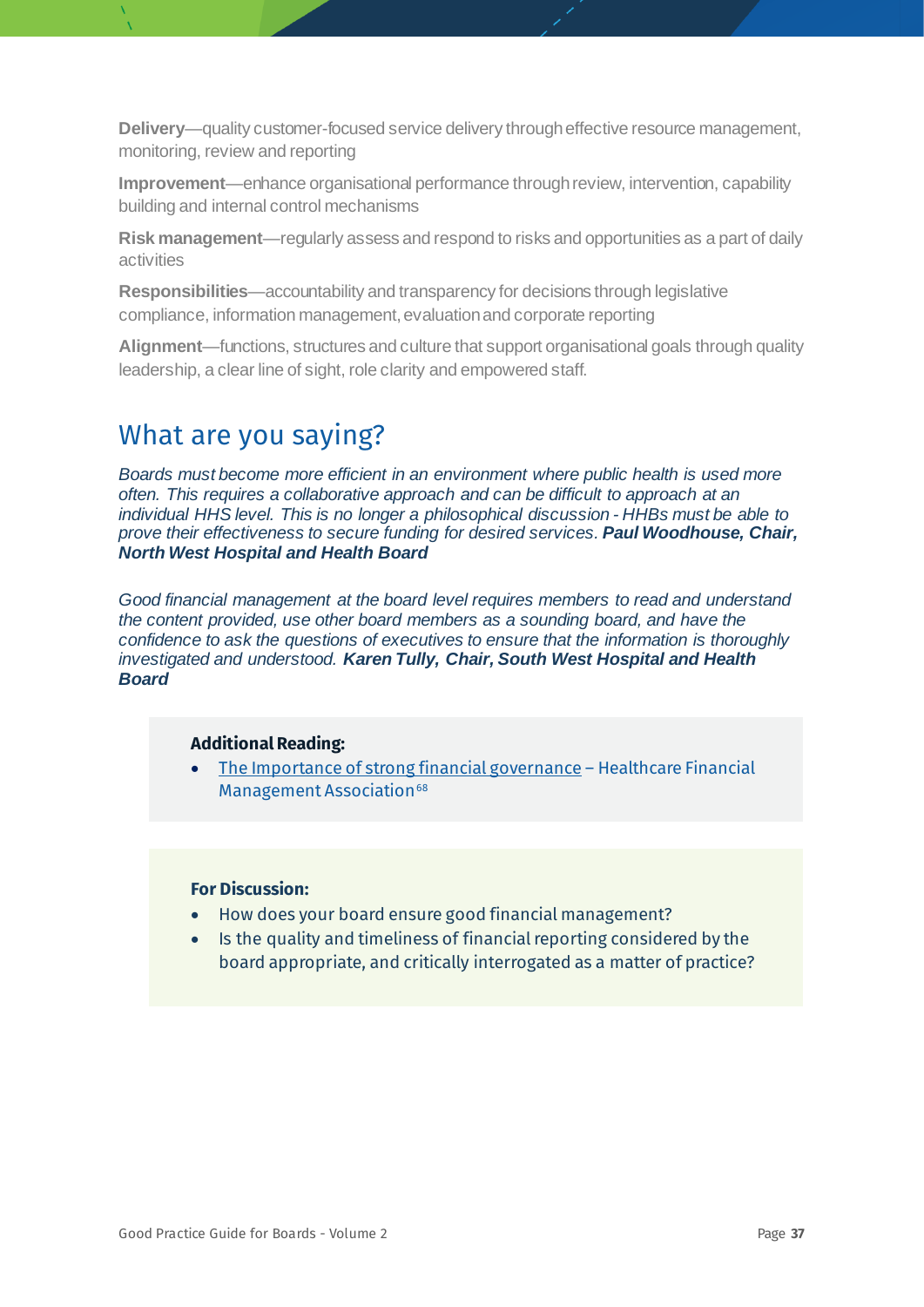**Delivery**—quality customer-focused service delivery through effective resource management, monitoring, review and reporting

**Improvement**—enhance organisational performance through review, intervention, capability building and internal control mechanisms

**Risk management**—regularly assess and respond to risks and opportunities as a part of daily activities

**Responsibilities**—accountability and transparency for decisions through legislative compliance, information management, evaluation and corporate reporting

**Alignment**—functions, structures and culture that support organisational goals through quality leadership, a clear line of sight, role clarity and empowered staff.

### What are you saying?

*Boards must become more efficient in an environment where public health is used more often. This requires a collaborative approach and can be difficult to approach at an individual HHS level. This is no longer a philosophical discussion - HHBs must be able to prove their effectiveness to secure funding for desired services. Paul Woodhouse, Chair, North West Hospital and Health Board*

*Good financial management at the board level requires members to read and understand the content provided, use other board members as a sounding board, and have the confidence to ask the questions of executives to ensure that the information is thoroughly investigated and understood. Karen Tully, Chair, South West Hospital and Health Board*

#### **Additional Reading:**

• [The Importance of strong financial governance](https://healthcampaignstogether.com/pdf/the-importance-of-strong-financial-governance-june-17.pdf) – Healthcare Financial Management Association<sup>[68](#page-78-0)</sup>

- How does your board ensure good financial management?
- Is the quality and timeliness of financial reporting considered by the board appropriate, and critically interrogated as a matter of practice?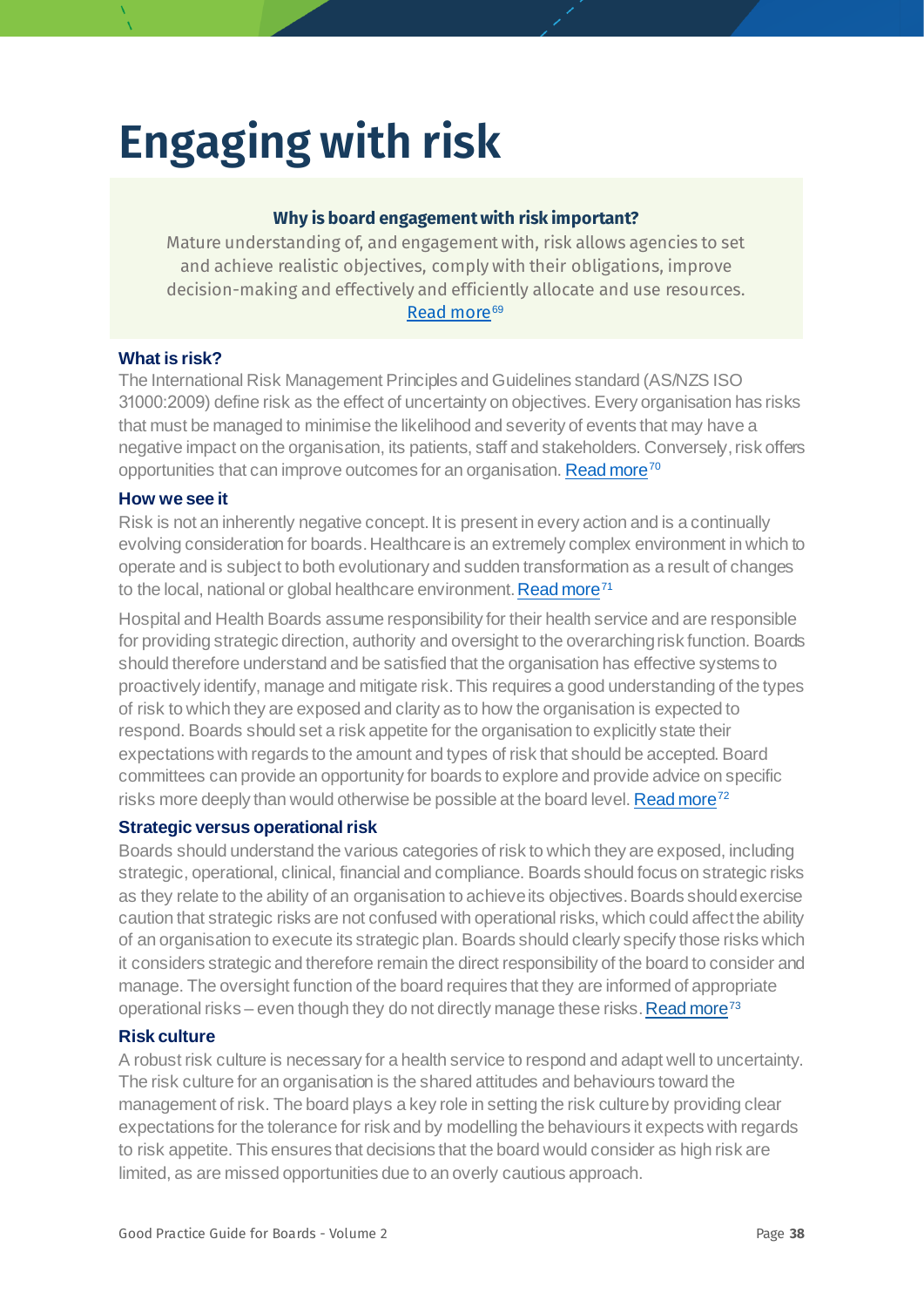# **Engaging with risk**

#### **Why is board engagement with risk important?**

Mature understanding of, and engagement with, risk allows agencies to set and achieve realistic objectives, comply with their obligations, improve decision-making and effectively and efficiently allocate and use resources. [Read more](https://www.anao.gov.au/sites/default/files/ANAO_Report_2017-2018_6b.pdf)<sup>[69](#page-78-1)</sup>

#### **What is risk?**

The International Risk Management Principles and Guidelines standard (AS/NZS ISO 31000:2009) define risk as the effect of uncertainty on objectives. Every organisation has risks that must be managed to minimise the likelihood and severity of events that may have a negative impact on the organisation, its patients, staff and stakeholders. Conversely, risk offers opportunities that can improve outcomes for an organisation[. Read more](https://www.achs.org.au/media/69305/risk_management_and_quality_improvement_handbook_july_2013.pdf)<sup>[70](#page-78-2)</sup>

#### **How we see it**

Risk is not an inherently negative concept. It is present in every action and is a continually evolving consideration for boards. Healthcare is an extremely complex environment in which to operate and is subject to both evolutionary and sudden transformation as a result of changes to the local, national or global healthcare environment[. Read more](https://catalyst.nejm.org/doi/full/10.1056/CAT.18.0197)<sup>[71](#page-78-3)</sup>

Hospital and Health Boards assume responsibility for their health service and are responsible for providing strategic direction, authority and oversight to the overarching risk function. Boards should therefore understand and be satisfied that the organisation has effective systems to proactively identify, manage and mitigate risk. This requires a good understanding of the types of risk to which they are exposed and clarity as to how the organisation is expected to respond. Boards should set a risk appetite for the organisation to explicitly state their expectations with regards to the amount and types of risk that should be accepted. Board committees can provide an opportunity for boards to explore and provide advice on specific risks more deeply than would otherwise be possible at the board level. Read more<sup>72</sup>

#### <span id="page-37-0"></span>**Strategic versus operational risk**

Boards should understand the various categories of risk to which they are exposed, including strategic, operational, clinical, financial and compliance. Boards should focus on strategic risks as they relate to the ability of an organisation to achieve its objectives. Boards should exercise caution that strategic risks are not confused with operational risks, which could affect the ability of an organisation to execute its strategic plan. Boards should clearly specify those risks which it considers strategic and therefore remain the direct responsibility of the board to consider and manage. The oversight function of the board requires that they are informed of appropriate operational risks – even though they do not directly manage these risks. Read more<sup>73</sup>

#### **Risk culture**

A robust risk culture is necessary for a health service to respond and adapt well to uncertainty. The risk culture for an organisation is the shared attitudes and behaviours toward the management of risk. The board plays a key role in setting the risk culture by providing clear expectations for the tolerance for risk and by modelling the behaviours it expects with regards to risk appetite. This ensures that decisions that the board would consider as high risk are limited, as are missed opportunities due to an overly cautious approach.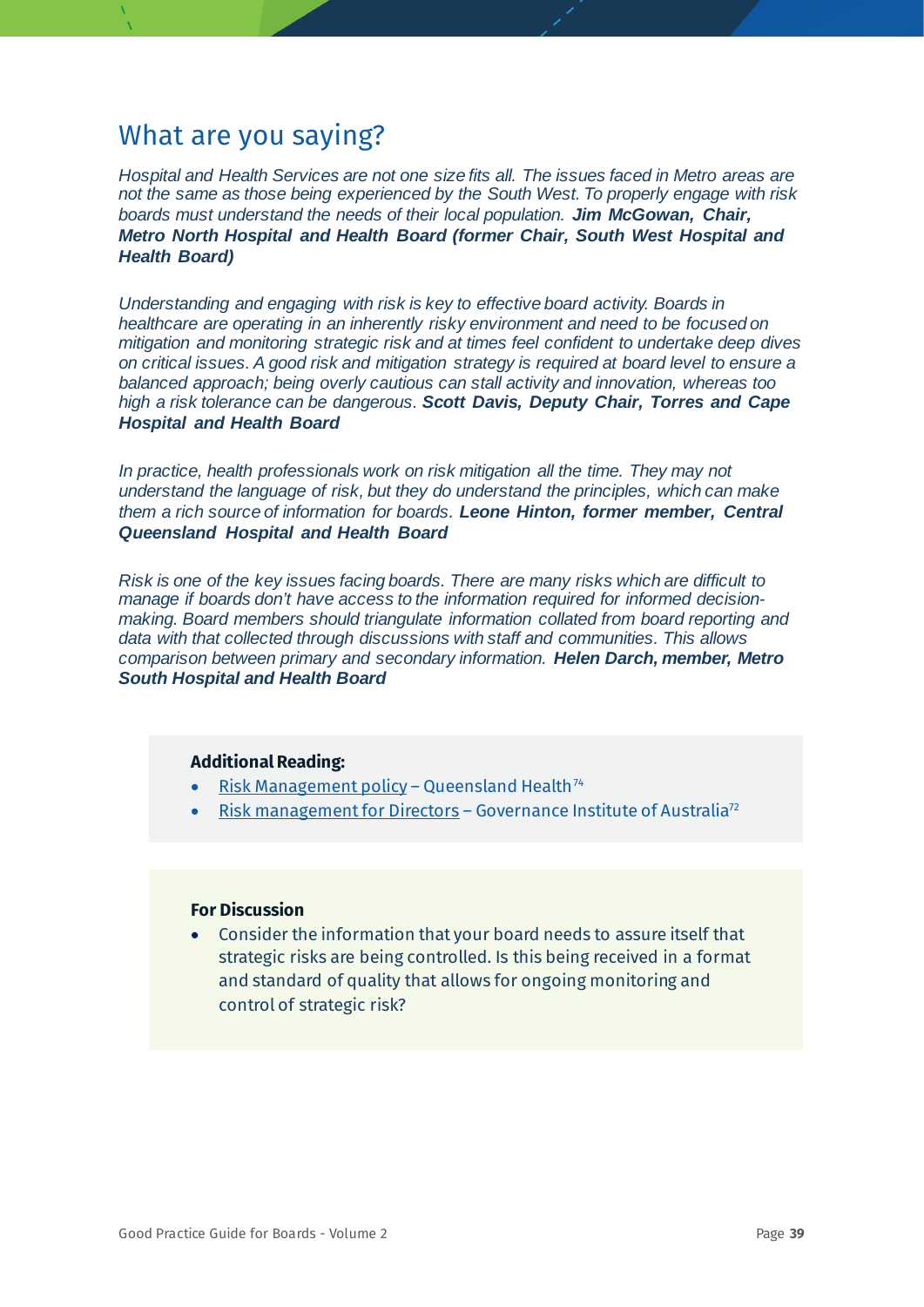*Hospital and Health Services are not one size fits all. The issues faced in Metro areas are not the same as those being experienced by the South West. To properly engage with risk boards must understand the needs of their local population. Jim McGowan, Chair, Metro North Hospital and Health Board (former Chair, South West Hospital and Health Board)*

*Understanding and engaging with risk is key to effective board activity. Boards in healthcare are operating in an inherently risky environment and need to be focused on mitigation and monitoring strategic risk and at times feel confident to undertake deep dives on critical issues. A good risk and mitigation strategy is required at board level to ensure a balanced approach; being overly cautious can stall activity and innovation, whereas too high a risk tolerance can be dangerous. Scott Davis, Deputy Chair, Torres and Cape Hospital and Health Board*

*In practice, health professionals work on risk mitigation all the time. They may not understand the language of risk, but they do understand the principles, which can make them a rich source of information for boards. Leone Hinton, former member, Central Queensland Hospital and Health Board*

*Risk is one of the key issues facing boards. There are many risks which are difficult to manage if boards don't have access to the information required for informed decisionmaking. Board members should triangulate information collated from board reporting and data with that collected through discussions with staff and communities. This allows comparison between primary and secondary information. Helen Darch, member, Metro South Hospital and Health Board*

#### **Additional Reading:**

- [Risk Management policy](https://www.health.qld.gov.au/system-governance/policies-standards/doh-policy/policy/qh-pol-070.pdf) Queensland Health<sup>[74](#page-78-6)</sup>
- [Risk management for Directors](https://www.governanceinstitute.com.au/media/882833/risk_management_for_directors.pdf) Governance Institute of Australia<sup>72</sup>

#### **For Discussion**

• Consider the information that your board needs to assure itself that strategic risks are being controlled. Is this being received in a format and standard of quality that allows for ongoing monitoring and control of strategic risk?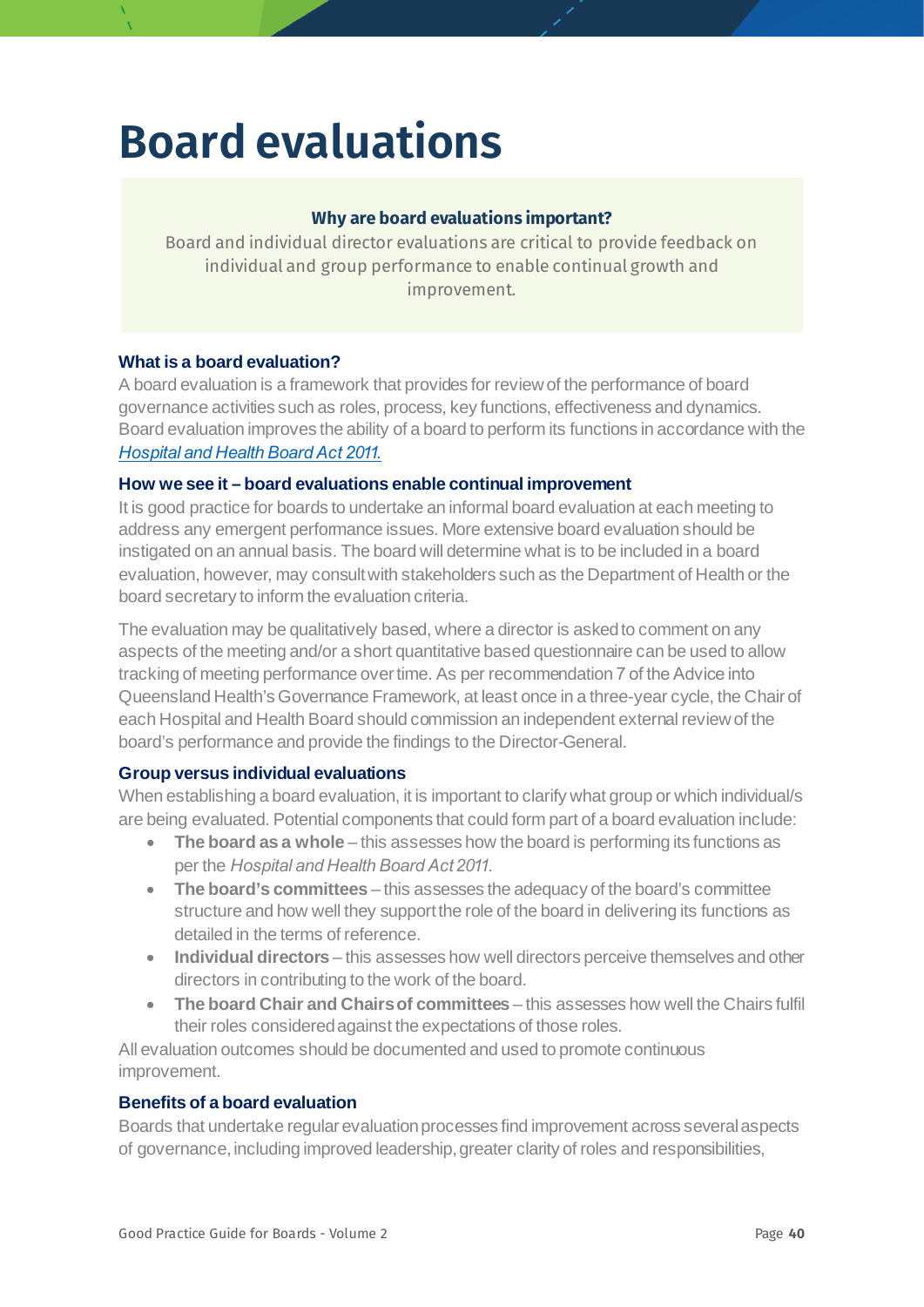## **Board evaluations**

#### **Why are board evaluations important?**

Board and individual director evaluations are critical to provide feedback on individual and group performance to enable continual growth and improvement.

#### **What is a board evaluation?**

A board evaluation is a framework that provides for review of the performance of board governance activities such as roles, process, key functions, effectiveness and dynamics. Board evaluation improves the ability of a board to perform its functions in accordance with the *[Hospital and Health Board Act 2011.](https://www.legislation.qld.gov.au/view/pdf/inforce/current/act-2011-032)*

#### **How we see it – board evaluations enable continual improvement**

It is good practice for boards to undertake an informal board evaluation at each meeting to address any emergent performance issues. More extensive board evaluation should be instigated on an annual basis. The board will determine what is to be included in a board evaluation, however, may consult with stakeholders such as the Department of Health or the board secretary to inform the evaluation criteria.

The evaluation may be qualitatively based, where a director is asked to comment on any aspects of the meeting and/or a short quantitative based questionnaire can be used to allow tracking of meeting performance over time. As per recommendation 7 of the Advice into Queensland Health's Governance Framework, at least once in a three-year cycle, the Chair of each Hospital and Health Board should commission an independent external review of the board's performance and provide the findings to the Director-General.

#### **Group versus individual evaluations**

When establishing a board evaluation, it is important to clarify what group or which individual/s are being evaluated. Potential components that could form part of a board evaluation include:

- **The board as a whole** this assesses how the board is performing its functions as per the *Hospital and Health Board Act 2011.*
- **The board's committees** this assesses the adequacy of the board's committee structure and how well they support the role of the board in delivering its functions as detailed in the terms of reference.
- **Individual directors** this assesses how well directors perceive themselves and other directors in contributing to the work of the board.
- **The board Chair and Chairs of committees** this assesses how well the Chairs fulfil their roles considered against the expectations of those roles.

All evaluation outcomes should be documented and used to promote continuous improvement.

#### **Benefits of a board evaluation**

Boards that undertake regular evaluation processes find improvement across several aspects of governance, including improved leadership, greater clarity of roles and responsibilities,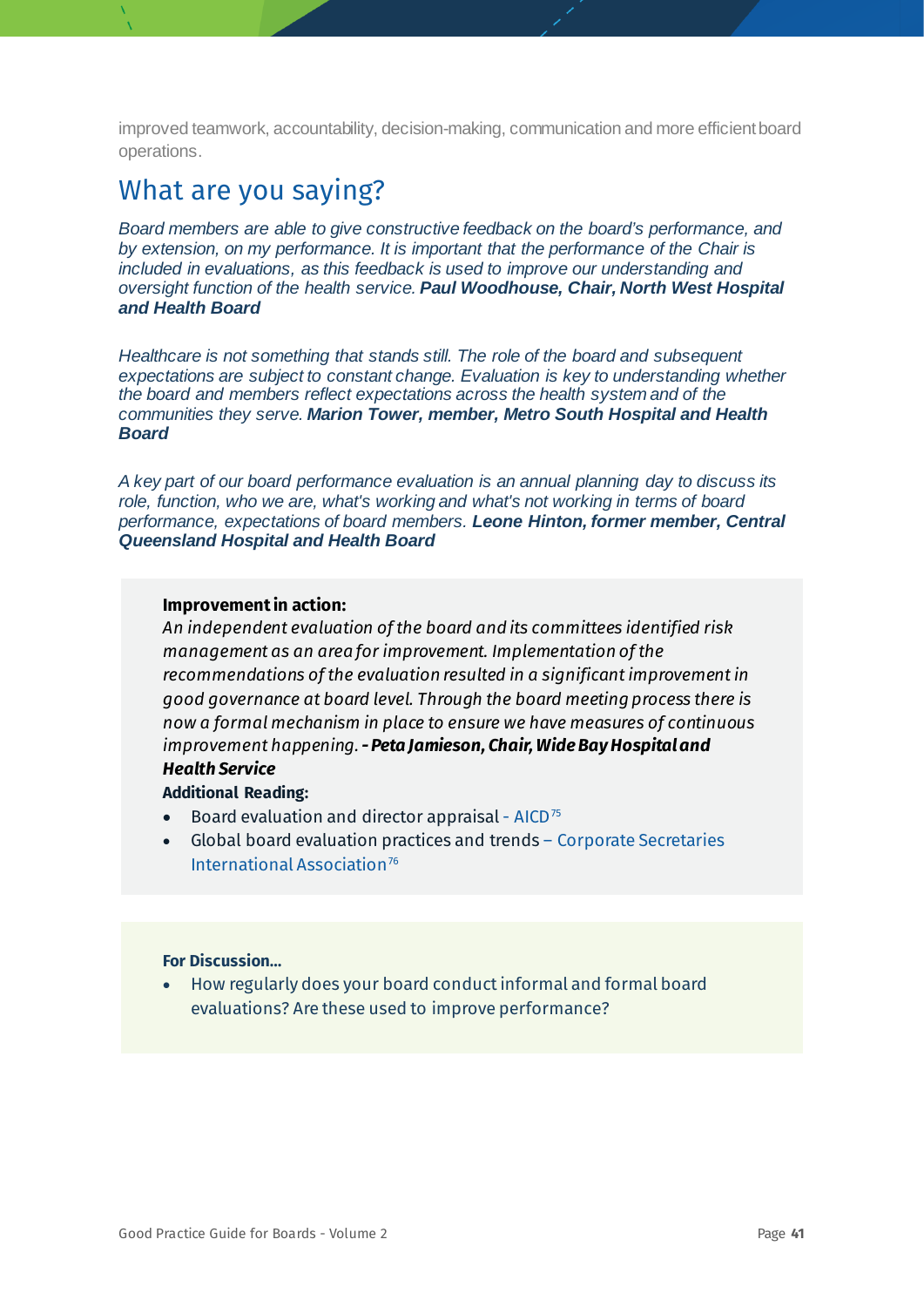improved teamwork, accountability, decision-making, communication and more efficient board operations.

## What are you saying?

*Board members are able to give constructive feedback on the board's performance, and by extension, on my performance. It is important that the performance of the Chair is included in evaluations, as this feedback is used to improve our understanding and oversight function of the health service. Paul Woodhouse, Chair, North West Hospital and Health Board*

*Healthcare is not something that stands still. The role of the board and subsequent expectations are subject to constant change. Evaluation is key to understanding whether the board and members reflect expectations across the health system and of the communities they serve. Marion Tower, member, Metro South Hospital and Health Board*

*A key part of our board performance evaluation is an annual planning day to discuss its role, function, who we are, what's working and what's not working in terms of board performance, expectations of board members. Leone Hinton, former member, Central Queensland Hospital and Health Board*

#### **Improvement in action:**

*An independent evaluation of the board and its committees identified risk management as an area for improvement. Implementation of the recommendations of the evaluation resulted in a significant improvement in good governance at board level. Through the board meeting process there is now a formal mechanism in place to ensure we have measures of continuous improvement happening.-Peta Jamieson, Chair, Wide Bay Hospital and Health Service*

### **Additional Reading:**

- [Board evaluation and director appraisal](http://aicd.companydirectors.com.au/-/media/cd2/resources/director-resources/director-tools/pdf/05446-2-1-director-tools-bp_board-evaluation-director-appraisal_a4_web.ashx)  $AICD^{75}$  $AICD^{75}$  $AICD^{75}$
- [Global board evaluation practices and trends](https://diligent.com/wp-content/uploads/sites/5/2018/07/Diligent-and-CSIA-Global-Board-Evaluations-Practices-and-Trends-Whitepaper.pdf) Corporate Secretaries International Association<sup>[76](#page-78-8)</sup>

#### **For Discussion…**

• How regularly does your board conduct informal and formal board evaluations? Are these used to improve performance?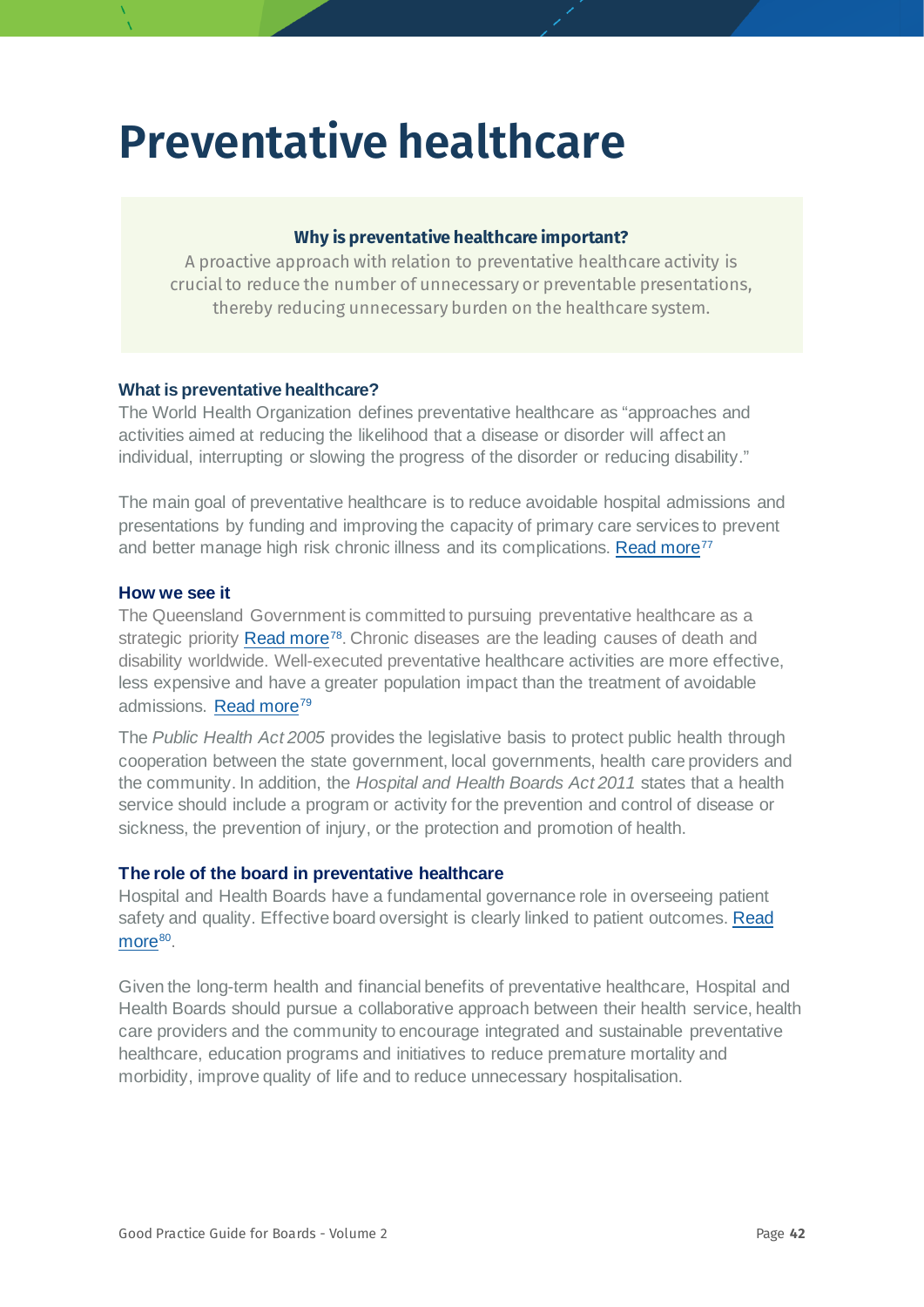## **Preventative healthcare**

#### **Why is preventative healthcare important?**

A proactive approach with relation to preventative healthcare activity is crucial to reduce the number of unnecessary or preventable presentations, thereby reducing unnecessary burden on the healthcare system.

#### **What is preventative healthcare?**

The World Health Organization defines preventative healthcare as "approaches and activities aimed at reducing the likelihood that a disease or disorder will affect an individual, interrupting or slowing the progress of the disorder or reducing disability."

The main goal of preventative healthcare is to reduce avoidable hospital admissions and presentations by funding and improving the capacity of primary care services to prevent and better manage high risk chronic illness and its complications. [Read more](https://www.aihw.gov.au/getmedia/6c8ffb4a-a0f6-49f8-9b05-01f2157b822c/8_1-health-prevention.pdf.aspx)<sup>[77](#page-78-9)</sup>

#### **How we see it**

The Queensland Government is committed to pursuing preventative healthcare as a strategic priority [Read more](https://www.queenslandplan.qld.gov.au/about/health-and-wellbeing.aspx)<sup>[78](#page-78-10)</sup>. Chronic diseases are the leading causes of death and disability worldwide. Well-executed preventative healthcare activities are more effective, less expensive and have a greater population impact than the treatment of avoidable admissions. [Read more](https://hw.qld.gov.au/our-approach/prevention/)<sup>[79](#page-78-11)</sup>

The *[Public Health Act 2005](https://www.legislation.qld.gov.au/view/html/inforce/current/act-2005-048)* provides the legislative basis to protect public health through cooperation between the state government, local governments, health care providers and the community. In addition, the *Hospital and Health Boards Act 2011* states that a health service should include a program or activity for the prevention and control of disease or sickness, the prevention of injury, or the protection and promotion of health.

#### **The role of the board in preventative healthcare**

Hospital and Health Boards have a fundamental governance role in overseeing patient safety and quality. Effective board oversight is clearly linked to patient outcomes. [Read](https://www.ncbi.nlm.nih.gov/pmc/articles/PMC3876189/) [more](https://www.ncbi.nlm.nih.gov/pmc/articles/PMC3876189/)<sup>[80](#page-78-12)</sup>.

Given the long-term health and financial benefits of preventative healthcare, Hospital and Health Boards should pursue a collaborative approach between their health service, health care providers and the community to encourage integrated and sustainable preventative healthcare, education programs and initiatives to reduce premature mortality and morbidity, improve quality of life and to reduce unnecessary hospitalisation.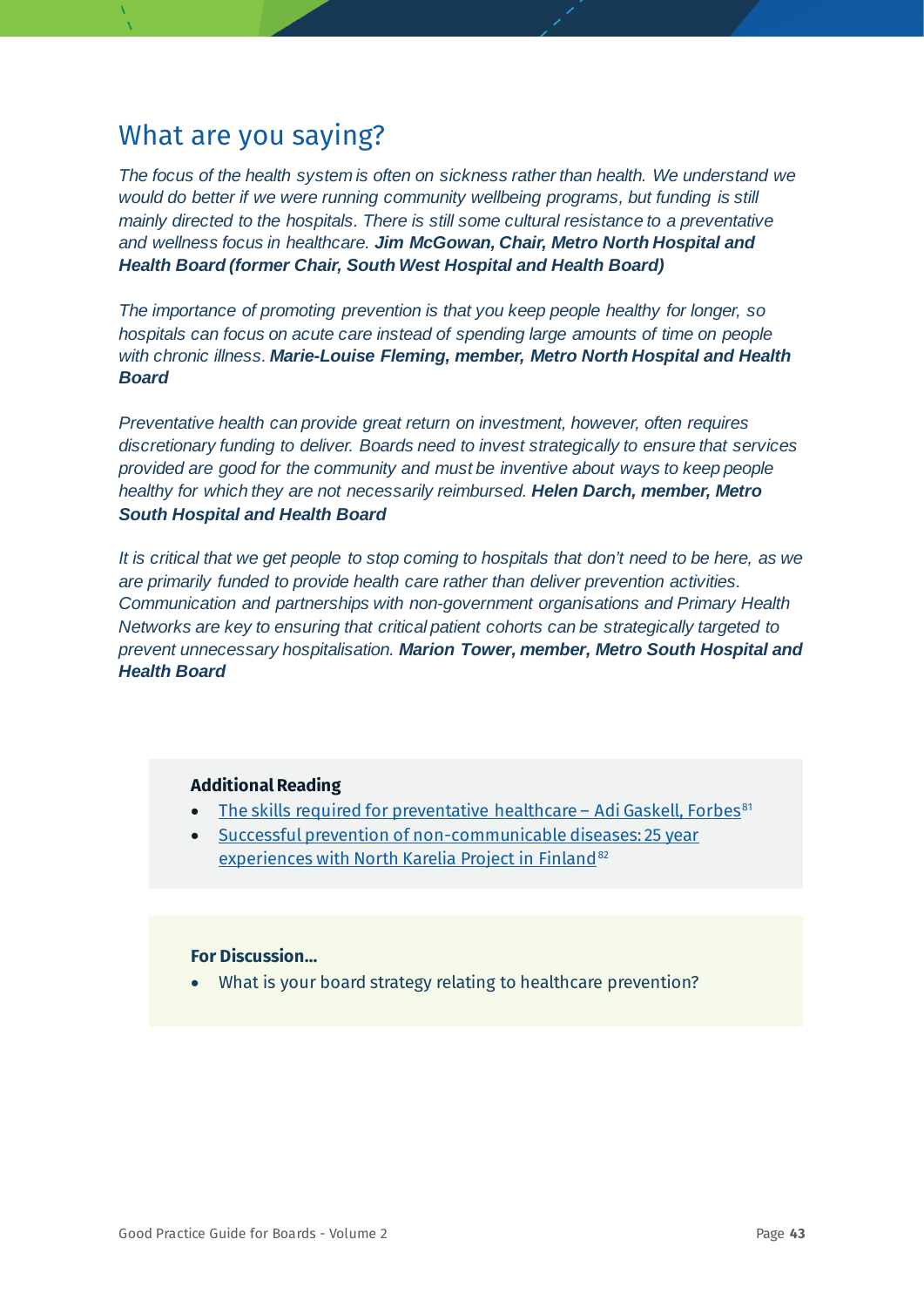*The focus of the health system is often on sickness rather than health. We understand we would do better if we were running community wellbeing programs, but funding is still mainly directed to the hospitals. There is still some cultural resistance to a preventative and wellness focus in healthcare. Jim McGowan, Chair, Metro North Hospital and Health Board (former Chair, South West Hospital and Health Board)*

*The importance of promoting prevention is that you keep people healthy for longer, so hospitals can focus on acute care instead of spending large amounts of time on people with chronic illness. Marie-Louise Fleming, member, Metro North Hospital and Health Board*

*Preventative health can provide great return on investment, however, often requires discretionary funding to deliver. Boards need to invest strategically to ensure that services provided are good for the community and must be inventive about ways to keep people healthy for which they are not necessarily reimbursed. Helen Darch, member, Metro South Hospital and Health Board*

*It is critical that we get people to stop coming to hospitals that don't need to be here, as we are primarily funded to provide health care rather than deliver prevention activities. Communication and partnerships with non-government organisations and Primary Health Networks are key to ensuring that critical patient cohorts can be strategically targeted to prevent unnecessary hospitalisation. Marion Tower, member, Metro South Hospital and Health Board*

#### **Additional Reading**

- [The skills required for preventative healthcare –](https://www.forbes.com/sites/adigaskell/2018/12/03/the-skills-required-for-preventative-healthcare/#67f1932c7e81) Adi Gaskell, Forbes<sup>[81](#page-78-13)</sup>
- [Successful prevention of non-communicable diseases: 25 year](https://www.who.int/chp/media/en/north_karelia_successful_ncd_prevention.pdf)  [experiences with North Karelia Project in Finland](https://www.who.int/chp/media/en/north_karelia_successful_ncd_prevention.pdf)<sup>[82](#page-78-14)</sup>

#### **For Discussion…**

• What is your board strategy relating to healthcare prevention?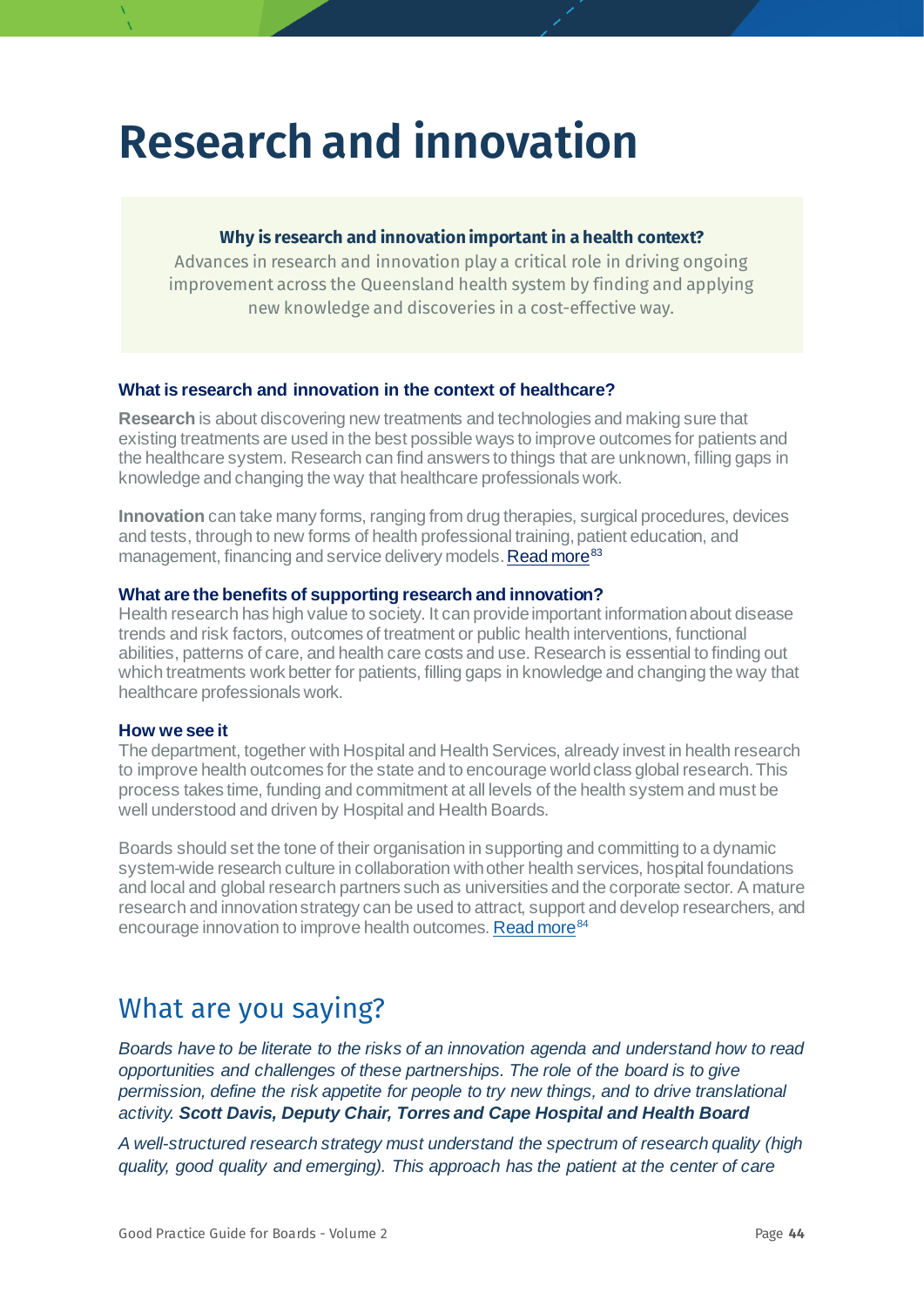## **Research and innovation**

#### **Why is research and innovation important in a health context?**

Advances in research and innovation play a critical role in driving ongoing improvement across the Queensland health system by finding and applying new knowledge and discoveries in a cost-effective way.

#### **What is research and innovation in the context of healthcare?**

**Research** is about discovering new treatments and technologies and making sure that existing treatments are used in the best possible ways to improve outcomes for patients and the healthcare system. Research can find answers to things that are unknown, filling gaps in knowledge and changing the way that healthcare professionals work.

**Innovation** can take many forms, ranging from drug therapies, surgical procedures, devices and tests, through to new forms of health professional training, patient education, and management, financing and service delivery models[. Read more](https://qualitysafety.bmj.com/content/20/Suppl_1/i47)<sup>[83](#page-78-15)</sup>

#### <span id="page-43-0"></span>**What are the benefits of supporting research and innovation?**

Health research has high value to society. It can provide important information about disease trends and risk factors, outcomes of treatment or public health interventions, functional abilities, patterns of care, and health care costs and use. Research is essential to finding out which treatments work better for patients, filling gaps in knowledge and changing the way that healthcare professionals work.

#### **How we see it**

The department, together with Hospital and Health Services, already invest in health research to improve health outcomes for the state and to encourage world class global research. This process takes time, funding and commitment at all levels of the health system and must be well understood and driven by Hospital and Health Boards.

Boards should set the tone of their organisation in supporting and committing to a dynamic system-wide research culture in collaboration with other health services, hospital foundations and local and global research partners such as universities and the corporate sector. A mature research and innovation strategy can be used to attract, support and develop researchers, and encourage innovation to improve health outcomes[. Read more](https://www.health.qld.gov.au/__data/assets/pdf_file/0042/675996/Qld-Advancing-Health-Research-web.pdf)<sup>[84](#page-78-16)</sup>

### What are you saying?

*Boards have to be literate to the risks of an innovation agenda and understand how to read opportunities and challenges of these partnerships. The role of the board is to give permission, define the risk appetite for people to try new things, and to drive translational activity. Scott Davis, Deputy Chair, Torres and Cape Hospital and Health Board*

*A well-structured research strategy must understand the spectrum of research quality (high quality, good quality and emerging). This approach has the patient at the center of care*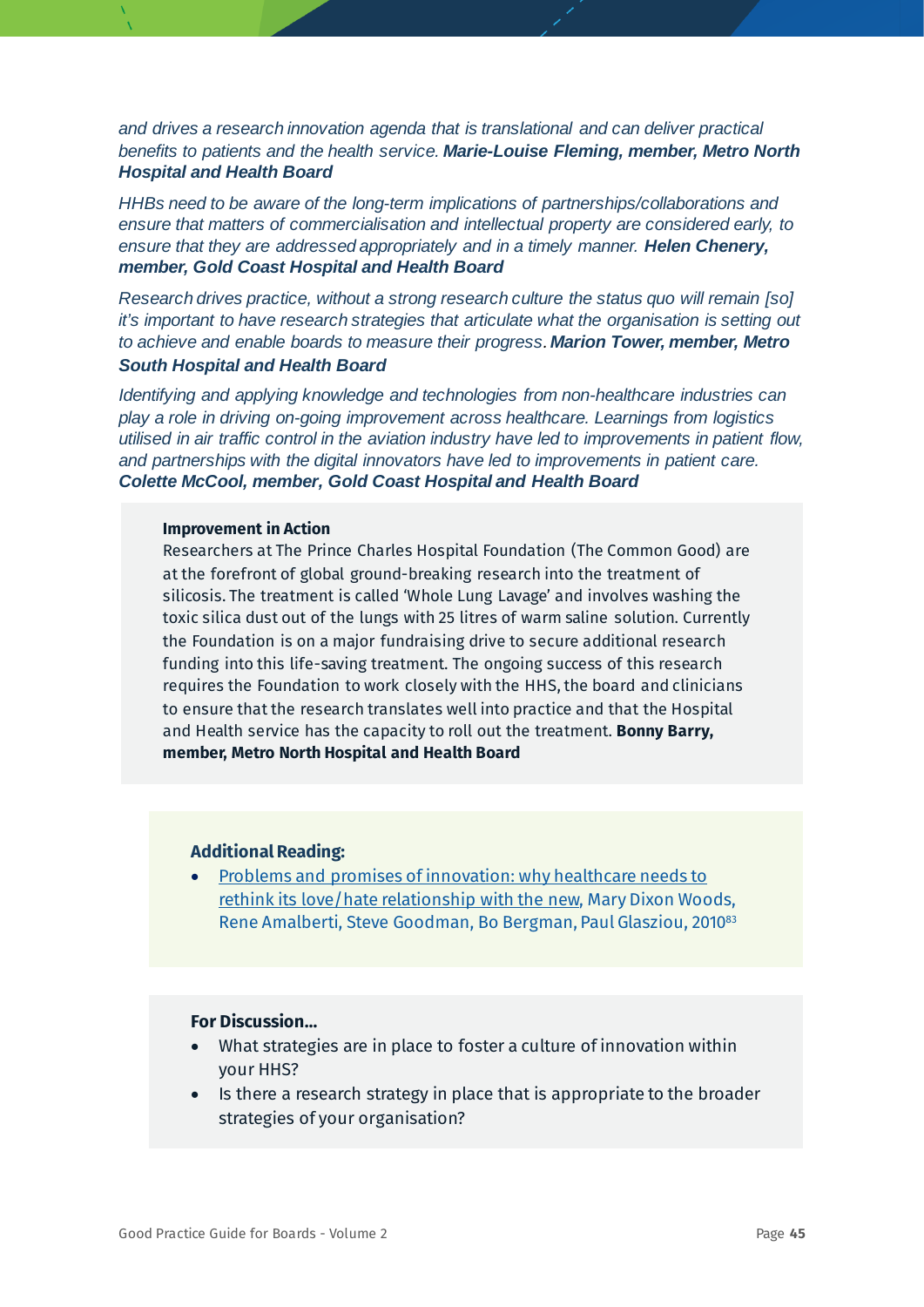*and drives a research innovation agenda that is translational and can deliver practical benefits to patients and the health service. Marie-Louise Fleming, member, Metro North Hospital and Health Board*

*HHBs need to be aware of the long-term implications of partnerships/collaborations and ensure that matters of commercialisation and intellectual property are considered early, to ensure that they are addressed appropriately and in a timely manner. Helen Chenery, member, Gold Coast Hospital and Health Board*

*Research drives practice, without a strong research culture the status quo will remain [so] it's important to have research strategies that articulate what the organisation is setting out to achieve and enable boards to measure their progress. Marion Tower, member, Metro South Hospital and Health Board*

*Identifying and applying knowledge and technologies from non-healthcare industries can play a role in driving on-going improvement across healthcare. Learnings from logistics utilised in air traffic control in the aviation industry have led to improvements in patient flow, and partnerships with the digital innovators have led to improvements in patient care. Colette McCool, member, Gold Coast Hospital and Health Board*

#### **Improvement in Action**

Researchers at The Prince Charles Hospital Foundation (The Common Good) are at the forefront of global ground-breaking research into the treatment of silicosis. The treatment is called 'Whole Lung Lavage' and involves washing the toxic silica dust out of the lungs with 25 litres of warm saline solution. Currently the Foundation is on a major fundraising drive to secure additional research funding into this life-saving treatment. The ongoing success of this research requires the Foundation to work closely with the HHS, the board and clinicians to ensure that the research translates well into practice and that the Hospital and Health service has the capacity to roll out the treatment. **Bonny Barry, member, Metro North Hospital and Health Board**

#### **Additional Reading:**

• [Problems and promises of innovation: why healthcare needs to](https://pubmed.ncbi.nlm.nih.gov/21450771/)  [rethink its love/hate relationship with the new,](https://pubmed.ncbi.nlm.nih.gov/21450771/) Mary Dixon Woods, Rene Amalberti, Steve Goodman, Bo Bergman, Paul Glasziou, 2010<sup>83</sup>

- What strategies are in place to foster a culture of innovation within your HHS?
- Is there a research strategy in place that is appropriate to the broader strategies of your organisation?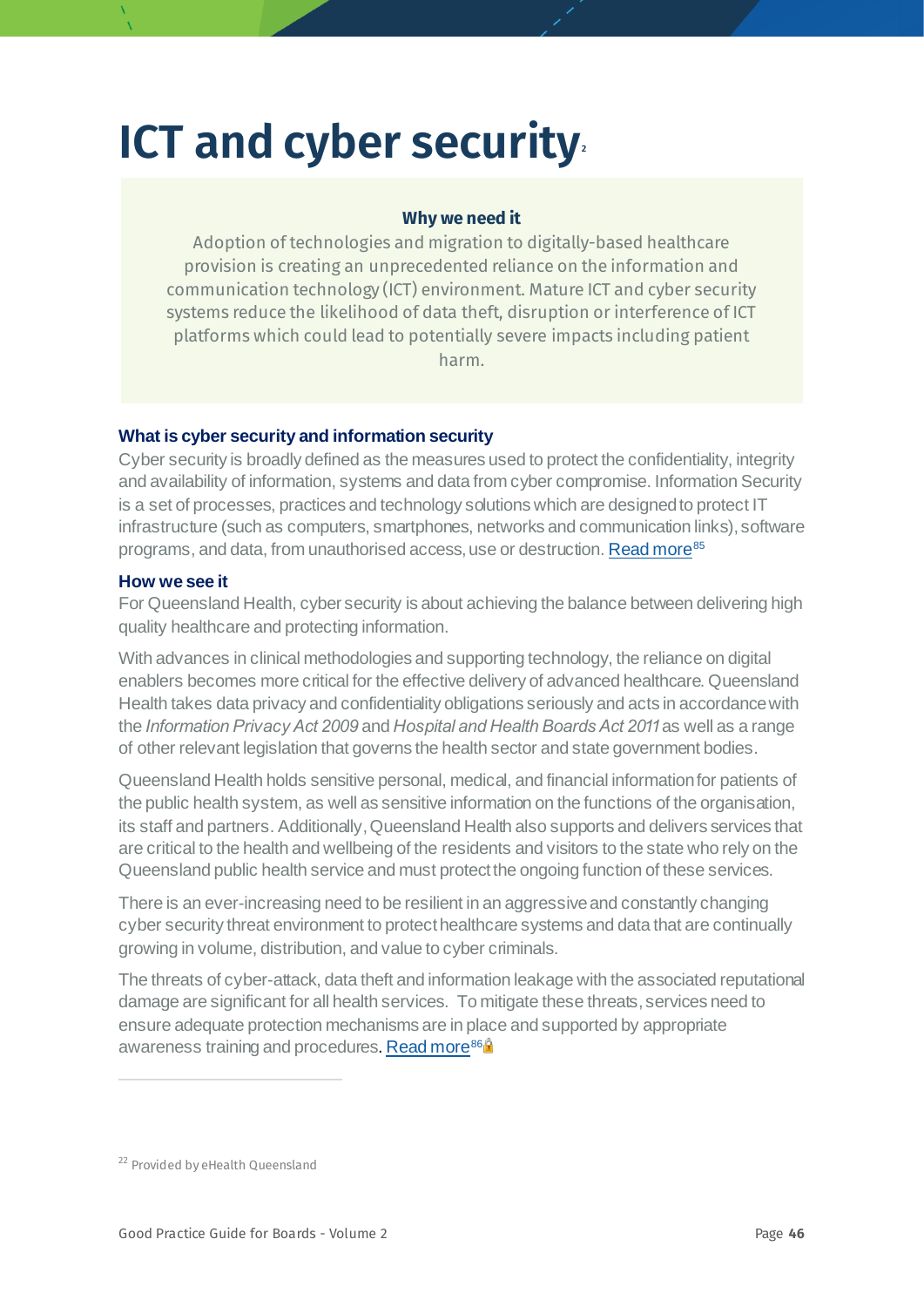## **ICT and cyber security**

#### **Why we need it**

Adoption of technologies and migration to digitally-based healthcare provision is creating an unprecedented reliance on the information and communication technology (ICT) environment. Mature ICT and cyber security systems reduce the likelihood of data theft, disruption or interference of ICT platforms which could lead to potentially severe impacts including patient harm.

#### **What is cyber security and information security**

Cyber security is broadly defined as the measures used to protect the confidentiality, integrity and availability of information, systems and data from cyber compromise. Information Security is a set of processes, practices and technology solutions which are designed to protect IT infrastructure (such as computers, smartphones, networks and communication links), software programs, and data, from unauthorised access, use or destruction. [Read more](https://aicd.companydirectors.com.au/-/media/cd2/resources/director-resources/book-store/pdf/governing-it-cybersecurity-preview.ashx)<sup>[85](#page-78-17)</sup>

#### **How we see it**

For Queensland Health, cyber security is about achieving the balance between delivering high quality healthcare and protecting information.

With advances in clinical methodologies and supporting technology, the reliance on digital enablers becomes more critical for the effective delivery of advanced healthcare. Queensland Health takes data privacy and confidentiality obligations seriously and acts in accordance with the *Information Privacy Act 2009* and *Hospital and Health Boards Act 2011* as well as a range of other relevant legislation that governs the health sector and state government bodies.

Queensland Health holds sensitive personal, medical, and financial information for patients of the public health system, as well as sensitive information on the functions of the organisation, its staff and partners. Additionally, Queensland Health also supports and delivers services that are critical to the health and wellbeing of the residents and visitors to the state who rely on the Queensland public health service and must protect the ongoing function of these services.

There is an ever-increasing need to be resilient in an aggressive and constantly changing cyber security threat environment to protect healthcare systems and data that are continually growing in volume, distribution, and value to cyber criminals.

The threats of cyber-attack, data theft and information leakage with the associated reputational damage are significant for all health services. To mitigate these threats, services need to ensure adequate protection mechanisms are in place and supported by appropriate awareness training and procedures. [Read more](https://www.governanceinstitute.com.au/resources/resource-centre/?Keywords=cybersecurity)<sup>[86](#page-78-3)</sup>

<span id="page-45-0"></span><sup>&</sup>lt;sup>22</sup> Provided by eHealth Queensland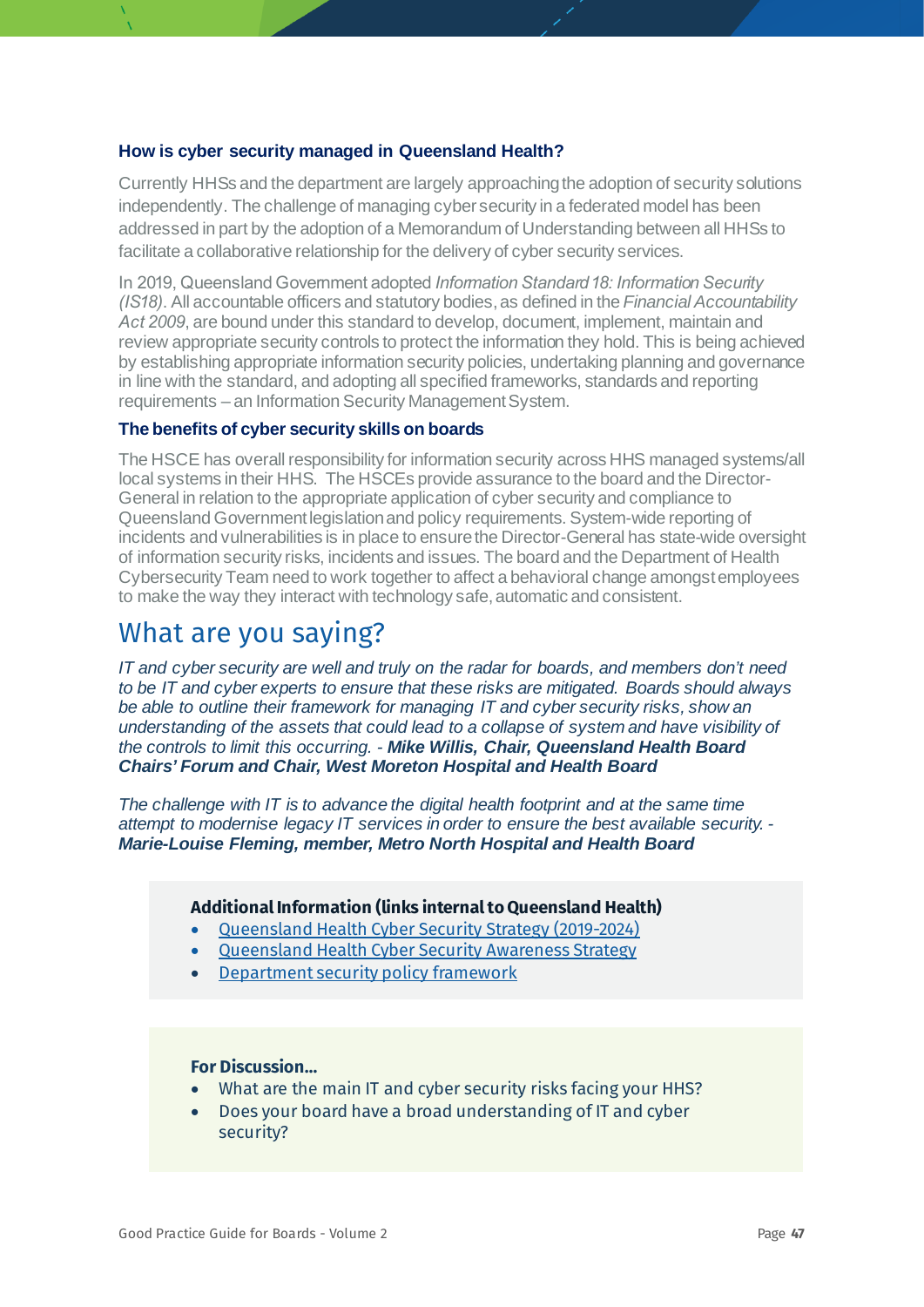#### **How is cyber security managed in Queensland Health?**

Currently HHSs and the department are largely approaching the adoption of security solutions independently. The challenge of managing cyber security in a federated model has been addressed in part by the adoption of a Memorandum of Understanding between all HHSs to facilitate a collaborative relationship for the delivery of cyber security services.

In 2019, Queensland Government adopted *Information Standard 18: Information Security (IS18)*. All accountable officers and statutory bodies, as defined in the *Financial Accountability Act 2009*, are bound under this standard to develop, document, implement, maintain and review appropriate security controls to protect the information they hold. This is being achieved by establishing appropriate information security policies, undertaking planning and governance in line with the standard, and adopting all specified frameworks, standards and reporting requirements – an Information Security Management System.

#### **The benefits of cyber security skills on boards**

The HSCE has overall responsibility for information security across HHS managed systems/all local systems in their HHS. The HSCEs provide assurance to the board and the Director-General in relation to the appropriate application of cyber security and compliance to Queensland Government legislation and policy requirements. System-wide reporting of incidents and vulnerabilities is in place to ensure the Director-General has state-wide oversight of information security risks, incidents and issues. The board and the Department of Health Cybersecurity Team need to work together to affect a behavioral change amongst employees to make the way they interact with technology safe, automatic and consistent.

### What are you saying?

*IT and cyber security are well and truly on the radar for boards, and members don't need to be IT and cyber experts to ensure that these risks are mitigated. Boards should always be able to outline their framework for managing IT and cyber security risks, show an understanding of the assets that could lead to a collapse of system and have visibility of the controls to limit this occurring. - Mike Willis, Chair, Queensland Health Board Chairs' Forum and Chair, West Moreton Hospital and Health Board*

*The challenge with IT is to advance the digital health footprint and at the same time attempt to modernise legacy IT services in order to ensure the best available security. - Marie-Louise Fleming, member, Metro North Hospital and Health Board*

#### **Additional Information (links internal to Queensland Health)**

- Queensland Health Cyber [Security Strategy \(2019-2024\)](https://qheps.health.qld.gov.au/cybersecurity/html/qhis-roadmap)
- Queensland Health Cyber [Security Awareness Strategy](https://qheps.health.qld.gov.au/cybersecurity/html/cyber-security-awareness/2020-cyber-security-awareness-strategy)
- [Department security policy framework](https://qheps.health.qld.gov.au/cybersecurity/html/framework)

- What are the main IT and cyber security risks facing your HHS?
- Does your board have a broad understanding of IT and cyber security?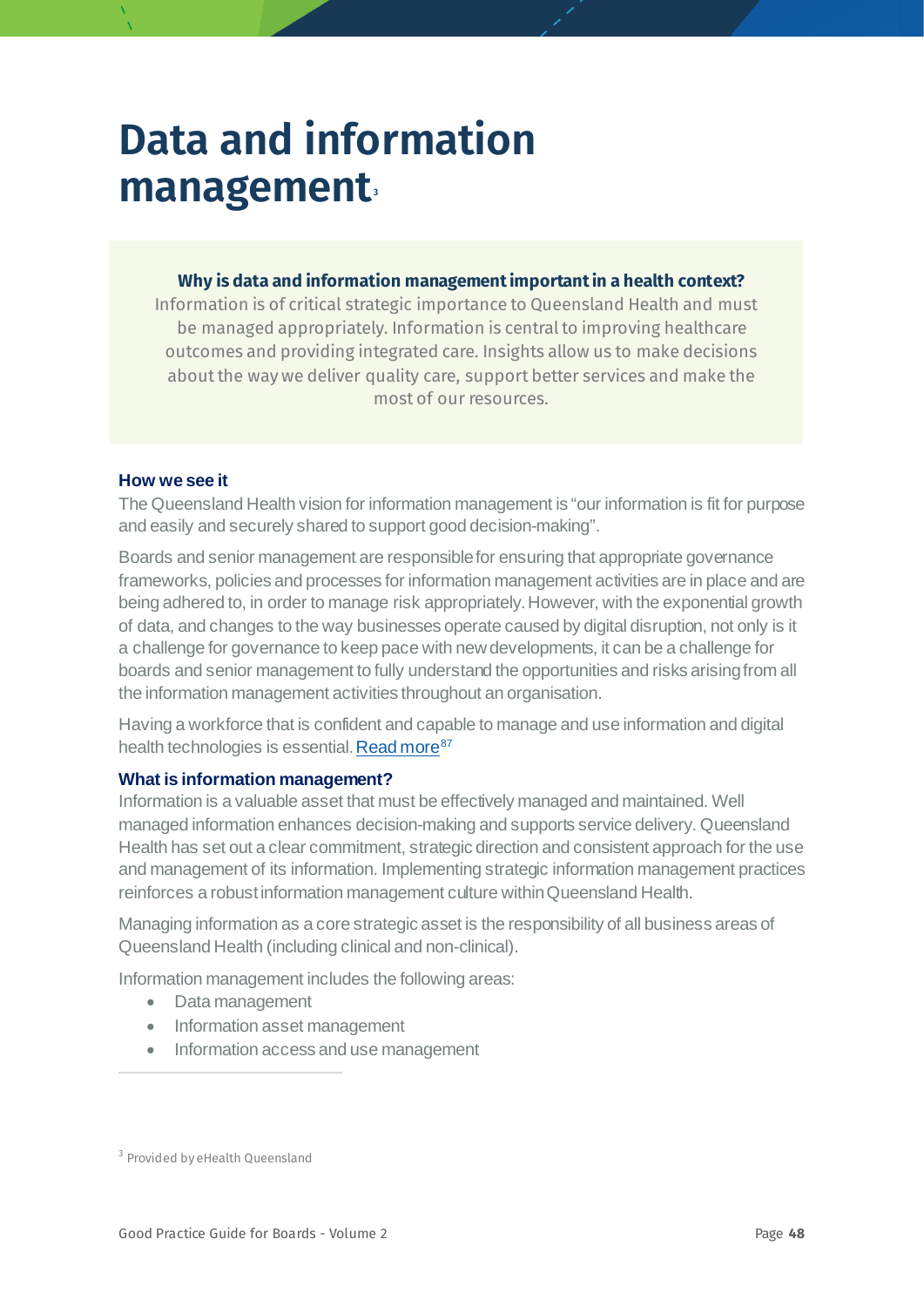## **Data and information management[3](#page-47-0)**

#### **Why is data and information management important in a health context?**

Information is of critical strategic importance to Queensland Health and must be managed appropriately. Information is central to improving healthcare outcomes and providing integrated care. Insights allow us to make decisions about the way we deliver quality care, support better services and make the most of our resources.

#### **How we see it**

The Queensland Health vision for information management is "our information is fit for purpose and easily and securely shared to support good decision-making".

Boards and senior management are responsible for ensuring that appropriate governance frameworks, policies and processes for information management activities are in place and are being adhered to, in order to manage risk appropriately. However, with the exponential growth of data, and changes to the way businesses operate caused by digital disruption, not only is it a challenge for governance to keep pace with new developments, it can be a challenge for boards and senior management to fully understand the opportunities and risks arising from all the information management activities throughout an organisation.

Having a workforce that is confident and capable to manage and use information and digital health technologies is essential. Read more<sup>[87](#page-78-18)</sup>

#### **What is information management?**

Information is a valuable asset that must be effectively managed and maintained. Well managed information enhances decision-making and supports service delivery. Queensland Health has set out a clear commitment, strategic direction and consistent approach for the use and management of its information. Implementing strategic information management practices reinforces a robust information management culture within Queensland Health.

Managing information as a core strategic asset is the responsibility of all business areas of Queensland Health (including clinical and non-clinical).

Information management includes the following areas:

- Data management
- Information asset management
- Information access and use management

<span id="page-47-0"></span><sup>&</sup>lt;sup>3</sup> Provided by eHealth Queensland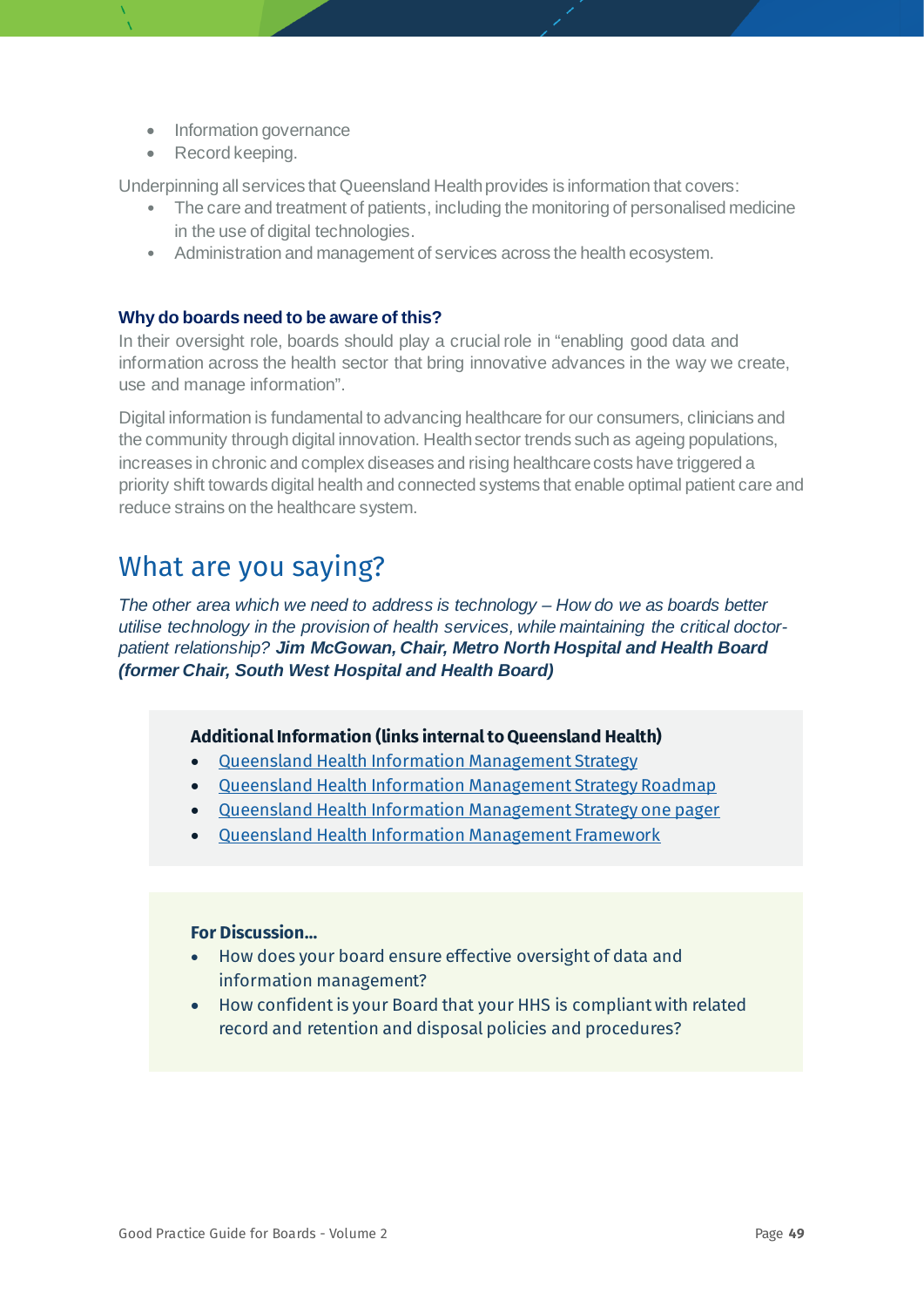- Information governance
- Record keeping.

Underpinning all services that Queensland Health provides is information that covers:

- The care and treatment of patients, including the monitoring of personalised medicine in the use of digital technologies.
- Administration and management of services across the health ecosystem.

#### **Why do boards need to be aware of this?**

In their oversight role, boards should play a crucial role in "enabling good data and information across the health sector that bring innovative advances in the way we create, use and manage information".

Digital information is fundamental to advancing healthcare for our consumers, clinicians and the community through digital innovation. Health sector trends such as ageing populations, increases in chronic and complex diseases and rising healthcare costs have triggered a priority shift towards digital health and connected systems that enable optimal patient care and reduce strains on the healthcare system.

## What are you saying?

*The other area which we need to address is technology – How do we as boards better utilise technology in the provision of health services, while maintaining the critical doctorpatient relationship? Jim McGowan, Chair, Metro North Hospital and Health Board (former Chair, South West Hospital and Health Board)*

#### **Additional Information (links internal to Queensland Health)**

- [Queensland Health Information Management Strategy](https://qheps.health.qld.gov.au/__data/assets/pdf_file/0030/2261766/Information-Management-Strategy.pdf)
- [Queensland Health Information Management Strategy Roadmap](https://qheps.health.qld.gov.au/__data/assets/pdf_file/0029/2261765/Information-Management-Strategy-Roadmap.pdf)
- [Queensland Health Information Management Strategy one pager](https://qheps.health.qld.gov.au/__data/assets/pdf_file/0037/2319949/Information-Management-Strategy-Roadmap-one-pager.pdf)
- [Queensland Health Information Management Framework](https://qheps.health.qld.gov.au/__data/assets/pdf_file/0020/2044037/im-framework-2017.pdf)

- How does your board ensure effective oversight of data and information management?
- How confident is your Board that your HHS is compliant with related record and retention and disposal policies and procedures?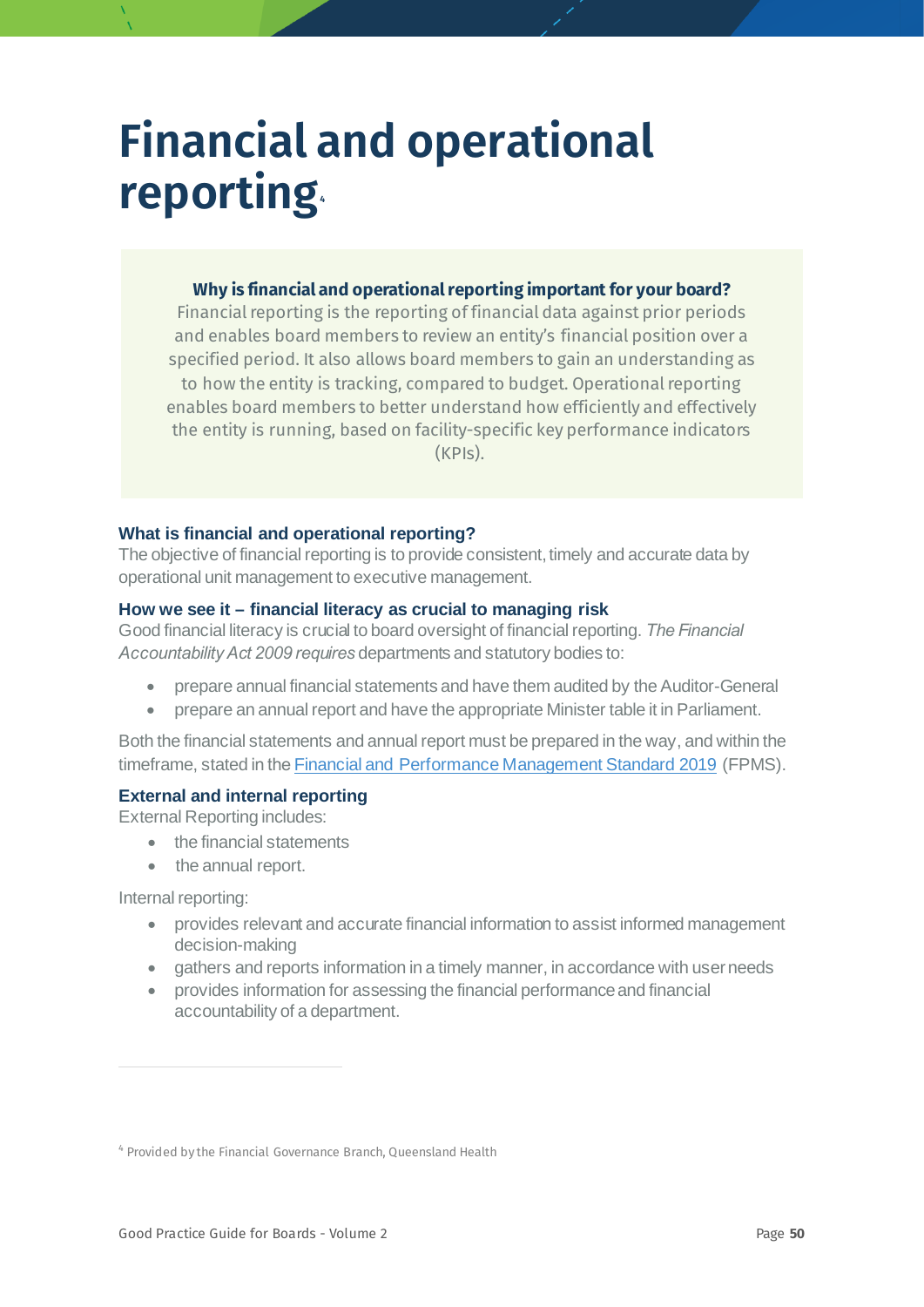## **Financial and operational reporting [4](#page-49-0)**

#### **Why is financial and operational reporting important for your board?**

Financial reporting is the reporting of financial data against prior periods and enables board members to review an entity's financial position over a specified period. It also allows board members to gain an understanding as to how the entity is tracking, compared to budget. Operational reporting enables board members to better understand how efficiently and effectively the entity is running, based on facility-specific key performance indicators (KPIs).

#### **What is financial and operational reporting?**

The objective of financial reporting is to provide consistent, timely and accurate data by operational unit management to executive management.

#### **How we see it – financial literacy as crucial to managing risk**

Good financial literacy is crucial to board oversight of financial reporting. *The Financial Accountability Act 2009 requires* departments and statutory bodies to:

- prepare annual financial statements and have them audited by the Auditor-General
- prepare an annual report and have the appropriate Minister table it in Parliament.

Both the financial statements and annual report must be prepared in the way, and within the timeframe, stated in the [Financial and Performance Management Standard 2019](https://www.legislation.qld.gov.au/view/html/asmade/sl-2019-0182) (FPMS).

#### **External and internal reporting**

External Reporting includes:

- the financial statements
- the annual report.

Internal reporting:

- provides relevant and accurate financial information to assist informed management decision-making
- gathers and reports information in a timely manner, in accordance with user needs
- provides information for assessing the financial performance and financial accountability of a department.

<span id="page-49-0"></span><sup>4</sup> Provided by the Financial Governance Branch, Queensland Health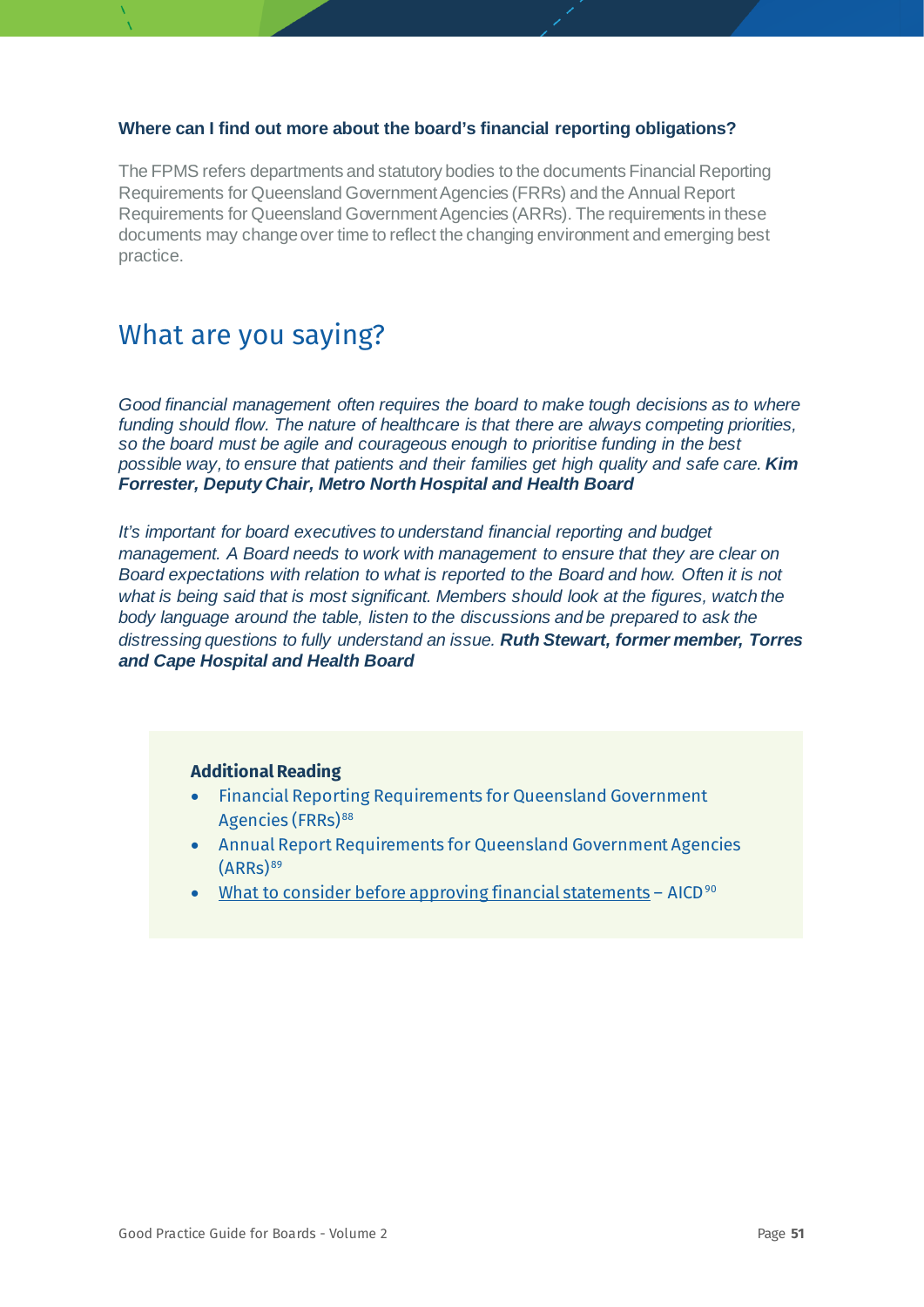#### **Where can I find out more about the board's financial reporting obligations?**

The FPMS refers departments and statutory bodies to the documents Financial Reporting Requirements for Queensland Government Agencies (FRRs) and the Annual Report Requirements for Queensland Government Agencies (ARRs). The requirements in these documents may change over time to reflect the changing environment and emerging best practice.

## What are you saying?

*Good financial management often requires the board to make tough decisions as to where funding should flow. The nature of healthcare is that there are always competing priorities, so the board must be agile and courageous enough to prioritise funding in the best possible way, to ensure that patients and their families get high quality and safe care. Kim Forrester, Deputy Chair, Metro North Hospital and Health Board*

*It's important for board executives to understand financial reporting and budget management. A Board needs to work with management to ensure that they are clear on Board expectations with relation to what is reported to the Board and how. Often it is not what is being said that is most significant. Members should look at the figures, watch the body language around the table, listen to the discussions and be prepared to ask the distressing questions to fully understand an issue. Ruth Stewart, former member, Torres and Cape Hospital and Health Board* 

#### **Additional Reading**

- Financial Reporting Requirements for Queensland Government Agencies (FRRs)<sup>[88](#page-78-19)</sup>
- Annual Report Requirements for Queensland Government Agencies  $(ARRS)$ <sup>[89](#page-78-20)</sup>
- [What to consider before approving financial statements](https://aicd.companydirectors.com.au/-/media/cd2/resources/director-resources/director-tools/2019/organisational/07236-3-12-what-to-consider-before-approving-financial-statements-fa.ashx) AICD $90$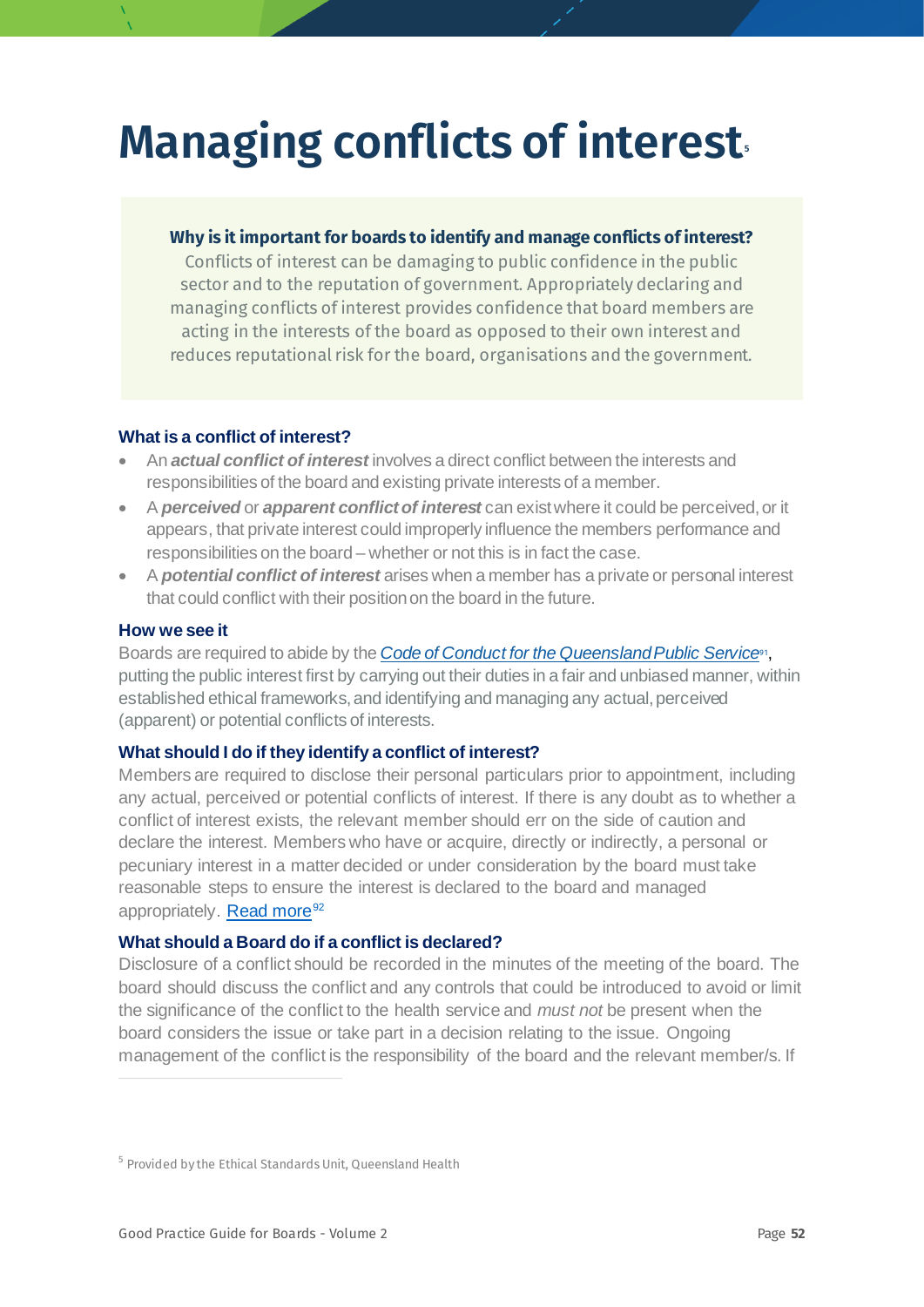# **Managing conflicts of interest[5](#page-51-0)**

#### **Why is it important for boards to identify and manage conflicts of interest?**

Conflicts of interest can be damaging to public confidence in the public sector and to the reputation of government. Appropriately declaring and managing conflicts of interest provides confidence that board members are acting in the interests of the board as opposed to their own interest and reduces reputational risk for the board, organisations and the government.

#### **What is a conflict of interest?**

- An *actual conflict of interest* involves a direct conflict between the interests and responsibilities of the board and existing private interests of a member.
- A *perceived* or *apparent conflict of interest* can exist where it could be perceived, or it appears, that private interest could improperly influence the members performance and responsibilities on the board – whether or not this is in fact the case.
- A *potential conflict of interest* arises when a member has a private or personal interest that could conflict with their position on the board in the future.

#### **How we see it**

<span id="page-51-1"></span>Boards are required to abide by the *[Code of Conduct for the Queensland Public Service](https://www.forgov.qld.gov.au/code-conduct-queensland-public-service)*[91](#page-78-22), putting the public interest first by carrying out their duties in a fair and unbiased manner, within established ethical frameworks, and identifying and managing any actual, perceived (apparent) or potential conflicts of interests.

#### **What should I do if they identify a conflict of interest?**

Members are required to disclose their personal particulars prior to appointment, including any actual, perceived or potential conflicts of interest. If there is any doubt as to whether a conflict of interest exists, the relevant member should err on the side of caution and declare the interest. Members who have or acquire, directly or indirectly, a personal or pecuniary interest in a matter decided or under consideration by the board must take reasonable steps to ensure the interest is declared to the board and managed appropriately. [Read more](https://www.integrity.qld.gov.au/assets/document/catalogue/resources/multi-member-decision-making-bodies.pdf)<sup>[92](#page-78-23)</sup>

#### <span id="page-51-2"></span>**What should a Board do if a conflict is declared?**

Disclosure of a conflict should be recorded in the minutes of the meeting of the board. The board should discuss the conflict and any controls that could be introduced to avoid or limit the significance of the conflict to the health service and *must not* be present when the board considers the issue or take part in a decision relating to the issue. Ongoing management of the conflict is the responsibility of the board and the relevant member/s. If

<span id="page-51-0"></span><sup>5</sup> Provided by the Ethical Standards Unit, Queensland Health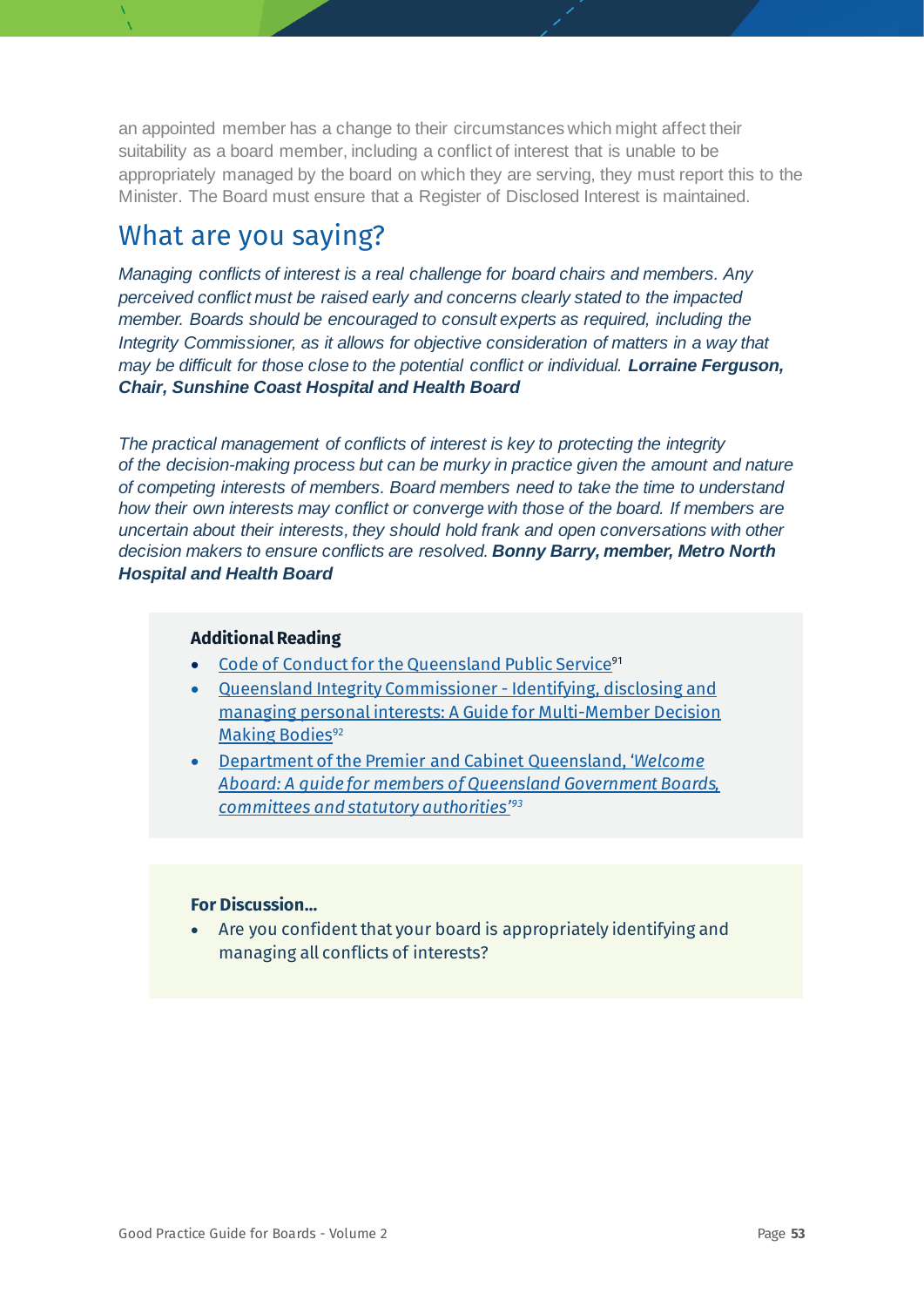an appointed member has a change to their circumstances which might affect their suitability as a board member, including a conflict of interest that is unable to be appropriately managed by the board on which they are serving, they must report this to the Minister. The Board must ensure that a Register of Disclosed Interest is maintained.

## What are you saying?

*Managing conflicts of interest is a real challenge for board chairs and members. Any perceived conflict must be raised early and concerns clearly stated to the impacted member. Boards should be encouraged to consult experts as required, including the Integrity Commissioner, as it allows for objective consideration of matters in a way that may be difficult for those close to the potential conflict or individual. Lorraine Ferguson, Chair, Sunshine Coast Hospital and Health Board*

*The practical management of conflicts of interest is key to protecting the integrity of the decision-making process but can be murky in practice given the amount and nature of competing interests of members. Board members need to take the time to understand how their own interests may conflict or converge with those of the board. If members are uncertain about their interests, they should hold frank and open conversations with other decision makers to ensure conflicts are resolved. Bonny Barry, member, Metro North Hospital and Health Board* 

#### **Additional Reading**

- [Code of Conduct for the Queensland Public Service](https://www.forgov.qld.gov.au/code-conduct-queensland-public-service)<sup>[91](#page-51-1)</sup>
- [Queensland Integrity Commissioner -](https://www.integrity.qld.gov.au/assets/document/catalogue/resources/discussion-paper-disclosure-interests-october-2019.pdf?a) Identifying, disclosing and [managing personal interests: A Guide for Multi-Member Decision](https://www.integrity.qld.gov.au/assets/document/catalogue/resources/discussion-paper-disclosure-interests-october-2019.pdf?a)  [Making Bodies](https://www.integrity.qld.gov.au/assets/document/catalogue/resources/discussion-paper-disclosure-interests-october-2019.pdf?a)<sup>[92](#page-51-2)</sup>
- [Department of the Premier and Cabinet Queensland, '](https://www.premiers.qld.gov.au/publications/categories/policies-and-codes/handbooks/welcome-aboard/assets/welcome-aboard-handbook.pdf)*Welcome [Aboard: A guide for members of Queensland Government Boards,](https://www.premiers.qld.gov.au/publications/categories/policies-and-codes/handbooks/welcome-aboard/assets/welcome-aboard-handbook.pdf)  [committees and statutory authorities'93](https://www.premiers.qld.gov.au/publications/categories/policies-and-codes/handbooks/welcome-aboard/assets/welcome-aboard-handbook.pdf)*

#### **For Discussion…**

• Are you confident that your board is appropriately identifying and managing all conflicts of interests?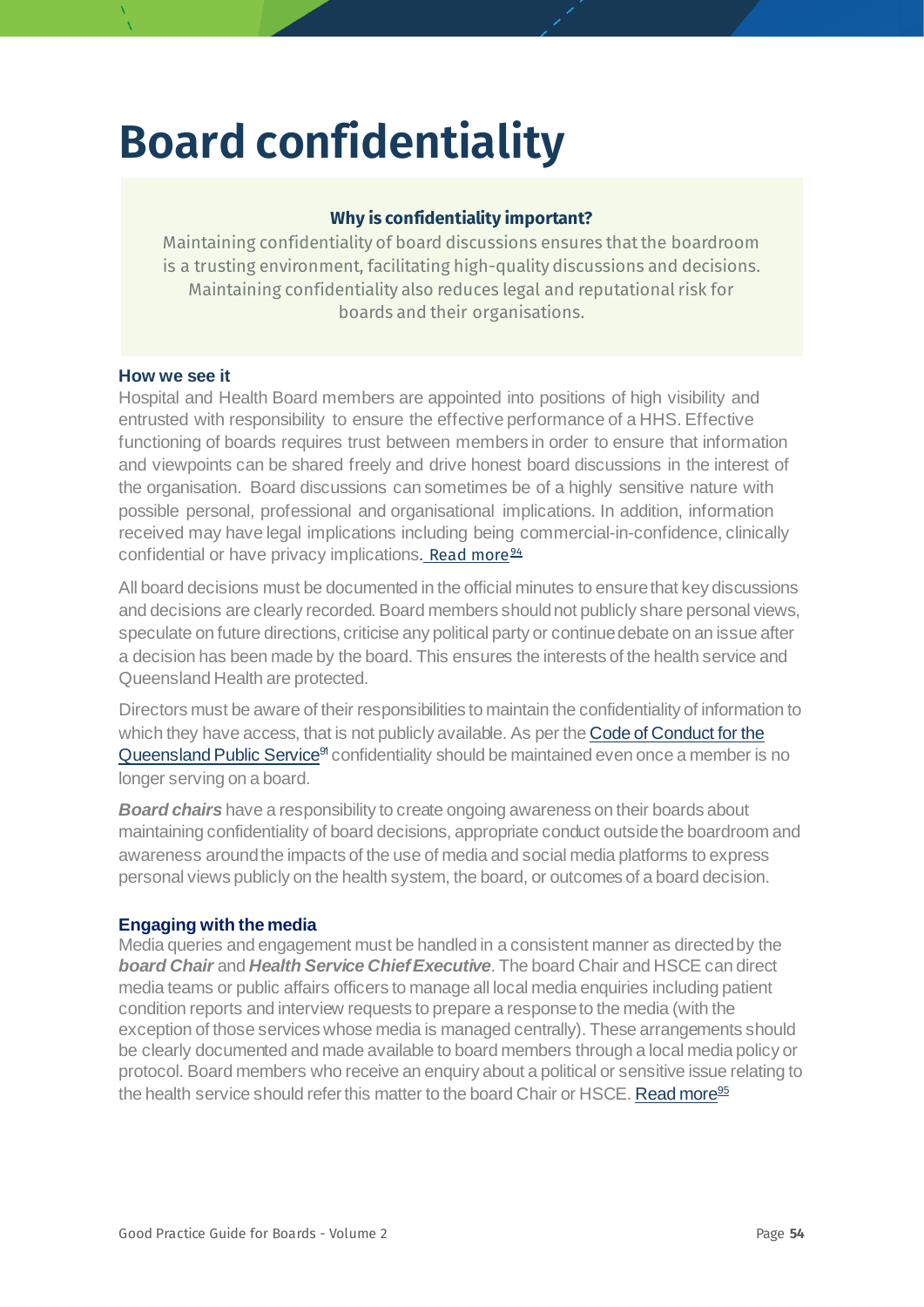# **Board confidentiality**

#### **Why is confidentiality important?**

Maintaining confidentiality of board discussions ensures that the boardroom is a trusting environment, facilitating high-quality discussions and decisions. Maintaining confidentiality also reduces legal and reputational risk for boards and their organisations.

#### **How we see it**

Hospital and Health Board members are appointed into positions of high visibility and entrusted with responsibility to ensure the effective performance of a HHS. Effective functioning of boards requires trust between members in order to ensure that information and viewpoints can be shared freely and drive honest board discussions in the interest of the organisation. Board discussions can sometimes be of a highly sensitive nature with possible personal, professional and organisational implications. In addition, information received may have legal implications including being commercial-in-confidence, clinically confidential or have privacy implications. [Read more](https://corpgov.law.harvard.edu/2014/01/23/boardroom-confidentiality-under-focus/)  $94$ 

All board decisions must be documented in the official minutes to ensure that key discussions and decisions are clearly recorded. Board members should not publicly share personal views, speculate on future directions, criticise any political party or continue debate on an issue after a decision has been made by the board. This ensures the interests of the health service and Queensland Health are protected.

Directors must be aware of their responsibilities to maintain the confidentiality of information to which they have access, that is not publicly available. As per th[e Code of Conduct for the](https://www.forgov.qld.gov.au/code-conduct-queensland-public-service)  [Queensland Public Service](https://www.forgov.qld.gov.au/code-conduct-queensland-public-service)<sup>91</sup> confidentiality should be maintained even once a member is no longer serving on a board.

*Board chairs* have a responsibility to create ongoing awareness on their boards about maintaining confidentiality of board decisions, appropriate conduct outside the boardroom and awareness around the impacts of the use of media and social media platforms to express personal views publicly on the health system, the board, or outcomes of a board decision.

#### **Engaging with the media**

Media queries and engagement must be handled in a consistent manner as directed by the *board Chair* and *Health Service Chief Executive*. The board Chair and HSCE can direct media teams or public affairs officers to manage all local media enquiries including patient condition reports and interview requests to prepare a response to the media (with the exception of those services whose media is managed centrally). These arrangements should be clearly documented and made available to board members through a local media policy or protocol. Board members who receive an enquiry about a political or sensitive issue relating to the health service should refer this matter to the board Chair or HSCE. [Read more](https://www.health.qld.gov.au/__data/assets/pdf_file/0036/397467/qh-imp-422-1.pdf)<sup>[95](#page-78-26)</sup>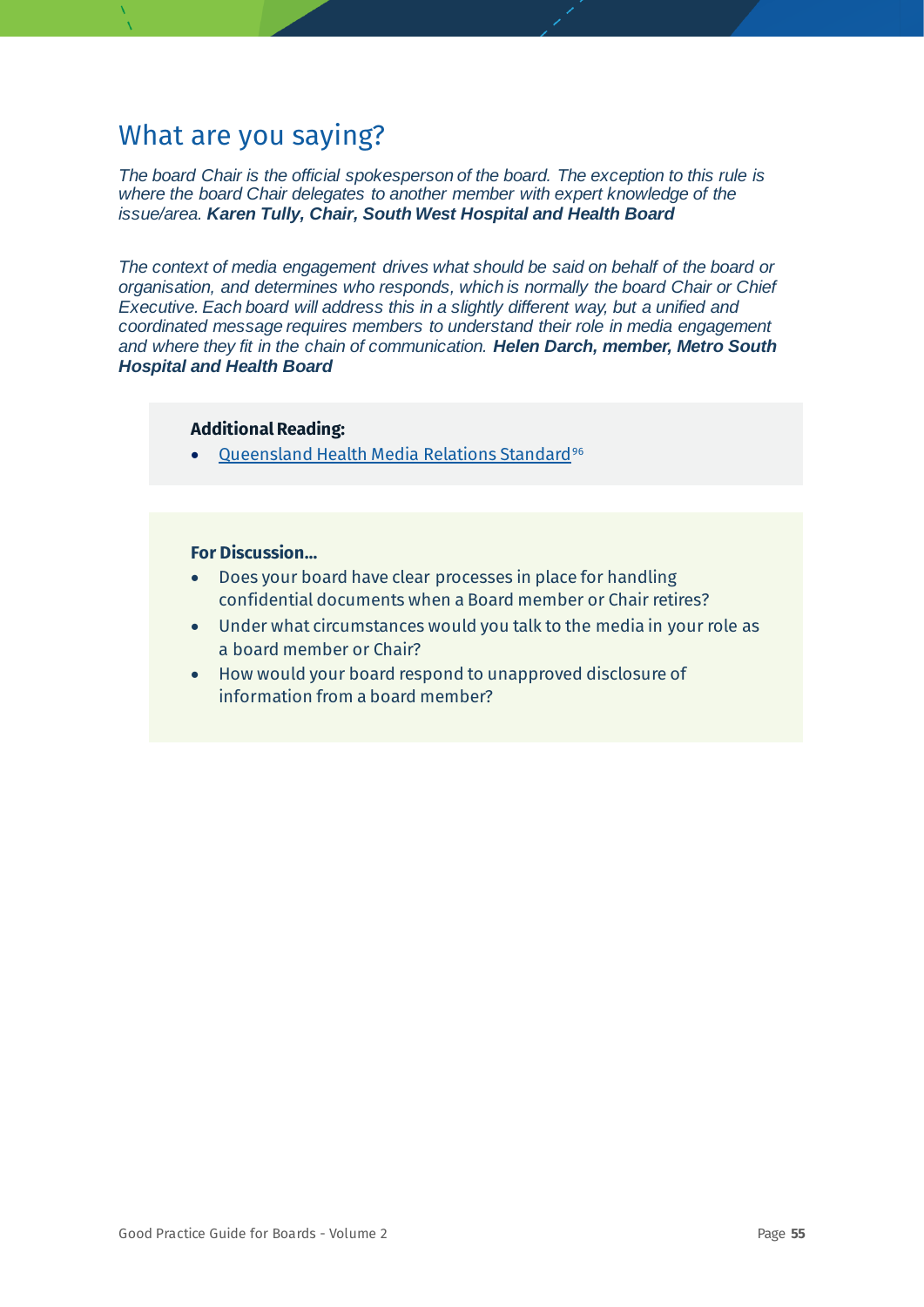*The board Chair is the official spokesperson of the board. The exception to this rule is where the board Chair delegates to another member with expert knowledge of the issue/area. Karen Tully, Chair, South West Hospital and Health Board* 

*The context of media engagement drives what should be said on behalf of the board or organisation, and determines who responds, which is normally the board Chair or Chief Executive. Each board will address this in a slightly different way, but a unified and coordinated message requires members to understand their role in media engagement and where they fit in the chain of communication. Helen Darch, member, Metro South Hospital and Health Board*

#### **Additional Reading:**

• [Queensland Health Media Relations Standard](https://www.health.qld.gov.au/__data/assets/pdf_file/0037/397378/qh-imp-423-1.pdf)<sup>[96](#page-78-27)</sup>

- Does your board have clear processes in place for handling confidential documents when a Board member or Chair retires?
- Under what circumstances would you talk to the media in your role as a board member or Chair?
- How would your board respond to unapproved disclosure of information from a board member?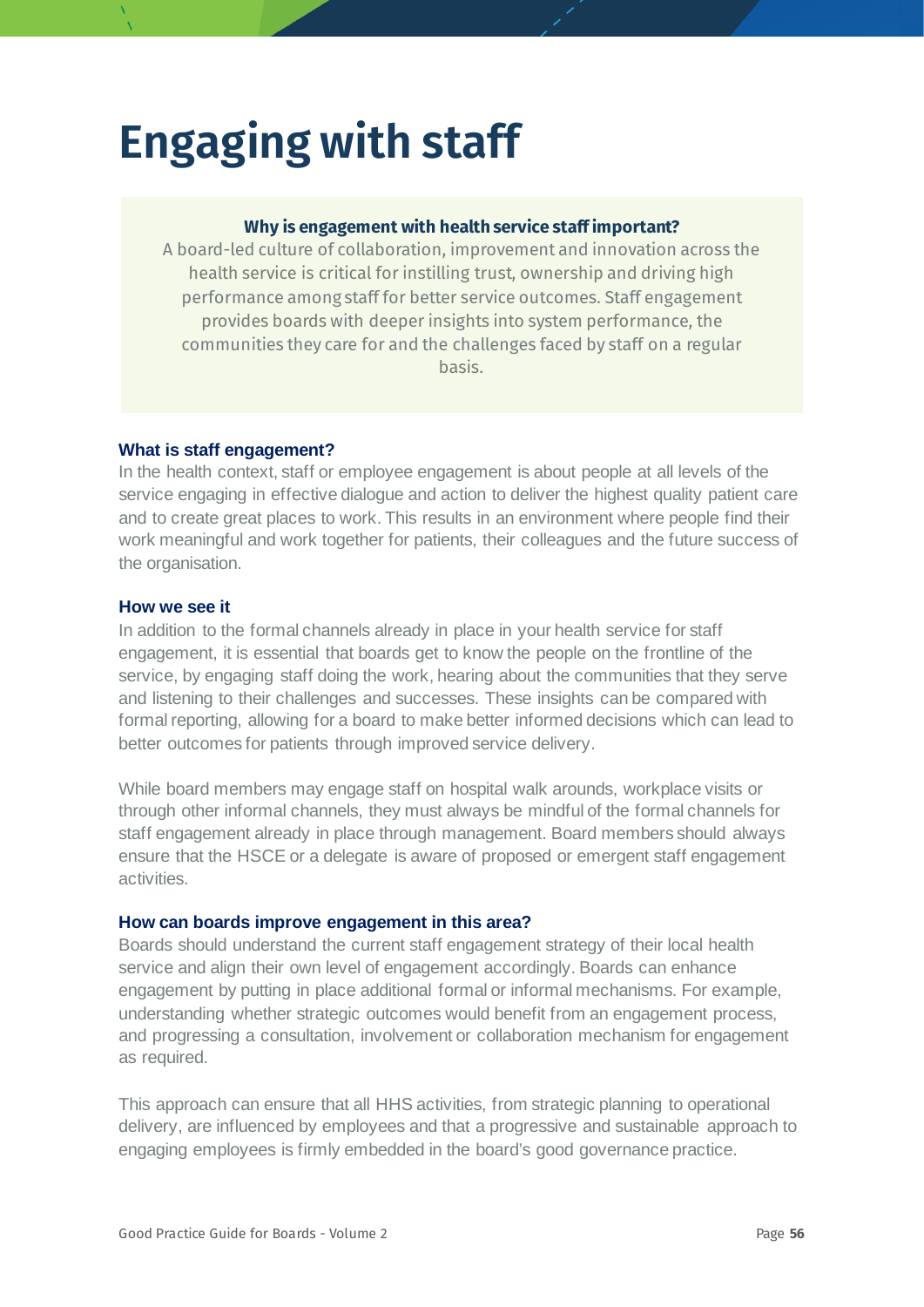# **Engaging with staff**

#### **Why is engagement with health service staff important?**

A board-led culture of collaboration, improvement and innovation across the health service is critical for instilling trust, ownership and driving high performance among staff for better service outcomes. Staff engagement provides boards with deeper insights into system performance, the communities they care for and the challenges faced by staff on a regular basis.

#### **What is staff engagement?**

In the health context, staff or employee engagement is about people at all levels of the service engaging in effective dialogue and action to deliver the highest quality patient care and to create great places to work. This results in an environment where people find their work meaningful and work together for patients, their colleagues and the future success of the organisation.

#### **How we see it**

In addition to the formal channels already in place in your health service for staff engagement, it is essential that boards get to know the people on the frontline of the service, by engaging staff doing the work, hearing about the communities that they serve and listening to their challenges and successes. These insights can be compared with formal reporting, allowing for a board to make better informed decisions which can lead to better outcomes for patients through improved service delivery.

While board members may engage staff on hospital walk arounds, workplace visits or through other informal channels, they must always be mindful of the formal channels for staff engagement already in place through management. Board members should always ensure that the HSCE or a delegate is aware of proposed or emergent staff engagement activities.

#### **How can boards improve engagement in this area?**

Boards should understand the current staff engagement strategy of their local health service and align their own level of engagement accordingly. Boards can enhance engagement by putting in place additional formal or informal mechanisms. For example, understanding whether strategic outcomes would benefit from an engagement process, and progressing a consultation, involvement or collaboration mechanism for engagement as required.

This approach can ensure that all HHS activities, from strategic planning to operational delivery, are influenced by employees and that a progressive and sustainable approach to engaging employees is firmly embedded in the board's good governance practice.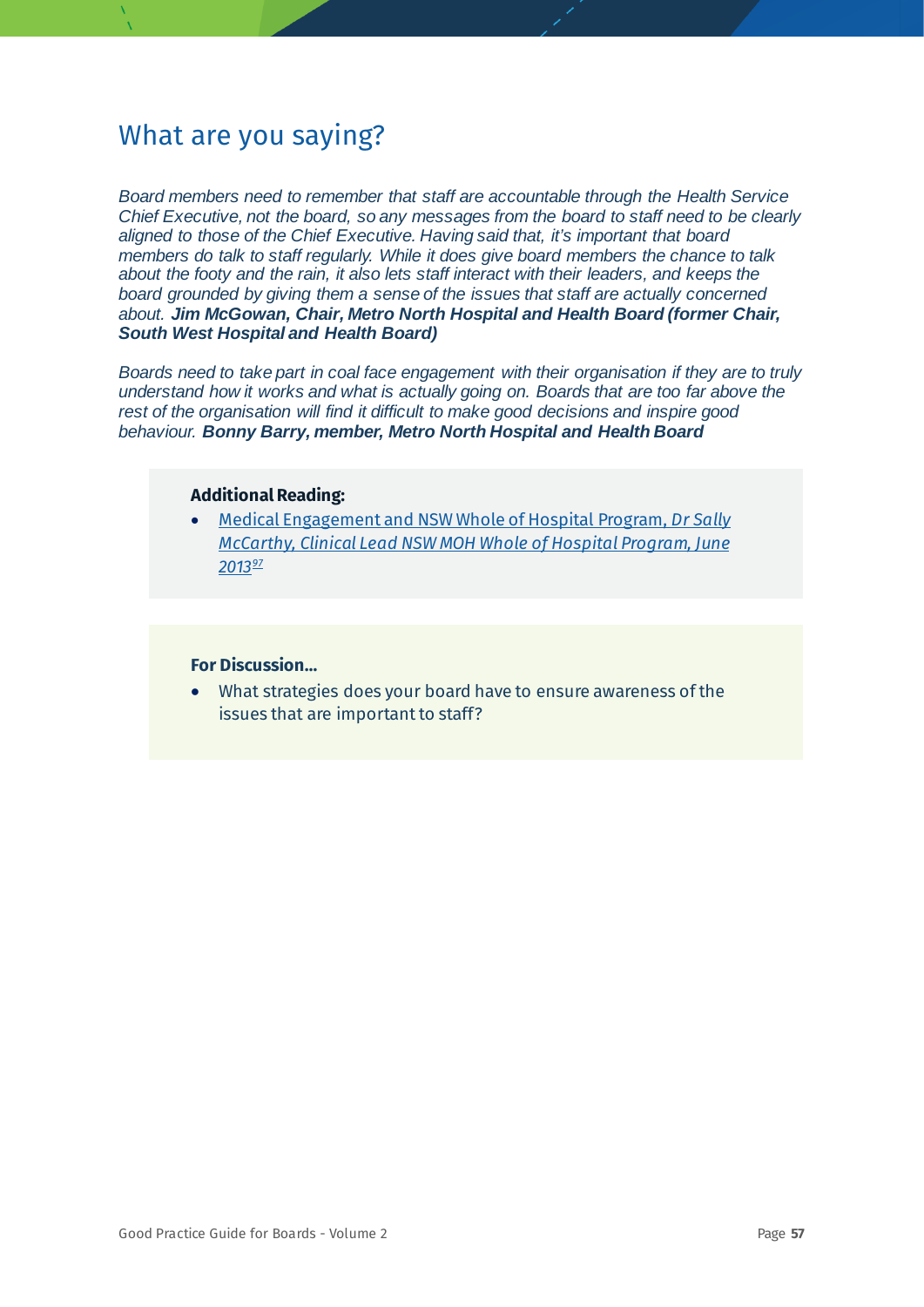*Board members need to remember that staff are accountable through the Health Service Chief Executive, not the board, so any messages from the board to staff need to be clearly aligned to those of the Chief Executive. Having said that, it's important that board members do talk to staff regularly. While it does give board members the chance to talk about the footy and the rain, it also lets staff interact with their leaders, and keeps the board grounded by giving them a sense of the issues that staff are actually concerned about. Jim McGowan, Chair, Metro North Hospital and Health Board (former Chair, South West Hospital and Health Board)*

*Boards need to take part in coal face engagement with their organisation if they are to truly understand how it works and what is actually going on. Boards that are too far above the rest of the organisation will find it difficult to make good decisions and inspire good behaviour. Bonny Barry, member, Metro North Hospital and Health Board*

#### **Additional Reading:**

• [Medical Engagement and NSW Whole of Hospital Program,](https://www.health.nsw.gov.au/wohp/Documents/medical-engagement-summary.pdf) *Dr Sally [McCarthy, Clinical Lead NSW MOH Whole of Hospital Program, June](https://www.health.nsw.gov.au/wohp/Documents/medical-engagement-summary.pdf)  [2013](https://www.health.nsw.gov.au/wohp/Documents/medical-engagement-summary.pdf)[97](#page-78-28)*

#### **For Discussion…**

• What strategies does your board have to ensure awareness of the issues that are important to staff?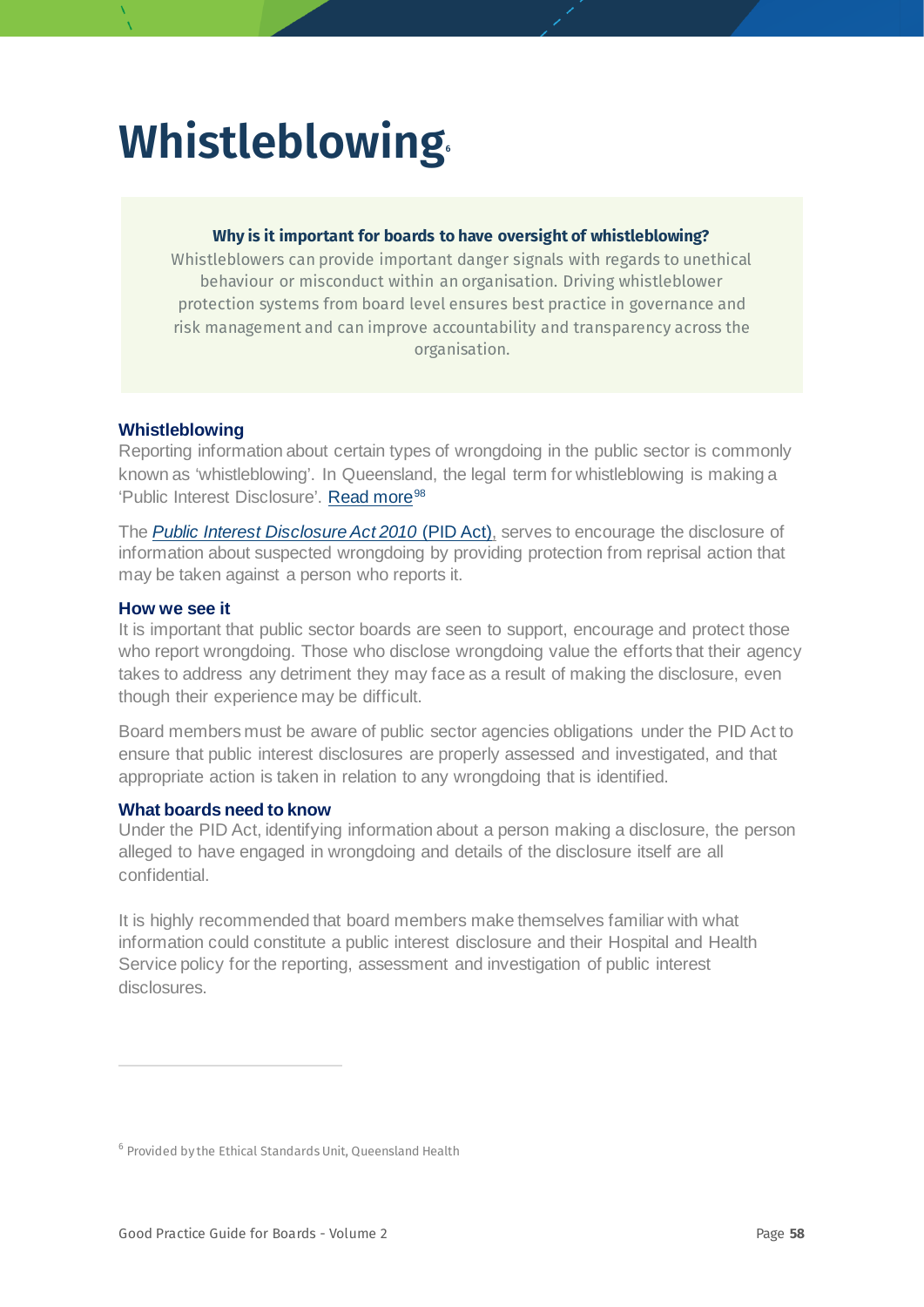# **Whistleblowing**

#### **Why is it important for boards to have oversight of whistleblowing?**

Whistleblowers can provide important danger signals with regards to unethical behaviour or misconduct within an organisation. Driving whistleblower protection systems from board level ensures best practice in governance and risk management and can improve accountability and transparency across the organisation.

#### **Whistleblowing**

Reporting information about certain types of wrongdoing in the public sector is commonly known as 'whistleblowing'. In Queensland, the legal term for whistleblowing is making a 'Public Interest Disclosure'. [Read more](https://www.ombudsman.qld.gov.au/improve-public-administration/public-interest-disclosures/what-is-a-public-interest-disclosure)<sup>[98](#page-78-29)</sup>

<span id="page-57-1"></span>The *[Public Interest Disclosure Act 2010](https://www.legislation.qld.gov.au/view/html/inforce/current/act-2010-038)* (PID Act), serves to encourage the disclosure of information about suspected wrongdoing by providing protection from reprisal action that may be taken against a person who reports it.

#### **How we see it**

It is important that public sector boards are seen to support, encourage and protect those who report wrongdoing. Those who disclose wrongdoing value the efforts that their agency takes to address any detriment they may face as a result of making the disclosure, even though their experience may be difficult.

Board members must be aware of public sector agencies obligations under the PID Act to ensure that public interest disclosures are properly assessed and investigated, and that appropriate action is taken in relation to any wrongdoing that is identified.

#### **What boards need to know**

Under the PID Act, identifying information about a person making a disclosure, the person alleged to have engaged in wrongdoing and details of the disclosure itself are all confidential.

It is highly recommended that board members make themselves familiar with what information could constitute a public interest disclosure and their Hospital and Health Service policy for the reporting, assessment and investigation of public interest disclosures.

<span id="page-57-0"></span><sup>6</sup> Provided by the Ethical Standards Unit, Queensland Health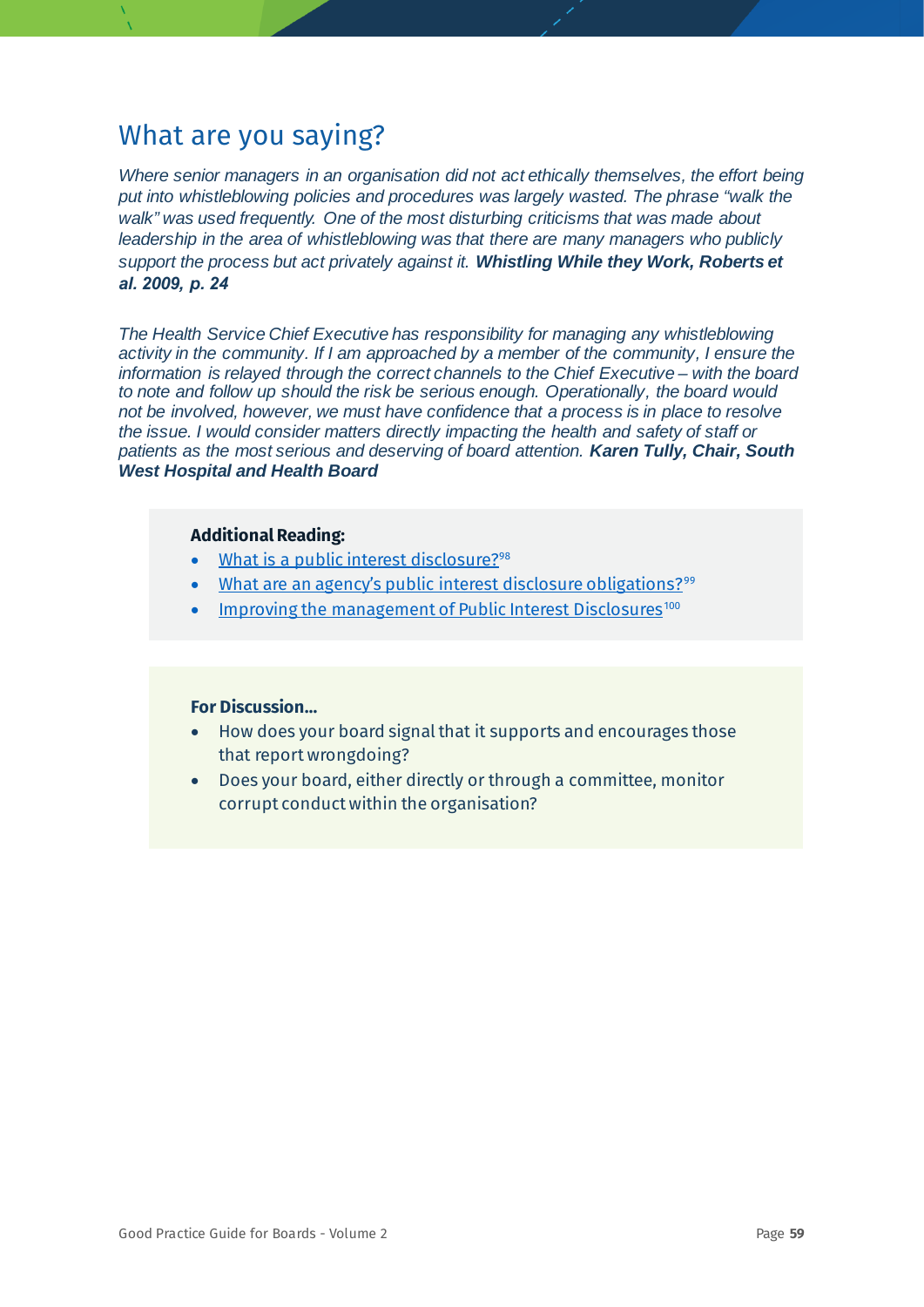*Where senior managers in an organisation did not act ethically themselves, the effort being put into whistleblowing policies and procedures was largely wasted. The phrase "walk the walk" was used frequently. One of the most disturbing criticisms that was made about leadership in the area of whistleblowing was that there are many managers who publicly support the process but act privately against it. Whistling While they Work, Roberts et al. 2009, p. 24*

*The Health Service Chief Executive has responsibility for managing any whistleblowing activity in the community. If I am approached by a member of the community, I ensure the information is relayed through the correct channels to the Chief Executive – with the board to note and follow up should the risk be serious enough. Operationally, the board would not be involved, however, we must have confidence that a process is in place to resolve the issue. I would consider matters directly impacting the health and safety of staff or patients as the most serious and deserving of board attention. Karen Tully, Chair, South West Hospital and Health Board*

#### **Additional Reading:**

- [What is a public interest disclosure?](https://www.ombudsman.qld.gov.au/improve-public-administration/public-interest-disclosures/what-is-a-public-interest-disclosure)<sup>[98](#page-57-1)</sup>
- [What are an agency's public interest disclosure obligations?](https://www.ombudsman.qld.gov.au/improve-public-administration/public-interest-disclosures/what-are-an-agency-s-public-interest-disclosure-obligations)<sup>[99](#page-78-30)</sup>
- [Improving the management of Public Interest Disclosures](https://www.ombudsman.qld.gov.au/improve-public-administration/public-interest-disclosures/public-interest-disclosure-resources/public-interest-disclosure-case-studies)<sup>[100](#page-78-3)</sup>

- How does your board signal that it supports and encourages those that report wrongdoing?
- Does your board, either directly or through a committee, monitor corrupt conduct within the organisation?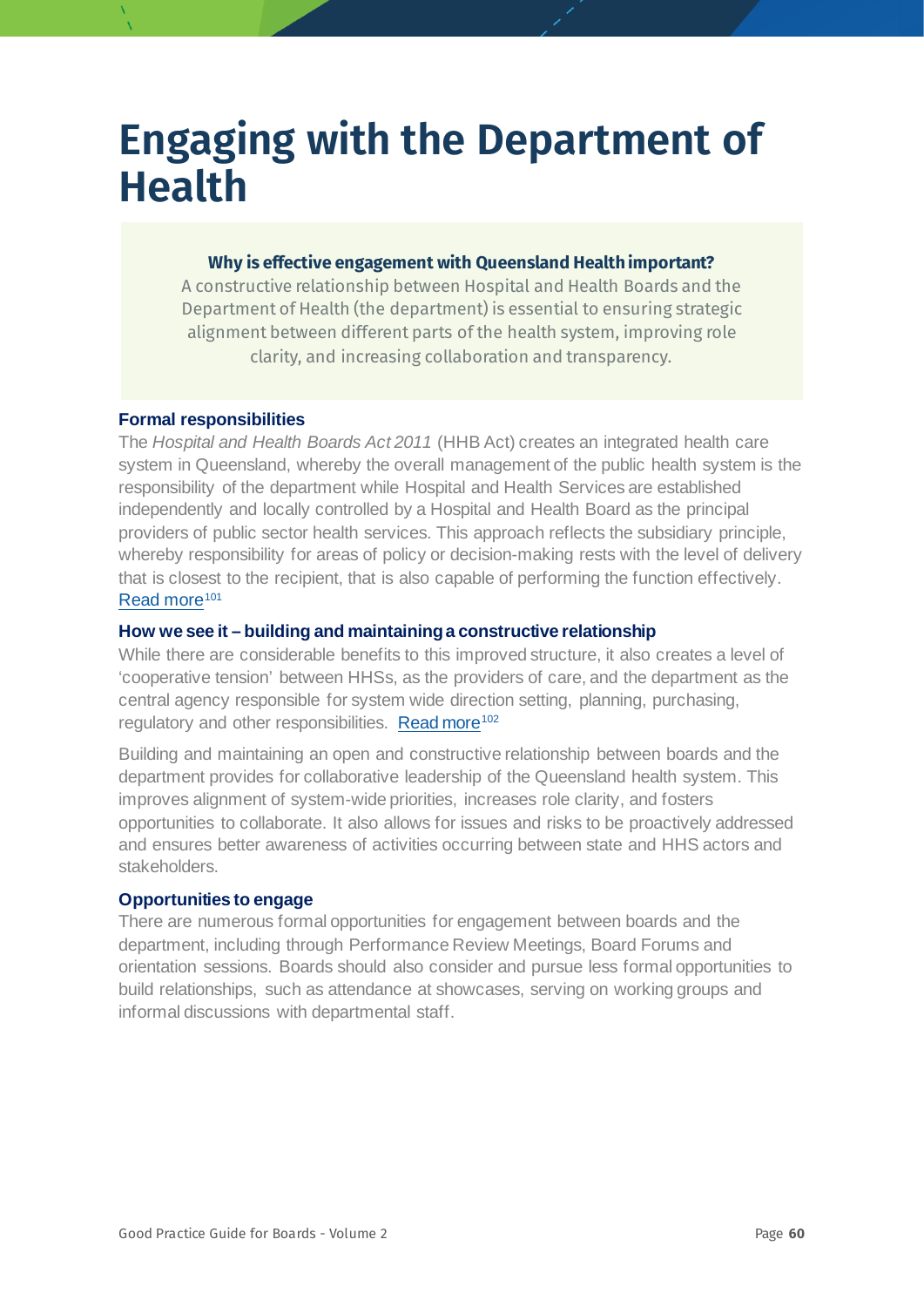## **Engaging with the Department of Health**

#### **Why is effective engagement with Queensland Health important?**

A constructive relationship between Hospital and Health Boards and the Department of Health (the department) is essential to ensuring strategic alignment between different parts of the health system, improving role clarity, and increasing collaboration and transparency.

#### **Formal responsibilities**

The *Hospital and Health Boards Act 2011* (HHB Act) creates an integrated health care system in Queensland, whereby the overall management of the public health system is the responsibility of the department while Hospital and Health Services are established independently and locally controlled by a Hospital and Health Board as the principal providers of public sector health services. This approach reflects the subsidiary principle, whereby responsibility for areas of policy or decision-making rests with the level of delivery that is closest to the recipient, that is also capable of performing the function effectively. [Read more](https://onlinelibrary.wiley.com/doi/pdf/10.1111/1467-8500.12175)<sup>[101](#page-78-31)</sup>

#### **How we see it – building and maintaining a constructive relationship**

While there are considerable benefits to this improved structure, it also creates a level of 'cooperative tension' between HHSs, as the providers of care, and the department as the central agency responsible for system wide direction setting, planning, purchasing, regulatory and other responsibilities. [Read more](https://www.publications.qld.gov.au/dataset/service-agreements-for-hhs-hospital-and-health-services-supporting-documents/resource/94ce3c3b-59dd-44d4-8d3c-ada71f6379bc)<sup>[102](#page-78-6)</sup>

Building and maintaining an open and constructive relationship between boards and the department provides for collaborative leadership of the Queensland health system. This improves alignment of system-wide priorities, increases role clarity, and fosters opportunities to collaborate. It also allows for issues and risks to be proactively addressed and ensures better awareness of activities occurring between state and HHS actors and stakeholders.

#### **Opportunities to engage**

There are numerous formal opportunities for engagement between boards and the department, including through Performance Review Meetings, Board Forums and orientation sessions. Boards should also consider and pursue less formal opportunities to build relationships, such as attendance at showcases, serving on working groups and informal discussions with departmental staff.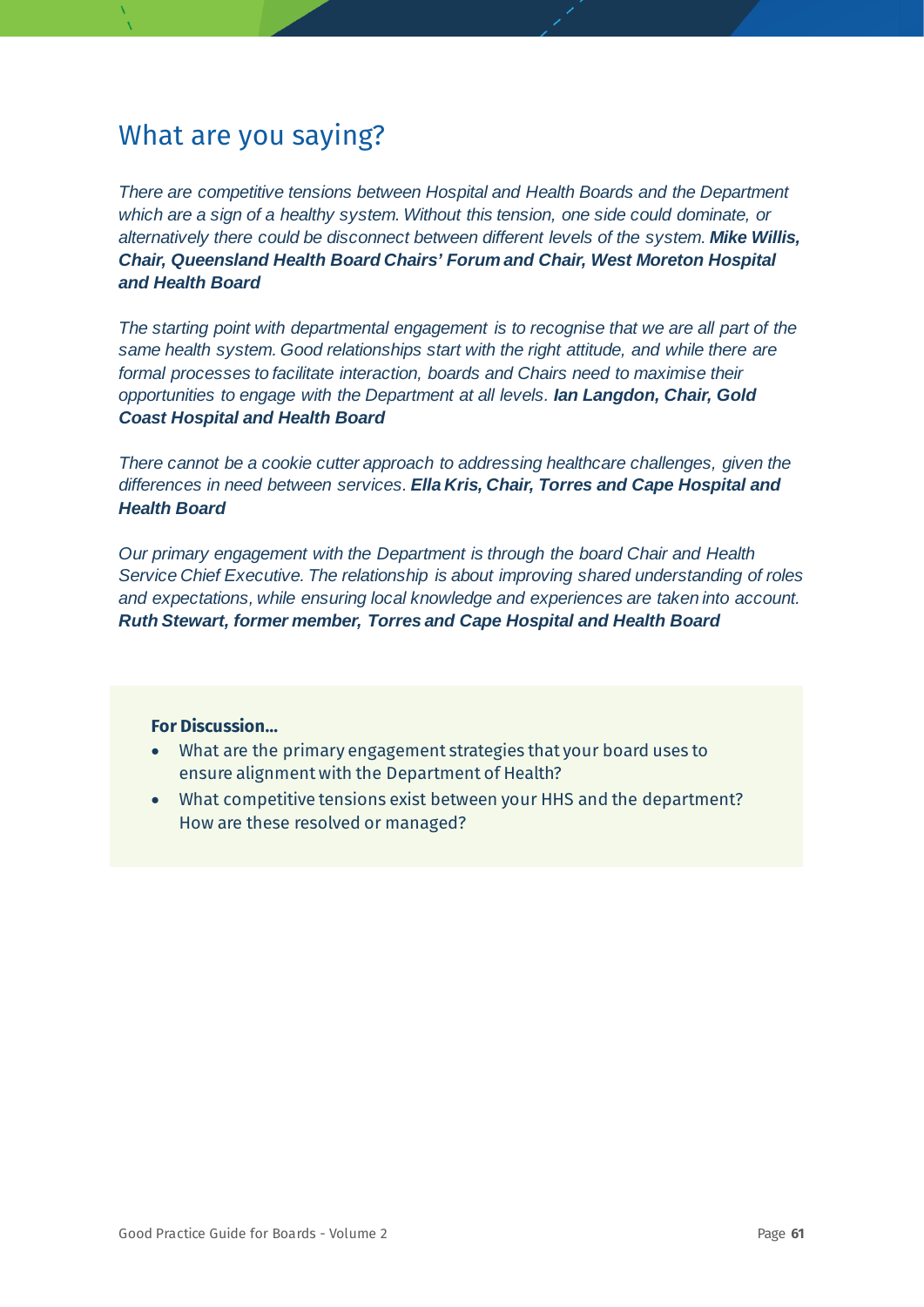*There are competitive tensions between Hospital and Health Boards and the Department which are a sign of a healthy system. Without this tension, one side could dominate, or alternatively there could be disconnect between different levels of the system. Mike Willis, Chair, Queensland Health Board Chairs' Forum and Chair, West Moreton Hospital and Health Board*

*The starting point with departmental engagement is to recognise that we are all part of the same health system. Good relationships start with the right attitude, and while there are formal processes to facilitate interaction, boards and Chairs need to maximise their opportunities to engage with the Department at all levels. Ian Langdon, Chair, Gold Coast Hospital and Health Board*

*There cannot be a cookie cutter approach to addressing healthcare challenges, given the differences in need between services. Ella Kris, Chair, Torres and Cape Hospital and Health Board*

*Our primary engagement with the Department is through the board Chair and Health Service Chief Executive. The relationship is about improving shared understanding of roles and expectations, while ensuring local knowledge and experiences are taken into account. Ruth Stewart, former member, Torres and Cape Hospital and Health Board*

- What are the primary engagement strategies that your board uses to ensure alignment with the Department of Health?
- What competitive tensions exist between your HHS and the department? How are these resolved or managed?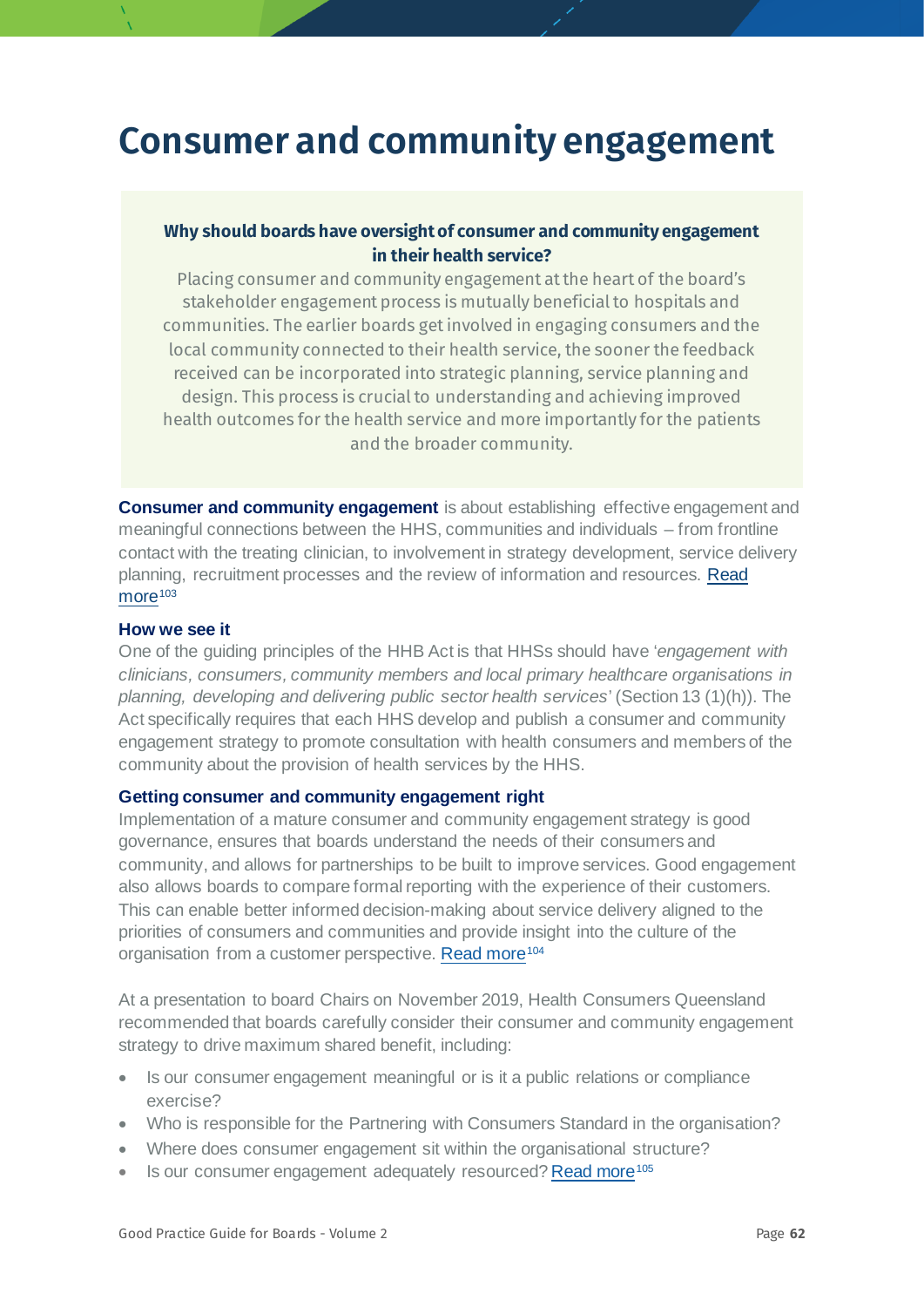## **Consumer and community engagement**

#### **Why should boards have oversight of consumer and community engagement in their health service?**

Placing consumer and community engagement at the heart of the board's stakeholder engagement process is mutually beneficial to hospitals and communities. The earlier boards get involved in engaging consumers and the local community connected to their health service, the sooner the feedback received can be incorporated into strategic planning, service planning and design. This process is crucial to understanding and achieving improved health outcomes for the health service and more importantly for the patients and the broader community.

**Consumer and community engagement** is about establishing effective engagement and meaningful connections between the HHS, communities and individuals – from frontline contact with the treating clinician, to involvement in strategy development, service delivery planning, recruitment processes and the review of information and resources. [Read](https://www.healthycommunities.org/resources/toolkit/files/community-engagement)   $more<sup>103</sup>$  $more<sup>103</sup>$  $more<sup>103</sup>$  $more<sup>103</sup>$ 

#### **How we see it**

One of the guiding principles of the HHB Act is that HHSs should have '*engagement with clinicians, consumers, community members and local primary healthcare organisations in planning, developing and delivering public sector health services*' (Section 13 (1)(h)). The Act specifically requires that each HHS develop and publish a consumer and community engagement strategy to promote consultation with health consumers and members of the community about the provision of health services by the HHS.

#### **Getting consumer and community engagement right**

Implementation of a mature consumer and community engagement strategy is good governance, ensures that boards understand the needs of their consumers and community, and allows for partnerships to be built to improve services. Good engagement also allows boards to compare formal reporting with the experience of their customers. This can enable better informed decision-making about service delivery aligned to the priorities of consumers and communities and provide insight into the culture of the organisation from a customer perspective. [Read more](https://aicd.companydirectors.com.au/advocacy/governance-leadership-centre/practice-of-governance/fairness-to-customers-a-boardroom-priority)<sup>[104](#page-78-33)</sup>

[At a presentation to board Chairs on November 2019, Health Consumers Queensland](http://www.hcq.org.au/our-work/collaborative/) recommended that boards carefully consider their consumer and community engagement strategy to drive maximum shared benefit, including:

- Is our consumer engagement meaningful or is it a public relations or compliance exercise?
- Who is responsible for the Partnering with Consumers Standard in the organisation?
- Where does consumer engagement sit within the organisational structure?
- Is our consumer engagement adequately resourced[? Read more](http://www.hcq.org.au/wp-content/uploads/2017/03/HCQ-CCE-Framework-2017.pdf)<sup>[105](#page-78-23)</sup>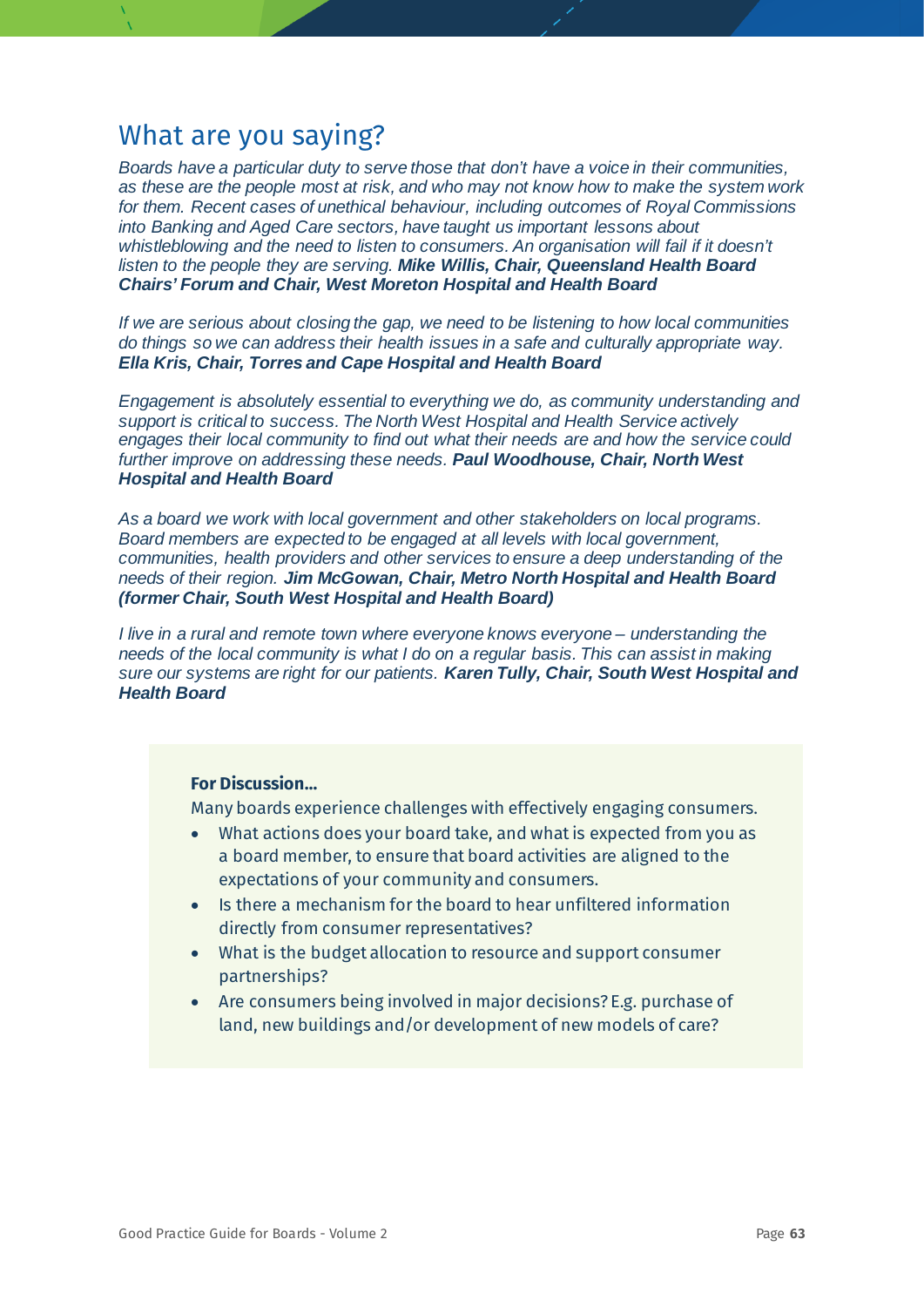*Boards have a particular duty to serve those that don't have a voice in their communities, as these are the people most at risk, and who may not know how to make the system work for them. Recent cases of unethical behaviour, including outcomes of Royal Commissions into Banking and Aged Care sectors, have taught us important lessons about whistleblowing and the need to listen to consumers. An organisation will fail if it doesn't listen to the people they are serving. Mike Willis, Chair, Queensland Health Board Chairs' Forum and Chair, West Moreton Hospital and Health Board*

*If we are serious about closing the gap, we need to be listening to how local communities do things so we can address their health issues in a safe and culturally appropriate way. Ella Kris, Chair, Torres and Cape Hospital and Health Board*

*Engagement is absolutely essential to everything we do, as community understanding and support is critical to success. The North West Hospital and Health Service actively engages their local community to find out what their needs are and how the service could further improve on addressing these needs. Paul Woodhouse, Chair, North West Hospital and Health Board*

*As a board we work with local government and other stakeholders on local programs. Board members are expected to be engaged at all levels with local government, communities, health providers and other services to ensure a deep understanding of the needs of their region. Jim McGowan, Chair, Metro North Hospital and Health Board (former Chair, South West Hospital and Health Board)*

*I live in a rural and remote town where everyone knows everyone – understanding the needs of the local community is what I do on a regular basis. This can assist in making sure our systems are right for our patients. Karen Tully, Chair, South West Hospital and Health Board*

#### **For Discussion…**

Many boards experience challenges with effectively engaging consumers.

- What actions does your board take, and what is expected from you as a board member, to ensure that board activities are aligned to the expectations of your community and consumers.
- Is there a mechanism for the board to hear unfiltered information directly from consumer representatives?
- What is the budget allocation to resource and support consumer partnerships?
- Are consumers being involved in major decisions? E.g. purchase of land, new buildings and/or development of new models of care?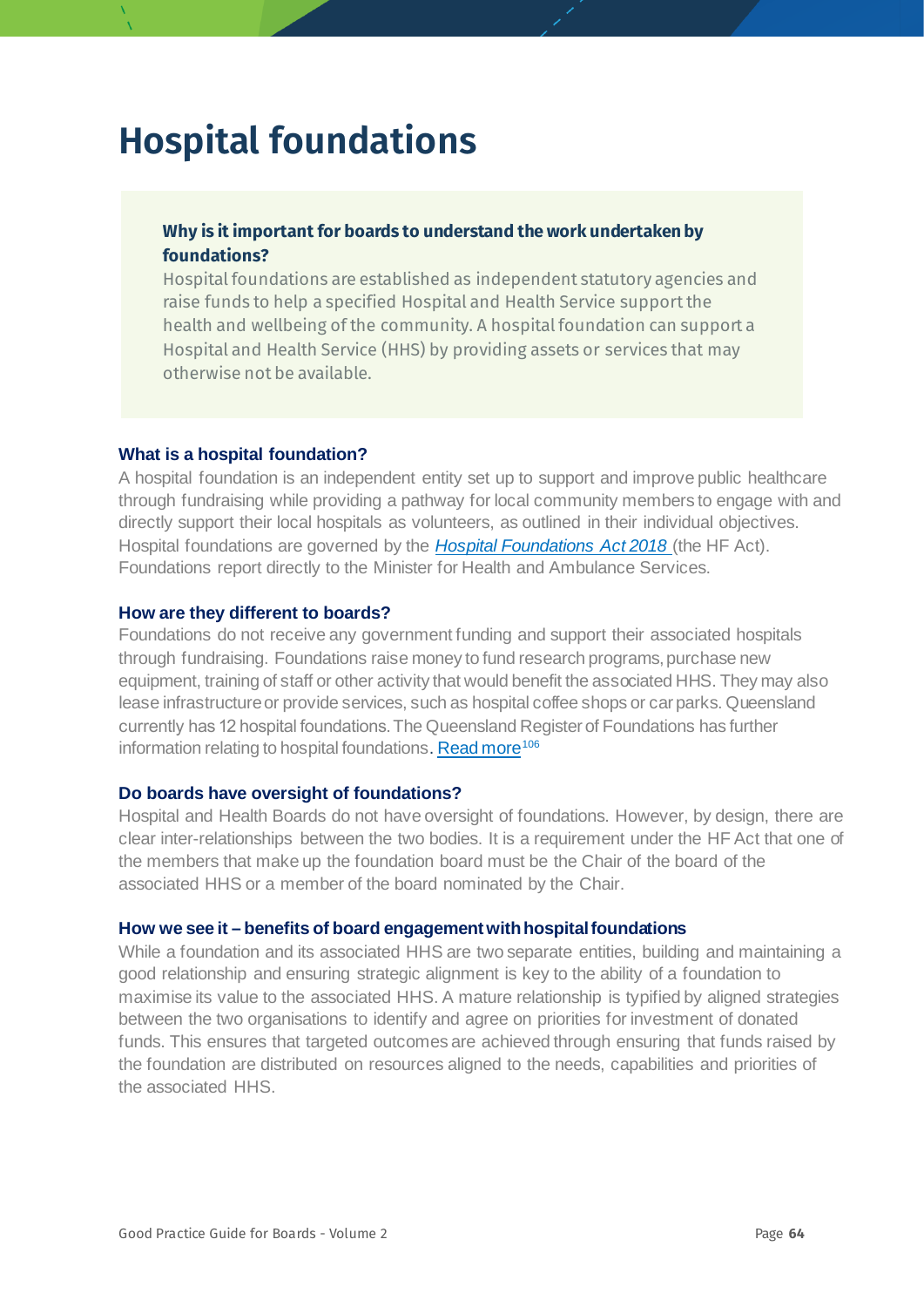## **Hospital foundations**

#### **Why is it important for boards to understand the work undertaken by foundations?**

Hospital foundations are established as independent statutory agencies and raise funds to help a specified Hospital and Health Service support the health and wellbeing of the community. A hospital foundation can support a Hospital and Health Service (HHS) by providing assets or services that may otherwise not be available.

#### **What is a hospital foundation?**

A hospital foundation is an independent entity set up to support and improve public healthcare through fundraising while providing a pathway for local community members to engage with and directly support their local hospitals as volunteers, as outlined in their individual objectives. Hospital foundations are governed by the *[Hospital Foundations Act 2018](https://www.legislation.qld.gov.au/view/pdf/inforce/current/act-2018-005)* (the HF Act). Foundations report directly to the Minister for Health and Ambulance Services.

#### **How are they different to boards?**

Foundations do not receive any government funding and support their associated hospitals through fundraising. Foundations raise money to fund research programs, purchase new equipment, training of staff or other activity that would benefit the associated HHS. They may also lease infrastructure or provide services, such as hospital coffee shops or car parks. Queensland currently has 12 hospital foundations.The Queensland Register of Foundations has further information relating to hospital foundations[. Read more](https://www.health.qld.gov.au/system-governance/health-system/managing/statutory-agencies/foundations/register-of-hospital-foundations)<sup>[106](#page-78-24)</sup>

#### **Do boards have oversight of foundations?**

Hospital and Health Boards do not have oversight of foundations. However, by design, there are clear inter-relationships between the two bodies. It is a requirement under the HF Act that one of the members that make up the foundation board must be the Chair of the board of the associated HHS or a member of the board nominated by the Chair.

#### **How we see it – benefits of board engagement with hospital foundations**

While a foundation and its associated HHS are two separate entities, building and maintaining a good relationship and ensuring strategic alignment is key to the ability of a foundation to maximise its value to the associated HHS. A mature relationship is typified by aligned strategies between the two organisations to identify and agree on priorities for investment of donated funds. This ensures that targeted outcomes are achieved through ensuring that funds raised by the foundation are distributed on resources aligned to the needs, capabilities and priorities of the associated HHS.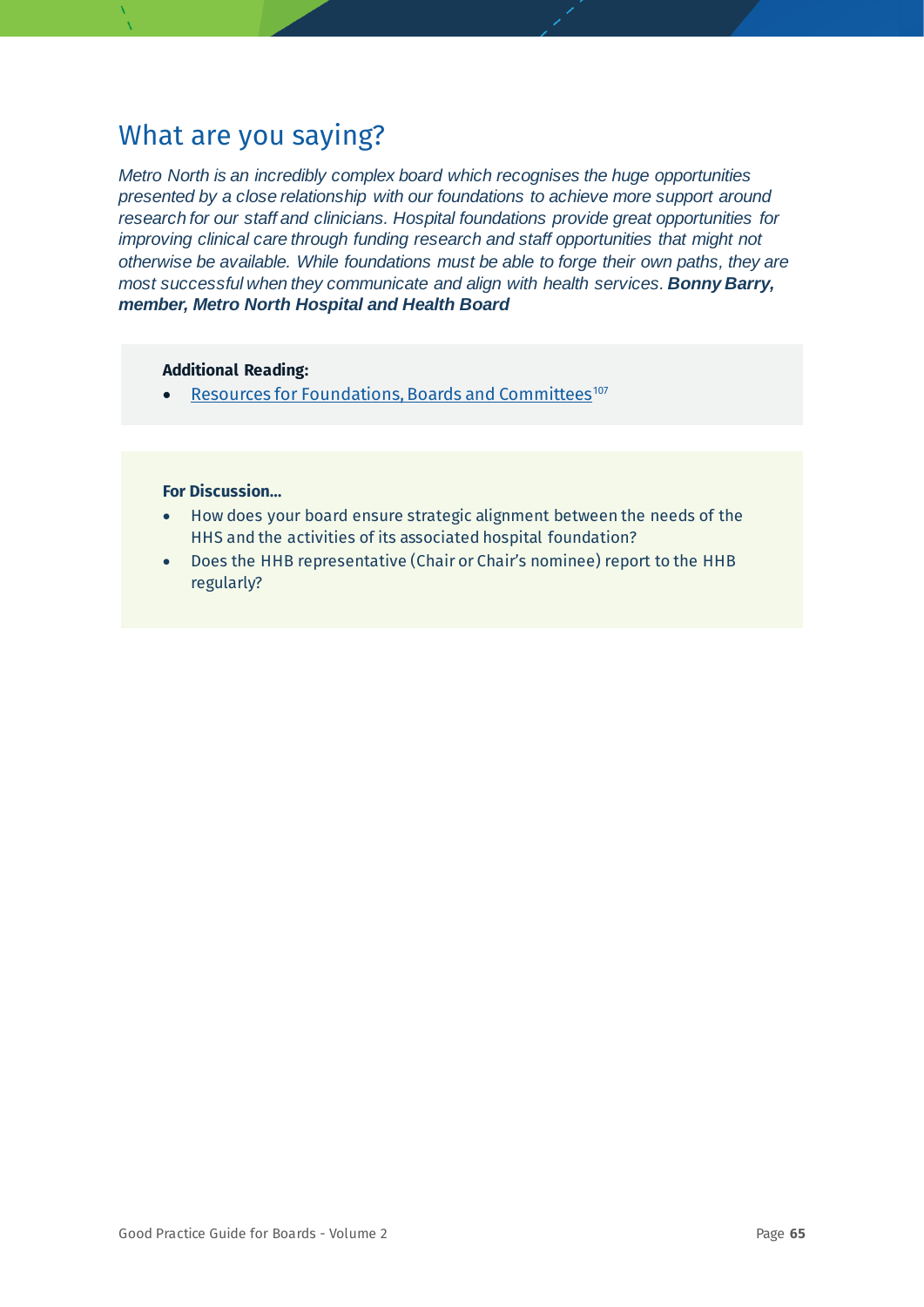*Metro North is an incredibly complex board which recognises the huge opportunities presented by a close relationship with our foundations to achieve more support around research for our staff and clinicians. Hospital foundations provide great opportunities for improving clinical care through funding research and staff opportunities that might not otherwise be available. While foundations must be able to forge their own paths, they are most successful when they communicate and align with health services. Bonny Barry, member, Metro North Hospital and Health Board*

#### **Additional Reading:**

• [Resources for Foundations, Boards and Committees](https://www.health.qld.gov.au/system-governance/health-system/managing/statutory-agencies/foundations-resources)<sup>[107](#page-78-12)</sup>

- How does your board ensure strategic alignment between the needs of the HHS and the activities of its associated hospital foundation?
- Does the HHB representative (Chair or Chair's nominee) report to the HHB regularly?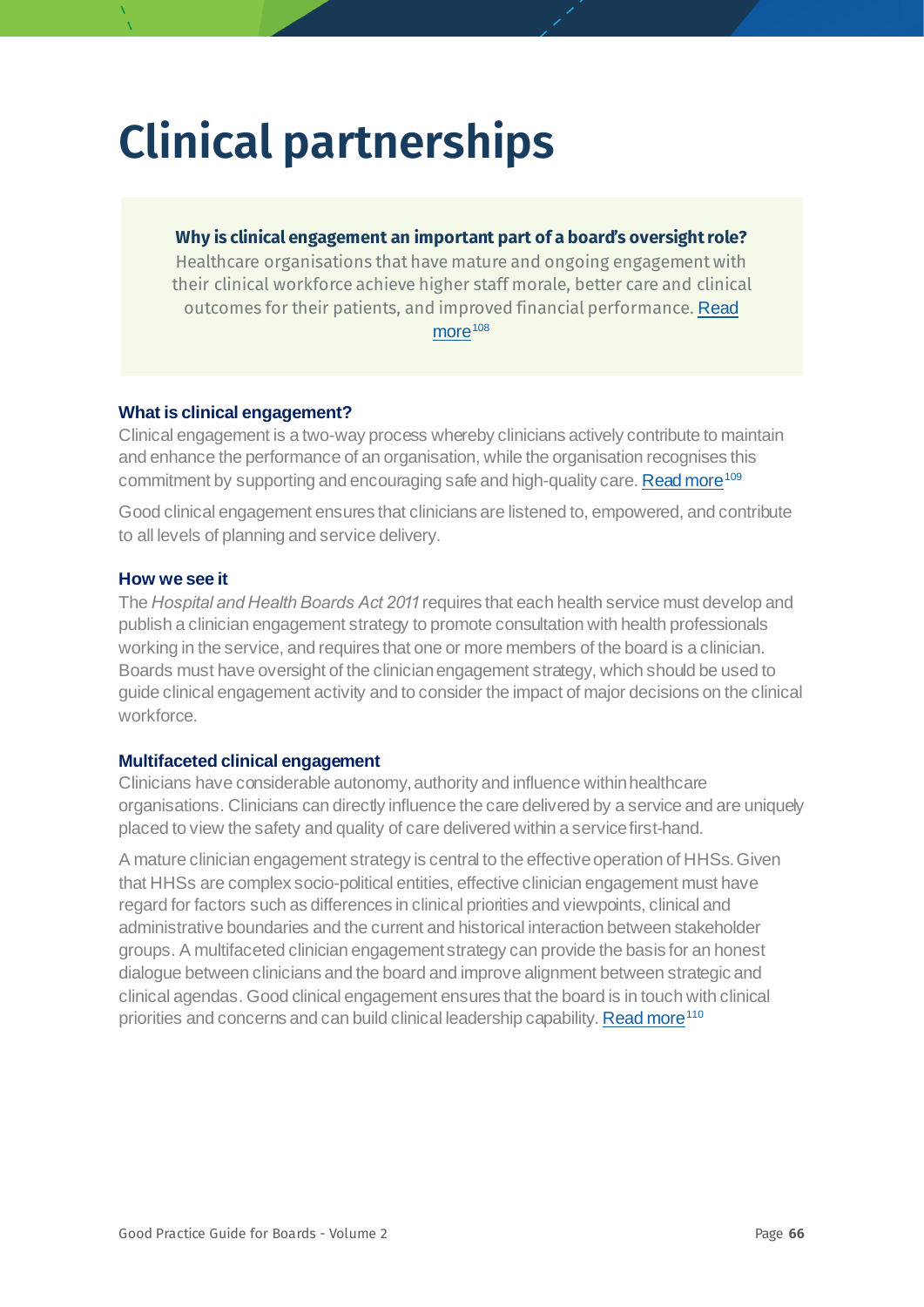# **Clinical partnerships**

#### **Why is clinical engagement an important part of a board's oversight role?**

Healthcare organisations that have mature and ongoing engagement with their clinical workforce achieve higher staff morale, better care and clinical outcomes for their patients, and improved financial performance. [Read](https://www.kingsfund.org.uk/sites/default/files/field/field_publication_file/leadership-for-engagement-improvement-nhs-final-review2012.pdf)  [more](https://www.kingsfund.org.uk/sites/default/files/field/field_publication_file/leadership-for-engagement-improvement-nhs-final-review2012.pdf)<sup>[108](#page-78-13)</sup>

#### **What is clinical engagement?**

Clinical engagement is a two-way process whereby clinicians actively contribute to maintain and enhance the performance of an organisation, while the organisation recognises this commitment by supporting and encouraging safe and high-quality care[. Read more](https://qualitysafety.bmj.com/content/25/9/716.full)<sup>[109](#page-78-34)</sup>

Good clinical engagement ensures that clinicians are listened to, empowered, and contribute to all levels of planning and service delivery.

#### **How we see it**

The *Hospital and Health Boards Act 2011* requires that each health service must develop and publish a clinician engagement strategy to promote consultation with health professionals working in the service, and requires that one or more members of the board is a clinician. Boards must have oversight of the clinician engagement strategy, which should be used to guide clinical engagement activity and to consider the impact of major decisions on the clinical workforce.

#### **Multifaceted clinical engagement**

Clinicians have considerable autonomy, authority and influence within healthcare organisations. Clinicians can directly influence the care delivered by a service and are uniquely placed to view the safety and quality of care delivered within a service first-hand.

A mature clinician engagement strategy is central to the effective operation of HHSs. Given that HHSs are complex socio-political entities, effective clinician engagement must have regard for factors such as differences in clinical priorities and viewpoints, clinical and administrative boundaries and the current and historical interaction between stakeholder groups. A multifaceted clinician engagement strategy can provide the basis for an honest dialogue between clinicians and the board and improve alignment between strategic and clinical agendas. Good clinical engagement ensures that the board is in touch with clinical priorities and concerns and can build clinical leadership capability[. Read more](https://researchdirect.westernsydney.edu.au/islandora/object/uws:41890/datastream/PDF/download/citation.pdf)<sup>[110](#page-78-35)</sup>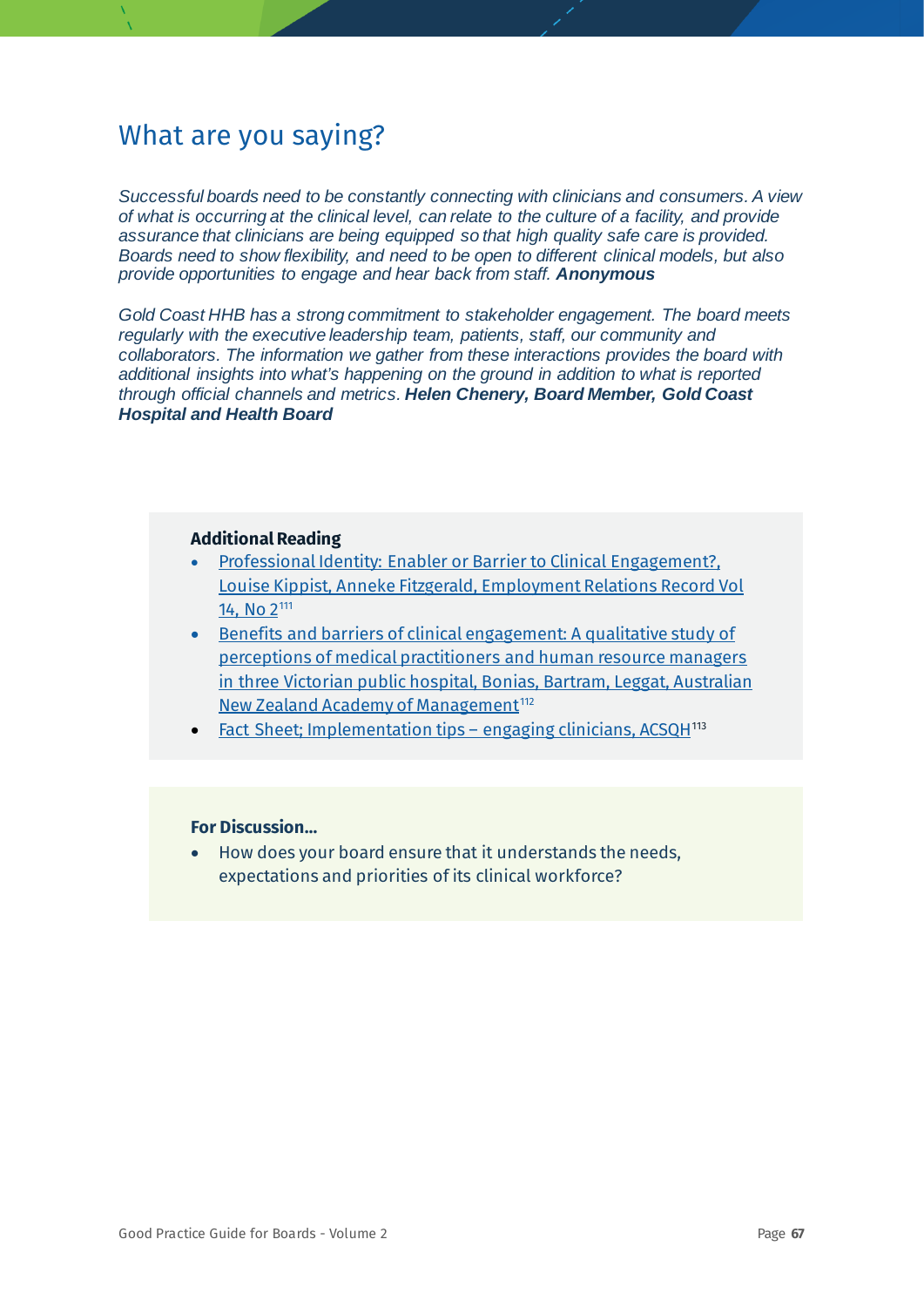*Successful boards need to be constantly connecting with clinicians and consumers. A view of what is occurring at the clinical level, can relate to the culture of a facility, and provide assurance that clinicians are being equipped so that high quality safe care is provided. Boards need to show flexibility, and need to be open to different clinical models, but also provide opportunities to engage and hear back from staff. Anonymous*

*Gold Coast HHB has a strong commitment to stakeholder engagement. The board meets regularly with the executive leadership team, patients, staff, our community and collaborators. The information we gather from these interactions provides the board with additional insights into what's happening on the ground in addition to what is reported through official channels and metrics. Helen Chenery, Board Member, Gold Coast Hospital and Health Board* 

#### **Additional Reading**

- [Professional Identity: Enabler or Barrier to Clinical Engagement?,](https://pdfs.semanticscholar.org/41ec/9b4e017ea9fc81876de6cbfad131a521e971.pdf)  [Louise Kippist, Anneke Fitzgerald, Employment Relations Record Vol](https://pdfs.semanticscholar.org/41ec/9b4e017ea9fc81876de6cbfad131a521e971.pdf)  [14, No 2](https://pdfs.semanticscholar.org/41ec/9b4e017ea9fc81876de6cbfad131a521e971.pdf)[111](#page-78-36)
- [Benefits and barriers of clinical engagement: A qualitative study of](https://webcache.googleusercontent.com/search?q=cache:KUQcPaUeeuEJ:https://www.anzam.org/wp-content/uploads/pdf-manager/459_ANZAM2011-118.PDF+&cd=1&hl=en&ct=clnk&gl=au)  [perceptions of medical practitioners and human resource managers](https://webcache.googleusercontent.com/search?q=cache:KUQcPaUeeuEJ:https://www.anzam.org/wp-content/uploads/pdf-manager/459_ANZAM2011-118.PDF+&cd=1&hl=en&ct=clnk&gl=au)  [in three Victorian public hospital, Bonias, Bartram, Leggat, Australian](https://webcache.googleusercontent.com/search?q=cache:KUQcPaUeeuEJ:https://www.anzam.org/wp-content/uploads/pdf-manager/459_ANZAM2011-118.PDF+&cd=1&hl=en&ct=clnk&gl=au)  New Zealand Academy of Management<sup>112</sup>
- **[Fact Sheet; Implementation tips –](https://www.safetyandquality.gov.au/sites/default/files/migrated/Engaging-clinicians-fact-sheet-low-res.pdf) engaging clinicians, ACSQH<sup>[113](#page-78-3)</sup>**

#### **For Discussion…**

• How does your board ensure that it understands the needs, expectations and priorities of its clinical workforce?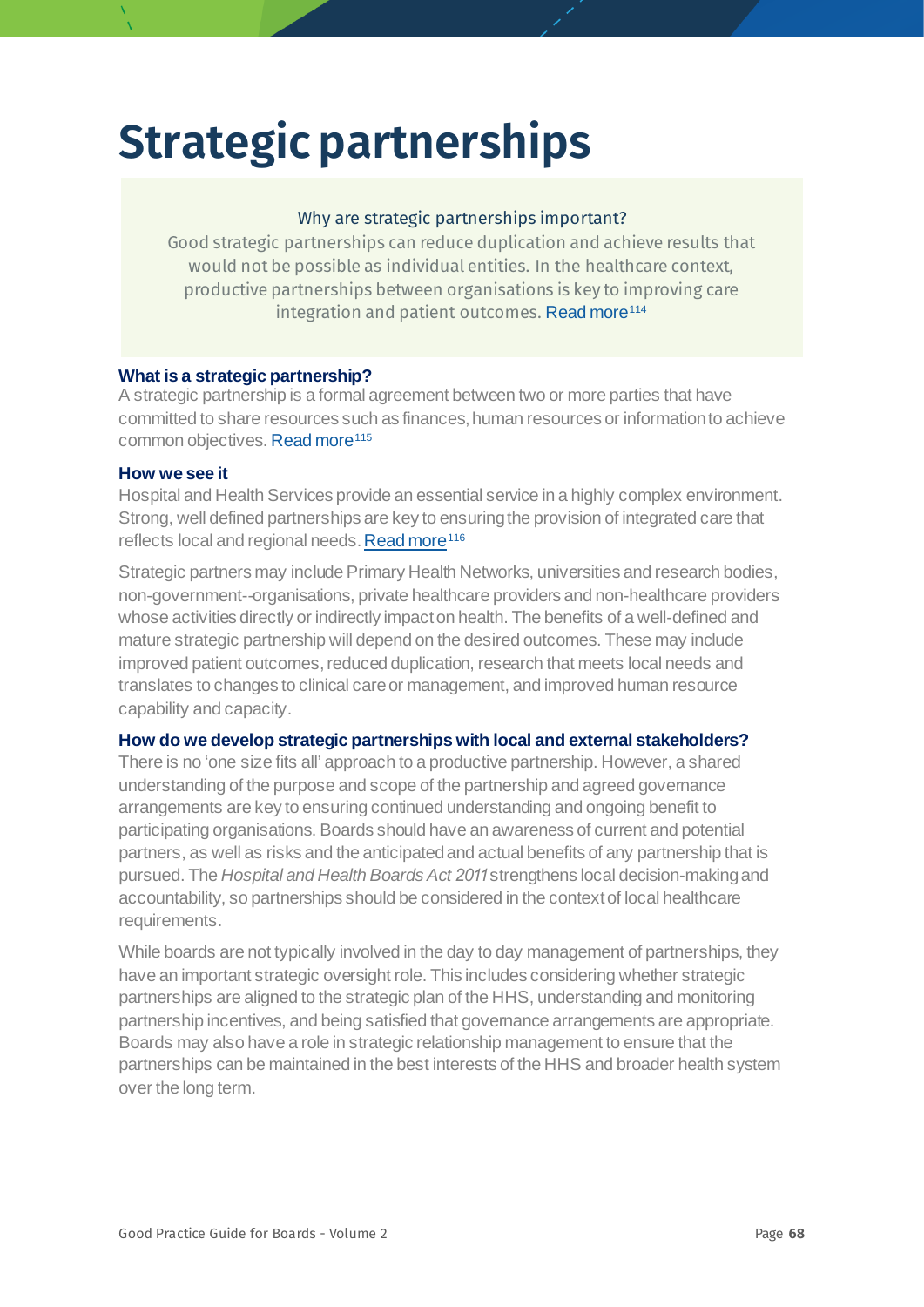## **Strategic partnerships**

#### Why are strategic partnerships important?

Good strategic partnerships can reduce duplication and achieve results that would not be possible as individual entities. In the healthcare context, productive partnerships between organisations is key to improving care integration and patient outcomes. [Read more](https://www.oecd.org/cfe/leed/36279186.pdf)<sup>[114](#page-78-18)</sup>

#### **What is a strategic partnership?**

A strategic partnership is a formal agreement between two or more parties that have committed to share resources such as finances, human resources or information to achieve common objectives[. Read more](https://www.pwc.co.uk/assets/pdf/strategic-partnerships-the-real-deal.pdf)<sup>[115](#page-78-19)</sup>

#### **How we see it**

Hospital and Health Services provide an essential service in a highly complex environment. Strong, well defined partnerships are key to ensuring the provision of integrated care that reflects local and regional needs[. Read more](https://www.pc.gov.au/inquiries/completed/productivity-review/report/productivity-review.pdf)<sup>[116](#page-78-6)</sup>

Strategic partners may include Primary Health Networks, universities and research bodies, non-government--organisations, private healthcare providers and non-healthcare providers whose activities directly or indirectly impact on health. The benefits of a well-defined and mature strategic partnership will depend on the desired outcomes. These may include improved patient outcomes, reduced duplication, research that meets local needs and translates to changes to clinical care or management, and improved human resource capability and capacity.

#### **How do we develop strategic partnerships with local and external stakeholders?**

There is no 'one size fits all' approach to a productive partnership. However, a shared understanding of the purpose and scope of the partnership and agreed governance arrangements are key to ensuring continued understanding and ongoing benefit to participating organisations. Boards should have an awareness of current and potential partners, as well as risks and the anticipated and actual benefits of any partnership that is pursued. The *Hospital and Health Boards Act 2011* strengthens local decision-making and accountability, so partnerships should be considered in the context of local healthcare requirements.

While boards are not typically involved in the day to day management of partnerships, they have an important strategic oversight role. This includes considering whether strategic partnerships are aligned to the strategic plan of the HHS, understanding and monitoring partnership incentives, and being satisfied that governance arrangements are appropriate. Boards may also have a role in strategic relationship management to ensure that the partnerships can be maintained in the best interests of the HHS and broader health system over the long term.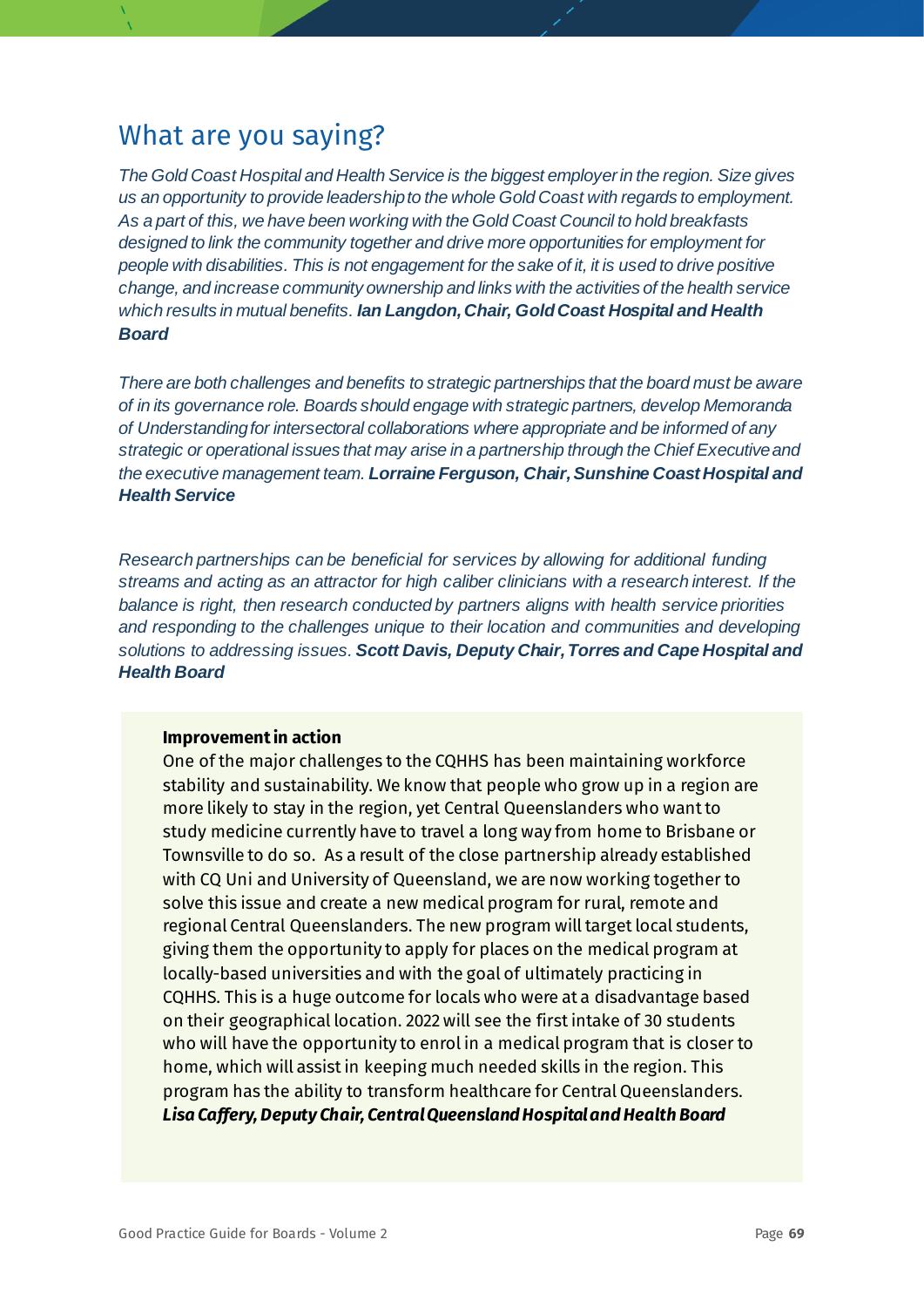*The Gold Coast Hospital and Health Service is the biggest employer in the region. Size gives us an opportunity to provide leadership to the whole Gold Coast with regards to employment. As a part of this, we have been working with the Gold Coast Council to hold breakfasts designed to link the community together and drive more opportunities for employment for people with disabilities. This is not engagement for the sake of it, it is used to drive positive change, and increase community ownership and links with the activities of the health service which results in mutual benefits. Ian Langdon, Chair, Gold Coast Hospital and Health Board*

*There are both challenges and benefits to strategic partnerships that the board must be aware of in its governance role. Boards should engage with strategic partners, develop Memoranda of Understanding for intersectoral collaborations where appropriate and be informed of any strategic or operational issues that may arise in a partnership through the Chief Executive and the executive management team. Lorraine Ferguson, Chair, Sunshine Coast Hospital and Health Service*

*Research partnerships can be beneficial for services by allowing for additional funding streams and acting as an attractor for high caliber clinicians with a research interest. If the balance is right, then research conducted by partners aligns with health service priorities and responding to the challenges unique to their location and communities and developing solutions to addressing issues. Scott Davis, Deputy Chair, Torres and Cape Hospital and Health Board*

#### **Improvement in action**

One of the major challenges to the CQHHS has been maintaining workforce stability and sustainability. We know that people who grow up in a region are more likely to stay in the region, yet Central Queenslanders who want to study medicine currently have to travel a long way from home to Brisbane or Townsville to do so. As a result of the close partnership already established with CQ Uni and University of Queensland, we are now working together to solve this issue and create a new medical program for rural, remote and regional Central Queenslanders. The new program will target local students, giving them the opportunity to apply for places on the medical program at locally-based universities and with the goal of ultimately practicing in CQHHS. This is a huge outcome for locals who were at a disadvantage based on their geographical location. 2022 will see the first intake of 30 students who will have the opportunity to enrol in a medical program that is closer to home, which will assist in keeping much needed skills in the region. This program has the ability to transform healthcare for Central Queenslanders. *Lisa Caffery, Deputy Chair, Central Queensland Hospital and Health Board*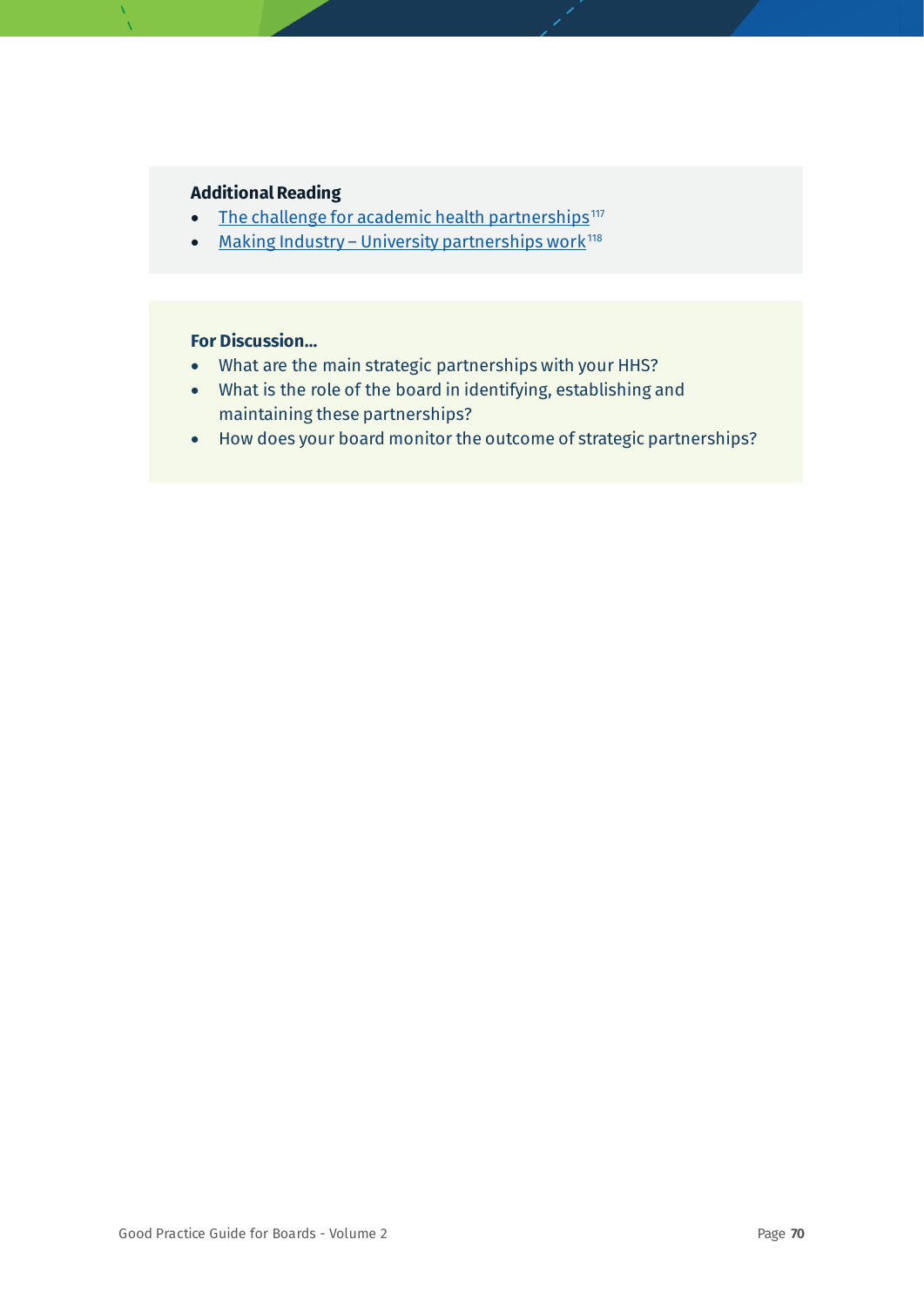#### **Additional Reading**

- [The challenge for academic health partnerships](https://www.mja.com.au/journal/2009/191/1/challenge-academic-health-partnerships)<sup>[117](#page-78-32)</sup>
- Making Industry [University partnerships work](https://www.sciencebusiness.net/sites/default/files/archive/Assets/94fe6d15-5432-4cf9-a656-633248e63541.pdf)<sup>[118](#page-78-33)</sup>

- What are the main strategic partnerships with your HHS?
- What is the role of the board in identifying, establishing and maintaining these partnerships?
- How does your board monitor the outcome of strategic partnerships?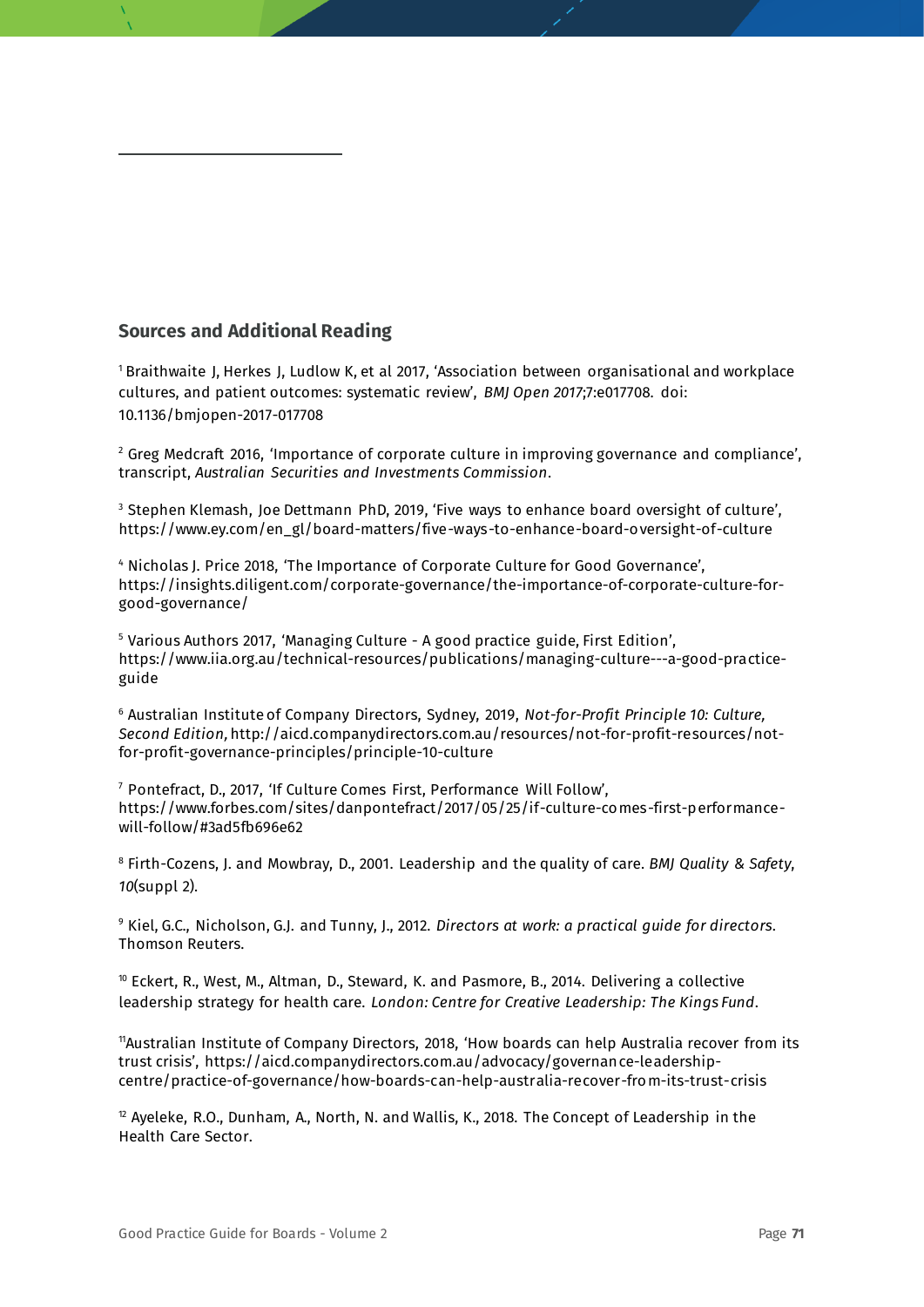#### **Sources and Additional Reading**

<sup>1</sup> Braithwaite J, Herkes J, Ludlow K, et al 2017, 'Association between organisational and workplace cultures, and patient outcomes: systematic review', *BMJ Open 2017*;7:e017708. doi: 10.1136/bmjopen-2017-017708

 $2$  Greg Medcraft 2016, 'Importance of corporate culture in improving governance and compliance', transcript, *Australian Securities and Investments Commission*.

<sup>3</sup> Stephen Klemash, Joe Dettmann PhD, 2019, 'Five ways to enhance board oversight of culture', https://www.ey.com/en\_gl/board-matters/five-ways-to-enhance-board-oversight-of-culture

<sup>4</sup> Nicholas J. Price 2018, 'The Importance of Corporate Culture for Good Governance', https://insights.diligent.com/corporate-governance/the-importance-of-corporate-culture-forgood-governance/

<sup>5</sup> Various Authors 2017, 'Managing Culture - A good practice guide, First Edition', https://www.iia.org.au/technical-resources/publications/managing-culture---a-good-practiceguide

<sup>6</sup> Australian Institute of Company Directors, Sydney, 2019, *Not-for-Profit Principle 10: Culture, Second Edition,*http://aicd.companydirectors.com.au/resources/not-for-profit-resources/notfor-profit-governance-principles/principle-10-culture

<sup>7</sup> Pontefract, D., 2017, 'If Culture Comes First, Performance Will Follow', https://www.forbes.com/sites/danpontefract/2017/05/25/if-culture-comes-first-performancewill-follow/#3ad5fb696e62

<sup>8</sup> Firth-Cozens, J. and Mowbray, D., 2001. Leadership and the quality of care. *BMJ Quality & Safety*, *10*(suppl 2).

<sup>9</sup> Kiel, G.C., Nicholson, G.J. and Tunny, J., 2012. *Directors at work: a practical guide for directors*. Thomson Reuters.

 $10$  Eckert, R., West, M., Altman, D., Steward, K. and Pasmore, B., 2014. Delivering a collective leadership strategy for health care. *London: Centre for Creative Leadership: The Kings Fund*.

11Australian Institute of Company Directors, 2018, 'How boards can help Australia recover from its trust crisis', https://aicd.companydirectors.com.au/advocacy/governance-leadershipcentre/practice-of-governance/how-boards-can-help-australia-recover-from-its-trust-crisis

 $12$  Ayeleke, R.O., Dunham, A., North, N. and Wallis, K., 2018. The Concept of Leadership in the Health Care Sector.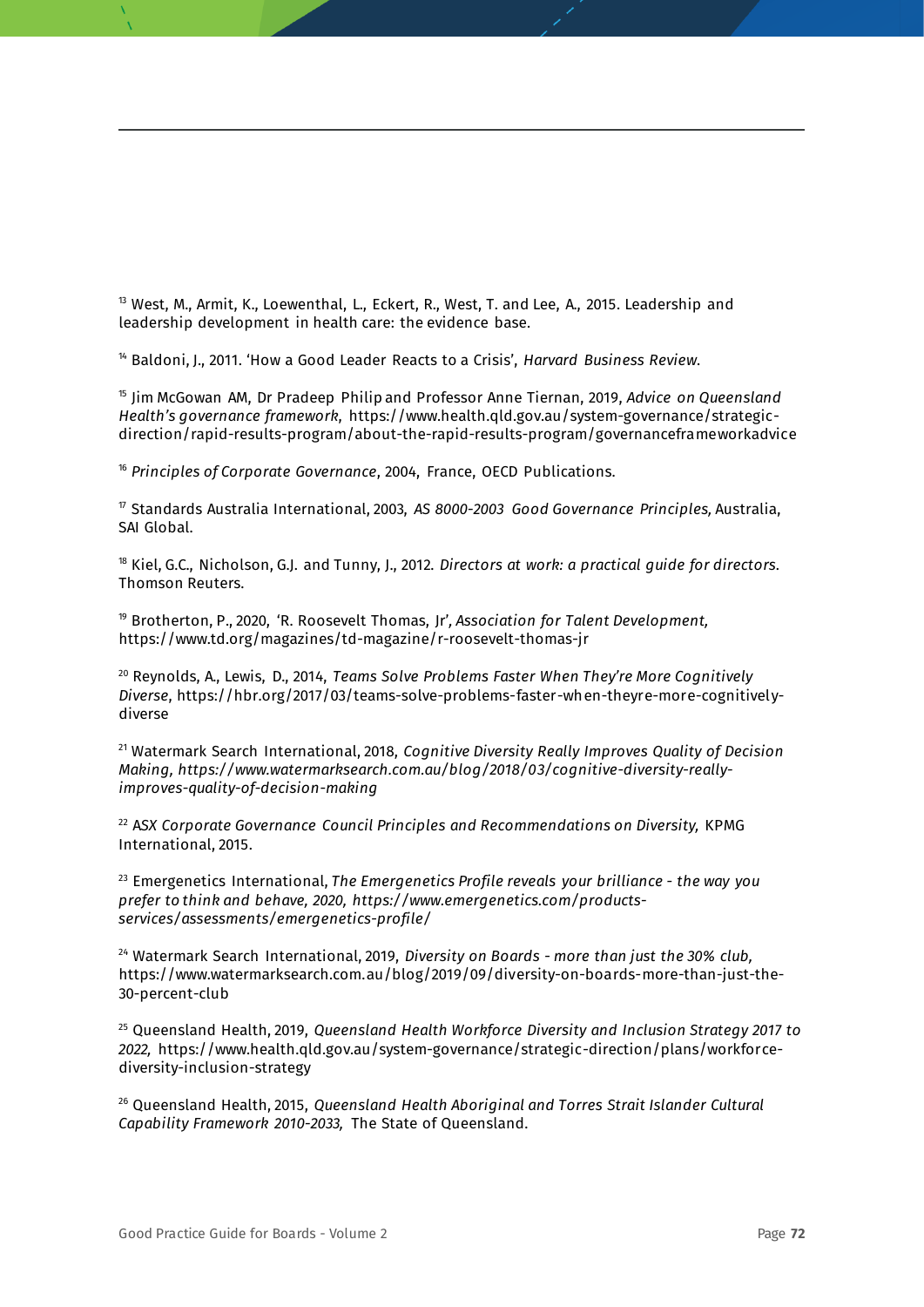$13$  West, M., Armit, K., Loewenthal, L., Eckert, R., West, T. and Lee, A., 2015. Leadership and leadership development in health care: the evidence base.

<sup>14</sup> Baldoni, J., 2011. 'How a Good Leader Reacts to a Crisis', *Harvard Business Review*.

<sup>15</sup> Jim McGowan AM, Dr Pradeep Philip and Professor Anne Tiernan, 2019, *Advice on Queensland Health's governance framework*, https://www.health.qld.gov.au/system-governance/strategicdirection/rapid-results-program/about-the-rapid-results-program/governanceframeworkadvice

<sup>16</sup> *Principles of Corporate Governance*, 2004, France, OECD Publications.

<sup>17</sup> Standards Australia International, 2003, *AS 8000-2003 Good Governance Principles,* Australia, SAI Global.

<sup>18</sup> Kiel, G.C., Nicholson, G.J. and Tunny, J., 2012. *Directors at work: a practical guide for directors*. Thomson Reuters.

<sup>19</sup> Brotherton, P., 2020, 'R. Roosevelt Thomas, Jr'*, Association for Talent Development,*  https://www.td.org/magazines/td-magazine/r-roosevelt-thomas-jr

<sup>20</sup> Reynolds, A., Lewis, D., 2014, *Teams Solve Problems Faster When They're More Cognitively Diverse*, https://hbr.org/2017/03/teams-solve-problems-faster-when-theyre-more-cognitivelydiverse

<sup>21</sup> Watermark Search International, 2018, *Cognitive Diversity Really Improves Quality of Decision Making, https://www.watermarksearch.com.au/blog/2018/03/cognitive-diversity-reallyimproves-quality-of-decision-making*

<sup>22</sup> ASX Corporate Governance Council Principles and Recommendations on Diversity, KPMG International, 2015.

<sup>23</sup> Emergenetics International, *The Emergenetics Profile reveals your brilliance - the way you prefer to think and behave, 2020, https://www.emergenetics.com/productsservices/assessments/emergenetics-profile/* 

<sup>24</sup> Watermark Search International, 2019, *Diversity on Boards - more than just the 30% club,*  https://www.watermarksearch.com.au/blog/2019/09/diversity-on-boards-more-than-just-the-30-percent-club

<sup>25</sup> Queensland Health, 2019, *Queensland Health Workforce Diversity and Inclusion Strategy 2017 to 2022,* https://www.health.qld.gov.au/system-governance/strategic-direction/plans/workforcediversity-inclusion-strategy

<sup>26</sup> Queensland Health, 2015, *Queensland Health Aboriginal and Torres Strait Islander Cultural Capability Framework 2010-2033,* The State of Queensland.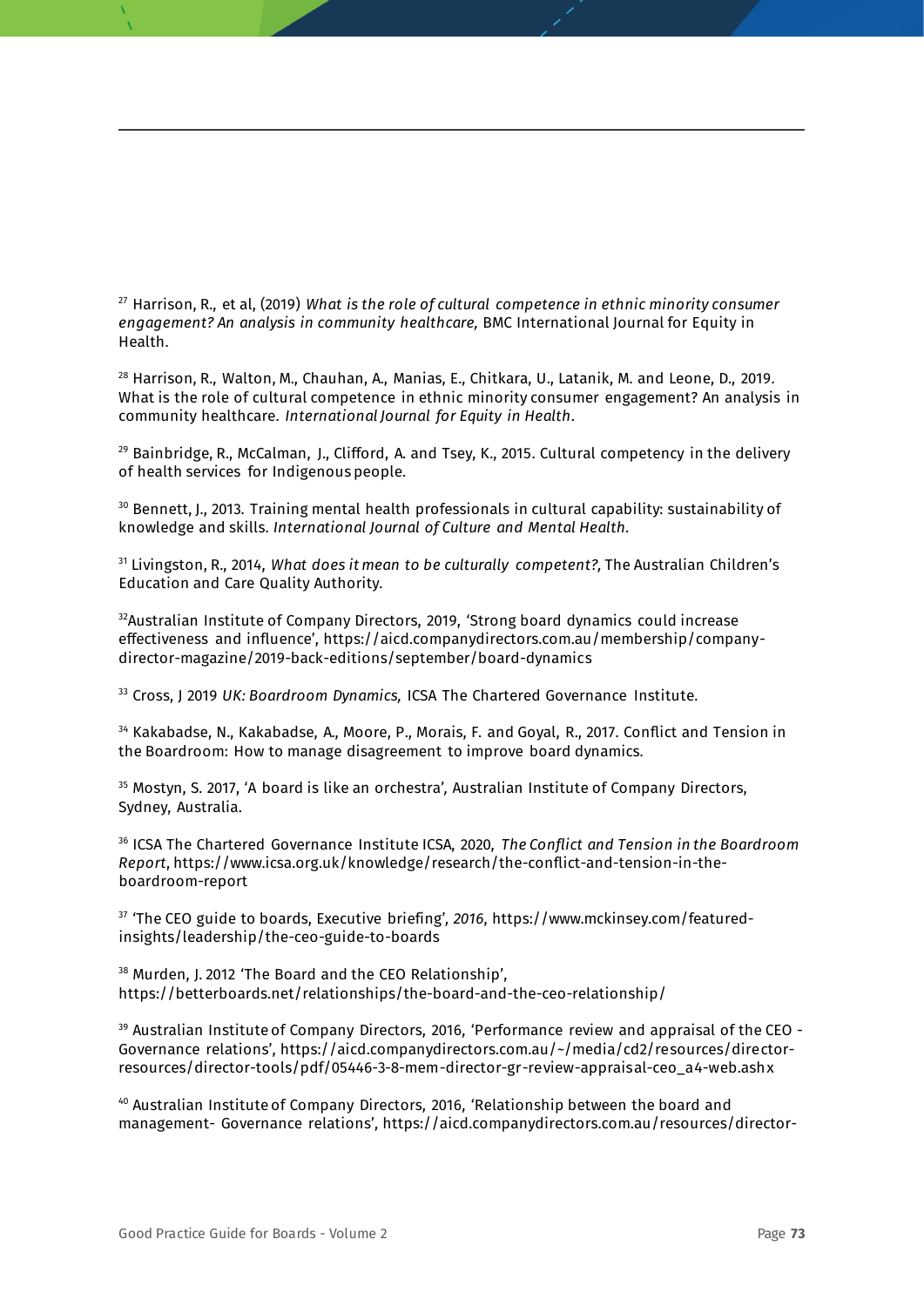<sup>27</sup> Harrison, R., et al, (2019) *What is the role of cultural competence in ethnic minority consumer engagement? An analysis in community healthcare,* BMC International Journal for Equity in Health.

<sup>28</sup> Harrison, R., Walton, M., Chauhan, A., Manias, E., Chitkara, U., Latanik, M. and Leone, D., 2019. What is the role of cultural competence in ethnic minority consumer engagement? An analysis in community healthcare. *International Journal for Equity in Health*.

 $29$  Bainbridge, R., McCalman, J., Clifford, A. and Tsey, K., 2015. Cultural competency in the delivery of health services for Indigenous people.

<sup>30</sup> Bennett, J., 2013. Training mental health professionals in cultural capability: sustainability of knowledge and skills. *International Journal of Culture and Mental Health.*

<sup>31</sup> Livingston, R., 2014, *What does it mean to be culturally competent?,* The Australian Children's Education and Care Quality Authority.

<sup>32</sup>Australian Institute of Company Directors, 2019, 'Strong board dynamics could increase effectiveness and influence', https://aicd.companydirectors.com.au/membership/companydirector-magazine/2019-back-editions/september/board-dynamics

<sup>33</sup> Cross, J 2019 *UK: Boardroom Dynamics,* ICSA The Chartered Governance Institute.

<sup>34</sup> Kakabadse, N., Kakabadse, A., Moore, P., Morais, F. and Goyal, R., 2017. Conflict and Tension in the Boardroom: How to manage disagreement to improve board dynamics.

<sup>35</sup> Mostyn, S. 2017, 'A board is like an orchestra'*,* Australian Institute of Company Directors, Sydney, Australia.

<sup>36</sup> ICSA The Chartered Governance Institute ICSA, 2020, *The Conflict and Tension in the Boardroom Report*, https://www.icsa.org.uk/knowledge/research/the-conflict-and-tension-in-theboardroom-report

<sup>37</sup> 'The CEO guide to boards, Executive briefing'*, 2016*, https://www.mckinsey.com/featuredinsights/leadership/the-ceo-guide-to-boards

<sup>38</sup> Murden, J. 2012 'The Board and the CEO Relationship', https://betterboards.net/relationships/the-board-and-the-ceo-relationship/

<sup>39</sup> Australian Institute of Company Directors, 2016, 'Performance review and appraisal of the CEO -Governance relations', https://aicd.companydirectors.com.au/~/media/cd2/resources/directorresources/director-tools/pdf/05446-3-8-mem-director-gr-review-appraisal-ceo\_a4-web.ashx

<sup>40</sup> Australian Institute of Company Directors, 2016, 'Relationship between the board and management- Governance relations', https://aicd.companydirectors.com.au/resources/director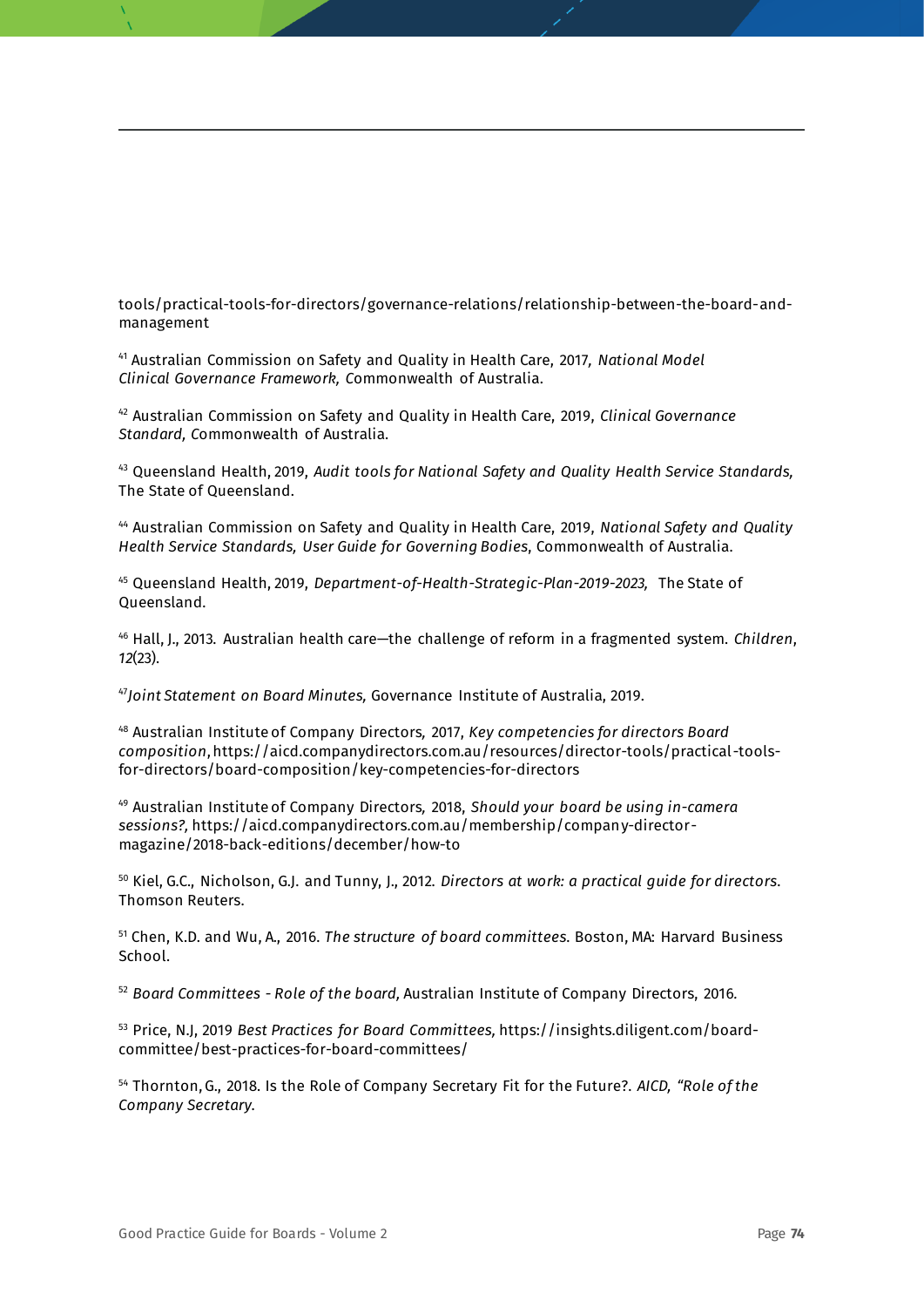tools/practical-tools-for-directors/governance-relations/relationship-between-the-board-andmanagement

<sup>41</sup> Australian Commission on Safety and Quality in Health Care, 2017*, National Model Clinical Governance Framework, C*ommonwealth of Australia.

<sup>42</sup> Australian Commission on Safety and Quality in Health Care, 2019, *Clinical Governance Standard, C*ommonwealth of Australia.

<sup>43</sup> Queensland Health, 2019, *Audit tools for National Safety and Quality Health Service Standards,*  The State of Queensland.

<sup>44</sup> Australian Commission on Safety and Quality in Health Care, 2019, *National Safety and Quality Health Service Standards, User Guide for Governing Bodies*, Commonwealth of Australia.

<sup>45</sup> Queensland Health, 2019, *Department-of-Health-Strategic-Plan-2019-2023,* The State of Queensland.

<sup>46</sup> Hall, J., 2013. Australian health care—the challenge of reform in a fragmented system. *Children*, *12*(23).

<sup>47</sup>*Joint Statement on Board Minutes,* Governance Institute of Australia, 2019.

<sup>48</sup> Australian Institute of Company Directors*,* 2017, *Key competencies for directors Board composition*, https://aicd.companydirectors.com.au/resources/director-tools/practical-toolsfor-directors/board-composition/key-competencies-for-directors

<sup>49</sup> Australian Institute of Company Directors*,* 2018, *Should your board be using in-camera sessions?,* https://aicd.companydirectors.com.au/membership/company-directormagazine/2018-back-editions/december/how-to

<sup>50</sup> Kiel, G.C., Nicholson, G.J. and Tunny, J., 2012. *Directors at work: a practical guide for directors*. Thomson Reuters.

<sup>51</sup> Chen, K.D. and Wu, A., 2016. *The structure of board committees*. Boston, MA: Harvard Business School.

<sup>52</sup> *Board Committees - Role of the board,* Australian Institute of Company Directors, 2016*.*

<sup>53</sup> Price, N.J, 2019 *Best Practices for Board Committees,* https://insights.diligent.com/boardcommittee/best-practices-for-board-committees/

<sup>54</sup> Thornton, G., 2018. Is the Role of Company Secretary Fit for the Future?. *AICD, "Role of the Company Secretary*.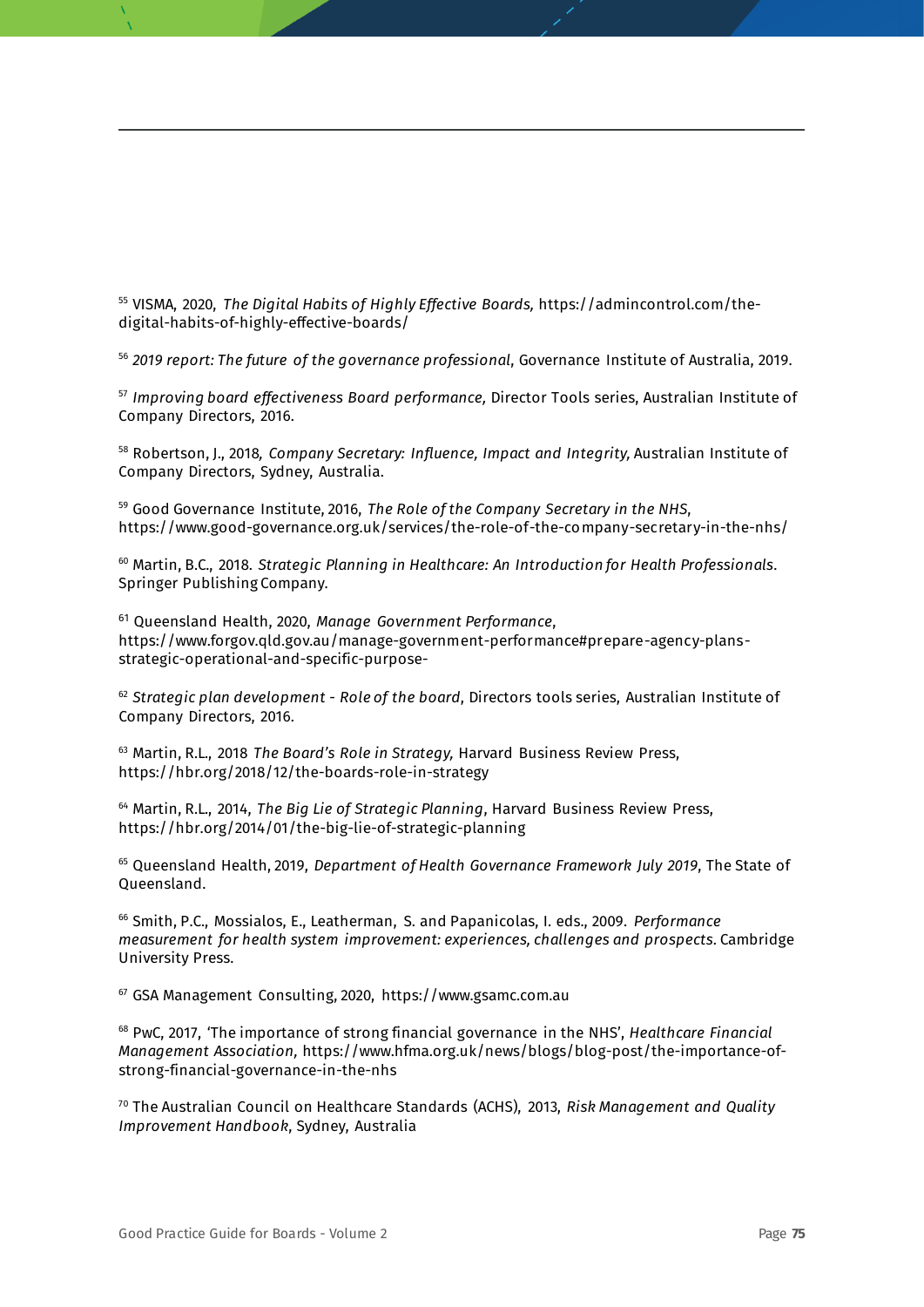<sup>55</sup> VISMA, 2020, *The Digital Habits of Highly Effective Boards,* https://admincontrol.com/thedigital-habits-of-highly-effective-boards/

<sup>56</sup> *2019 report: The future of the governance professional*, Governance Institute of Australia, 2019.

<sup>57</sup> *Improving board effectiveness Board performance,* Director Tools series, Australian Institute of Company Directors, 2016.

<sup>58</sup> Robertson, J., 2018*, Company Secretary: Influence, Impact and Integrity,* Australian Institute of Company Directors, Sydney, Australia.

<sup>59</sup> Good Governance Institute, 2016, *The Role of the Company Secretary in the NHS*, https://www.good-governance.org.uk/services/the-role-of-the-company-secretary-in-the-nhs/

<sup>60</sup> Martin, B.C., 2018. *Strategic Planning in Healthcare: An Introduction for Health Professionals*. Springer Publishing Company.

<sup>61</sup> Queensland Health, 2020, *Manage Government Performance*, [https://www.forgov.qld.gov.au/manage-government-performance#prepare-agency-plans](https://www.forgov.qld.gov.au/manage-government-performance#prepare-agency-plans-strategic-operational-and-specific-purpose-)[strategic-operational-and-specific-purpose-](https://www.forgov.qld.gov.au/manage-government-performance#prepare-agency-plans-strategic-operational-and-specific-purpose-)

<sup>62</sup> *Strategic plan development - Role of the board*, Directors tools series, Australian Institute of Company Directors, 2016.

<sup>63</sup> Martin, R.L., 2018 *The Board's Role in Strategy,* Harvard Business Review Press, https://hbr.org/2018/12/the-boards-role-in-strategy

<sup>64</sup> Martin, R.L., 2014, *The Big Lie of Strategic Planning*, Harvard Business Review Press, https://hbr.org/2014/01/the-big-lie-of-strategic-planning

<sup>65</sup> Queensland Health, 2019, *Department of Health Governance Framework July 2019*, The State of Queensland.

<sup>66</sup> Smith, P.C., Mossialos, E., Leatherman, S. and Papanicolas, I. eds., 2009. *Performance measurement for health system improvement: experiences, challenges and prospects*. Cambridge University Press.

<sup>67</sup> GSA Management Consulting, 2020, https://www.gsamc.com.au

<sup>68</sup> PwC, 2017, 'The importance of strong financial governance in the NHS', *Healthcare Financial Management Association,* https://www.hfma.org.uk/news/blogs/blog-post/the-importance-ofstrong-financial-governance-in-the-nhs

<sup>70</sup> The Australian Council on Healthcare Standards (ACHS), 2013, *Risk Management and Quality Improvement Handbook*, Sydney, Australia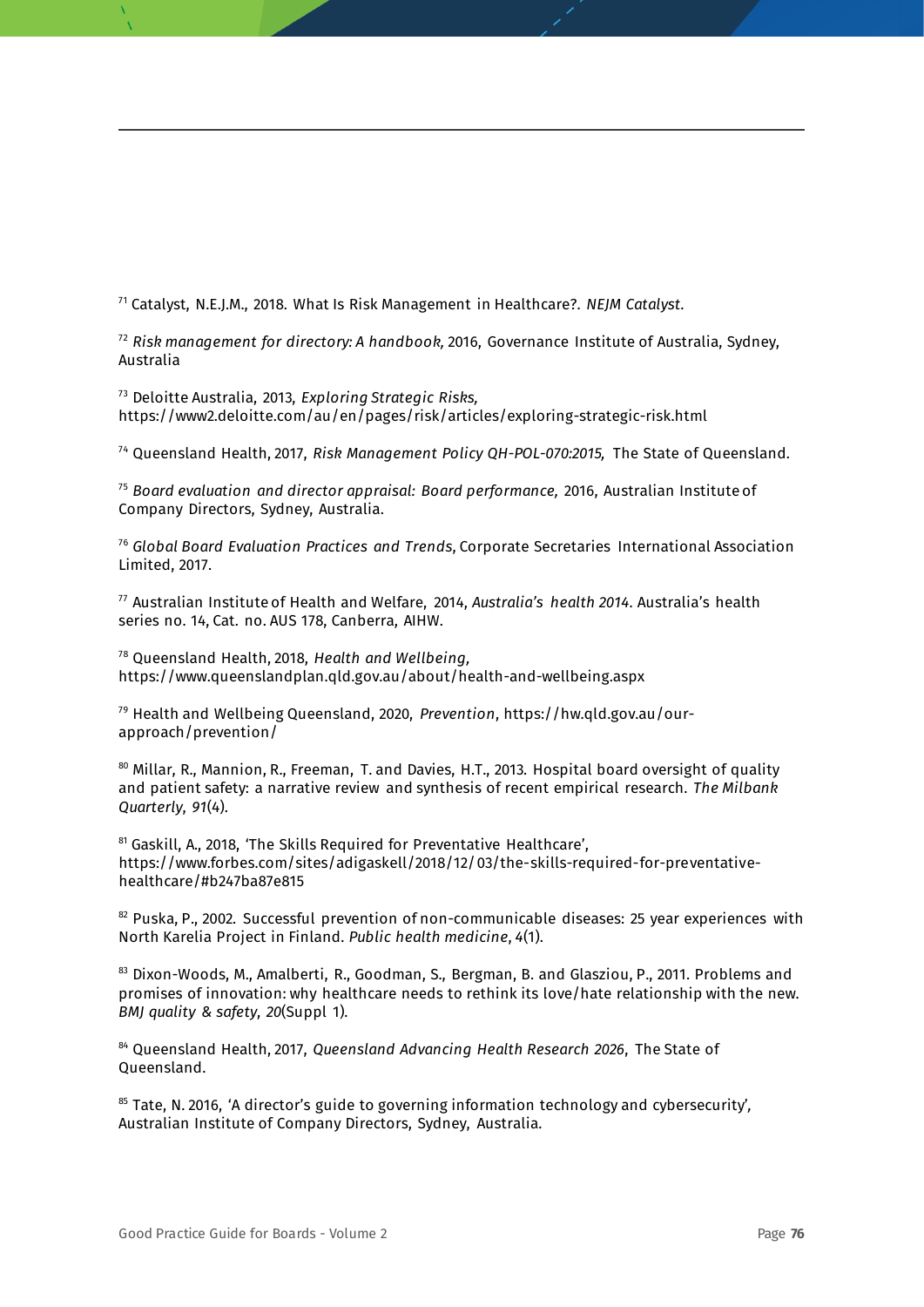<sup>71</sup> Catalyst, N.E.J.M., 2018. What Is Risk Management in Healthcare?. *NEJM Catalyst*.

<sup>72</sup> *Risk management for directory: A handbook,* 2016, Governance Institute of Australia, Sydney, Australia

<sup>73</sup> Deloitte Australia, 2013, *Exploring Strategic Risks,*  https://www2.deloitte.com/au/en/pages/risk/articles/exploring-strategic-risk.html

<sup>74</sup> Queensland Health, 2017, *Risk Management Policy QH-POL-070:2015,* The State of Queensland.

<sup>75</sup> *Board evaluation and director appraisal: Board performance,* 2016, Australian Institute of Company Directors, Sydney, Australia.

<sup>76</sup> *Global Board Evaluation Practices and Trends*, Corporate Secretaries International Association Limited, 2017.

<sup>77</sup> Australian Institute of Health and Welfare, 2014, *Australia's health 2014*. Australia's health series no. 14, Cat. no. AUS 178, Canberra, AIHW.

<sup>78</sup> Queensland Health, 2018, *Health and Wellbeing,*  https://www.queenslandplan.qld.gov.au/about/health-and-wellbeing.aspx

<sup>79</sup> Health and Wellbeing Queensland, 2020, *Prevention*, https://hw.qld.gov.au/ourapproach/prevention/

80 Millar, R., Mannion, R., Freeman, T. and Davies, H.T., 2013. Hospital board oversight of quality and patient safety: a narrative review and synthesis of recent empirical research. *The Milbank Quarterly*, *91*(4).

<sup>81</sup> Gaskill, A., 2018, 'The Skills Required for Preventative Healthcare', https://www.forbes.com/sites/adigaskell/2018/12/03/the-skills-required-for-preventativehealthcare/#b247ba87e815

 $82$  Puska, P., 2002. Successful prevention of non-communicable diseases: 25 year experiences with North Karelia Project in Finland. *Public health medicine*, *4*(1).

83 Dixon-Woods, M., Amalberti, R., Goodman, S., Bergman, B. and Glasziou, P., 2011. Problems and promises of innovation: why healthcare needs to rethink its love/hate relationship with the new. *BMJ quality & safety*, *20*(Suppl 1).

<sup>84</sup> Queensland Health, 2017, *Queensland Advancing Health Research 2026*, The State of Queensland.

<sup>85</sup> Tate, N. 2016, 'A director's guide to governing information technology and cybersecurity'*,*  Australian Institute of Company Directors, Sydney, Australia.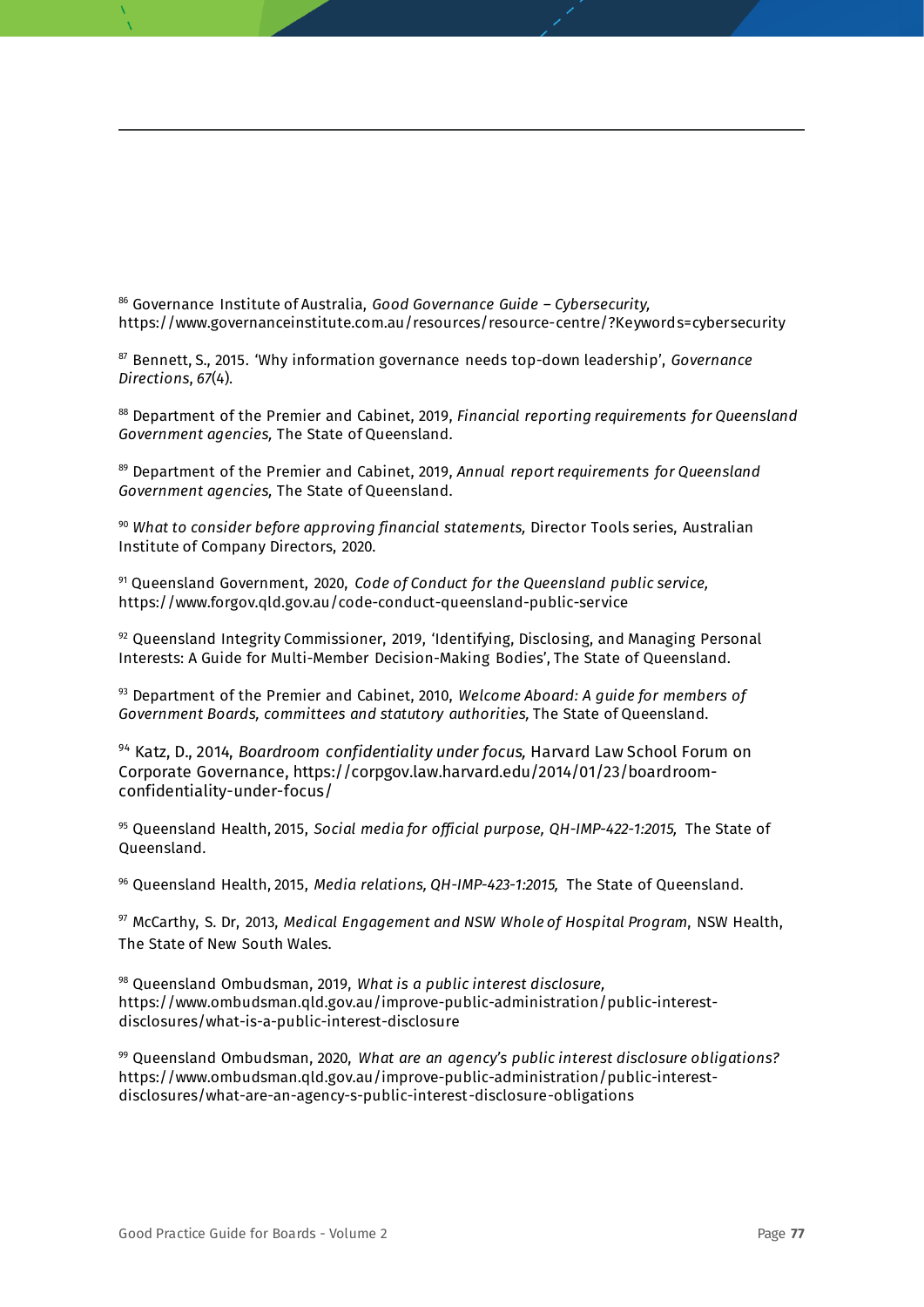<sup>86</sup> Governance Institute of Australia, *Good Governance Guide – Cybersecurity,*  https://www.governanceinstitute.com.au/resources/resource-centre/?Keywords=cybersecurity

<sup>87</sup> Bennett, S., 2015. 'Why information governance needs top-down leadership', *Governance Directions*, *67*(4).

<sup>88</sup> Department of the Premier and Cabinet, 2019, *Financial reporting requirements for Queensland Government agencies,* The State of Queensland.

<sup>89</sup> Department of the Premier and Cabinet, 2019, *Annual report requirements for Queensland Government agencies,* The State of Queensland.

<sup>90</sup> *What to consider before approving financial statements,* Director Tools series, Australian Institute of Company Directors, 2020.

<sup>91</sup> Queensland Government, 2020, *Code of Conduct for the Queensland public service,* https://www.forgov.qld.gov.au/code-conduct-queensland-public-service

 $92$  Queensland Integrity Commissioner, 2019, 'Identifying, Disclosing, and Managing Personal Interests: A Guide for Multi-Member Decision-Making Bodies', The State of Queensland.

<sup>93</sup> Department of the Premier and Cabinet, 2010, *Welcome Aboard: A guide for members of Government Boards, committees and statutory authorities,* The State of Queensland.

<sup>94</sup> Katz, D., 2014, *Boardroom confidentiality under focus,* Harvard Law School Forum on Corporate Governance, https://corpgov.law.harvard.edu/2014/01/23/boardroomconfidentiality-under-focus/

<sup>95</sup> Queensland Health, 2015, *Social media for official purpose, QH-IMP-422-1:2015,* The State of Queensland.

<sup>96</sup> Queensland Health, 2015, *Media relations, QH-IMP-423-1:2015,* The State of Queensland.

<sup>97</sup> McCarthy, S. Dr, 2013, *[Medical Engagement and NSW Whole of Hospital Program](https://www.health.nsw.gov.au/wohp/Documents/medical-engagement-summary.pdf)*, NSW Health, The State of New South Wales.

<sup>98</sup> Queensland Ombudsman, 2019, *What is a public interest disclosure,* https://www.ombudsman.qld.gov.au/improve-public-administration/public-interestdisclosures/what-is-a-public-interest-disclosure

<sup>99</sup> Queensland Ombudsman, 2020, *What are an agency's public interest disclosure obligations?*  https://www.ombudsman.qld.gov.au/improve-public-administration/public-interestdisclosures/what-are-an-agency-s-public-interest-disclosure-obligations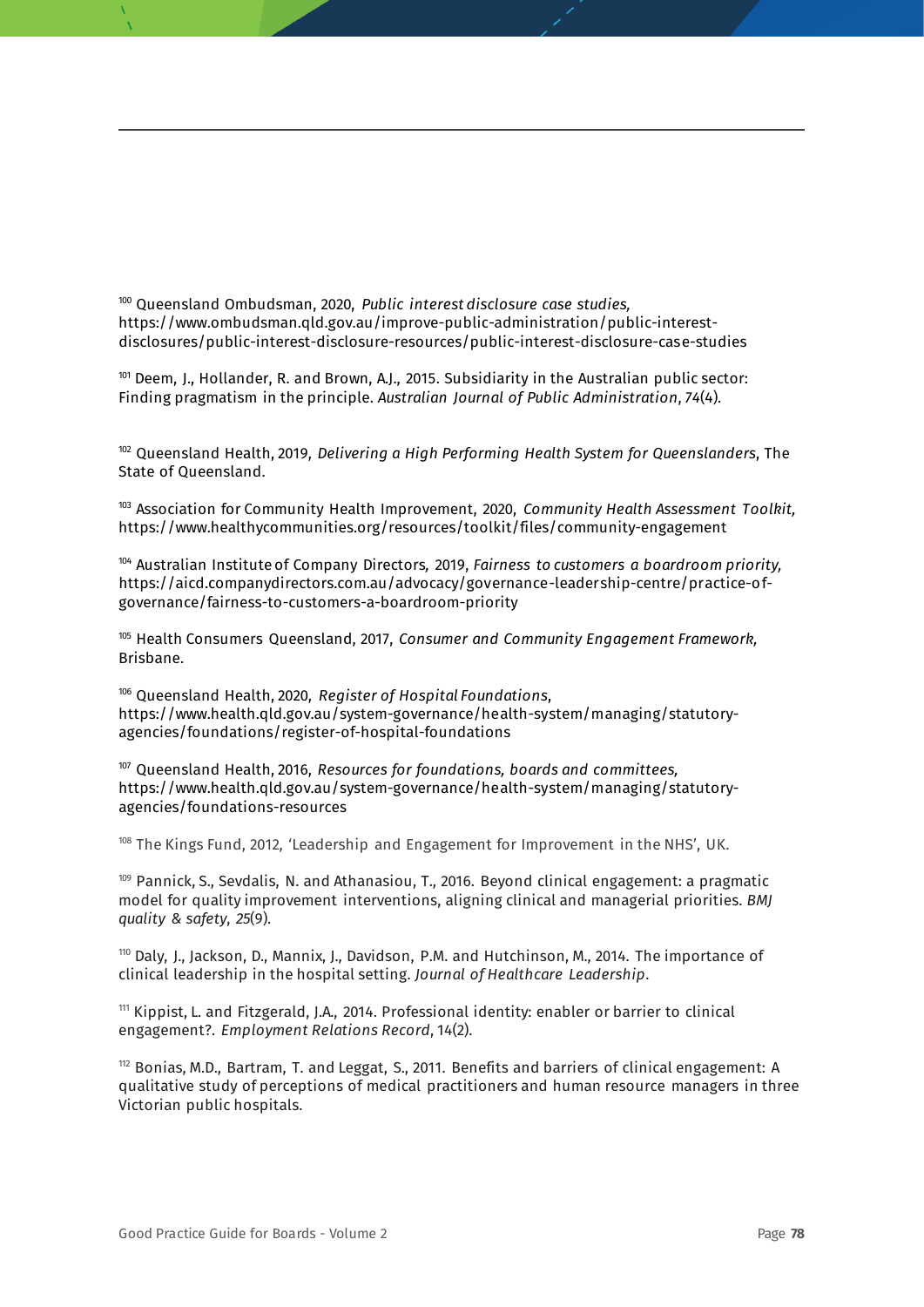<sup>100</sup> Queensland Ombudsman, 2020, *Public interest disclosure case studies,* https://www.ombudsman.qld.gov.au/improve-public-administration/public-interestdisclosures/public-interest-disclosure-resources/public-interest-disclosure-case-studies

 $101$  Deem, J., Hollander, R. and Brown, A.J., 2015. Subsidiarity in the Australian public sector: Finding pragmatism in the principle. *Australian Journal of Public Administration*, *74*(4).

<sup>102</sup> Queensland Health, 2019, *Delivering a High Performing Health System for Queenslanders*, The State of Queensland.

<sup>103</sup> Association for Community Health Improvement, 2020, *Community Health Assessment Toolkit,*  https://www.healthycommunities.org/resources/toolkit/files/community-engagement

<sup>104</sup> Australian Institute of Company Directors*,* 2019, *Fairness to customers a boardroom priority,*  https://aicd.companydirectors.com.au/advocacy/governance-leadership-centre/practice-ofgovernance/fairness-to-customers-a-boardroom-priority

<sup>105</sup> Health Consumers Queensland, 2017, *Consumer and Community Engagement Framework,* Brisbane.

<sup>106</sup> Queensland Health, 2020, *Register of Hospital Foundations*, https://www.health.qld.gov.au/system-governance/health-system/managing/statutoryagencies/foundations/register-of-hospital-foundations

<sup>107</sup> Queensland Health, 2016, *Resources for foundations, boards and committees,* https://www.health.qld.gov.au/system-governance/health-system/managing/statutoryagencies/foundations-resources

<sup>108</sup> The Kings Fund, 2012, 'Leadership and Engagement for Improvement in the NHS', UK.

109 Pannick, S., Sevdalis, N. and Athanasiou, T., 2016. Beyond clinical engagement: a pragmatic model for quality improvement interventions, aligning clinical and managerial priorities. *BMJ quality & safety*, *25*(9).

<sup>110</sup> Daly, J., Jackson, D., Mannix, J., Davidson, P.M. and Hutchinson, M., 2014. The importance of clinical leadership in the hospital setting. *Journal of Healthcare Leadership*.

<sup>111</sup> Kippist, L. and Fitzgerald, J.A., 2014. Professional identity: enabler or barrier to clinical engagement?. *Employment Relations Record*, 14(2).

 $112$  Bonias, M.D., Bartram, T. and Leggat, S., 2011. Benefits and barriers of clinical engagement: A qualitative study of perceptions of medical practitioners and human resource managers in three Victorian public hospitals.